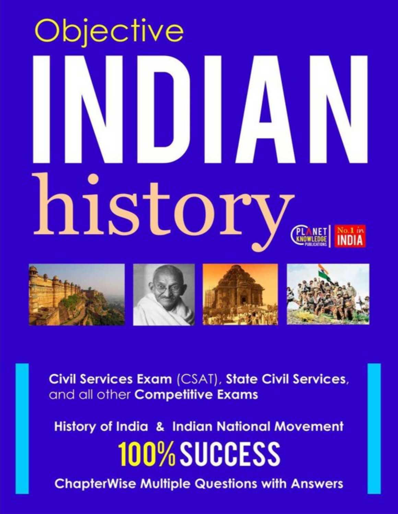# Objective history



Civil Services Exam (CSAT), State Civil Services, and all other Competitive Exams

**History of India & Indian National Movement 100% SUCCESS** 

**ChapterWise Multiple Questions with Answers**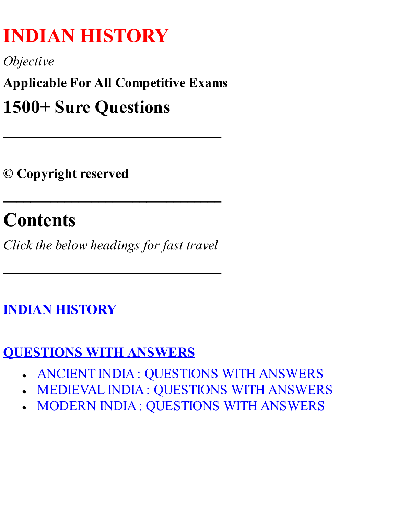# **INDIAN HISTORY**

*Objective*

**Applicable For All Competitive Exams**

**\_\_\_\_\_\_\_\_\_\_\_\_\_\_\_\_\_\_\_\_\_\_\_\_\_\_\_\_\_\_\_\_**

# **1500+ Sure Questions**

**© Copyright reserved**

# **Contents**

*Click the below headings for fast travel*

**\_\_\_\_\_\_\_\_\_\_\_\_\_\_\_\_\_\_\_\_\_\_\_\_\_\_\_\_\_\_\_\_**

**\_\_\_\_\_\_\_\_\_\_\_\_\_\_\_\_\_\_\_\_\_\_\_\_\_\_\_\_\_\_\_\_**

## **INDIAN HISTORY**

## **[QUESTIONS](#page-1-0) WITH ANSWERS**

- ANCIENT INDIA: [QUESTIONS](#page-2-0) WITH ANSWERS
- MEDIEVAL INDIA: [QUESTIONS](#page-89-0) WITH ANSWERS
- <span id="page-1-0"></span>MODERN INDIA: [QUESTIONS](#page-177-0) WITH ANSWERS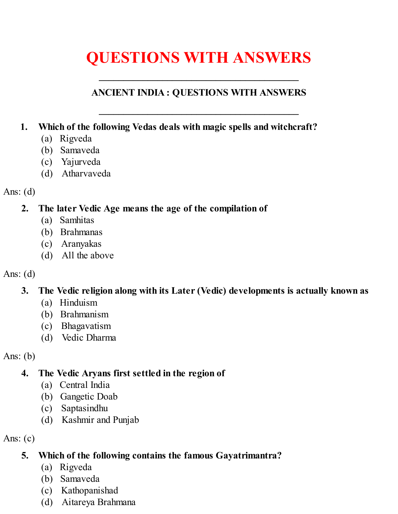# **QUESTIONS WITH ANSWERS**

**\_\_\_\_\_\_\_\_\_\_\_\_\_\_\_\_\_\_\_\_\_\_\_\_\_\_\_\_\_\_\_\_\_\_\_\_\_\_\_\_\_**

#### <span id="page-2-0"></span>**ANCIENT INDIA : QUESTIONS WITH ANSWERS**

**\_\_\_\_\_\_\_\_\_\_\_\_\_\_\_\_\_\_\_\_\_\_\_\_\_\_\_\_\_\_\_\_\_\_\_\_\_\_\_\_\_**

- **1. Which of the following Vedas deals with magic spells and witchcraft?**
	- (a) Rigveda
	- (b) Samaveda
	- (c) Yajurveda
	- (d) Atharvaveda

#### Ans:  $(d)$

#### **2. The later Vedic Age means the age of the compilation of**

- (a) Samhitas
- (b) Brahmanas
- (c) Aranyakas
- (d) All the above

#### Ans: (d)

## **3. The Vedic religion along with its Later (Vedic) developments is actually known as**

- (a) Hinduism
- (b) Brahmanism
- (c) Bhagavatism
- (d) Vedic Dharma

Ans:  $(b)$ 

## **4. The Vedic Aryans first settled in the region of**

- (a) Central India
- (b) Gangetic Doab
- (c) Saptasindhu
- (d) Kashmir and Punjab

Ans:  $(c)$ 

## **5. Which of the following contains the famous Gayatrimantra?**

- (a) Rigveda
- (b) Samaveda
- (c) Kathopanishad
- (d) Aitareya Brahmana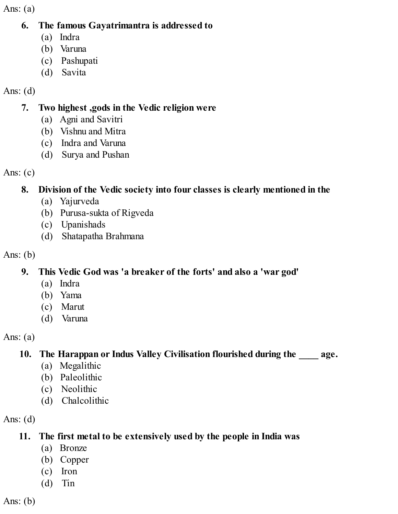#### **6. The famous Gayatrimantra is addressed to**

- (a) Indra
- (b) Varuna
- (c) Pashupati
- (d) Savita

#### Ans:  $(d)$

#### **7. Two highest ,gods in the Vedic religion were**

- (a) Agni and Savitri
- (b) Vishnu and Mitra
- (c) Indra and Varuna
- (d) Surya and Pushan

Ans:  $(c)$ 

## **8. Division of the Vedic society into four classes is clearly mentioned in the**

- (a) Yajurveda
- (b) Purusa-sukta of Rigveda
- (c) Upanishads
- (d) Shatapatha Brahmana

Ans:  $(b)$ 

## **9. This Vedic God was 'a breaker of the forts' and also a 'war god'**

- (a) Indra
- (b) Yama
- (c) Marut
- (d) Varuna

Ans:  $(a)$ 

## **10. The Harappan or Indus Valley Civilisation flourished during the \_\_\_\_ age.**

- (a) Megalithic
- (b) Paleolithic
- (c) Neolithic
- (d) Chalcolithic

Ans:  $(d)$ 

## **11. The first metal to be extensively used by the people in India was**

- (a) Bronze
- (b) Copper
- (c) Iron
- (d) Tin

Ans:  $(b)$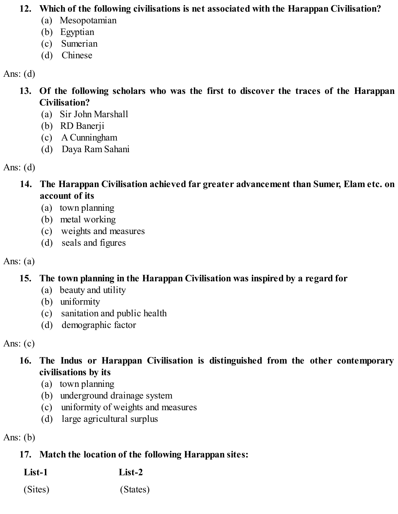#### **12. Which of the following civilisations is net associated with the Harappan Civilisation?**

- (a) Mesopotamian
- (b) Egyptian
- (c) Sumerian
- (d) Chinese

#### Ans:  $(d)$

- **13. Of the following scholars who was the first to discover the traces of the Harappan Civilisation?**
	- (a) Sir John Marshall
	- (b) RD Banerji
	- (c) A Cunningham
	- (d) Daya Ram Sahani

#### Ans:  $(d)$

- **14. The Harappan Civilisation achieved far greater advancement than Sumer, Elam etc. on account of its**
	- (a) town planning
	- (b) metal working
	- (c) weights and measures
	- (d) seals and figures

## Ans:  $(a)$

## **15. The town planning in the Harappan Civilisation was inspired by a regard for**

- (a) beauty and utility
- (b) uniformity
- (c) sanitation and public health
- (d) demographic factor

Ans:  $(c)$ 

- **16. The Indus or Harappan Civilisation is distinguished from the other contemporary civilisations by its**
	- (a) town planning
	- (b) underground drainage system
	- (c) uniformity of weights and measures
	- (d) large agricultural surplus

Ans:  $(b)$ 

## **17. Match the location of the following Harappan sites:**

| List-1 | $List-2$ |
|--------|----------|
|        |          |

(Sites) (States)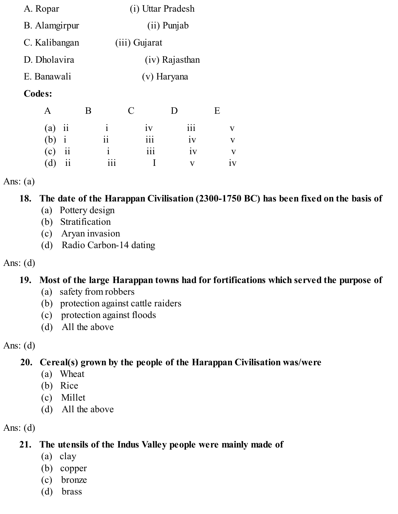| A. Ropar      | (i) Uttar Pradesh |
|---------------|-------------------|
| B. Alamgirpur | $(ii)$ Punjab     |
| C. Kalibangan | $(iii)$ Gujarat   |
| D. Dholavira  | (iv) Rajasthan    |
| E. Banawali   | (v) Haryana       |
|               |                   |

#### **Codes:**

| A        | В   | $\mathbf C$ | $\blacksquare$ | F.           |
|----------|-----|-------------|----------------|--------------|
| $(a)$ ii |     | iv          | iii            | $\mathbf{V}$ |
| $(b)$ i  | 11  | 111         | iv             | V            |
| $(c)$ ii |     | 111         | iv             | V            |
| $(d)$ ii | 111 |             | v              | 1V           |

Ans:  $(a)$ 

**18. The date of the Harappan Civilisation (2300-1750 BC) has been fixed on the basis of**

- (a) Pottery design
- (b) Stratification
- (c) Aryan invasion
- (d) Radio Carbon-14 dating

#### Ans: (d)

## **19. Most of the large Harappan towns had for fortifications which served the purpose of**

- (a) safety from robbers
- (b) protection against cattle raiders
- (c) protection against floods
- (d) All the above

Ans:  $(d)$ 

## **20. Cereal(s) grown by the people of the Harappan Civilisation was/were**

- (a) Wheat
- (b) Rice
- (c) Millet
- (d) All the above

Ans:  $(d)$ 

#### **21. The utensils of the Indus Valley people were mainly made of**

- (a) clay
- (b) copper
- (c) bronze
- (d) brass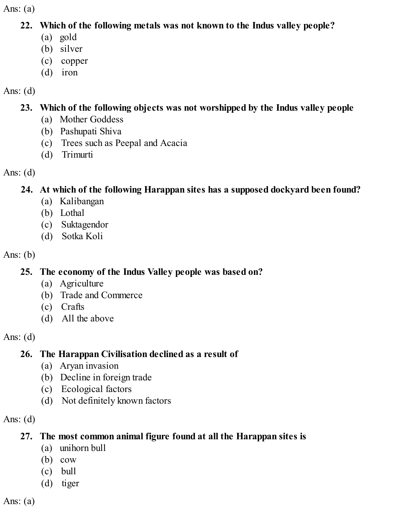#### **22. Which of the following metals was not known to the Indus valley people?**

- (a) gold
- (b) silver
- (c) copper
- (d) iron

## Ans:  $(d)$

## **23. Which of the following objects was not worshipped by the Indus valley people**

- (a) Mother Goddess
- (b) Pashupati Shiva
- (c) Trees such as Peepal and Acacia
- (d) Trimurti

## Ans:  $(d)$

## **24. At which of the following Harappan sites has a supposed dockyard been found?**

- (a) Kalibangan
- (b) Lothal
- (c) Suktagendor
- (d) Sotka Koli

## Ans:  $(b)$

## **25. The economy of the Indus Valley people was based on?**

- (a) Agriculture
- (b) Trade and Commerce
- (c) Crafts
- (d) All the above

## Ans:  $(d)$

## **26. The Harappan Civilisation declined as a result of**

- (a) Aryan invasion
- (b) Decline in foreign trade
- (c) Ecological factors
- (d) Not definitely known factors

## Ans:  $(d)$

## **27. The most common animal figure found at all the Harappan sites is**

- (a) unihorn bull
- (b) cow
- (c) bull
- (d) tiger

Ans:  $(a)$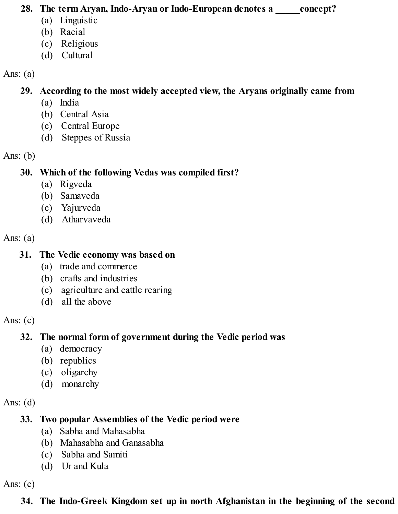#### **28. The term Aryan, Indo-Aryan or Indo-European denotes a \_\_\_\_\_concept?**

- (a) Linguistic
- (b) Racial
- (c) Religious
- (d) Cultural

#### Ans: (a)

## **29. According to the most widely accepted view, the Aryans originally came from**

- (a) India
- (b) Central Asia
- (c) Central Europe
- (d) Steppes of Russia

## Ans:  $(b)$

## **30. Which of the following Vedas was compiled first?**

- (a) Rigveda
- (b) Samaveda
- (c) Yajurveda
- (d) Atharvaveda

#### Ans:  $(a)$

## **31. The Vedic economy was based on**

- (a) trade and commerce
- (b) crafts and industries
- (c) agriculture and cattle rearing
- (d) all the above

## Ans:  $(c)$

## **32. The normal form of government during the Vedic period was**

- (a) democracy
- (b) republics
- (c) oligarchy
- (d) monarchy

## Ans:  $(d)$

## **33. Two popular Assemblies of the Vedic period were**

- (a) Sabha and Mahasabha
- (b) Mahasabha and Ganasabha
- (c) Sabha and Samiti
- (d) Ur and Kula

Ans: (c)

## **34. The Indo-Greek Kingdom set up in north Afghanistan in the beginning of the second**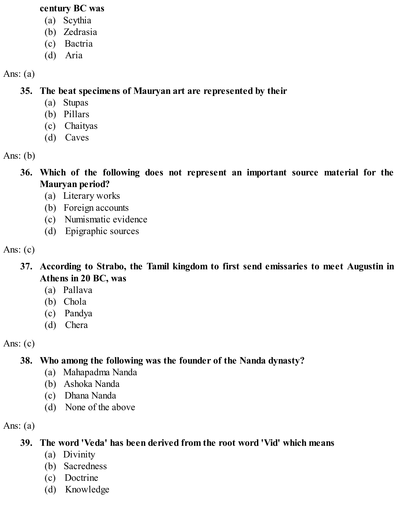#### **century BC was**

- (a) Scythia
- (b) Zedrasia
- (c) Bactria
- (d) Aria

Ans:  $(a)$ 

**35. The beat specimens of Mauryan art are represented by their**

- (a) Stupas
- (b) Pillars
- (c) Chaityas
- (d) Caves

Ans:  $(b)$ 

- **36. Which of the following does not represent an important source material for the Mauryan period?**
	- (a) Literary works
	- (b) Foreign accounts
	- (c) Numismatic evidence
	- (d) Epigraphic sources

Ans:  $(c)$ 

- **37. According to Strabo, the Tamil kingdom to first send emissaries to meet Augustin in Athens in 20 BC, was**
	- (a) Pallava
	- (b) Chola
	- (c) Pandya
	- (d) Chera

Ans:  $(c)$ 

## **38. Who among the following was the founder of the Nanda dynasty?**

- (a) Mahapadma Nanda
- (b) Ashoka Nanda
- (c) Dhana Nanda
- (d) None of the above

Ans:  $(a)$ 

## **39. The word 'Veda' has been derived from the root word 'Vid' which means**

- (a) Divinity
- (b) Sacredness
- (c) Doctrine
- (d) Knowledge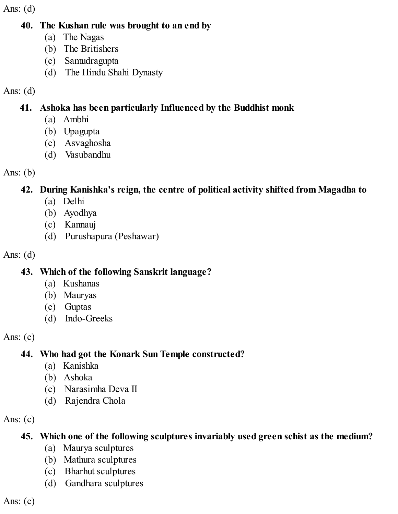Ans:  $(d)$ 

#### **40. The Kushan rule was brought to an end by**

- (a) The Nagas
- (b) The Britishers
- (c) Samudragupta
- (d) The Hindu Shahi Dynasty

#### Ans: (d)

#### **41. Ashoka has been particularly Influenced by the Buddhist monk**

- (a) Ambhi
- (b) Upagupta
- (c) Asvaghosha
- (d) Vasubandhu

#### Ans: (b)

#### **42. During Kanishka's reign, the centre of political activity shifted from Magadha to**

- (a) Delhi
- (b) Ayodhya
- (c) Kannauj
- (d) Purushapura (Peshawar)

#### Ans: (d)

#### **43. Which of the following Sanskrit language?**

- (a) Kushanas
- (b) Mauryas
- (c) Guptas
- (d) Indo-Greeks

#### Ans:  $(c)$

## **44. Who had got the Konark Sun Temple constructed?**

- (a) Kanishka
- (b) Ashoka
- (c) Narasimha Deva II
- (d) Rajendra Chola

## Ans:  $(c)$

## **45. Which one of the following sculptures invariably used green schist as the medium?**

- (a) Maurya sculptures
- (b) Mathura sculptures
- (c) Bharhut sculptures
- (d) Gandhara sculptures

Ans:  $(c)$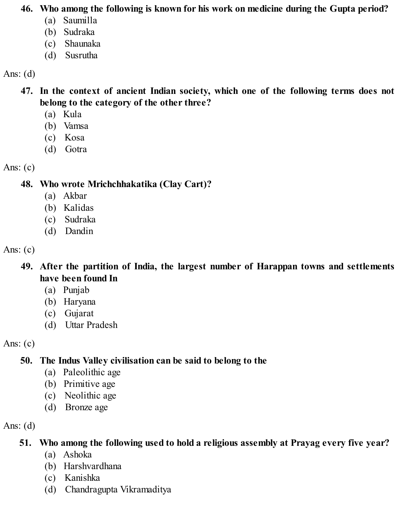#### **46. Who among the following is known for his work on medicine during the Gupta period?**

- (a) Saumilla
- (b) Sudraka
- (c) Shaunaka
- (d) Susrutha

#### Ans:  $(d)$

**47. In the context of ancient Indian society, which one of the following terms does not belong to the category of the other three?**

- (a) Kula
- (b) Vamsa
- (c) Kosa
- (d) Gotra

#### Ans:  $(c)$

#### **48. Who wrote Mrichchhakatika (Clay Cart)?**

- (a) Akbar
- (b) Kalidas
- (c) Sudraka
- (d) Dandin

#### Ans:  $(c)$

- **49. After the partition of India, the largest number of Harappan towns and settlements have been found In**
	- (a) Punjab
	- (b) Haryana
	- (c) Gujarat
	- (d) Uttar Pradesh

## Ans:  $(c)$

## **50. The Indus Valley civilisation can be said to belong to the**

- (a) Paleolithic age
- (b) Primitive age
- (c) Neolithic age
- (d) Bronze age

## Ans:  $(d)$

## **51. Who among the following used to hold a religious assembly at Prayag every five year?**

- (a) Ashoka
- (b) Harshvardhana
- (c) Kanishka
- (d) Chandragupta Vikramaditya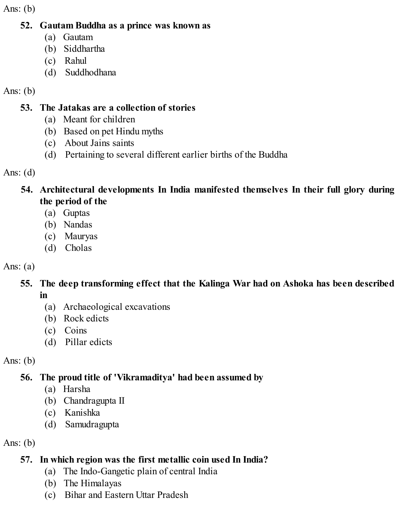Ans:  $(b)$ 

#### **52. Gautam Buddha as a prince was known as**

- (a) Gautam
- (b) Siddhartha
- (c) Rahul
- (d) Suddhodhana

#### Ans:  $(b)$

#### **53. The Jatakas are a collection of stories**

- (a) Meant for children
- (b) Based on pet Hindu myths
- (c) About Jains saints
- (d) Pertaining to several different earlier births of the Buddha

Ans:  $(d)$ 

- **54. Architectural developments In India manifested themselves In their full glory during the period of the**
	- (a) Guptas
	- (b) Nandas
	- (c) Mauryas
	- (d) Cholas

#### Ans:  $(a)$

#### **55. The deep transforming effect that the Kalinga War had on Ashoka has been described in**

- (a) Archaeological excavations
- (b) Rock edicts
- (c) Coins
- (d) Pillar edicts

Ans:  $(b)$ 

## **56. The proud title of 'Vikramaditya' had been assumed by**

- (a) Harsha
- (b) Chandragupta II
- (c) Kanishka
- (d) Samudragupta

Ans:  $(b)$ 

#### **57. In which region was the first metallic coin used In India?**

- (a) The Indo-Gangetic plain of central India
- (b) The Himalayas
- (c) Bihar and Eastern Uttar Pradesh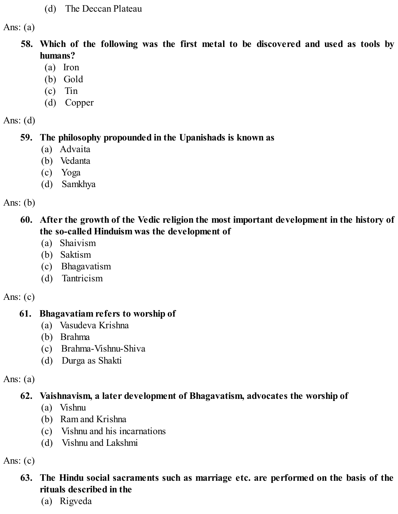#### (d) The Deccan Plateau

Ans:  $(a)$ 

- **58. Which of the following was the first metal to be discovered and used as tools by humans?**
	- (a) Iron
	- (b) Gold
	- (c) Tin
	- (d) Copper

Ans:  $(d)$ 

#### **59. The philosophy propounded in the Upanishads is known as**

- (a) Advaita
- (b) Vedanta
- (c) Yoga
- (d) Samkhya

Ans:  $(b)$ 

#### **60. After the growth of the Vedic religion the most important development in the history of the so-called Hinduism was the development of**

- (a) Shaivism
- (b) Saktism
- (c) Bhagavatism
- (d) Tantricism

Ans:  $(c)$ 

#### **61. Bhagavatiam refers to worship of**

- (a) Vasudeva Krishna
- (b) Brahma
- (c) Brahma-Vishnu-Shiva
- (d) Durga as Shakti

Ans:  $(a)$ 

#### **62. Vaishnavism, a later development of Bhagavatism, advocates the worship of**

- (a) Vishnu
- (b) Ram and Krishna
- (c) Vishnu and his incarnations
- (d) Vishnu and Lakshmi

Ans:  $(c)$ 

#### **63. The Hindu social sacraments such as marriage etc. are performed on the basis of the rituals described in the**

(a) Rigveda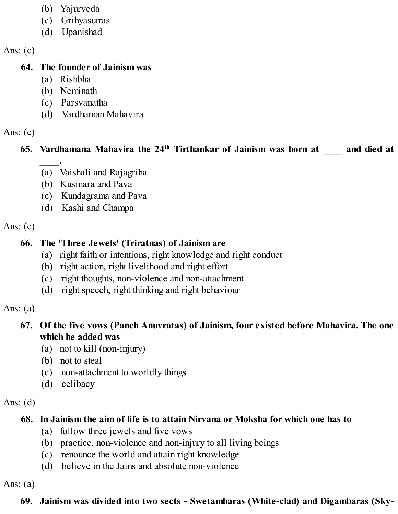- (b) Yajurveda
- (c) Grihyasutras
- (d) Upanishad

Ans:  $(c)$ 

#### **64. The founder of Jainism was**

- (a) Rishbha
- (b) Neminath
- (c) Parsvanatha
- (d) Vardhaman Mahavira

#### Ans:  $(c)$

## **65. Vardhamana Mahavira the 24 th Tirthankar of Jainism was born at \_\_\_\_ and died at**

- **\_\_\_\_.** (a) Vaishali and Rajagriha
- (b) Kusinara and Pava
- (c) Kundagrama and Pava
- (d) Kashi and Champa

Ans:  $(c)$ 

## **66. The 'Three Jewels' (Triratnas) of Jainism are**

- (a) right faith or intentions, right knowledge and right conduct
- (b) right action, right livelihood and right effort
- (c) right thoughts, non-violence and non-attachment
- (d) right speech, right thinking and right behaviour

Ans:  $(a)$ 

#### **67. Of the five vows (Panch Anuvratas) of Jainism, four existed before Mahavira. The one which he added was**

- (a) not to kill (non-injury)
- (b) not to steal
- (c) non-attachment to worldly things
- (d) celibacy

#### Ans:  $(d)$

## **68. In Jainism the aim of life is to attain Nirvana or Moksha for which one has to**

- (a) follow three jewels and five vows
- (b) practice, non-violence and non-injury to all living beings
- (c) renounce the world and attain right knowledge
- (d) believe in the Jains and absolute non-violence

Ans:  $(a)$ 

## **69. Jainism was divided into two sects - Swetambaras (White-clad) and Digambaras (Sky-**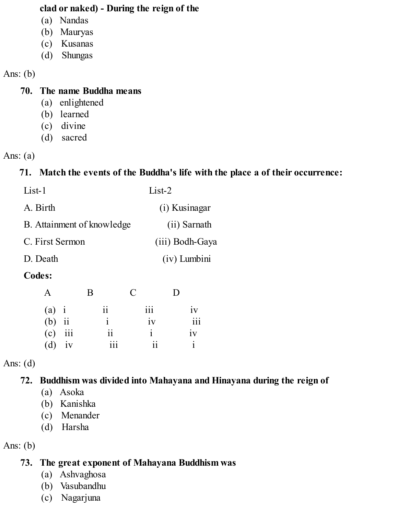#### **clad or naked) - During the reign of the**

- (a) Nandas
- (b) Mauryas
- (c) Kusanas
- (d) Shungas

#### Ans: (b)

#### **70. The name Buddha means**

- (a) enlightened
- (b) learned
- (c) divine
- (d) sacred

#### Ans: (a)

#### **71. Match the events of the Buddha's life with the place a of their occurrence:**

| $List-2$        |
|-----------------|
| (i) Kusinagar   |
| (ii) Sarnath    |
| (iii) Bodh-Gaya |
| (iv) Lumbini    |
|                 |

#### **Codes:**

| $\mathbf{A}$        |    | B                       | C                       | I)               |
|---------------------|----|-------------------------|-------------------------|------------------|
|                     |    | ii                      | $\overline{111}$        | iv               |
| (a) $i$<br>(b) $ii$ |    | $\mathbf{i}$            | iv                      | $\overline{iii}$ |
| $(c)$ iii           |    | $\overline{\mathbf{i}}$ | $\mathbf{i}$            | iv               |
| (d)                 | iv | $\overline{111}$        | $\overline{\mathbf{1}}$ |                  |

#### Ans:  $(d)$

#### **72. Buddhism was divided into Mahayana and Hinayana during the reign of**

- (a) Asoka
- (b) Kanishka
- (c) Menander
- (d) Harsha

Ans:  $(b)$ 

#### **73. The great exponent of Mahayana Buddhism was**

- (a) Ashvaghosa
- (b) Vasubandhu
- (c) Nagarjuna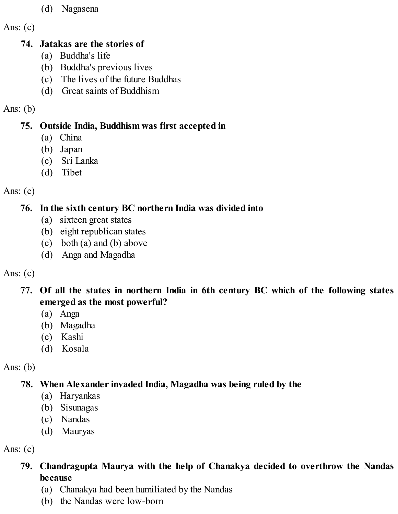- (d) Nagasena
- Ans:  $(c)$

#### **74. Jatakas are the stories of**

- (a) Buddha's life
- (b) Buddha's previous lives
- (c) The lives of the future Buddhas
- (d) Great saints of Buddhism

## Ans: (b)

## **75. Outside India, Buddhism was first accepted in**

- (a) China
- (b) Japan
- (c) Sri Lanka
- (d) Tibet

## Ans:  $(c)$

## **76. In the sixth century BC northern India was divided into**

- (a) sixteen great states
- (b) eight republican states
- (c) both (a) and (b) above
- (d) Anga and Magadha

## Ans:  $(c)$

## **77. Of all the states in northern India in 6th century BC which of the following states emerged as the most powerful?**

- (a) Anga
- (b) Magadha
- (c) Kashi
- (d) Kosala

## Ans:  $(b)$

## **78. When Alexander invaded India, Magadha was being ruled by the**

- (a) Haryankas
- (b) Sisunagas
- (c) Nandas
- (d) Mauryas

## Ans: (c)

## **79. Chandragupta Maurya with the help of Chanakya decided to overthrow the Nandas because**

- (a) Chanakya had been humiliated by the Nandas
- (b) the Nandas were low-born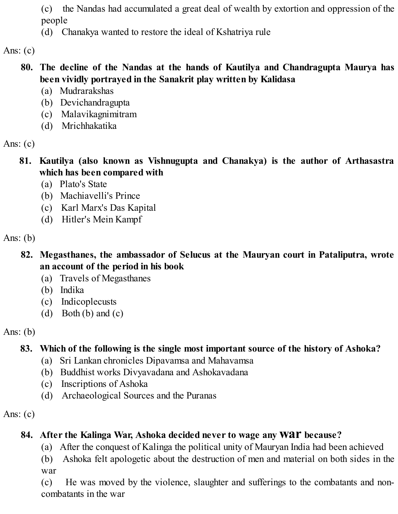(c) the Nandas had accumulated a great deal of wealth by extortion and oppression of the people

(d) Chanakya wanted to restore the ideal of Kshatriya rule

Ans:  $(c)$ 

#### **80. The decline of the Nandas at the hands of Kautilya and Chandragupta Maurya has been vividly portrayed in the Sanakrit play written by Kalidasa**

- (a) Mudrarakshas
- (b) Devichandragupta
- (c) Malavikagnimitram
- (d) Mrichhakatika

Ans:  $(c)$ 

- **81. Kautilya (also known as Vishnugupta and Chanakya) is the author of Arthasastra which has been compared with**
	- (a) Plato's State
	- (b) Machiavelli's Prince
	- (c) Karl Marx's Das Kapital
	- (d) Hitler's Mein Kampf

Ans:  $(b)$ 

- **82. Megasthanes, the ambassador of Selucus at the Mauryan court in Pataliputra, wrote an account of the period in his book**
	- (a) Travels of Megasthanes
	- (b) Indika
	- (c) Indicoplecusts
	- (d) Both (b) and  $(c)$

Ans:  $(b)$ 

## **83. Which of the following is the single most important source of the history of Ashoka?**

- (a) Sri Lankan chronicles Dipavamsa and Mahavamsa
- (b) Buddhist works Divyavadana and Ashokavadana
- (c) Inscriptions of Ashoka
- (d) Archaeological Sources and the Puranas

Ans:  $(c)$ 

## **84. After the Kalinga War, Ashoka decided never to wage any war because?**

- (a) After the conquest of Kalinga the political unity of Mauryan India had been achieved
- (b) Ashoka felt apologetic about the destruction of men and material on both sides in the war

(c) He was moved by the violence, slaughter and sufferings to the combatants and noncombatants in the war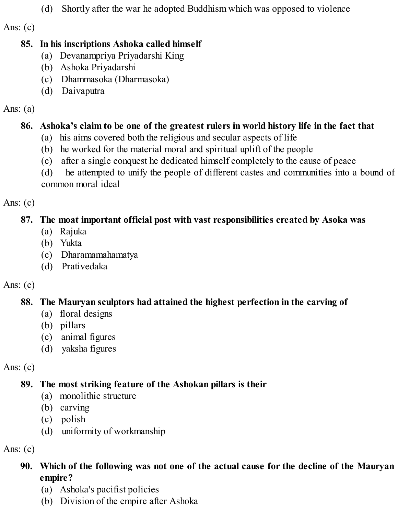(d) Shortly after the war he adopted Buddhism which was opposed to violence

Ans:  $(c)$ 

#### **85. In his inscriptions Ashoka called himself**

- (a) Devanampriya Priyadarshi King
- (b) Ashoka Priyadarshi
- (c) Dhammasoka (Dharmasoka)
- (d) Daivaputra

Ans: (a)

## **86. Ashoka's claim to be one of the greatest rulers in world history life in the fact that**

- (a) his aims covered both the religious and secular aspects of life
- (b) he worked for the material moral and spiritual uplift of the people
- (c) after a single conquest he dedicated himself completely to the cause of peace
- (d) he attempted to unify the people of different castes and communities into a bound of common moral ideal

Ans:  $(c)$ 

## **87. The moat important official post with vast responsibilities created by Asoka was**

- (a) Rajuka
- (b) Yukta
- (c) Dharamamahamatya
- (d) Prativedaka

## Ans:  $(c)$

## **88. The Mauryan sculptors had attained the highest perfection in the carving of**

- (a) floral designs
- (b) pillars
- (c) animal figures
- (d) yaksha figures

Ans:  $(c)$ 

## **89. The most striking feature of the Ashokan pillars is their**

- (a) monolithic structure
- (b) carving
- (c) polish
- (d) uniformity of workmanship

Ans:  $(c)$ 

## **90. Which of the following was not one of the actual cause for the decline of the Mauryan empire?**

- (a) Ashoka's pacifist policies
- (b) Division of the empire after Ashoka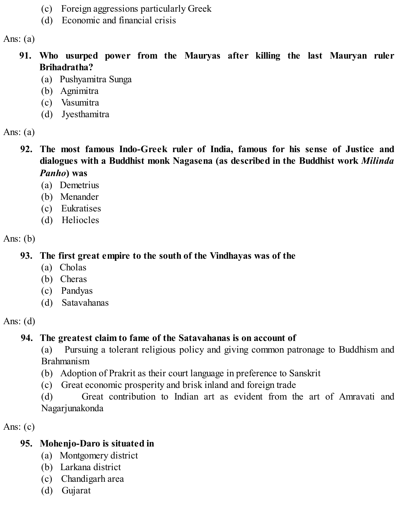- (c) Foreign aggressions particularly Greek
- (d) Economic and financial crisis

- **91. Who usurped power from the Mauryas after killing the last Mauryan ruler Brihadratha?**
	- (a) Pushyamitra Sunga
	- (b) Agnimitra
	- (c) Vasumitra
	- (d) Jyesthamitra

Ans:  $(a)$ 

- **92. The most famous Indo-Greek ruler of India, famous for his sense of Justice and dialogues with a Buddhist monk Nagasena (as described in the Buddhist work** *Milinda Panho***) was**
	- (a) Demetrius
	- (b) Menander
	- (c) Eukratises
	- (d) Heliocles

Ans:  $(b)$ 

**93. The first great empire to the south of the Vindhayas was of the**

- (a) Cholas
- (b) Cheras
- (c) Pandyas
- (d) Satavahanas

Ans:  $(d)$ 

## **94. The greatest claim to fame of the Satavahanas is on account of**

(a) Pursuing a tolerant religious policy and giving common patronage to Buddhism and Brahmanism

- (b) Adoption of Prakrit as their court language in preference to Sanskrit
- (c) Great economic prosperity and brisk inland and foreign trade

(d) Great contribution to Indian art as evident from the art of Amravati and Nagarjunakonda

Ans:  $(c)$ 

## **95. Mohenjo-Daro is situated in**

- (a) Montgomery district
- (b) Larkana district
- (c) Chandigarh area
- (d) Gujarat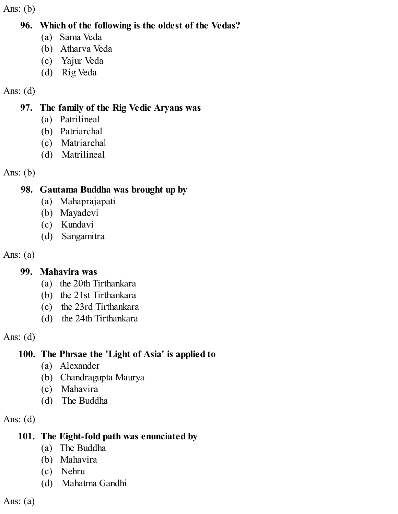Ans: (b)

#### **96. Which of the following is the oldest of the Vedas?**

- (a) Sama Veda
- (b) Atharva Veda
- (c) Yajur Veda
- (d) Rig Veda

## Ans: (d)

## **97. The family of the Rig Vedic Aryans was**

- (a) Patrilineal
- (b) Patriarchal
- (c) Matriarchal
- (d) Matrilineal

Ans: (b)

## **98. Gautama Buddha was brought up by**

- (a) Mahaprajapati
- (b) Mayadevi
- (c) Kundavi
- (d) Sangamitra

Ans:  $(a)$ 

## **99. Mahavira was**

- (a) the 20th Tirthankara
- (b) the 21st Tirthankara
- (c) the 23rd Tirthankara
- (d) the 24th Tirthankara

Ans: (d)

## **100. The Phrsae the 'Light of Asia' is applied to**

- (a) Alexander
- (b) Chandragupta Maurya
- (c) Mahavira
- (d) The Buddha

Ans: (d)

## **101. The Eight-fold path was enunciated by**

- (a) The Buddha
- (b) Mahavira
- (c) Nehru
- (d) Mahatma Gandhi

Ans:  $(a)$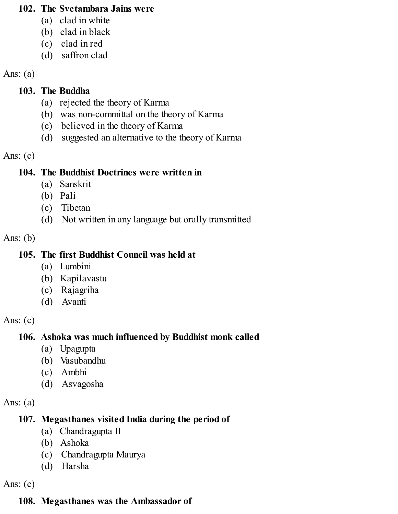#### **102. The Svetambara Jains were**

- (a) clad in white
- (b) clad in black
- (c) clad in red
- (d) saffron clad

## Ans:  $(a)$

## **103. The Buddha**

- (a) rejected the theory of Karma
- (b) was non-committal on the theory of Karma
- (c) believed in the theory of Karma
- (d) suggested an alternative to the theory of Karma

#### Ans: (c)

## **104. The Buddhist Doctrines were written in**

- (a) Sanskrit
- (b) Pali
- (c) Tibetan
- (d) Not written in any language but orally transmitted

#### Ans:  $(b)$

## **105. The first Buddhist Council was held at**

- (a) Lumbini
- (b) Kapilavastu
- (c) Rajagriha
- (d) Avanti

## Ans:  $(c)$

## **106. Ashoka was much influenced by Buddhist monk called**

- (a) Upagupta
- (b) Vasubandhu
- (c) Ambhi
- (d) Asvagosha

## Ans:  $(a)$

## **107. Megasthanes visited India during the period of**

- (a) Chandragupta II
- (b) Ashoka
- (c) Chandragupta Maurya
- (d) Harsha

Ans: (c)

## **108. Megasthanes was the Ambassador of**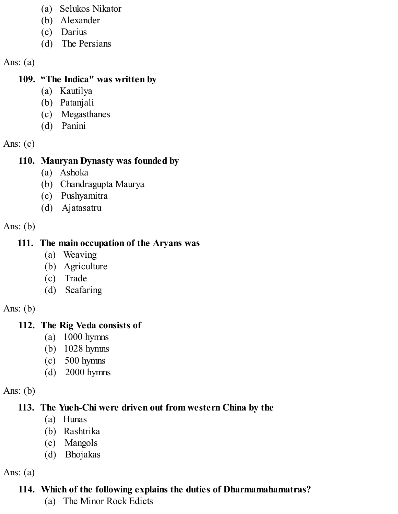- (a) Selukos Nikator
- (b) Alexander
- (c) Darius
- (d) The Persians

## **109. "The Indica" was written by**

- (a) Kautilya
- (b) Patanjali
- (c) Megasthanes
- (d) Panini

Ans:  $(c)$ 

## **110. Mauryan Dynasty was founded by**

- (a) Ashoka
- (b) Chandragupta Maurya
- (c) Pushyamitra
- (d) Ajatasatru

Ans: (b)

## **111. The main occupation of the Aryans was**

- (a) Weaving
- (b) Agriculture
- (c) Trade
- (d) Seafaring

Ans:  $(b)$ 

## **112. The Rig Veda consists of**

- (a) 1000 hymns
- (b) 1028 hymns
- (c) 500 hymns
- (d) 2000 hymns

Ans:  $(b)$ 

## **113. The Yueh-Chi were driven out from western China by the**

- (a) Hunas
- (b) Rashtrika
- (c) Mangols
- (d) Bhojakas

Ans:  $(a)$ 

## **114. Which of the following explains the duties of Dharmamahamatras?**

(a) The Minor Rock Edicts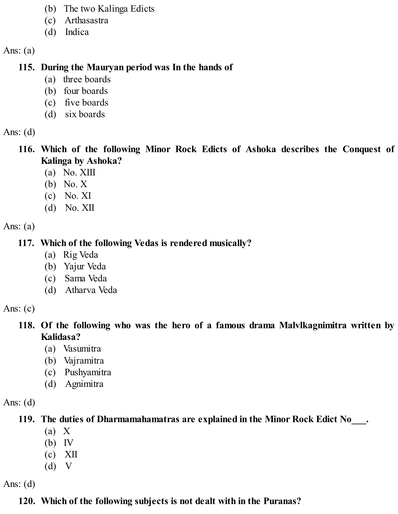- (b) The two Kalinga Edicts
- (c) Arthasastra
- (d) Indica

#### **115. During the Mauryan period was In the hands of**

- (a) three boards
- (b) four boards
- (c) five boards
- (d) six boards

Ans:  $(d)$ 

- **116. Which of the following Minor Rock Edicts of Ashoka describes the Conquest of Kalinga by Ashoka?**
	- (a) No. XIII
	- (b) No. X
	- (c) No. XI
	- (d) No. XII

Ans: (a)

## **117. Which of the following Vedas is rendered musically?**

- (a) Rig Veda
- (b) Yajur Veda
- (c) Sama Veda
- (d) Atharva Veda

Ans:  $(c)$ 

- **118. Of the following who was the hero of a famous drama Malvlkagnimitra written by Kalidasa?**
	- (a) Vasumitra
	- (b) Vajramitra
	- (c) Pushyamitra
	- (d) Agnimitra

Ans: (d)

**119. The duties of Dharmamahamatras are explained in the Minor Rock Edict No\_\_\_.**

- (a) X
- (b) IV
- (c) XII
- (d) V

Ans:  $(d)$ 

## **120. Which of the following subjects is not dealt with in the Puranas?**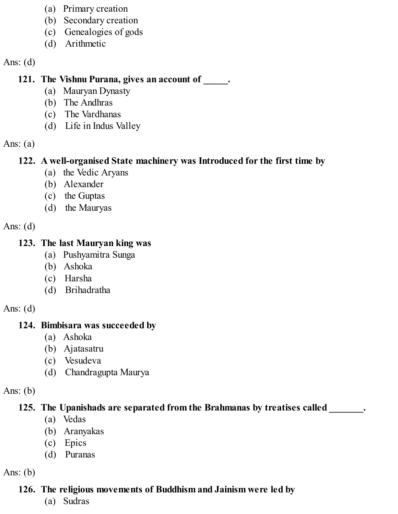- (a) Primary creation
- (b) Secondary creation
- (c) Genealogies of gods
- (d) Arithmetic

Ans:  $(d)$ 

#### **121. The Vishnu Purana, gives an account of \_\_\_\_\_.**

- (a) Mauryan Dynasty
- (b) The Andhras
- (c) The Vardhanas
- (d) Life in Indus Valley

Ans:  $(a)$ 

#### **122. A well-organised State machinery was Introduced for the first time by**

- (a) the Vedic Aryans
- (b) Alexander
- (c) the Guptas
- (d) the Mauryas

Ans:  $(d)$ 

#### **123. The last Mauryan king was**

- (a) Pushyamitra Sunga
- (b) Ashoka
- (c) Harsha
- (d) Brihadratha

Ans:  $(d)$ 

#### **124. Bimbisara was succeeded by**

- (a) Ashoka
- (b) Ajatasatru
- (c) Vesudeva
- (d) Chandragupta Maurya

Ans:  $(b)$ 

## **125. The Upanishads are separated from the Brahmanas by treatises called \_\_\_\_\_\_\_.**

- (a) Vedas
- (b) Aranyakas
- (c) Epics
- (d) Puranas

Ans:  $(b)$ 

## **126. The religious movements of Buddhism and Jainism were led by**

(a) Sudras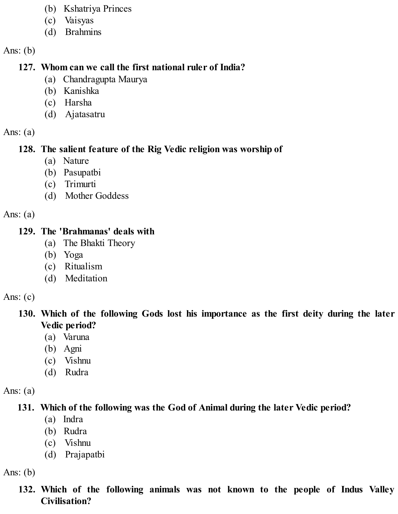- (b) Kshatriya Princes
- (c) Vaisyas
- (d) Brahmins

Ans:  $(b)$ 

#### **127. Whom can we call the first national ruler of India?**

- (a) Chandragupta Maurya
- (b) Kanishka
- (c) Harsha
- (d) Ajatasatru

Ans:  $(a)$ 

## **128. The salient feature of the Rig Vedic religion was worship of**

- (a) Nature
- (b) Pasupatbi
- (c) Trimurti
- (d) Mother Goddess

Ans:  $(a)$ 

#### **129. The 'Brahmanas' deals with**

- (a) The Bhakti Theory
- (b) Yoga
- (c) Ritualism
- (d) Meditation

Ans:  $(c)$ 

#### **130. Which of the following Gods lost his importance as the first deity during the later Vedic period?**

- (a) Varuna
- (b) Agni
- (c) Vishnu
- (d) Rudra

Ans:  $(a)$ 

## **131. Which of the following was the God of Animal during the later Vedic period?**

- (a) Indra
- (b) Rudra
- (c) Vishnu
- (d) Prajapatbi

Ans:  $(b)$ 

**132. Which of the following animals was not known to the people of Indus Valley Civilisation?**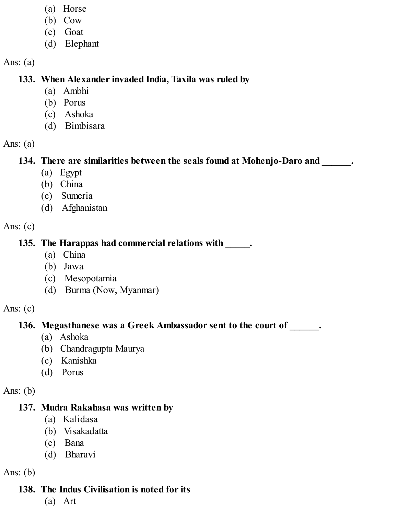- (a) Horse
- (b) Cow
- (c) Goat
- (d) Elephant

#### **133. When Alexander invaded India, Taxila was ruled by**

- (a) Ambhi
- (b) Porus
- (c) Ashoka
- (d) Bimbisara

Ans:  $(a)$ 

#### **134. There are similarities between the seals found at Mohenjo-Daro and \_\_\_\_\_\_.**

- (a) Egypt
- (b) China
- (c) Sumeria
- (d) Afghanistan

Ans: (c)

#### **135. The Harappas had commercial relations with \_\_\_\_\_.**

- (a) China
- (b) Jawa
- (c) Mesopotamia
- (d) Burma (Now, Myanmar)

Ans:  $(c)$ 

#### **136. Megasthanese was a Greek Ambassador sent to the court of \_\_\_\_\_\_.**

- (a) Ashoka
- (b) Chandragupta Maurya
- (c) Kanishka
- (d) Porus

Ans:  $(b)$ 

#### **137. Mudra Rakahasa was written by**

- (a) Kalidasa
- (b) Visakadatta
- (c) Bana
- (d) Bharavi

Ans:  $(b)$ 

## **138. The Indus Civilisation is noted for its**

(a) Art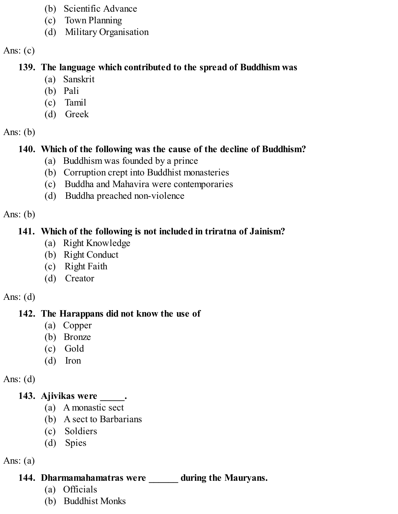- (b) Scientific Advance
- (c) Town Planning
- (d) Military Organisation

Ans:  $(c)$ 

#### **139. The language which contributed to the spread of Buddhism was**

- (a) Sanskrit
- (b) Pali
- (c) Tamil
- (d) Greek

#### Ans:  $(b)$

#### **140. Which of the following was the cause of the decline of Buddhism?**

- (a) Buddhism was founded by a prince
- (b) Corruption crept into Buddhist monasteries
- (c) Buddha and Mahavira were contemporaries
- (d) Buddha preached non-violence

Ans:  $(b)$ 

#### **141. Which of the following is not included in triratna of Jainism?**

- (a) Right Knowledge
- (b) Right Conduct
- (c) Right Faith
- (d) Creator

#### Ans:  $(d)$

## **142. The Harappans did not know the use of**

- (a) Copper
- (b) Bronze
- (c) Gold
- (d) Iron

Ans:  $(d)$ 

## **143. Ajivikas were \_\_\_\_\_.**

- (a) A monastic sect
- (b) A sect to Barbarians
- (c) Soldiers
- (d) Spies

Ans:  $(a)$ 

#### **144. Dharmamahamatras were \_\_\_\_\_\_ during the Mauryans.**

- (a) Officials
- (b) Buddhist Monks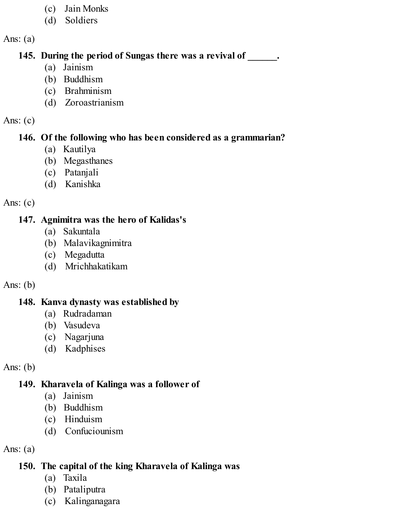- (c) Jain Monks
- (d) Soldiers

#### **145. During the period of Sungas there was a revival of \_\_\_\_\_\_.**

- (a) Jainism
- (b) Buddhism
- (c) Brahminism
- (d) Zoroastrianism

#### Ans:  $(c)$

#### **146. Of the following who has been considered as a grammarian?**

- (a) Kautilya
- (b) Megasthanes
- (c) Patanjali
- (d) Kanishka

## Ans:  $(c)$

## **147. Agnimitra was the hero of Kalidas's**

- (a) Sakuntala
- (b) Malavikagnimitra
- (c) Megadutta
- (d) Mrichhakatikam

## Ans:  $(b)$

## **148. Kanva dynasty was established by**

- (a) Rudradaman
- (b) Vasudeva
- (c) Nagarjuna
- (d) Kadphises

## Ans:  $(b)$

## **149. Kharavela of Kalinga was a follower of**

- (a) Jainism
- (b) Buddhism
- (c) Hinduism
- (d) Confuciounism

## Ans:  $(a)$

## **150. The capital of the king Kharavela of Kalinga was**

- (a) Taxila
- (b) Pataliputra
- (c) Kalinganagara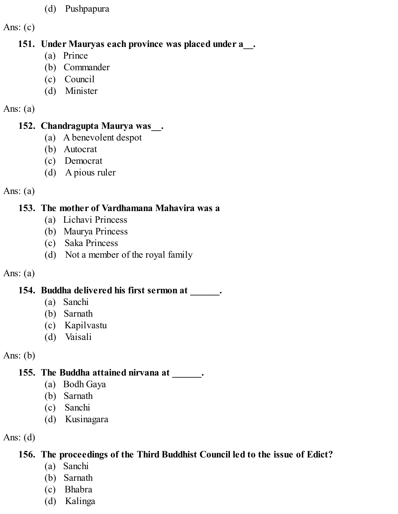(d) Pushpapura

Ans: (c)

#### **151. Under Mauryas each province was placed under a\_\_.**

- (a) Prince
- (b) Commander
- (c) Council
- (d) Minister

#### Ans:  $(a)$

#### **152. Chandragupta Maurya was\_\_.**

- (a) A benevolent despot
- (b) Autocrat
- (c) Democrat
- (d) A pious ruler

#### Ans:  $(a)$

## **153. The mother of Vardhamana Mahavira was a**

- (a) Lichavi Princess
- (b) Maurya Princess
- (c) Saka Princess
- (d) Not a member of the royal family

## Ans: (a)

## **154. Buddha delivered his first sermon at \_\_\_\_\_\_.**

- (a) Sanchi
- (b) Sarnath
- (c) Kapilvastu
- (d) Vaisali

Ans: (b)

## **155. The Buddha attained nirvana at \_\_\_\_\_\_.**

- (a) Bodh Gaya
- (b) Sarnath
- (c) Sanchi
- (d) Kusinagara

Ans:  $(d)$ 

## **156. The proceedings of the Third Buddhist Council led to the issue of Edict?**

- (a) Sanchi
- (b) Sarnath
- (c) Bhabra
- (d) Kalinga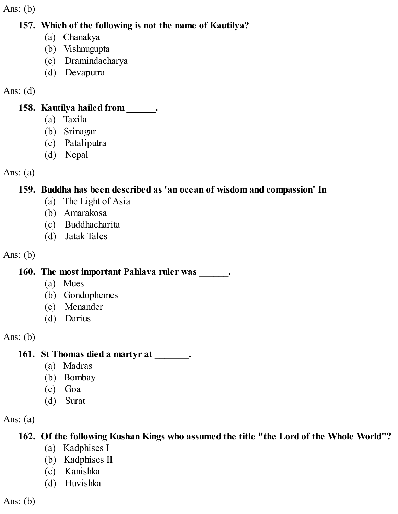Ans:  $(b)$ 

#### **157. Which of the following is not the name of Kautilya?**

- (a) Chanakya
- (b) Vishnugupta
- (c) Dramindacharya
- (d) Devaputra

Ans: (d)

#### **158. Kautilya hailed from \_\_\_\_\_\_.**

- (a) Taxila
- (b) Srinagar
- (c) Pataliputra
- (d) Nepal

Ans:  $(a)$ 

#### **159. Buddha has been described as 'an ocean of wisdom and compassion' In**

- (a) The Light of Asia
- (b) Amarakosa
- (c) Buddhacharita
- (d) Jatak Tales

Ans: (b)

#### **160. The most important Pahlava ruler was \_\_\_\_\_\_.**

- (a) Mues
- (b) Gondophemes
- (c) Menander
- (d) Darius

Ans: (b)

#### **161. St Thomas died a martyr at \_\_\_\_\_\_\_.**

- (a) Madras
- (b) Bombay
- (c) Goa
- (d) Surat

Ans:  $(a)$ 

## **162. Of the following Kushan Kings who assumed the title "the Lord of the Whole World"?**

- (a) Kadphises I
- (b) Kadphises II
- (c) Kanishka
- (d) Huvishka

Ans:  $(b)$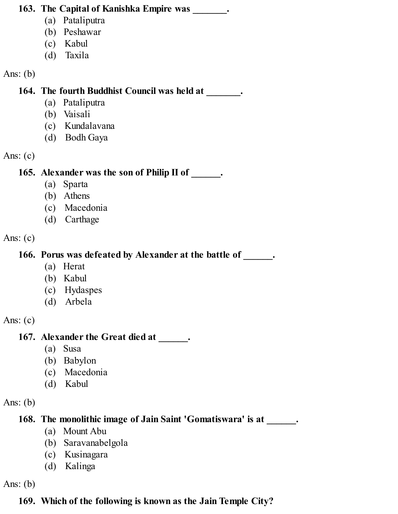#### **163. The Capital of Kanishka Empire was \_\_\_\_\_\_\_.**

- (a) Pataliputra
- (b) Peshawar
- (c) Kabul
- (d) Taxila

Ans: (b)

#### **164. The fourth Buddhist Council was held at \_\_\_\_\_\_\_.**

- (a) Pataliputra
- (b) Vaisali
- (c) Kundalavana
- (d) Bodh Gaya

Ans:  $(c)$ 

## **165. Alexander was the son of Philip II of \_\_\_\_\_\_.**

- (a) Sparta
- (b) Athens
- (c) Macedonia
- (d) Carthage

Ans: (c)

## **166. Porus was defeated by Alexander at the battle of \_\_\_\_\_\_.**

- (a) Herat
- (b) Kabul
- (c) Hydaspes
- (d) Arbela

Ans: (c)

## **167. Alexander the Great died at \_\_\_\_\_\_.**

- (a) Susa
- (b) Babylon
- (c) Macedonia
- (d) Kabul

Ans:  $(b)$ 

**168. The monolithic image of Jain Saint 'Gomatiswara' is at \_\_\_\_\_\_.**

- (a) Mount Abu
- (b) Saravanabelgola
- (c) Kusinagara
- (d) Kalinga

Ans:  $(b)$ 

## **169. Which of the following is known as the Jain Temple City?**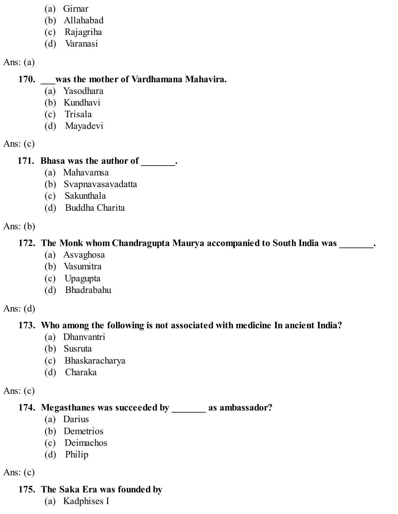- (a) Girnar
- (b) Allahabad
- (c) Rajagriha
- (d) Varanasi

#### **170. \_\_\_was the mother of Vardhamana Mahavira.**

- (a) Yasodhara
- (b) Kundhavi
- (c) Trisala
- (d) Mayadevi

Ans:  $(c)$ 

#### **171. Bhasa was the author of \_\_\_\_\_\_\_.**

- (a) Mahavamsa
- (b) Svapnavasavadatta
- (c) Sakunthala
- (d) Buddha Charita

Ans:  $(b)$ 

#### **172. The Monk whom Chandragupta Maurya accompanied to South India was \_\_\_\_\_\_\_.**

- (a) Asvaghosa
- (b) Vasumitra
- (c) Upagupta
- (d) Bhadrabahu

Ans:  $(d)$ 

## **173. Who among the following is not associated with medicine In ancient India?**

- (a) Dhanvantri
- (b) Susruta
- (c) Bhaskaracharya
- (d) Charaka

Ans: (c)

## **174. Megasthanes was succeeded by \_\_\_\_\_\_\_ as ambassador?**

- (a) Darius
- (b) Demetrios
- (c) Deimachos
- (d) Philip

Ans:  $(c)$ 

## **175. The Saka Era was founded by**

(a) Kadphises I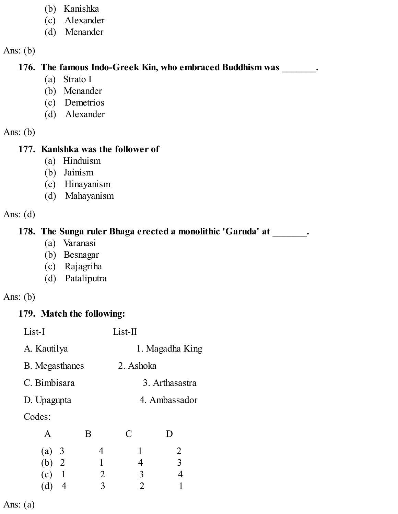- (b) Kanishka
- (c) Alexander
- (d) Menander

Ans: (b)

#### **176. The famous Indo-Greek Kin, who embraced Buddhism was \_\_\_\_\_\_\_.**

- (a) Strato I
- (b) Menander
- (c) Demetrios
- (d) Alexander

Ans: (b)

#### **177. Kanlshka was the follower of**

- (a) Hinduism
- (b) Jainism
- (c) Hinayanism
- (d) Mahayanism

Ans: (d)

#### **178. The Sunga ruler Bhaga erected a monolithic 'Garuda' at \_\_\_\_\_\_\_.**

- (a) Varanasi
- (b) Besnagar
- (c) Rajagriha
- (d) Pataliputra

#### Ans: (b)

## **179. Match the following:**

| List-I                | List-II   |                 |  |
|-----------------------|-----------|-----------------|--|
| A. Kautilya           |           | 1. Magadha King |  |
| <b>B.</b> Megasthanes | 2. Ashoka |                 |  |
| C. Bimbisara          |           | 3. Arthasastra  |  |
| D. Upagupta           |           | 4. Ambassador   |  |
| Codes:                |           |                 |  |
| D<br>л                |           |                 |  |

| Α       | Β | C | D |
|---------|---|---|---|
| (a) 3   | 4 |   | 2 |
| (b) 2   |   | 4 | 3 |
| $(c)$ 1 | 2 | 3 | 4 |
| (d) 4   | 3 | 2 |   |
|         |   |   |   |

Ans: (a)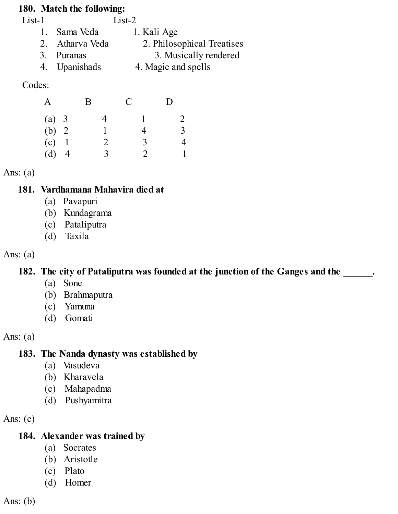#### **180. Match the following:**

| $List-1$ |                 | $List-2$                   |
|----------|-----------------|----------------------------|
|          | 1. Sama Veda    | 1. Kali Age                |
|          | 2. Atharva Veda | 2. Philosophical Treatises |
|          | 3. Puranas      | 3. Musically rendered      |
|          | 4. Upanishads   | 4. Magic and spells        |

Codes:

| A     |              | Β | $\mathcal{C}$ | D              |
|-------|--------------|---|---------------|----------------|
| (a) 3 |              | 4 |               | 2              |
| (b) 2 |              |   | 4             | $\overline{3}$ |
| (c)   | $\mathbf{1}$ | 2 | 3             | 4              |
| (d)   | 4            | ζ | $\mathcal{D}$ |                |

Ans: (a)

#### **181. Vardhamana Mahavira died at**

- (a) Pavapuri
- (b) Kundagrama
- (c) Pataliputra
- (d) Taxila

#### Ans:  $(a)$

#### **182. The city of Pataliputra was founded at the junction of the Ganges and the \_\_\_\_\_\_.**

- (a) Sone
- (b) Brahmaputra
- (c) Yamuna
- (d) Gomati

Ans:  $(a)$ 

#### **183. The Nanda dynasty was established by**

- (a) Vasudeva
- (b) Kharavela
- (c) Mahapadma
- (d) Pushyamitra

Ans:  $(c)$ 

#### **184. Alexander was trained by**

- (a) Socrates
- (b) Aristotle
- (c) Plato
- (d) Homer

Ans:  $(b)$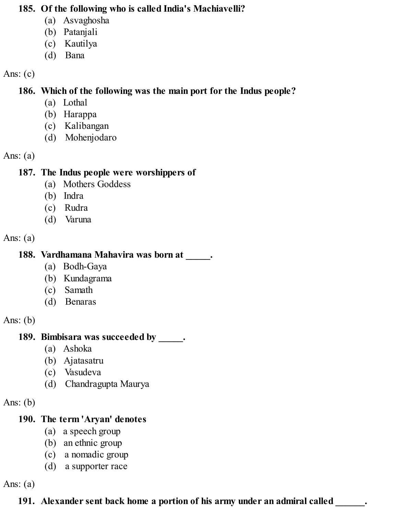#### **185. Of the following who is called India's Machiavelli?**

- (a) Asvaghosha
- (b) Patanjali
- (c) Kautilya
- (d) Bana

#### Ans:  $(c)$

#### **186. Which of the following was the main port for the Indus people?**

- (a) Lothal
- (b) Harappa
- (c) Kalibangan
- (d) Mohenjodaro

#### Ans:  $(a)$

#### **187. The Indus people were worshippers of**

- (a) Mothers Goddess
- (b) Indra
- (c) Rudra
- (d) Varuna

#### Ans:  $(a)$

## **188. Vardhamana Mahavira was born at \_\_\_\_\_.**

- (a) Bodh-Gaya
- (b) Kundagrama
- (c) Samath
- (d) Benaras

#### Ans:  $(b)$

## **189. Bimbisara was succeeded by \_\_\_\_\_.**

- (a) Ashoka
- (b) Ajatasatru
- (c) Vasudeva
- (d) Chandragupta Maurya

#### Ans:  $(b)$

## **190. The term 'Aryan' denotes**

- (a) a speech group
- (b) an ethnic group
- (c) a nomadic group
- (d) a supporter race

Ans:  $(a)$ 

## **191. Alexander sent back home a portion of his army under an admiral called \_\_\_\_\_\_.**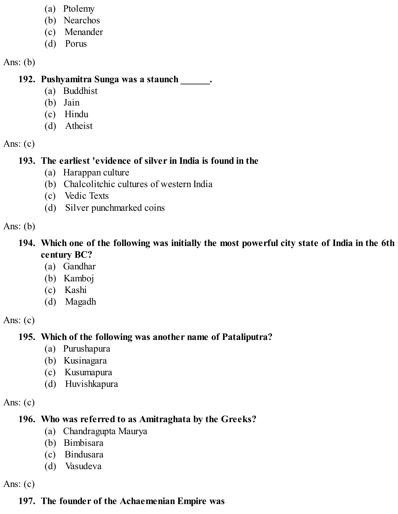- (a) Ptolemy
- (b) Nearchos
- (c) Menander
- (d) Porus

Ans:  $(b)$ 

#### **192. Pushyamitra Sunga was a staunch \_\_\_\_\_\_.**

- (a) Buddhist
- (b) Jain
- (c) Hindu
- (d) Atheist

Ans:  $(c)$ 

#### **193. The earliest 'evidence of silver in India is found in the**

- (a) Harappan culture
- (b) Chalcolitchic cultures of western India
- (c) Vedic Texts
- (d) Silver punchmarked coins

Ans:  $(b)$ 

#### **194. Which one of the following was initially the most powerful city state of India in the 6th century BC?**

- (a) Gandhar
- (b) Kamboj
- (c) Kashi
- (d) Magadh

Ans:  $(c)$ 

## **195. Which of the following was another name of Pataliputra?**

- (a) Purushapura
- (b) Kusinagara
- (c) Kusumapura
- (d) Huvishkapura

Ans:  $(c)$ 

## **196. Who was referred to as Amitraghata by the Greeks?**

- (a) Chandragupta Maurya
- (b) Bimbisara
- (c) Bindusara
- (d) Vasudeva

Ans: (c)

## **197. The founder of the Achaemenian Empire was**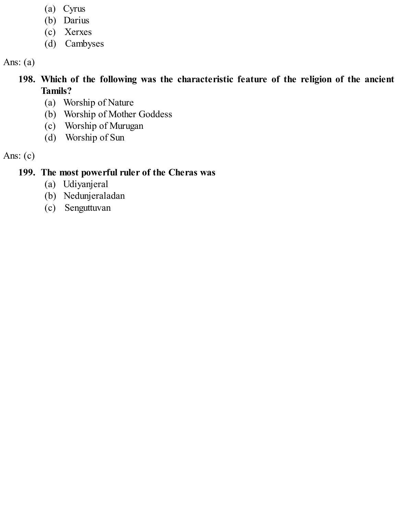- (a) Cyrus
- (b) Darius
- (c) Xerxes
- (d) Cambyses

Ans: (a)

### **198. Which of the following was the characteristic feature of the religion of the ancient Tamils?**

- (a) Worship of Nature
- (b) Worship of Mother Goddess
- (c) Worship of Murugan
- (d) Worship of Sun

### Ans: (c)

## **199. The most powerful ruler of the Cheras was**

- (a) Udiyanjeral
- (b) Nedunjeraladan
- (c) Senguttuvan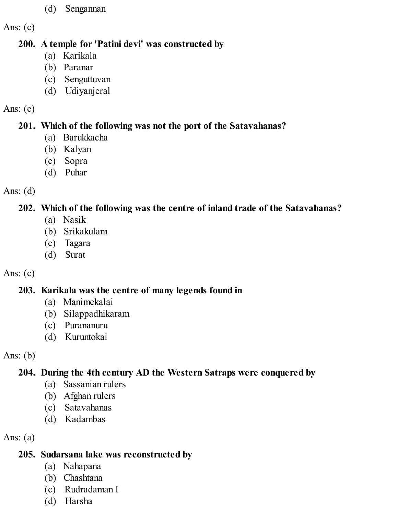(d) Sengannan

Ans:  $(c)$ 

### **200. A temple for 'Patini devi' was constructed by**

- (a) Karikala
- (b) Paranar
- (c) Senguttuvan
- (d) Udiyanjeral

## Ans:  $(c)$

# **201. Which of the following was not the port of the Satavahanas?**

- (a) Barukkacha
- (b) Kalyan
- (c) Sopra
- (d) Puhar

# Ans: (d)

# **202. Which of the following was the centre of inland trade of the Satavahanas?**

- (a) Nasik
- (b) Srikakulam
- (c) Tagara
- (d) Surat

# Ans:  $(c)$

# **203. Karikala was the centre of many legends found in**

- (a) Manimekalai
- (b) Silappadhikaram
- (c) Purananuru
- (d) Kuruntokai

# Ans: (b)

# **204. During the 4th century AD the Western Satraps were conquered by**

- (a) Sassanian rulers
- (b) Afghan rulers
- (c) Satavahanas
- (d) Kadambas

Ans:  $(a)$ 

# **205. Sudarsana lake was reconstructed by**

- (a) Nahapana
- (b) Chashtana
- (c) Rudradaman I
- (d) Harsha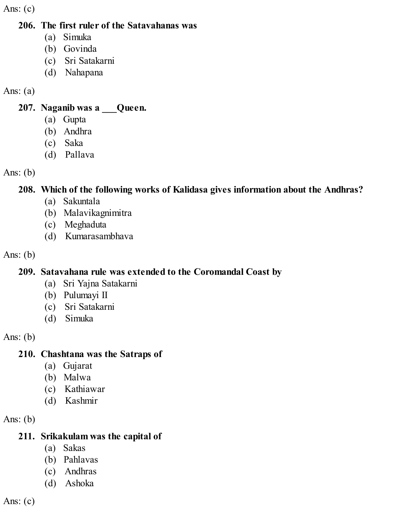Ans:  $(c)$ 

#### **206. The first ruler of the Satavahanas was**

- (a) Simuka
- (b) Govinda
- (c) Sri Satakarni
- (d) Nahapana

### Ans:  $(a)$

#### **207. Naganib was a \_\_\_Queen.**

- (a) Gupta
- (b) Andhra
- (c) Saka
- (d) Pallava

Ans: (b)

## **208. Which of the following works of Kalidasa gives information about the Andhras?**

- (a) Sakuntala
- (b) Malavikagnimitra
- (c) Meghaduta
- (d) Kumarasambhava

Ans: (b)

## **209. Satavahana rule was extended to the Coromandal Coast by**

- (a) Sri Yajna Satakarni
- (b) Pulumayi II
- (c) Sri Satakarni
- (d) Simuka

Ans: (b)

## **210. Chashtana was the Satraps of**

- (a) Gujarat
- (b) Malwa
- (c) Kathiawar
- (d) Kashmir

Ans: (b)

## **211. Srikakulam was the capital of**

- (a) Sakas
- (b) Pahlavas
- (c) Andhras
- (d) Ashoka

Ans:  $(c)$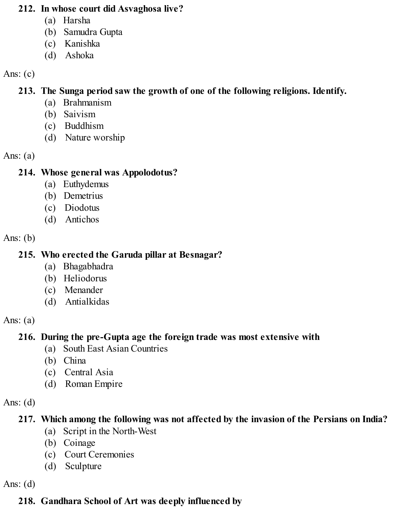#### **212. In whose court did Asvaghosa live?**

- (a) Harsha
- (b) Samudra Gupta
- (c) Kanishka
- (d) Ashoka

#### Ans:  $(c)$

## **213. The Sunga period saw the growth of one of the following religions. Identify.**

- (a) Brahmanism
- (b) Saivism
- (c) Buddhism
- (d) Nature worship

#### Ans:  $(a)$

### **214. Whose general was Appolodotus?**

- (a) Euthydemus
- (b) Demetrius
- (c) Diodotus
- (d) Antichos

### Ans:  $(b)$

### **215. Who erected the Garuda pillar at Besnagar?**

- (a) Bhagabhadra
- (b) Heliodorus
- (c) Menander
- (d) Antialkidas

### Ans:  $(a)$

## **216. During the pre-Gupta age the foreign trade was most extensive with**

- (a) South East Asian Countries
- (b) China
- (c) Central Asia
- (d) Roman Empire

### Ans:  $(d)$

# **217. Which among the following was not affected by the invasion of the Persians on India?**

- (a) Script in the North-West
- (b) Coinage
- (c) Court Ceremonies
- (d) Sculpture

### Ans:  $(d)$

# **218. Gandhara School of Art was deeply influenced by**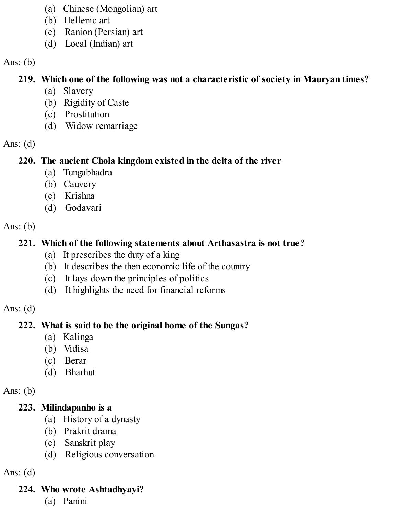- (a) Chinese (Mongolian) art
- (b) Hellenic art
- (c) Ranion (Persian) art
- (d) Local (Indian) art

#### Ans:  $(b)$

## **219. Which one of the following was not a characteristic of society in Mauryan times?**

- (a) Slavery
- (b) Rigidity of Caste
- (c) Prostitution
- (d) Widow remarriage

### Ans:  $(d)$

### **220. The ancient Chola kingdom existed in the delta of the river**

- (a) Tungabhadra
- (b) Cauvery
- (c) Krishna
- (d) Godavari

## Ans:  $(b)$

## **221. Which of the following statements about Arthasastra is not true?**

- (a) It prescribes the duty of a king
- (b) It describes the then economic life of the country
- (c) It lays down the principles of politics
- (d) It highlights the need for financial reforms

### Ans:  $(d)$

## **222. What is said to be the original home of the Sungas?**

- (a) Kalinga
- (b) Vidisa
- (c) Berar
- (d) Bharhut

## Ans:  $(b)$

## **223. Milindapanho is a**

- (a) History of a dynasty
- (b) Prakrit drama
- (c) Sanskrit play
- (d) Religious conversation

## Ans:  $(d)$

# **224. Who wrote Ashtadhyayi?**

(a) Panini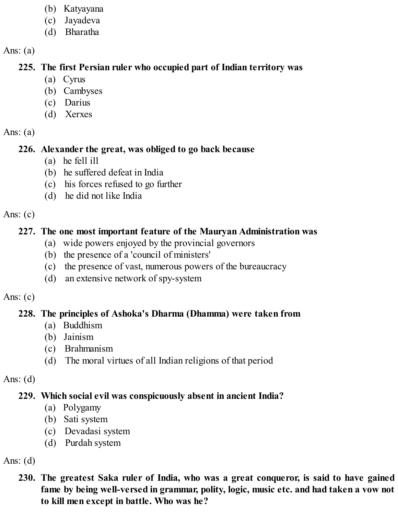- (b) Katyayana
- (c) Jayadeva
- (d) Bharatha

Ans:  $(a)$ 

## **225. The first Persian ruler who occupied part of Indian territory was**

- (a) Cyrus
- (b) Cambyses
- (c) Darius
- (d) Xerxes

## Ans:  $(a)$

# **226. Alexander the great, was obliged to go back because**

- (a) he fell ill
- (b) he suffered defeat in India
- (c) his forces refused to go further
- (d) he did not like India

## Ans:  $(c)$

# **227. The one most important feature of the Mauryan Administration was**

- (a) wide powers enjoyed by the provincial governors
- (b) the presence of a 'council of ministers'
- (c) the presence of vast, numerous powers of the bureaucracy
- (d) an extensive network of spy-system

## Ans:  $(c)$

# **228. The principles of Ashoka's Dharma (Dhamma) were taken from**

- (a) Buddhism
- (b) Jainism
- (c) Brahmanism
- (d) The moral virtues of all Indian religions of that period

# Ans:  $(d)$

# **229. Which social evil was conspicuously absent in ancient India?**

- (a) Polygamy
- (b) Sati system
- (c) Devadasi system
- (d) Purdah system

# Ans:  $(d)$

**230. The greatest Saka ruler of India, who was a great conqueror, is said to have gained fame by being well-versed in grammar, polity, logic, music etc. and had taken a vow not to kill men except in battle. Who was he?**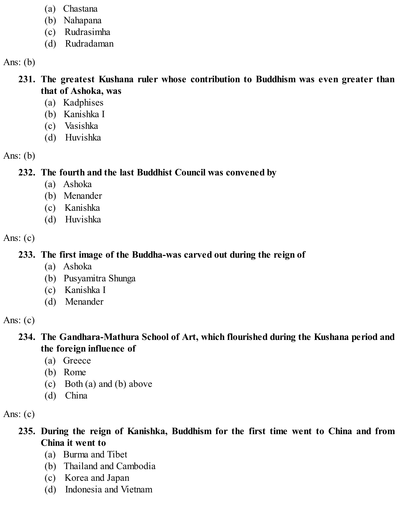- (a) Chastana
- (b) Nahapana
- (c) Rudrasimha
- (d) Rudradaman

Ans:  $(b)$ 

#### **231. The greatest Kushana ruler whose contribution to Buddhism was even greater than that of Ashoka, was**

- (a) Kadphises
- (b) Kanishka I
- (c) Vasishka
- (d) Huvishka

Ans:  $(b)$ 

**232. The fourth and the last Buddhist Council was convened by**

- (a) Ashoka
- (b) Menander
- (c) Kanishka
- (d) Huvishka

Ans:  $(c)$ 

## **233. The first image of the Buddha-was carved out during the reign of**

- (a) Ashoka
- (b) Pusyamitra Shunga
- (c) Kanishka I
- (d) Menander

Ans:  $(c)$ 

### **234. The Gandhara-Mathura School of Art, which flourished during the Kushana period and the foreign influence of**

- (a) Greece
- (b) Rome
- (c) Both (a) and (b) above
- (d) China

Ans:  $(c)$ 

**235. During the reign of Kanishka, Buddhism for the first time went to China and from China it went to**

- (a) Burma and Tibet
- (b) Thailand and Cambodia
- (c) Korea and Japan
- (d) Indonesia and Vietnam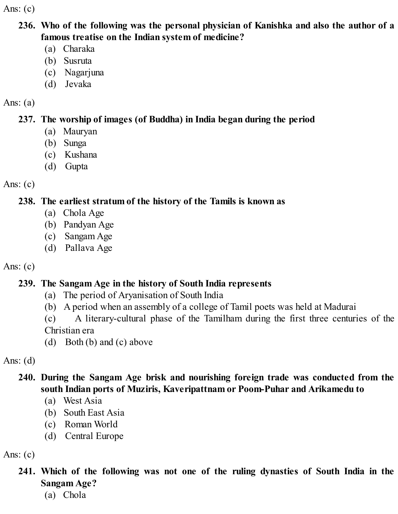Ans:  $(c)$ 

- **236. Who of the following was the personal physician of Kanishka and also the author of a famous treatise on the Indian system of medicine?**
	- (a) Charaka
	- (b) Susruta
	- (c) Nagarjuna
	- (d) Jevaka

#### Ans:  $(a)$

## **237. The worship of images (of Buddha) in India began during the period**

- (a) Mauryan
- (b) Sunga
- (c) Kushana
- (d) Gupta

Ans:  $(c)$ 

## **238. The earliest stratum of the history of the Tamils is known as**

- (a) Chola Age
- (b) Pandyan Age
- (c) Sangam Age
- (d) Pallava Age

## Ans:  $(c)$

# **239. The Sangam Age in the history of South India represents**

- (a) The period of Aryanisation of South India
- (b) A period when an assembly of a college of Tamil poets was held at Madurai
- (c) A literary-cultural phase of the Tamilham during the first three centuries of the Christian era
- (d) Both (b) and (c) above

Ans:  $(d)$ 

## **240. During the Sangam Age brisk and nourishing foreign trade was conducted from the south Indian ports of Muziris, Kaveripattnam or Poom-Puhar and Arikamedu to**

- (a) West Asia
- (b) South East Asia
- (c) Roman World
- (d) Central Europe

Ans:  $(c)$ 

- **241. Which of the following was not one of the ruling dynasties of South India in the Sangam Age?**
	- (a) Chola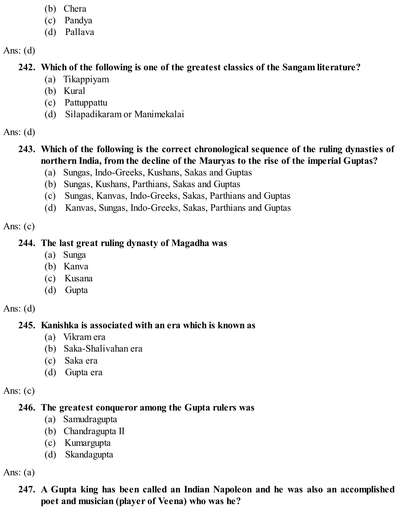- (b) Chera
- (c) Pandya
- (d) Pallava

## **242. Which of the following is one of the greatest classics of the Sangam literature?**

- (a) Tikappiyam
- (b) Kural
- (c) Pattuppattu
- (d) Silapadikaram or Manimekalai

Ans:  $(d)$ 

# **243. Which of the following is the correct chronological sequence of the ruling dynasties of northern India, from the decline of the Mauryas to the rise of the imperial Guptas?**

- (a) Sungas, Indo-Greeks, Kushans, Sakas and Guptas
- (b) Sungas, Kushans, Parthians, Sakas and Guptas
- (c) Sungas, Kanvas, Indo-Greeks, Sakas, Parthians and Guptas
- (d) Kanvas, Sungas, Indo-Greeks, Sakas, Parthians and Guptas

Ans:  $(c)$ 

## **244. The last great ruling dynasty of Magadha was**

- (a) Sunga
- (b) Kanva
- (c) Kusana
- (d) Gupta

Ans:  $(d)$ 

# **245. Kanishka is associated with an era which is known as**

- (a) Vikram era
- (b) Saka-Shalivahan era
- (c) Saka era
- (d) Gupta era

Ans:  $(c)$ 

# **246. The greatest conqueror among the Gupta rulers was**

- (a) Samudragupta
- (b) Chandragupta II
- (c) Kumargupta
- (d) Skandagupta

Ans:  $(a)$ 

## **247. A Gupta king has been called an Indian Napoleon and he was also an accomplished poet and musician (player of Veena) who was he?**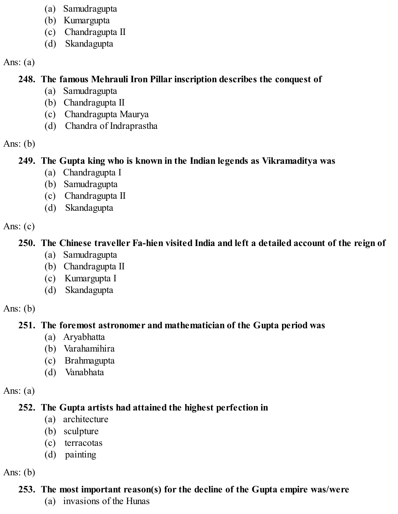- (a) Samudragupta
- (b) Kumargupta
- (c) Chandragupta II
- (d) Skandagupta

#### Ans:  $(a)$

#### **248. The famous Mehrauli Iron Pillar inscription describes the conquest of**

- (a) Samudragupta
- (b) Chandragupta II
- (c) Chandragupta Maurya
- (d) Chandra of Indraprastha

#### Ans:  $(b)$

#### **249. The Gupta king who is known in the Indian legends as Vikramaditya was**

- (a) Chandragupta I
- (b) Samudragupta
- (c) Chandragupta II
- (d) Skandagupta

#### Ans:  $(c)$

### **250. The Chinese traveller Fa-hien visited India and left a detailed account of the reign of**

- (a) Samudragupta
- (b) Chandragupta II
- (c) Kumargupta I
- (d) Skandagupta

#### Ans:  $(b)$

#### **251. The foremost astronomer and mathematician of the Gupta period was**

- (a) Aryabhatta
- (b) Varahamihira
- (c) Brahmagupta
- (d) Vanabhata

#### Ans:  $(a)$

## **252. The Gupta artists had attained the highest perfection in**

- (a) architecture
- (b) sculpture
- (c) terracotas
- (d) painting

## Ans:  $(b)$

## **253. The most important reason(s) for the decline of the Gupta empire was/were**

(a) invasions of the Hunas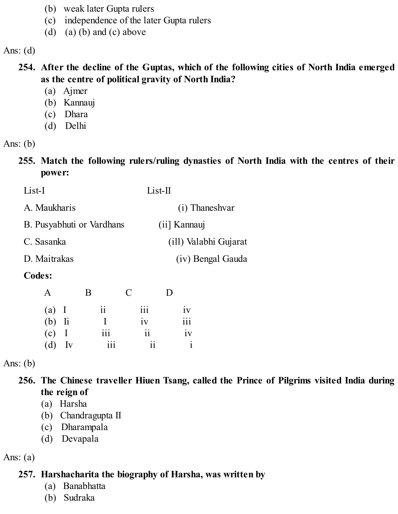- (b) weak later Gupta rulers
- (c) independence of the later Gupta rulers
- (d) (a) (b) and (c) above

#### **254. After the decline of the Guptas, which of the following cities of North India emerged as the centre of political gravity of North India?**

- (a) Ajmer
- (b) Kannauj
- (c) Dhara
- (d) Delhi

#### Ans: (b)

**255. Match the following rulers/ruling dynasties of North India with the centres of their power:**

| List-I                    | $List-II$             |
|---------------------------|-----------------------|
| A. Maukharis              | (i) Thaneshvar        |
| B. Pusyabhuti or Vardhans | (ii] Kannauj          |
| C. Sasanka                | (ill) Valabhi Gujarat |
| D. Maitrakas              | (iv) Bengal Gauda     |
|                           |                       |

#### **Codes:**

| A        | B                       | $\mathbf C$     | D                |
|----------|-------------------------|-----------------|------------------|
| $(a)$ I  | $\overline{\mathbf{i}}$ | iii             | iv               |
| $(b)$ li | $\mathbf{I}$            | iv              | $\overline{iii}$ |
| $(c)$ I  | $\overline{111}$        | $\overline{11}$ | iv               |
| $(d)$ Iv | $\overline{111}$        | $\overline{11}$ | $\mathbf{i}$     |

Ans:  $(b)$ 

- **256. The Chinese traveller Hiuen Tsang, called the Prince of Pilgrims visited India during the reign of**
	- (a) Harsha
	- (b) Chandragupta II
	- (c) Dharampala
	- (d) Devapala

Ans:  $(a)$ 

### **257. Harshacharita the biography of Harsha, was written by**

- (a) Banabhatta
- (b) Sudraka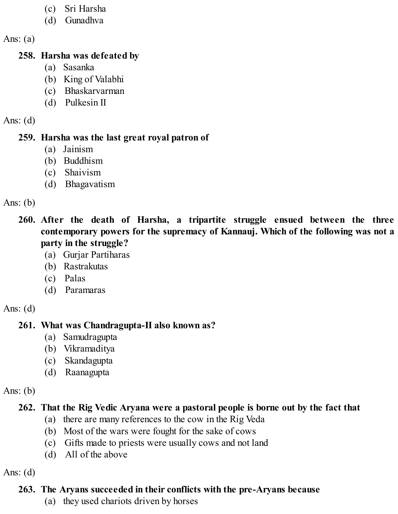- (c) Sri Harsha
- (d) Gunadhva

Ans:  $(a)$ 

#### **258. Harsha was defeated by**

- (a) Sasanka
- (b) King of Valabhi
- (c) Bhaskarvarman
- (d) Pulkesin II

Ans:  $(d)$ 

#### **259. Harsha was the last great royal patron of**

- (a) Jainism
- (b) Buddhism
- (c) Shaivism
- (d) Bhagavatism

Ans:  $(b)$ 

- **260. After the death of Harsha, a tripartite struggle ensued between the three contemporary powers for the supremacy of Kannauj. Which of the following was not a party in the struggle?**
	- (a) Gurjar Partiharas
	- (b) Rastrakutas
	- (c) Palas
	- (d) Paramaras

Ans:  $(d)$ 

## **261. What was Chandragupta-II also known as?**

- (a) Samudragupta
- (b) Vikramaditya
- (c) Skandagupta
- (d) Raanagupta

Ans:  $(b)$ 

## **262. That the Rig Vedic Aryana were a pastoral people is borne out by the fact that**

- (a) there are many references to the cow in the Rig Veda
- (b) Most of the wars were fought for the sake of cows
- (c) Gifts made to priests were usually cows and not land
- (d) All of the above

Ans:  $(d)$ 

## **263. The Aryans succeeded in their conflicts with the pre-Aryans because**

(a) they used chariots driven by horses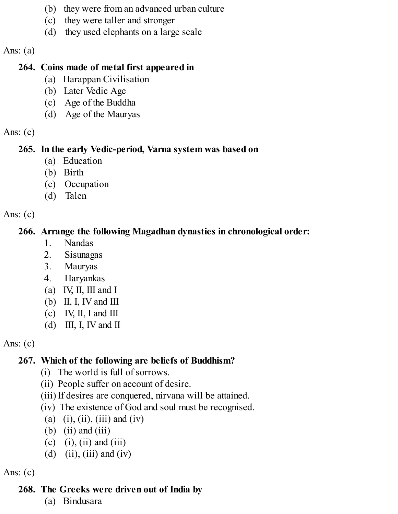- (b) they were from an advanced urban culture
- (c) they were taller and stronger
- (d) they used elephants on a large scale

Ans:  $(a)$ 

## **264. Coins made of metal first appeared in**

- (a) Harappan Civilisation
- (b) Later Vedic Age
- (c) Age of the Buddha
- (d) Age of the Mauryas

Ans:  $(c)$ 

# **265. In the early Vedic-period, Varna system was based on**

- (a) Education
- (b) Birth
- (c) Occupation
- (d) Talen

Ans:  $(c)$ 

# **266. Arrange the following Magadhan dynasties in chronological order:**

- 1. Nandas
- 2. Sisunagas
- 3. Mauryas
- 4. Haryankas
- (a) IV, II, III and I
- (b) II, I, IV and III
- (c) IV, II, I and III
- (d) III, I, IV and II

Ans:  $(c)$ 

# **267. Which of the following are beliefs of Buddhism?**

- (i) The world is full of sorrows.
- (ii) People suffer on account of desire.
- (iii) If desires are conquered, nirvana will be attained.
- (iv) The existence of God and soul must be recognised.
- (a) (i), (ii), (iii) and (iv)
- (b) (ii) and (iii)
- (c) (i), (ii) and (iii)
- (d) (ii), (iii) and (iv)

Ans:  $(c)$ 

# **268. The Greeks were driven out of India by**

(a) Bindusara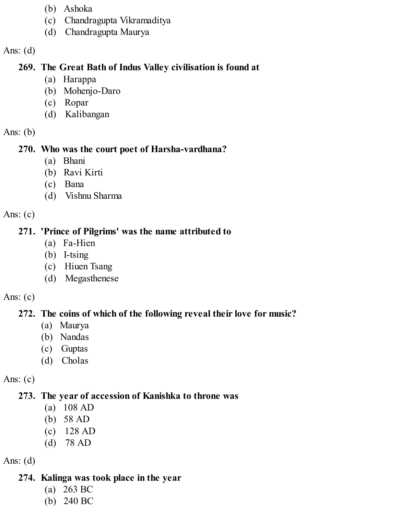- (b) Ashoka
- (c) Chandragupta Vikramaditya
- (d) Chandragupta Maurya

### **269. The Great Bath of Indus Valley civilisation is found at**

- (a) Harappa
- (b) Mohenjo-Daro
- (c) Ropar
- (d) Kalibangan

### Ans:  $(b)$

### **270. Who was the court poet of Harsha-vardhana?**

- (a) Bhani
- (b) Ravi Kirti
- (c) Bana
- (d) Vishnu Sharma

## Ans:  $(c)$

## **271. 'Prince of Pilgrims' was the name attributed to**

- (a) Fa-Hien
- (b) I-tsing
- (c) Hiuen Tsang
- (d) Megasthenese

## Ans:  $(c)$

# **272. The coins of which of the following reveal their love for music?**

- (a) Maurya
- (b) Nandas
- (c) Guptas
- (d) Cholas

# Ans:  $(c)$

# **273. The year of accession of Kanishka to throne was**

- (a) 108 AD
- (b) 58 AD
- (c) 128 AD
- (d) 78 AD

## Ans:  $(d)$

# **274. Kalinga was took place in the year**

- (a) 263 BC
- (b) 240 BC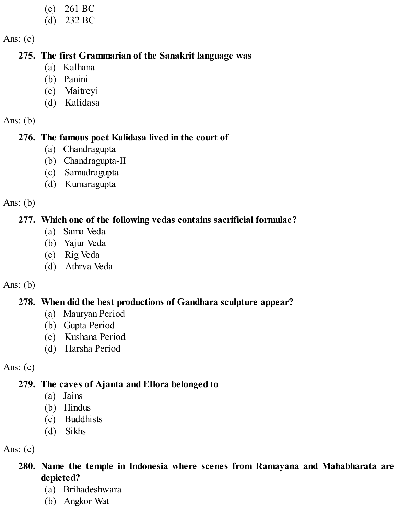- (c) 261 BC
- (d) 232 BC

Ans:  $(c)$ 

#### **275. The first Grammarian of the Sanakrit language was**

- (a) Kalhana
- (b) Panini
- (c) Maitreyi
- (d) Kalidasa

Ans:  $(b)$ 

#### **276. The famous poet Kalidasa lived in the court of**

- (a) Chandragupta
- (b) Chandragupta-II
- (c) Samudragupta
- (d) Kumaragupta

Ans:  $(b)$ 

### **277. Which one of the following vedas contains sacrificial formulae?**

- (a) Sama Veda
- (b) Yajur Veda
- (c) Rig Veda
- (d) Athrva Veda

#### Ans:  $(b)$

## **278. When did the best productions of Gandhara sculpture appear?**

- (a) Mauryan Period
- (b) Gupta Period
- (c) Kushana Period
- (d) Harsha Period

Ans:  $(c)$ 

## **279. The caves of Ajanta and EIlora belonged to**

- (a) Jains
- (b) Hindus
- (c) Buddhists
- (d) Sikhs

Ans:  $(c)$ 

- **280. Name the temple in Indonesia where scenes from Ramayana and Mahabharata are depicted?**
	- (a) Brihadeshwara
	- (b) Angkor Wat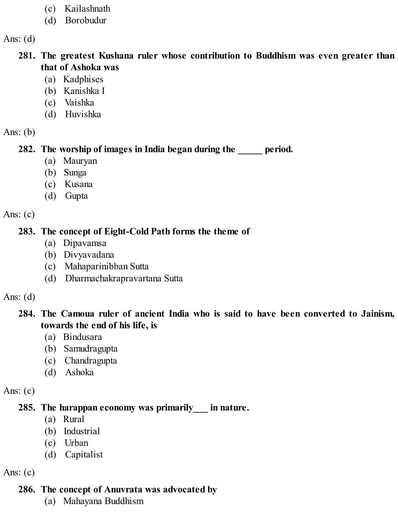- (c) Kailashnath
- (d) Borobudur

#### **281. The greatest Kushana ruler whose contribution to Buddhism was even greater than that of Ashoka was**

- (a) Kadphises
- (b) Kanishka I
- (c) Vaishka
- (d) Huvishka

Ans:  $(b)$ 

### **282. The worship of images in India began during the \_\_\_\_\_ period.**

- (a) Mauryan
- (b) Sunga
- (c) Kusana
- (d) Gupta

Ans:  $(c)$ 

#### **283. The concept of Eight-Cold Path forms the theme of**

- (a) Dipavamsa
- (b) Divyavadana
- (c) Mahaparinibban Sutta
- (d) Dharmachakrapravartana Sutta

#### Ans:  $(d)$

### **284. The Camoua ruler of ancient India who is said to have been converted to Jainism, towards the end of his life, is**

- (a) Bindusara
- (b) Samudragupta
- (c) Chandragupta
- (d) Ashoka

Ans:  $(c)$ 

### **285. The harappan economy was primarily\_\_\_ in nature.**

- (a) Rural
- (b) Industrial
- (c) Urban
- (d) Capitalist

Ans:  $(c)$ 

## **286. The concept of Anuvrata was advocated by**

(a) Mahayana Buddhism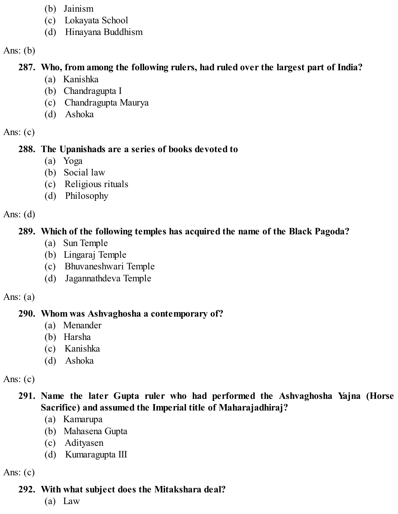- (b) Jainism
- (c) Lokayata School
- (d) Hinayana Buddhism

Ans:  $(b)$ 

### **287. Who, from among the following rulers, had ruled over the largest part of India?**

- (a) Kanishka
- (b) Chandragupta I
- (c) Chandragupta Maurya
- (d) Ashoka

Ans:  $(c)$ 

## **288. The Upanishads are a series of books devoted to**

- (a) Yoga
- (b) Social law
- (c) Religious rituals
- (d) Philosophy

Ans:  $(d)$ 

# **289. Which of the following temples has acquired the name of the Black Pagoda?**

- (a) Sun Temple
- (b) Lingaraj Temple
- (c) Bhuvaneshwari Temple
- (d) Jagannathdeva Temple

## Ans:  $(a)$

# **290. Whom was Ashvaghosha a contemporary of?**

- (a) Menander
- (b) Harsha
- (c) Kanishka
- (d) Ashoka

Ans:  $(c)$ 

## **291. Name the later Gupta ruler who had performed the Ashvaghosha Yajna (Horse Sacrifice) and assumed the Imperial title of Maharajadhiraj?**

- (a) Kamarupa
- (b) Mahasena Gupta
- (c) Adityasen
- (d) Kumaragupta III

Ans:  $(c)$ 

# **292. With what subject does the Mitakshara deal?**

(a) Law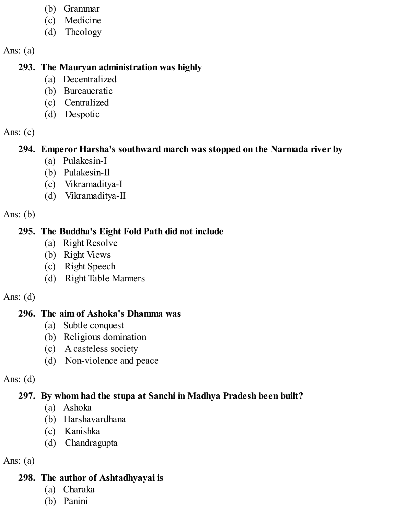- (b) Grammar
- (c) Medicine
- (d) Theology

Ans:  $(a)$ 

### **293. The Mauryan administration was highly**

- (a) Decentralized
- (b) Bureaucratic
- (c) Centralized
- (d) Despotic

### Ans:  $(c)$

## **294. Emperor Harsha's southward march was stopped on the Narmada river by**

- (a) Pulakesin-I
- (b) Pulakesin-Il
- (c) Vikramaditya-I
- (d) Vikramaditya-II

Ans:  $(b)$ 

## **295. The Buddha's Eight Fold Path did not include**

- (a) Right Resolve
- (b) Right Views
- (c) Right Speech
- (d) Right Table Manners

### Ans:  $(d)$

## **296. The aim of Ashoka's Dhamma was**

- (a) Subtle conquest
- (b) Religious domination
- (c) A casteless society
- (d) Non-violence and peace

## Ans:  $(d)$

# **297. By whom had the stupa at Sanchi in Madhya Pradesh been built?**

- (a) Ashoka
- (b) Harshavardhana
- (c) Kanishka
- (d) Chandragupta

# Ans:  $(a)$

# **298. The author of Ashtadhyayai is**

- (a) Charaka
- (b) Panini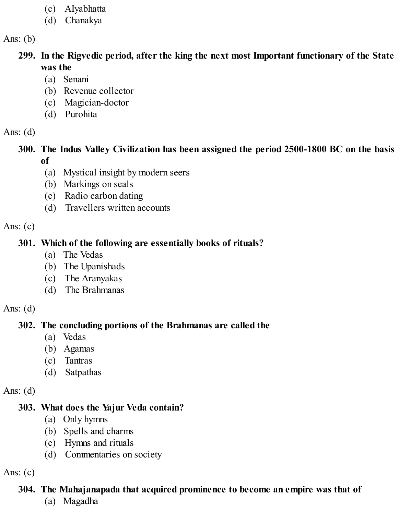- (c) AIyabhatta
- (d) Chanakya

Ans:  $(b)$ 

- **299. In the Rigvedic period, after the king the next most Important functionary of the State was the**
	- (a) Senani
	- (b) Revenue collector
	- (c) Magician-doctor
	- (d) Purohita

Ans:  $(d)$ 

**300. The Indus Valley Civilization has been assigned the period 2500-1800 BC on the basis of**

- (a) Mystical insight by modern seers
- (b) Markings on seals
- (c) Radio carbon dating
- (d) Travellers written accounts

Ans:  $(c)$ 

### **301. Which of the following are essentially books of rituals?**

- (a) The Vedas
- (b) The Upanishads
- (c) The Aranyakas
- (d) The Brahmanas

Ans:  $(d)$ 

## **302. The concluding portions of the Brahmanas are called the**

- (a) Vedas
- (b) Agamas
- (c) Tantras
- (d) Satpathas

Ans:  $(d)$ 

## **303. What does the Yajur Veda contain?**

- (a) Only hymns
- (b) Spells and charms
- (c) Hymns and rituals
- (d) Commentaries on society

Ans:  $(c)$ 

## **304. The Mahajanapada that acquired prominence to become an empire was that of**

(a) Magadha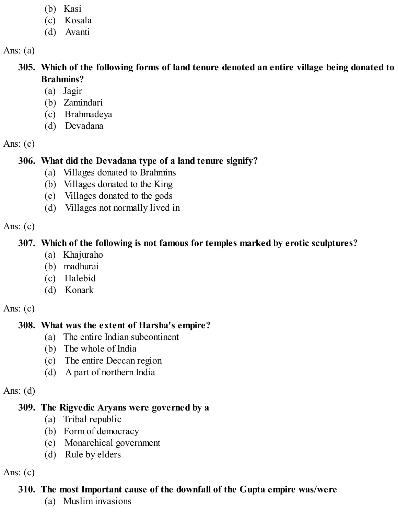- (b) Kasi
- (c) Kosala
- (d) Avanti

Ans:  $(a)$ 

- **305. Which of the following forms of land tenure denoted an entire village being donated to Brahmins?**
	- (a) Jagir
	- (b) Zamindari
	- (c) Brahmadeya
	- (d) Devadana

Ans:  $(c)$ 

### **306. What did the Devadana type of a land tenure signify?**

- (a) Villages donated to Brahmins
- (b) Villages donated to the King
- (c) Villages donated to the gods
- (d) Villages not normally lived in

Ans:  $(c)$ 

### **307. Which of the following is not famous for temples marked by erotic sculptures?**

- (a) Khajuraho
- (b) madhurai
- (c) Halebid
- (d) Konark

Ans:  $(c)$ 

## **308. What was the extent of Harsha's empire?**

- (a) The entire Indian subcontinent
- (b) The whole of India
- (c) The entire Deccan region
- (d) A part of northern India

Ans:  $(d)$ 

### **309. The Rigvedic Aryans were governed by a**

- (a) Tribal republic
- (b) Form of democracy
- (c) Monarchical government
- (d) Rule by elders

Ans:  $(c)$ 

## **310. The most Important cause of the downfall of the Gupta empire was/were**

(a) Muslim invasions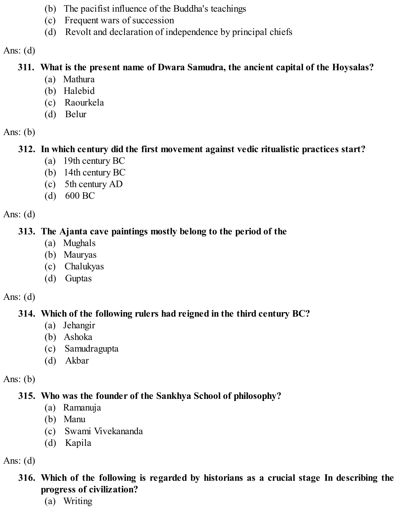- (b) The pacifist influence of the Buddha's teachings
- (c) Frequent wars of succession
- (d) Revolt and declaration of independence by principal chiefs

### **311. What is the present name of Dwara Samudra, the ancient capital of the Hoysalas?**

- (a) Mathura
- (b) Halebid
- (c) Raourkela
- (d) Belur

### Ans:  $(b)$

## **312. In which century did the first movement against vedic ritualistic practices start?**

- (a) 19th century BC
- (b) 14th century BC
- (c) 5th century AD
- (d) 600 BC

Ans:  $(d)$ 

### **313. The Ajanta cave paintings mostly belong to the period of the**

- (a) Mughals
- (b) Mauryas
- (c) Chalukyas
- (d) Guptas

### Ans:  $(d)$

# **314. Which of the following rulers had reigned in the third century BC?**

- (a) Jehangir
- (b) Ashoka
- (c) Samudragupta
- (d) Akbar

## Ans:  $(b)$

# **315. Who was the founder of the Sankhya School of philosophy?**

- (a) Ramanuja
- (b) Manu
- (c) Swami Vivekananda
- (d) Kapila

### Ans:  $(d)$

### **316. Which of the following is regarded by historians as a crucial stage In describing the progress of civilization?**

(a) Writing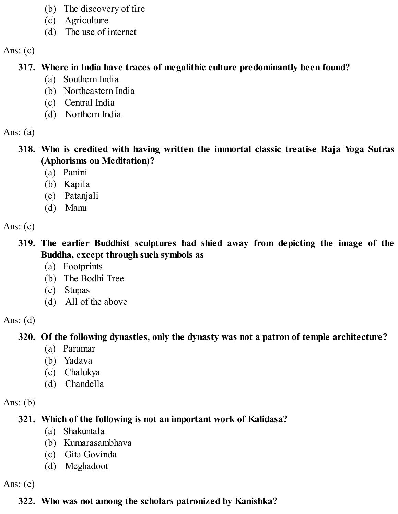- (b) The discovery of fire
- (c) Agriculture
- (d) The use of internet

Ans:  $(c)$ 

### **317. Where in India have traces of megalithic culture predominantly been found?**

- (a) Southern India
- (b) Northeastern India
- (c) Central India
- (d) Northern India

Ans:  $(a)$ 

- **318. Who is credited with having written the immortal classic treatise Raja Yoga Sutras (Aphorisms on Meditation)?**
	- (a) Panini
	- (b) Kapila
	- (c) Patanjali
	- (d) Manu

Ans:  $(c)$ 

- **319. The earlier Buddhist sculptures had shied away from depicting the image of the Buddha, except through such symbols as**
	- (a) Footprints
	- (b) The Bodhi Tree
	- (c) Stupas
	- (d) All of the above

Ans:  $(d)$ 

# **320. Of the following dynasties, only the dynasty was not a patron of temple architecture?**

- (a) Paramar
- (b) Yadava
- (c) Chalukya
- (d) Chandella

Ans:  $(b)$ 

# **321. Which of the following is not an important work of Kalidasa?**

- (a) Shakuntala
- (b) Kumarasambhava
- (c) Gita Govinda
- (d) Meghadoot

Ans:  $(c)$ 

# **322. Who was not among the scholars patronized by Kanishka?**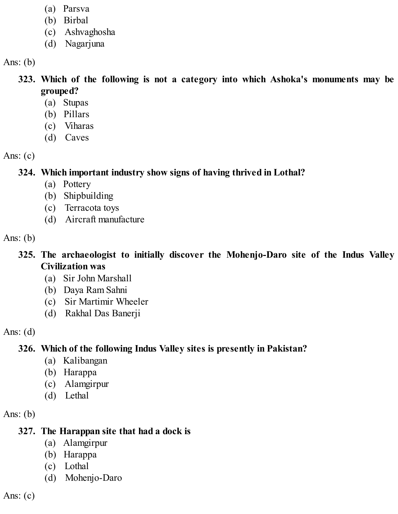- (a) Parsva
- (b) Birbal
- (c) Ashvaghosha
- (d) Nagarjuna

Ans:  $(b)$ 

- **323. Which of the following is not a category into which Ashoka's monuments may be grouped?**
	- (a) Stupas
	- (b) Pillars
	- (c) Viharas
	- (d) Caves

Ans:  $(c)$ 

**324. Which important industry show signs of having thrived in Lothal?**

- (a) Pottery
- (b) Shipbuilding
- (c) Terracota toys
- (d) Aircraft manufacture

Ans:  $(b)$ 

- **325. The archaeologist to initially discover the Mohenjo-Daro site of the Indus Valley Civilization was**
	- (a) Sir John Marshall
	- (b) Daya Ram Sahni
	- (c) Sir Martimir Wheeler
	- (d) Rakhal Das Banerji

Ans:  $(d)$ 

# **326. Which of the following Indus Valley sites is presently in Pakistan?**

- (a) Kalibangan
- (b) Harappa
- (c) Alamgirpur
- (d) Lethal

Ans:  $(b)$ 

# **327. The Harappan site that had a dock is**

- (a) Alamgirpur
- (b) Harappa
- (c) Lothal
- (d) Mohenjo-Daro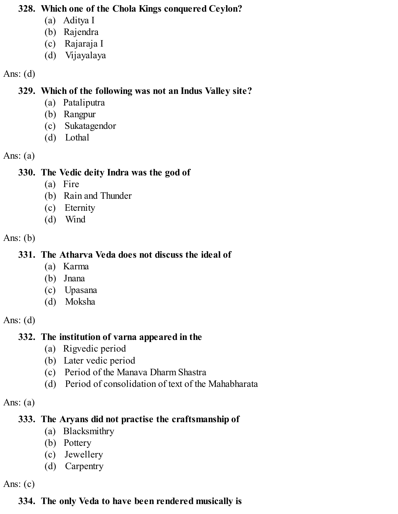#### **328. Which one of the Chola Kings conquered Ceylon?**

- (a) Aditya I
- (b) Rajendra
- (c) Rajaraja I
- (d) Vijayalaya

#### Ans:  $(d)$

#### **329. Which of the following was not an Indus Valley site?**

- (a) Pataliputra
- (b) Rangpur
- (c) Sukatagendor
- (d) Lothal

#### Ans:  $(a)$

### **330. The Vedic deity Indra was the god of**

- (a) Fire
- (b) Rain and Thunder
- (c) Eternity
- (d) Wind

#### Ans:  $(b)$

### **331. The Atharva Veda does not discuss the ideal of**

- (a) Karma
- (b) Jnana
- (c) Upasana
- (d) Moksha

### Ans:  $(d)$

## **332. The institution of varna appeared in the**

- (a) Rigvedic period
- (b) Later vedic period
- (c) Period of the Manava Dharm Shastra
- (d) Period of consolidation of text of the Mahabharata

#### Ans:  $(a)$

## **333. The Aryans did not practise the craftsmanship of**

- (a) Blacksmithry
- (b) Pottery
- (c) Jewellery
- (d) Carpentry

Ans: (c)

# **334. The only Veda to have been rendered musically is**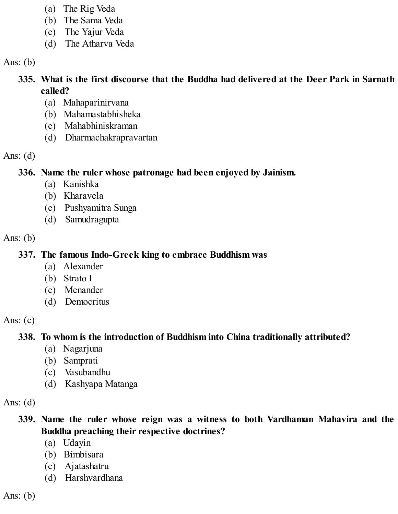- (a) The Rig Veda
- (b) The Sama Veda
- (c) The Yajur Veda
- (d) The Atharva Veda

Ans:  $(b)$ 

### **335. What is the first discourse that the Buddha had delivered at the Deer Park in Sarnath called?**

- (a) Mahaparinirvana
- (b) Mahamastabhisheka
- (c) Mahabhiniskraman
- (d) Dharmachakrapravartan

Ans:  $(d)$ 

## **336. Name the ruler whose patronage had been enjoyed by Jainism.**

- (a) Kanishka
- (b) Kharavela
- (c) Pushyamitra Sunga
- (d) Samudragupta

Ans:  $(b)$ 

## **337. The famous Indo-Greek king to embrace Buddhism was**

- (a) Alexander
- (b) Strato I
- (c) Menander
- (d) Democritus

Ans:  $(c)$ 

# **338. To whom is the introduction of Buddhism into China traditionally attributed?**

- (a) Nagarjuna
- (b) Samprati
- (c) Vasubandhu
- (d) Kashyapa Matanga

Ans:  $(d)$ 

### **339. Name the ruler whose reign was a witness to both Vardhaman Mahavira and the Buddha preaching their respective doctrines?**

- (a) Udayin
- (b) Bimbisara
- (c) Ajatashatru
- (d) Harshvardhana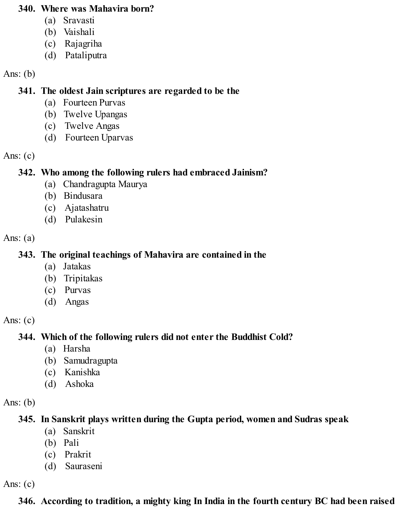#### **340. Where was Mahavira born?**

- (a) Sravasti
- (b) Vaishali
- (c) Rajagriha
- (d) Pataliputra

#### Ans:  $(b)$

### **341. The oldest Jain scriptures are regarded to be the**

- (a) Fourteen Purvas
- (b) Twelve Upangas
- (c) Twelve Angas
- (d) Fourteen Uparvas

#### Ans:  $(c)$

## **342. Who among the following rulers had embraced Jainism?**

- (a) Chandragupta Maurya
- (b) Bindusara
- (c) Ajatashatru
- (d) Pulakesin

#### Ans:  $(a)$

## **343. The original teachings of Mahavira are contained in the**

- (a) Jatakas
- (b) Tripitakas
- (c) Purvas
- (d) Angas

### Ans:  $(c)$

# **344. Which of the following rulers did not enter the Buddhist Cold?**

- (a) Harsha
- (b) Samudragupta
- (c) Kanishka
- (d) Ashoka

## Ans:  $(b)$

# **345. In Sanskrit plays written during the Gupta period, women and Sudras speak**

- (a) Sanskrit
- (b) Pali
- (c) Prakrit
- (d) Sauraseni

Ans: (c)

# **346. According to tradition, a mighty king In India in the fourth century BC had been raised**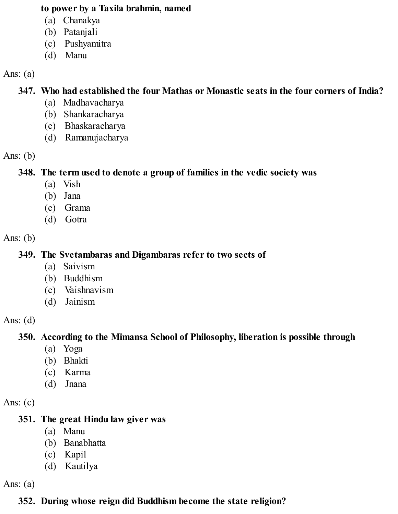#### **to power by a Taxila brahmin, named**

- (a) Chanakya
- (b) Patanjali
- (c) Pushyamitra
- (d) Manu

#### Ans:  $(a)$

### **347. Who had established the four Mathas or Monastic seats in the four corners of India?**

- (a) Madhavacharya
- (b) Shankaracharya
- (c) Bhaskaracharya
- (d) Ramanujacharya

#### Ans:  $(b)$

#### **348. The term used to denote a group of families in the vedic society was**

- (a) Vish
- (b) Jana
- (c) Grama
- (d) Gotra

#### Ans:  $(b)$

### **349. The Svetambaras and Digambaras refer to two sects of**

- (a) Saivism
- (b) Buddhism
- (c) Vaishnavism
- (d) Jainism

#### Ans:  $(d)$

### **350. According to the Mimansa School of Philosophy, liberation is possible through**

- (a) Yoga
- (b) Bhakti
- (c) Karma
- (d) Jnana

#### Ans:  $(c)$

### **351. The great Hindu law giver was**

- (a) Manu
- (b) Banabhatta
- (c) Kapil
- (d) Kautilya

Ans:  $(a)$ 

# **352. During whose reign did Buddhism become the state religion?**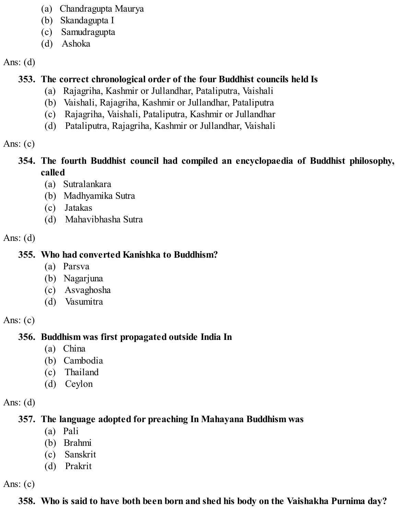- (a) Chandragupta Maurya
- (b) Skandagupta I
- (c) Samudragupta
- (d) Ashoka

### **353. The correct chronological order of the four Buddhist councils held Is**

- (a) Rajagriha, Kashmir or Jullandhar, Pataliputra, Vaishali
- (b) Vaishali, Rajagriha, Kashmir or Jullandhar, Pataliputra
- (c) Rajagriha, Vaishali, Pataliputra, Kashmir or Jullandhar
- (d) Pataliputra, Rajagriha, Kashmir or Jullandhar, Vaishali

#### Ans:  $(c)$

#### **354. The fourth Buddhist council had compiled an encyclopaedia of Buddhist philosophy, called**

- (a) Sutralankara
- (b) Madhyamika Sutra
- (c) Jatakas
- (d) Mahavibhasha Sutra

#### Ans:  $(d)$

## **355. Who had converted Kanishka to Buddhism?**

- (a) Parsva
- (b) Nagarjuna
- (c) Asvaghosha
- (d) Vasumitra

### Ans:  $(c)$

## **356. Buddhism was first propagated outside India In**

- (a) China
- (b) Cambodia
- (c) Thailand
- (d) Ceylon

### Ans:  $(d)$

## **357. The language adopted for preaching In Mahayana Buddhism was**

- (a) Pali
- (b) Brahmi
- (c) Sanskrit
- (d) Prakrit

Ans:  $(c)$ 

## **358. Who is said to have both been born and shed his body on the Vaishakha Purnima day?**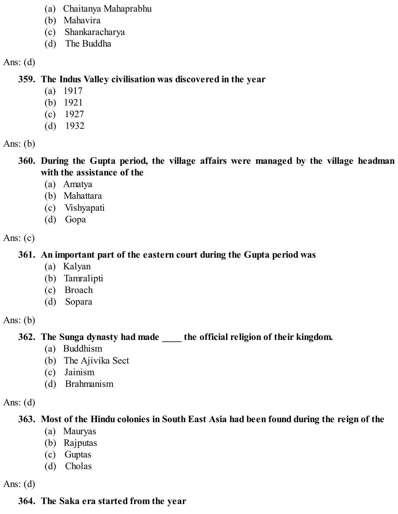- (a) Chaitanya Mahaprabhu
- (b) Mahavira
- (c) Shankaracharya
- (d) The Buddha

#### **359. The Indus Valley civilisation was discovered in the year**

- (a) 1917
- (b) 1921
- (c) 1927
- (d) 1932

Ans: (b)

**360. During the Gupta period, the village affairs were managed by the village headman with the assistance of the**

- (a) Amatya
- (b) Mahattara
- (c) Vishyapati
- (d) Gopa

Ans:  $(c)$ 

## **361. An important part of the eastern court during the Gupta period was**

- (a) Kalyan
- (b) Tamralipti
- (c) Broach
- (d) Sopara

Ans:  $(b)$ 

**362. The Sunga dynasty had made \_\_\_\_ the official religion of their kingdom.**

- (a) Buddhism
- (b) The Ajivika Sect
- (c) Jainism
- (d) Brahmanism

Ans:  $(d)$ 

## **363. Most of the Hindu colonies in South East Asia had been found during the reign of the**

- (a) Mauryas
- (b) Rajputas
- (c) Guptas
- (d) Cholas

Ans:  $(d)$ 

# **364. The Saka era started from the year**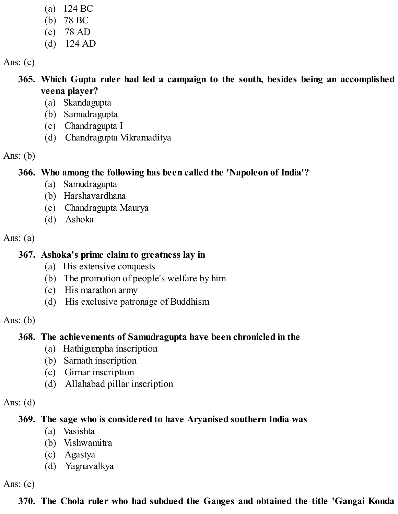- (a) 124 BC (b) 78 BC (c) 78 AD
- (d) 124 AD

Ans:  $(c)$ 

**365. Which Gupta ruler had led a campaign to the south, besides being an accomplished veena player?**

- (a) Skandagupta
- (b) Samudragupta
- (c) Chandragupta I
- (d) Chandragupta Vikramaditya

Ans:  $(b)$ 

### **366. Who among the following has been called the 'Napoleon of India'?**

- (a) Samudragupta
- (b) Harshavardhana
- (c) Chandragupta Maurya
- (d) Ashoka

Ans:  $(a)$ 

#### **367. Ashoka's prime claim to greatness lay in**

- (a) His extensive conquests
- (b) The promotion of people's welfare by him
- (c) His marathon army
- (d) His exclusive patronage of Buddhism

Ans:  $(b)$ 

## **368. The achievements of Samudragupta have been chronicled in the**

- (a) Hathigumpha inscription
- (b) Sarnath inscription
- (c) Girnar inscription
- (d) Allahabad pillar inscription

### Ans:  $(d)$

## **369. The sage who is considered to have Aryanised southern India was**

- (a) Vasishta
- (b) Vishwamitra
- (c) Agastya
- (d) Yagnavalkya

Ans:  $(c)$ 

# **370. The Chola ruler who had subdued the Ganges and obtained the title 'Gangai Konda**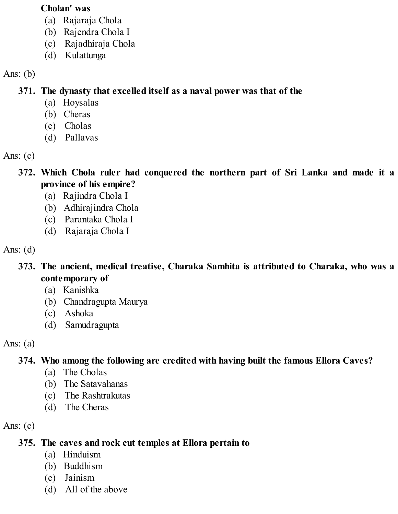#### **Cholan' was**

- (a) Rajaraja Chola
- (b) Rajendra Chola I
- (c) Rajadhiraja Chola
- (d) Kulattunga

### Ans:  $(b)$

**371. The dynasty that excelled itself as a naval power was that of the**

- (a) Hoysalas
- (b) Cheras
- (c) Cholas
- (d) Pallavas

### Ans:  $(c)$

- **372. Which Chola ruler had conquered the northern part of Sri Lanka and made it a province of his empire?**
	- (a) Rajindra Chola I
	- (b) Adhirajindra Chola
	- (c) Parantaka Chola I
	- (d) Rajaraja Chola I

### Ans:  $(d)$

- **373. The ancient, medical treatise, Charaka Samhita is attributed to Charaka, who was a contemporary of**
	- (a) Kanishka
	- (b) Chandragupta Maurya
	- (c) Ashoka
	- (d) Samudragupta
- Ans:  $(a)$

# **374. Who among the following are credited with having built the famous Ellora Caves?**

- (a) The Cholas
- (b) The Satavahanas
- (c) The Rashtrakutas
- (d) The Cheras

Ans:  $(c)$ 

## **375. The caves and rock cut temples at Ellora pertain to**

- (a) Hinduism
- (b) Buddhism
- (c) Jainism
- (d) All of the above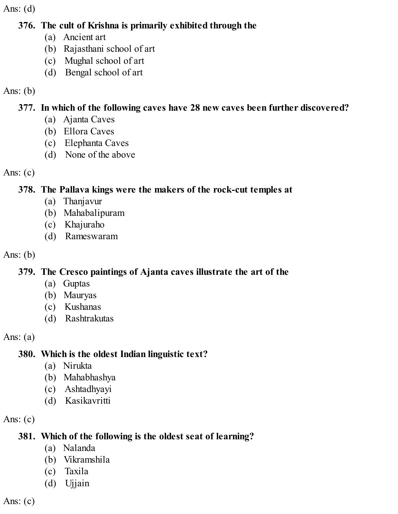#### **376. The cult of Krishna is primarily exhibited through the**

- (a) Ancient art
- (b) Rajasthani school of art
- (c) Mughal school of art
- (d) Bengal school of art

### Ans:  $(b)$

## **377. In which of the following caves have 28 new caves been further discovered?**

- (a) Ajanta Caves
- (b) Ellora Caves
- (c) Elephanta Caves
- (d) None of the above

### Ans:  $(c)$

## **378. The Pallava kings were the makers of the rock-cut temples at**

- (a) Thanjavur
- (b) Mahabalipuram
- (c) Khajuraho
- (d) Rameswaram

## Ans: (b)

## **379. The Cresco paintings of Ajanta caves illustrate the art of the**

- (a) Guptas
- (b) Mauryas
- (c) Kushanas
- (d) Rashtrakutas

## Ans:  $(a)$

# **380. Which is the oldest Indian linguistic text?**

- (a) Nirukta
- (b) Mahabhashya
- (c) Ashtadhyayi
- (d) Kasikavritti

Ans:  $(c)$ 

# **381. Which of the following is the oldest seat of learning?**

- (a) Nalanda
- (b) Vikramshila
- (c) Taxila
- (d) Ujjain

Ans:  $(c)$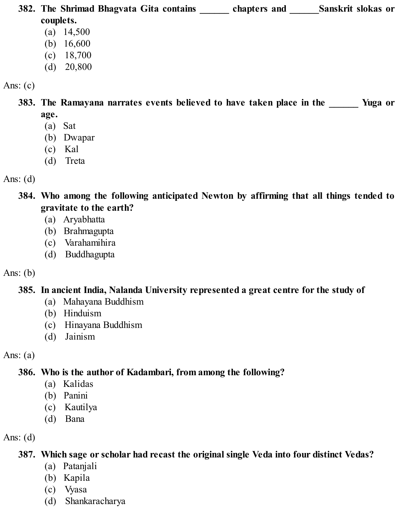**382. The Shrimad Bhagvata Gita contains \_\_\_\_\_\_ chapters and \_\_\_\_\_\_Sanskrit slokas or couplets.** (a) 14,500 (b) 16,600 (c) 18,700

(d) 20,800

Ans:  $(c)$ 

**383. The Ramayana narrates events believed to have taken place in the \_\_\_\_\_\_ Yuga or**

- **age.**
- (a) Sat
- (b) Dwapar
- (c) Kal
- (d) Treta
- Ans:  $(d)$

**384. Who among the following anticipated Newton by affirming that all things tended to gravitate to the earth?**

- (a) Aryabhatta
- (b) Brahmagupta
- (c) Varahamihira
- (d) Buddhagupta

## Ans:  $(b)$

## **385. In ancient India, Nalanda University represented a great centre for the study of**

- (a) Mahayana Buddhism
- (b) Hinduism
- (c) Hinayana Buddhism
- (d) Jainism

Ans:  $(a)$ 

# **386. Who is the author of Kadambari, from among the following?**

- (a) Kalidas
- (b) Panini
- (c) Kautilya
- (d) Bana

Ans: (d)

## **387. Which sage or scholar had recast the original single Veda into four distinct Vedas?**

- (a) Patanjali
- (b) Kapila
- (c) Vyasa
- (d) Shankaracharya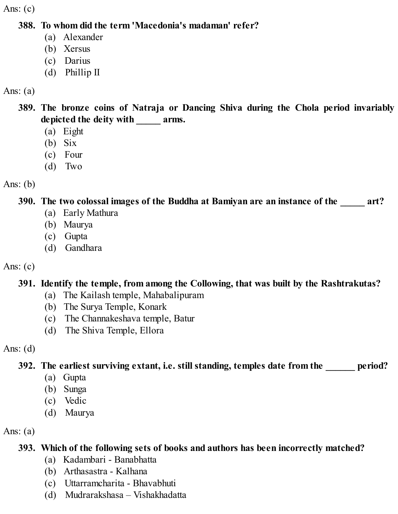Ans:  $(c)$ 

#### **388. To whom did the term 'Macedonia's madaman' refer?**

- (a) Alexander
- (b) Xersus
- (c) Darius
- (d) Phillip II

#### Ans:  $(a)$

- **389. The bronze coins of Natraja or Dancing Shiva during the Chola period invariably depicted the deity with \_\_\_\_\_ arms.**
	- (a) Eight
	- (b) Six
	- (c) Four
	- (d) Two

Ans:  $(b)$ 

### **390. The two colossal images of the Buddha at Bamiyan are an instance of the \_\_\_\_\_ art?**

- (a) Early Mathura
- (b) Maurya
- (c) Gupta
- (d) Gandhara

Ans:  $(c)$ 

## **391. Identify the temple, from among the Collowing, that was built by the Rashtrakutas?**

- (a) The Kailash temple, Mahabalipuram
- (b) The Surya Temple, Konark
- (c) The Channakeshava temple, Batur
- (d) The Shiva Temple, Ellora

### Ans:  $(d)$

**392. The earliest surviving extant, i.e. still standing, temples date from the \_\_\_\_\_\_ period?**

- (a) Gupta
- (b) Sunga
- (c) Vedic
- (d) Maurya

Ans:  $(a)$ 

## **393. Which of the following sets of books and authors has been incorrectly matched?**

- (a) Kadambari Banabhatta
- (b) Arthasastra Kalhana
- (c) Uttarramcharita Bhavabhuti
- (d) Mudrarakshasa Vishakhadatta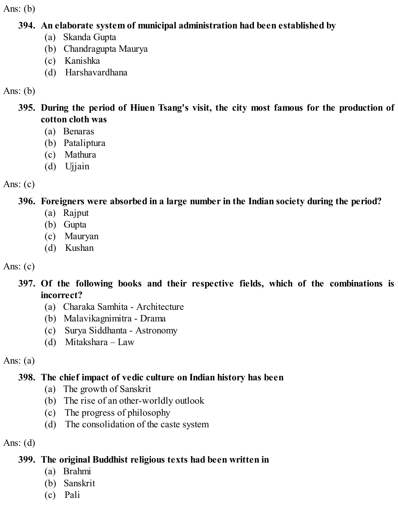Ans:  $(b)$ 

#### **394. An elaborate system of municipal administration had been established by**

- (a) Skanda Gupta
- (b) Chandragupta Maurya
- (c) Kanishka
- (d) Harshavardhana

Ans: (b)

- **395. During the period of Hiuen Tsang's visit, the city most famous for the production of cotton cloth was**
	- (a) Benaras
	- (b) Pataliptura
	- (c) Mathura
	- (d) Ujjain

Ans:  $(c)$ 

# **396. Foreigners were absorbed in a large number in the Indian society during the period?**

- (a) Rajput
- (b) Gupta
- (c) Mauryan
- (d) Kushan

# Ans:  $(c)$

- **397. Of the following books and their respective fields, which of the combinations is incorrect?**
	- (a) Charaka Samhita Architecture
	- (b) Malavikagnimitra Drama
	- (c) Surya Siddhanta Astronomy
	- (d) Mitakshara Law

Ans:  $(a)$ 

# **398. The chief impact of vedic culture on Indian history has been**

- (a) The growth of Sanskrit
- (b) The rise of an other-worldly outlook
- (c) The progress of philosophy
- (d) The consolidation of the caste system

Ans:  $(d)$ 

# **399. The original Buddhist religious texts had been written in**

- (a) Brahmi
- (b) Sanskrit
- (c) Pali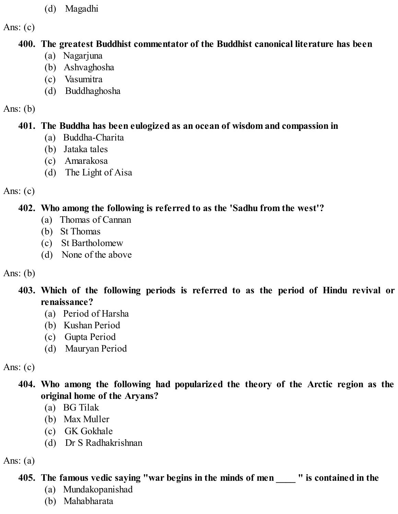(d) Magadhi

Ans:  $(c)$ 

#### **400. The greatest Buddhist commentator of the Buddhist canonical literature has been**

- (a) Nagarjuna
- (b) Ashvaghosha
- (c) Vasumitra
- (d) Buddhaghosha

#### Ans:  $(b)$

### **401. The Buddha has been eulogized as an ocean of wisdom and compassion in**

- (a) Buddha-Charita
- (b) Jataka tales
- (c) Amarakosa
- (d) The Light of Aisa

#### Ans:  $(c)$

### **402. Who among the following is referred to as the 'Sadhu from the west'?**

- (a) Thomas of Cannan
- (b) St Thomas
- (c) St Bartholomew
- (d) None of the above

### Ans:  $(b)$

- **403. Which of the following periods is referred to as the period of Hindu revival or renaissance?**
	- (a) Period of Harsha
	- (b) Kushan Period
	- (c) Gupta Period
	- (d) Mauryan Period

## Ans:  $(c)$

### **404. Who among the following had popularized the theory of the Arctic region as the original home of the Aryans?**

- (a) BG Tilak
- (b) Max Muller
- (c) GK Gokhale
- (d) Dr S Radhakrishnan

## Ans:  $(a)$

# **405. The famous vedic saying "war begins in the minds of men \_\_\_\_ " is contained in the**

- (a) Mundakopanishad
- (b) Mahabharata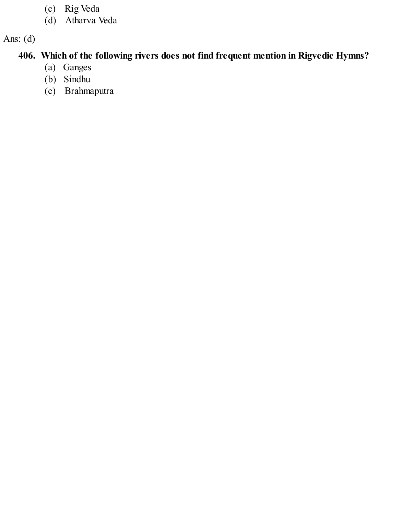- (c) Rig Veda
- (d) Atharva Veda

### **406. Which of the following rivers does not find frequent mention in Rigvedic Hymns?**

- (a) Ganges
- (b) Sindhu
- (c) Brahmaputra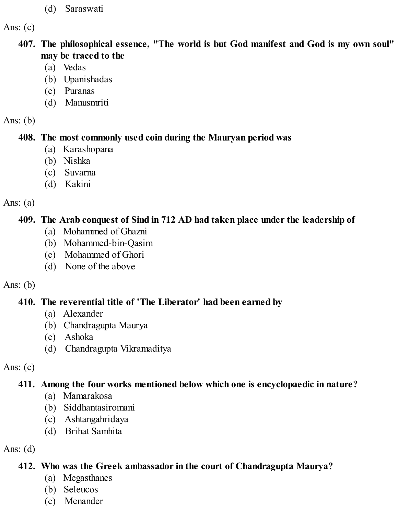(d) Saraswati

Ans:  $(c)$ 

**407. The philosophical essence, "The world is but God manifest and God is my own soul" may be traced to the**

- (a) Vedas
- (b) Upanishadas
- (c) Puranas
- (d) Manusmriti

Ans:  $(b)$ 

### **408. The most commonly used coin during the Mauryan period was**

- (a) Karashopana
- (b) Nishka
- (c) Suvarna
- (d) Kakini

Ans:  $(a)$ 

# **409. The Arab conquest of Sind in 712 AD had taken place under the leadership of**

- (a) Mohammed of Ghazni
- (b) Mohammed-bin-Qasim
- (c) Mohammed of Ghori
- (d) None of the above

# Ans:  $(b)$

# **410. The reverential title of 'The Liberator' had been earned by**

- (a) Alexander
- (b) Chandragupta Maurya
- (c) Ashoka
- (d) Chandragupta Vikramaditya

Ans:  $(c)$ 

# **411. Among the four works mentioned below which one is encyclopaedic in nature?**

- (a) Mamarakosa
- (b) Siddhantasiromani
- (c) Ashtangahridaya
- (d) Brihat Samhita

Ans:  $(d)$ 

# **412. Who was the Greek ambassador in the court of Chandragupta Maurya?**

- (a) Megasthanes
- (b) Seleucos
- (c) Menander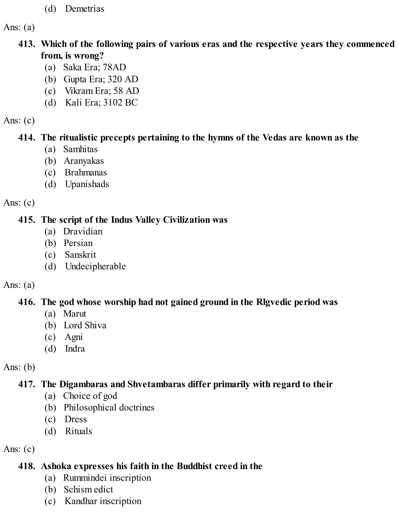(d) Demetrias

Ans:  $(a)$ 

#### **413. Which of the following pairs of various eras and the respective years they commenced from, is wrong?**

- (a) Saka Era; 78AD
- (b) Gupta Era; 320 AD
- (c) Vikram Era; 58 AD
- (d) Kali Era; 3102 BC

#### Ans:  $(c)$

## **414. The ritualistic precepts pertaining to the hymns of the Vedas are known as the**

- (a) Samhitas
- (b) Aranyakas
- (c) Brahmanas
- (d) Upanishads

# Ans:  $(c)$

# **415. The script of the Indus Valley Civilization was**

- (a) Dravidian
- (b) Persian
- (c) Sanskrit
- (d) Undecipherable

# Ans:  $(a)$

# **416. The god whose worship had not gained ground in the Rlgvedic period was**

- (a) Marut
- (b) Lord Shiva
- (c) Agni
- (d) Indra

# Ans:  $(b)$

# **417. The Digambaras and Shvetambaras differ primarily with regard to their**

- (a) Choice of god
- (b) Philosophical doctrines
- (c) Dress
- (d) Rituals

# Ans:  $(c)$

# **418. Ashoka expresses his faith in the Buddhist creed in the**

- (a) Rummindei inscription
- (b) Schism edict
- (c) Kandhar inscription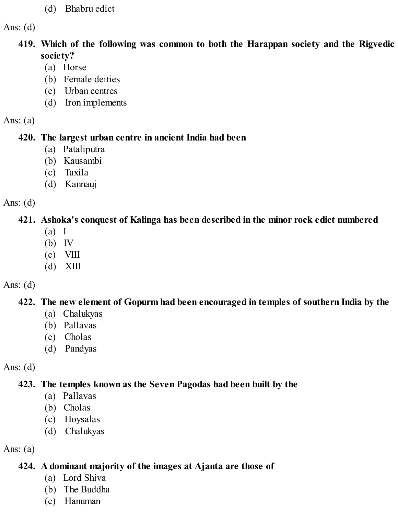(d) Bhabru edict

Ans:  $(d)$ 

#### **419. Which of the following was common to both the Harappan society and the Rigvedic society?**

- (a) Horse
- (b) Female deities
- (c) Urban centres
- (d) Iron implements

Ans:  $(a)$ 

### **420. The largest urban centre in ancient India had been**

- (a) Pataliputra
- (b) Kausambi
- (c) Taxila
- (d) Kannauj

Ans:  $(d)$ 

# **421. Ashoka's conquest of Kalinga has been described in the minor rock edict numbered**

- (a) I
- (b) IV
- $(c)$  VIII
- (d) XIII

# Ans:  $(d)$

# **422. The new element of Gopurm had been encouraged in temples of southern India by the**

- (a) Chalukyas
- (b) Pallavas
- (c) Cholas
- (d) Pandyas

# Ans:  $(d)$

# **423. The temples known as the Seven Pagodas had been built by the**

- (a) Pallavas
- (b) Cholas
- (c) Hoysalas
- (d) Chalukyas

# Ans:  $(a)$

# **424. A dominant majority of the images at Ajanta are those of**

- (a) Lord Shiva
- (b) The Buddha
- (c) Hanuman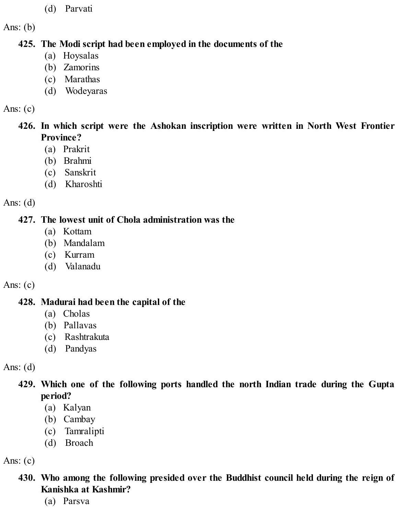(d) Parvati

Ans:  $(b)$ 

#### **425. The Modi script had been employed in the documents of the**

- (a) Hoysalas
- (b) Zamorins
- (c) Marathas
- (d) Wodeyaras

#### Ans: (c)

- **426. In which script were the Ashokan inscription were written in North West Frontier Province?**
	- (a) Prakrit
	- (b) Brahmi
	- (c) Sanskrit
	- (d) Kharoshti

Ans:  $(d)$ 

#### **427. The lowest unit of Chola administration was the**

- (a) Kottam
- (b) Mandalam
- (c) Kurram
- (d) Valanadu

### Ans:  $(c)$

### **428. Madurai had been the capital of the**

- (a) Cholas
- (b) Pallavas
- (c) Rashtrakuta
- (d) Pandyas

Ans:  $(d)$ 

- **429. Which one of the following ports handled the north Indian trade during the Gupta period?**
	- (a) Kalyan
	- (b) Cambay
	- (c) Tamralipti
	- (d) Broach

Ans:  $(c)$ 

## **430. Who among the following presided over the Buddhist council held during the reign of Kanishka at Kashmir?**

(a) Parsva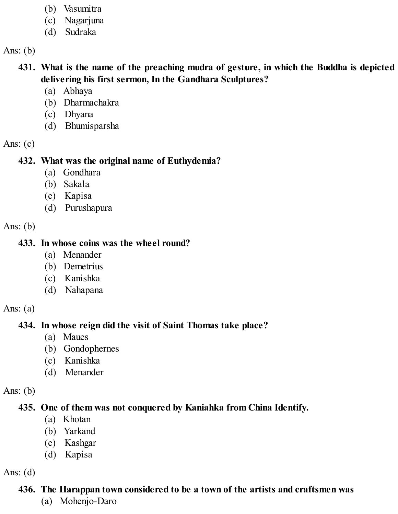- (b) Vasumitra
- (c) Nagarjuna
- (d) Sudraka

Ans:  $(b)$ 

- **431. What is the name of the preaching mudra of gesture, in which the Buddha is depicted delivering his first sermon, In the Gandhara Sculptures?**
	- (a) Abhaya
	- (b) Dharmachakra
	- (c) Dhyana
	- (d) Bhumisparsha

Ans:  $(c)$ 

#### **432. What was the original name of Euthydemia?**

- (a) Gondhara
- (b) Sakala
- (c) Kapisa
- (d) Purushapura

Ans:  $(b)$ 

#### **433. In whose coins was the wheel round?**

- (a) Menander
- (b) Demetrius
- (c) Kanishka
- (d) Nahapana

Ans:  $(a)$ 

# **434. In whose reign did the visit of Saint Thomas take place?**

- (a) Maues
- (b) Gondophernes
- (c) Kanishka
- (d) Menander

Ans:  $(b)$ 

# **435. One of them was not conquered by Kaniahka from China Identify.**

- (a) Khotan
- (b) Yarkand
- (c) Kashgar
- (d) Kapisa

Ans:  $(d)$ 

# **436. The Harappan town considered to be a town of the artists and craftsmen was**

(a) Mohenjo-Daro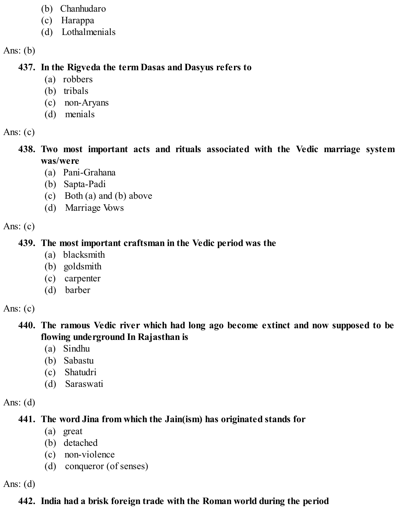- (b) Chanhudaro
- (c) Harappa
- (d) Lothalmenials

Ans:  $(b)$ 

# **437. In the Rigveda the term Dasas and Dasyus refers to**

- (a) robbers
- (b) tribals
- (c) non-Aryans
- (d) menials

Ans:  $(c)$ 

- **438. Two most important acts and rituals associated with the Vedic marriage system was/were**
	- (a) Pani-Grahana
	- (b) Sapta-Padi
	- (c) Both (a) and (b) above
	- (d) Marriage Vows

Ans:  $(c)$ 

# **439. The most important craftsman in the Vedic period was the**

- (a) blacksmith
- (b) goldsmith
- (c) carpenter
- (d) barber

Ans:  $(c)$ 

- **440. The ramous Vedic river which had long ago become extinct and now supposed to be flowing underground In Rajasthan is**
	- (a) Sindhu
	- (b) Sabastu
	- (c) Shatudri
	- (d) Saraswati

Ans:  $(d)$ 

# **441. The word Jina from which the Jain(ism) has originated stands for**

- (a) great
- (b) detached
- (c) non-violence
- (d) conqueror (of senses)

Ans:  $(d)$ 

# **442. India had a brisk foreign trade with the Roman world during the period**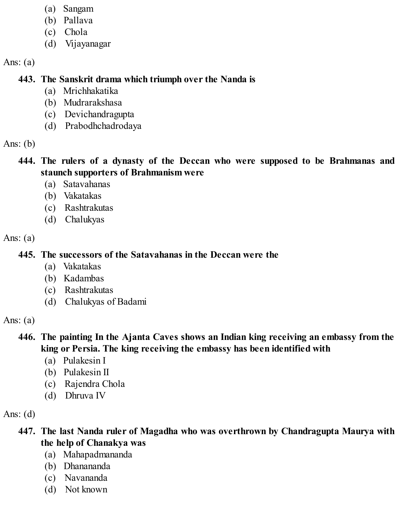- (a) Sangam
- (b) Pallava
- (c) Chola
- (d) Vijayanagar

Ans:  $(a)$ 

#### **443. The Sanskrit drama which triumph over the Nanda is**

- (a) Mrichhakatika
- (b) Mudrarakshasa
- (c) Devichandragupta
- (d) Prabodhchadrodaya

Ans:  $(b)$ 

### **444. The rulers of a dynasty of the Deccan who were supposed to be Brahmanas and staunch supporters of Brahmanism were**

- (a) Satavahanas
- (b) Vakatakas
- (c) Rashtrakutas
- (d) Chalukyas

Ans:  $(a)$ 

# **445. The successors of the Satavahanas in the Deccan were the**

- (a) Vakatakas
- (b) Kadambas
- (c) Rashtrakutas
- (d) Chalukyas of Badami

Ans:  $(a)$ 

## **446. The painting In the Ajanta Caves shows an Indian king receiving an embassy from the king or Persia. The king receiving the embassy has been identified with**

- (a) Pulakesin I
- (b) Pulakesin II
- (c) Rajendra Chola
- (d) Dhruva IV

Ans:  $(d)$ 

# **447. The last Nanda ruler of Magadha who was overthrown by Chandragupta Maurya with the help of Chanakya was**

- (a) Mahapadmananda
- (b) Dhanananda
- (c) Navananda
- (d) Not known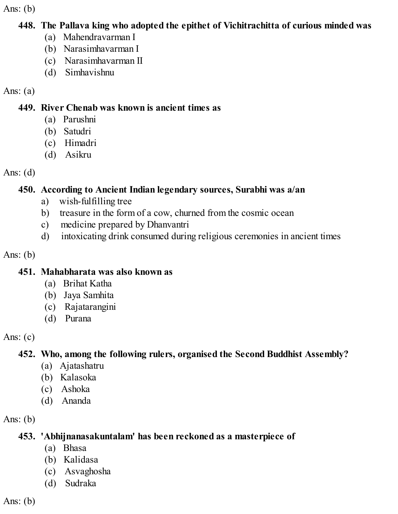Ans:  $(b)$ 

#### **448. The Pallava king who adopted the epithet of Vichitrachitta of curious minded was**

- (a) Mahendravarman I
- (b) Narasimhavarman I
- (c) Narasimhavarman II
- (d) Simhavishnu

## Ans:  $(a)$

### **449. River Chenab was known is ancient times as**

- (a) Parushni
- (b) Satudri
- (c) Himadri
- (d) Asikru

Ans:  $(d)$ 

# **450. According to Ancient Indian legendary sources, Surabhi was a/an**

- a) wish-fulfilling tree
- b) treasure in the form of a cow, churned from the cosmic ocean
- c) medicine prepared by Dhanvantri
- d) intoxicating drink consumed during religious ceremonies in ancient times

Ans:  $(b)$ 

# **451. Mahabharata was also known as**

- (a) Brihat Katha
- (b) Jaya Samhita
- (c) Rajatarangini
- (d) Purana

Ans:  $(c)$ 

# **452. Who, among the following rulers, organised the Second Buddhist Assembly?**

- (a) Ajatashatru
- (b) Kalasoka
- (c) Ashoka
- (d) Ananda

Ans: (b)

# **453. 'Abhijnanasakuntalam' has been reckoned as a masterpiece of**

- (a) Bhasa
- (b) Kalidasa
- (c) Asvaghosha
- (d) Sudraka

Ans:  $(b)$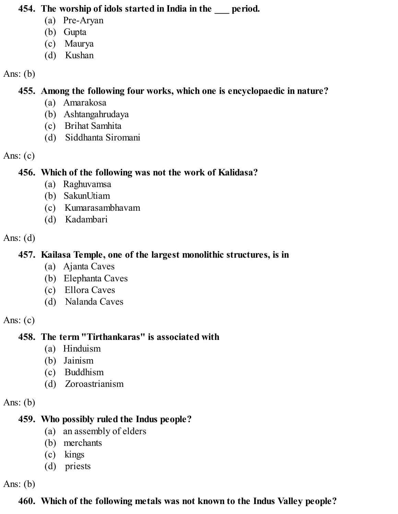#### **454. The worship of idols started in India in the \_\_\_ period.**

- (a) Pre-Aryan
- (b) Gupta
- (c) Maurya
- (d) Kushan

#### Ans:  $(b)$

### **455. Among the following four works, which one is encyclopaedic in nature?**

- (a) Amarakosa
- (b) Ashtangahrudaya
- (c) Brihat Samhita
- (d) Siddhanta Siromani

### Ans:  $(c)$

## **456. Which of the following was not the work of Kalidasa?**

- (a) Raghuvamsa
- (b) SakunUtiam
- (c) Kumarasambhavam
- (d) Kadambari

## Ans:  $(d)$

# **457. Kailasa Temple, one of the largest monolithic structures, is in**

- (a) Ajanta Caves
- (b) Elephanta Caves
- (c) Ellora Caves
- (d) Nalanda Caves

# Ans:  $(c)$

# **458. The term "Tirthankaras" is associated with**

- (a) Hinduism
- (b) Jainism
- (c) Buddhism
- (d) Zoroastrianism

# Ans:  $(b)$

# **459. Who possibly ruled the Indus people?**

- (a) an assembly of elders
- (b) merchants
- (c) kings
- (d) priests

Ans:  $(b)$ 

# **460. Which of the following metals was not known to the Indus Valley people?**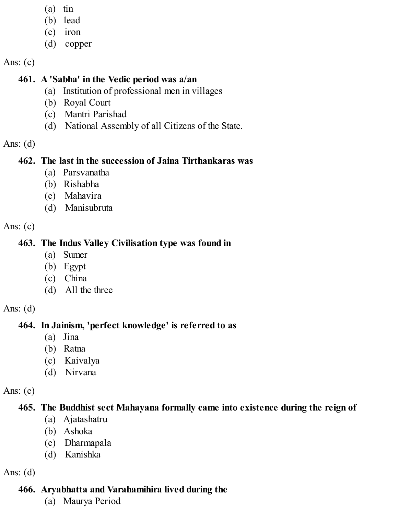- (a) tin
- (b) lead
- (c) iron
- (d) copper

Ans:  $(c)$ 

# **461. A 'Sabha' in the Vedic period was a/an**

- (a) Institution of professional men in villages
- (b) Royal Court
- (c) Mantri Parishad
- (d) National Assembly of all Citizens of the State.

Ans: (d)

# **462. The last in the succession of Jaina Tirthankaras was**

- (a) Parsvanatha
- (b) Rishabha
- (c) Mahavira
- (d) Manisubruta

Ans:  $(c)$ 

# **463. The Indus Valley Civilisation type was found in**

- (a) Sumer
- (b) Egypt
- (c) China
- (d) All the three

Ans:  $(d)$ 

# **464. In Jainism, 'perfect knowledge' is referred to as**

- (a) Jina
- (b) Ratna
- (c) Kaivalya
- (d) Nirvana

Ans:  $(c)$ 

# **465. The Buddhist sect Mahayana formally came into existence during the reign of**

- (a) Ajatashatru
- (b) Ashoka
- (c) Dharmapala
- (d) Kanishka

Ans:  $(d)$ 

# **466. Aryabhatta and Varahamihira lived during the**

(a) Maurya Period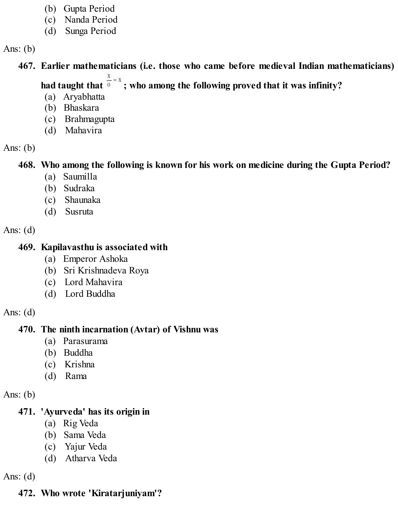- (b) Gupta Period
- (c) Nanda Period
- (d) Sunga Period

Ans:  $(b)$ 

**467. Earlier mathematicians (i.e. those who came before medieval Indian mathematicians)**

had taught that  $\frac{x}{0} = x$ ; who among the following proved that it was infinity?

- (a) Aryabhatta
- (b) Bhaskara
- (c) Brahmagupta
- (d) Mahavira

Ans:  $(b)$ 

**468. Who among the following is known for his work on medicine during the Gupta Period?**

- (a) Saumilla
- (b) Sudraka
- (c) Shaunaka
- (d) Susruta

Ans:  $(d)$ 

## **469. Kapilavasthu is associated with**

- (a) Emperor Ashoka
- (b) Sri Krishnadeva Roya
- (c) Lord Mahavira
- (d) Lord Buddha

Ans:  $(d)$ 

# **470. The ninth incarnation (Avtar) of Vishnu was**

- (a) Parasurama
- (b) Buddha
- (c) Krishna
- (d) Rama

Ans:  $(b)$ 

# **471. 'Ayurveda' has its origin in**

- (a) Rig Veda
- (b) Sama Veda
- (c) Yajur Veda
- (d) Atharva Veda

Ans:  $(d)$ 

# **472. Who wrote 'Kiratarjuniyam'?**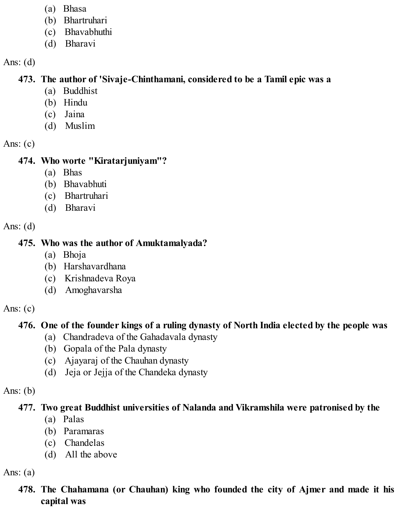- (a) Bhasa
- (b) Bhartruhari
- (c) Bhavabhuthi
- (d) Bharavi

### **473. The author of 'Sivaje-Chinthamani, considered to be a Tamil epic was a**

- (a) Buddhist
- (b) Hindu
- (c) Jaina
- (d) Muslim

Ans:  $(c)$ 

# **474. Who worte "Kiratarjuniyam"?**

- (a) Bhas
- (b) Bhavabhuti
- (c) Bhartruhari
- (d) Bharavi

Ans:  $(d)$ 

# **475. Who was the author of Amuktamalyada?**

- (a) Bhoja
- (b) Harshavardhana
- (c) Krishnadeva Roya
- (d) Amoghavarsha

Ans:  $(c)$ 

# **476. One of the founder kings of a ruling dynasty of North India elected by the people was**

- (a) Chandradeva of the Gahadavala dynasty
- (b) Gopala of the Pala dynasty
- (c) Ajayaraj of the Chauhan dynasty
- (d) Jeja or Jejja of the Chandeka dynasty

# Ans:  $(b)$

# **477. Two great Buddhist universities of Nalanda and Vikramshila were patronised by the**

- (a) Palas
- (b) Paramaras
- (c) Chandelas
- (d) All the above

Ans:  $(a)$ 

# **478. The Chahamana (or Chauhan) king who founded the city of Ajmer and made it his capital was**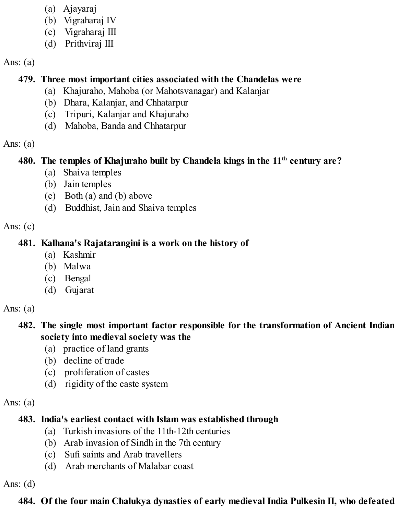- (a) Ajayaraj
- (b) Vigraharaj IV
- (c) Vigraharaj III
- (d) Prithviraj III

### Ans:  $(a)$

# **479. Three most important cities associated with the Chandelas were**

- (a) Khajuraho, Mahoba (or Mahotsvanagar) and Kalanjar
- (b) Dhara, Kalanjar, and Chhatarpur
- (c) Tripuri, Kalanjar and Khajuraho
- (d) Mahoba, Banda and Chhatarpur

### Ans:  $(a)$

## **480. The temples of Khajuraho built by Chandela kings in the 11 th century are?**

- (a) Shaiva temples
- (b) Jain temples
- (c) Both (a) and (b) above
- (d) Buddhist, Jain and Shaiva temples

### Ans:  $(c)$

## **481. Kalhana's Rajatarangini is a work on the history of**

- (a) Kashmir
- (b) Malwa
- (c) Bengal
- (d) Gujarat

Ans:  $(a)$ 

### **482. The single most important factor responsible for the transformation of Ancient Indian society into medieval society was the**

- (a) practice of land grants
- (b) decline of trade
- (c) proliferation of castes
- (d) rigidity of the caste system

### Ans:  $(a)$

# **483. India's earliest contact with Islam was established through**

- (a) Turkish invasions of the 11th-12th centuries
- (b) Arab invasion of Sindh in the 7th century
- (c) Sufi saints and Arab travellers
- (d) Arab merchants of Malabar coast

Ans:  $(d)$ 

# **484. Of the four main Chalukya dynasties of early medieval India Pulkesin II, who defeated**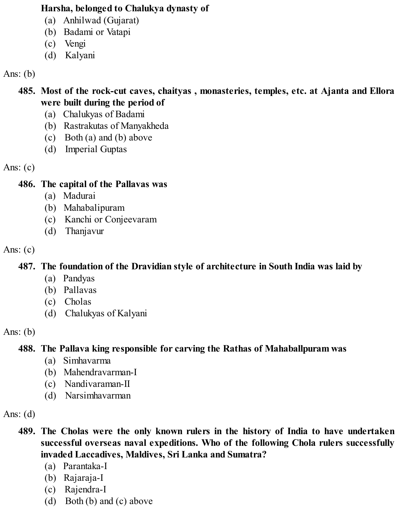#### **Harsha, belonged to Chalukya dynasty of**

- (a) Anhilwad (Gujarat)
- (b) Badami or Vatapi
- (c) Vengi
- (d) Kalyani

Ans:  $(b)$ 

- **485. Most of the rock-cut caves, chaityas , monasteries, temples, etc. at Ajanta and Ellora were built during the period of**
	- (a) Chalukyas of Badami
	- (b) Rastrakutas of Manyakheda
	- (c) Both (a) and (b) above
	- (d) Imperial Guptas

Ans:  $(c)$ 

### **486. The capital of the Pallavas was**

- (a) Madurai
- (b) Mahabalipuram
- (c) Kanchi or Conjeevaram
- (d) Thanjavur

Ans:  $(c)$ 

# **487. The foundation of the Dravidian style of architecture in South India was laid by**

- (a) Pandyas
- (b) Pallavas
- (c) Cholas
- (d) Chalukyas of Kalyani

Ans:  $(b)$ 

# **488. The Pallava king responsible for carving the Rathas of Mahaballpuram was**

- (a) Simhavarma
- (b) Mahendravarman-I
- (c) Nandivaraman-II
- (d) Narsimhavarman

Ans:  $(d)$ 

- **489. The Cholas were the only known rulers in the history of India to have undertaken successful overseas naval expeditions. Who of the following Chola rulers successfully invaded Laccadives, Maldives, Sri Lanka and Sumatra?**
	- (a) Parantaka-I
	- (b) Rajaraja-I
	- (c) Rajendra-I
	- (d) Both (b) and (c) above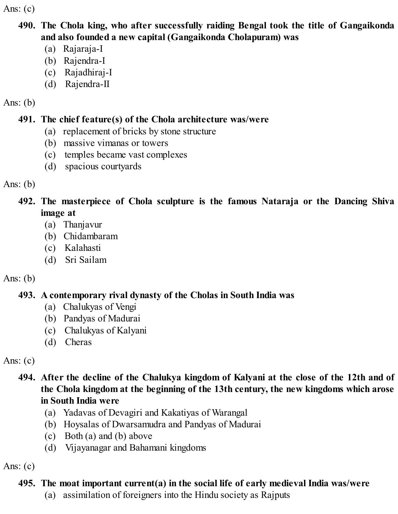Ans:  $(c)$ 

- **490. The Chola king, who after successfully raiding Bengal took the title of Gangaikonda and also founded a new capital (Gangaikonda Cholapuram) was**
	- (a) Rajaraja-I
	- (b) Rajendra-I
	- (c) Rajadhiraj-I
	- (d) Rajendra-II

### Ans:  $(b)$

# **491. The chief feature(s) of the Chola architecture was/were**

- (a) replacement of bricks by stone structure
- (b) massive vimanas or towers
- (c) temples became vast complexes
- (d) spacious courtyards

Ans:  $(b)$ 

- **492. The masterpiece of Chola sculpture is the famous Nataraja or the Dancing Shiva image at**
	- (a) Thanjavur
	- (b) Chidambaram
	- (c) Kalahasti
	- (d) Sri Sailam

# Ans:  $(b)$

# **493. A contemporary rival dynasty of the Cholas in South India was**

- (a) Chalukyas of Vengi
- (b) Pandyas of Madurai
- (c) Chalukyas of Kalyani
- (d) Cheras

Ans:  $(c)$ 

**494. After the decline of the Chalukya kingdom of Kalyani at the close of the 12th and of the Chola kingdom at the beginning of the 13th century, the new kingdoms which arose in South India were**

- (a) Yadavas of Devagiri and Kakatiyas of Warangal
- (b) Hoysalas of Dwarsamudra and Pandyas of Madurai
- (c) Both (a) and (b) above
- (d) Vijayanagar and Bahamani kingdoms

Ans:  $(c)$ 

# **495. The moat important current(a) in the social life of early medieval India was/were**

(a) assimilation of foreigners into the Hindu society as Rajputs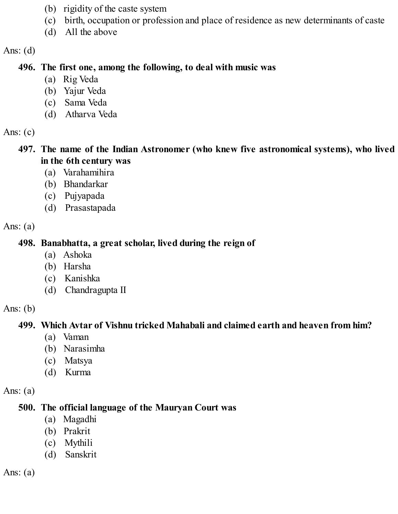- (b) rigidity of the caste system
- (c) birth, occupation or profession and place of residence as new determinants of caste
- (d) All the above

#### **496. The first one, among the following, to deal with music was**

- (a) Rig Veda
- (b) Yajur Veda
- (c) Sama Veda
- (d) Atharva Veda

Ans:  $(c)$ 

- **497. The name of the Indian Astronomer (who knew five astronomical systems), who lived in the 6th century was**
	- (a) Varahamihira
	- (b) Bhandarkar
	- (c) Pujyapada
	- (d) Prasastapada

Ans:  $(a)$ 

#### **498. Banabhatta, a great scholar, lived during the reign of**

- (a) Ashoka
- (b) Harsha
- (c) Kanishka
- (d) Chandragupta II

Ans: (b)

# **499. Which Avtar of Vishnu tricked Mahabali and claimed earth and heaven from him?**

- (a) Vaman
- (b) Narasimha
- (c) Matsya
- (d) Kurma

Ans:  $(a)$ 

### **500. The official language of the Mauryan Court was**

- (a) Magadhi
- (b) Prakrit
- (c) Mythili
- (d) Sanskrit

Ans:  $(a)$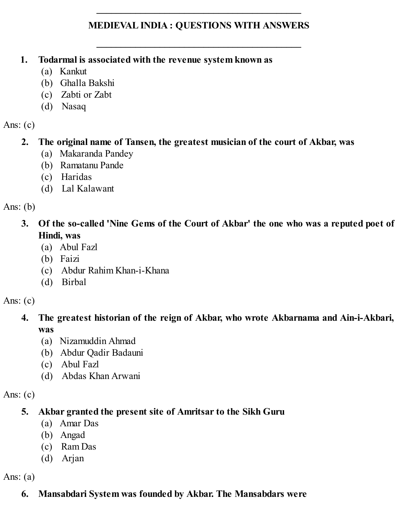#### **MEDIEVAL INDIA : QUESTIONS WITH ANSWERS**

**\_\_\_\_\_\_\_\_\_\_\_\_\_\_\_\_\_\_\_\_\_\_\_\_\_\_\_\_\_\_\_\_\_\_\_\_\_\_\_\_\_\_**

**\_\_\_\_\_\_\_\_\_\_\_\_\_\_\_\_\_\_\_\_\_\_\_\_\_\_\_\_\_\_\_\_\_\_\_\_\_\_\_\_\_\_**

- **1. Todarmal is associated with the revenue system known as**
	- (a) Kankut
	- (b) Ghalla Bakshi
	- (c) Zabti or Zabt
	- (d) Nasaq

Ans:  $(c)$ 

#### **2. The original name of Tansen, the greatest musician of the court of Akbar, was**

- (a) Makaranda Pandey
- (b) Ramatanu Pande
- (c) Haridas
- (d) Lal Kalawant

Ans:  $(b)$ 

- **3. Of the so-called 'Nine Gems of the Court of Akbar' the one who was a reputed poet of Hindi, was**
	- (a) Abul Fazl
	- (b) Faizi
	- (c) Abdur Rahim Khan-i-Khana
	- (d) Birbal

Ans:  $(c)$ 

#### **4. The greatest historian of the reign of Akbar, who wrote Akbarnama and Ain-i-Akbari, was**

- (a) Nizamuddin Ahmad
- (b) Abdur Qadir Badauni
- (c) Abul Fazl
- (d) Abdas Khan Arwani

Ans:  $(c)$ 

### **5. Akbar granted the present site of Amritsar to the Sikh Guru**

- (a) Amar Das
- (b) Angad
- (c) Ram Das
- (d) Arjan

Ans:  $(a)$ 

### **6. Mansabdari System was founded by Akbar. The Mansabdars were**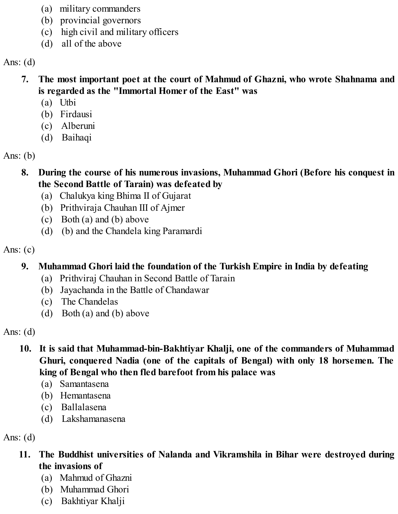- (a) military commanders
- (b) provincial governors
- (c) high civil and military officers
- (d) all of the above

- **7. The most important poet at the court of Mahmud of Ghazni, who wrote Shahnama and is regarded as the "Immortal Homer of the East" was**
	- (a) Utbi
	- (b) Firdausi
	- (c) Alberuni
	- (d) Baihaqi

Ans:  $(b)$ 

- **8. During the course of his numerous invasions, Muhammad Ghori (Before his conquest in the Second Battle of Tarain) was defeated by**
	- (a) Chalukya king Bhima II of Gujarat
	- (b) Prithviraja Chauhan III of Ajmer
	- (c) Both (a) and (b) above
	- (d) (b) and the Chandela king Paramardi

Ans:  $(c)$ 

# **9. Muhammad Ghori laid the foundation of the Turkish Empire in India by defeating**

- (a) Prithviraj Chauhan in Second Battle of Tarain
- (b) Jayachanda in the Battle of Chandawar
- (c) The Chandelas
- (d) Both (a) and (b) above

Ans:  $(d)$ 

- **10. It is said that Muhammad-bin-Bakhtiyar Khalji, one of the commanders of Muhammad Ghuri, conquered Nadia (one of the capitals of Bengal) with only 18 horsemen. The king of Bengal who then fled barefoot from his palace was**
	- (a) Samantasena
	- (b) Hemantasena
	- (c) Ballalasena
	- (d) Lakshamanasena

Ans:  $(d)$ 

- **11. The Buddhist universities of Nalanda and Vikramshila in Bihar were destroyed during the invasions of**
	- (a) Mahmud of Ghazni
	- (b) Muhammad Ghori
	- (c) Bakhtiyar Khalji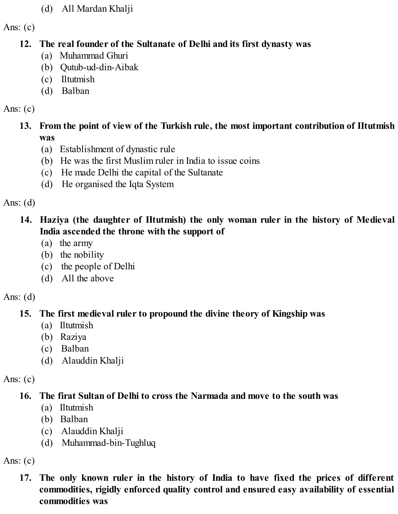(d) All Mardan Khalji

Ans:  $(c)$ 

## **12. The real founder of the Sultanate of Delhi and its first dynasty was**

- (a) Muhammad Ghuri
- (b) Qutub-ud-din-Aibak
- (c) Iltutmish
- (d) Balban

## Ans: (c)

- **13. From the point of view of the Turkish rule, the most important contribution of IItutmish was**
	- (a) Establishment of dynastic rule
	- (b) He was the first Muslim ruler in India to issue coins
	- (c) He made Delhi the capital of the Sultanate
	- (d) He organised the Iqta System

Ans:  $(d)$ 

# **14. Haziya (the daughter of IItutmish) the only woman ruler in the history of Medieval India ascended the throne with the support of**

- (a) the army
- (b) the nobility
- (c) the people of Delhi
- (d) All the above

# Ans:  $(d)$

# **15. The first medieval ruler to propound the divine theory of Kingship was**

- (a) Iltutmish
- (b) Raziya
- (c) Balban
- (d) Alauddin Khalji

Ans:  $(c)$ 

# **16. The firat Sultan of Delhi to cross the Narmada and move to the south was**

- (a) Iltutmish
- (b) Balban
- (c) Alauddin Khalji
- (d) Muhammad-bin-Tughluq

Ans:  $(c)$ 

**17. The only known ruler in the history of India to have fixed the prices of different commodities, rigidly enforced quality control and ensured easy availability of essential commodities was**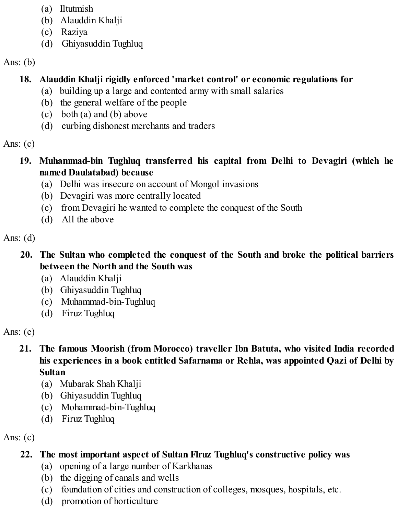- (a) Iltutmish
- (b) Alauddin Khalji
- (c) Raziya
- (d) Ghiyasuddin Tughluq

# Ans:  $(b)$

# **18. Alauddin Khalji rigidly enforced 'market control' or economic regulations for**

- (a) building up a large and contented army with small salaries
- (b) the general welfare of the people
- (c) both (a) and (b) above
- (d) curbing dishonest merchants and traders

# Ans:  $(c)$

- **19. Muhammad-bin Tughluq transferred his capital from Delhi to Devagiri (which he named Daulatabad) because**
	- (a) Delhi was insecure on account of Mongol invasions
	- (b) Devagiri was more centrally located
	- (c) from Devagiri he wanted to complete the conquest of the South
	- (d) All the above

# Ans:  $(d)$

# **20. The Sultan who completed the conquest of the South and broke the political barriers between the North and the South was**

- (a) Alauddin Khalji
- (b) Ghiyasuddin Tughluq
- (c) Muhammad-bin-Tughluq
- (d) Firuz Tughluq

# Ans:  $(c)$

### **21. The famous Moorish (from Morocco) traveller Ibn Batuta, who visited India recorded his experiences in a book entitled Safarnama or Rehla, was appointed Qazi of Delhi by Sultan**

- (a) Mubarak Shah Khalji
- (b) Ghiyasuddin Tughluq
- (c) Mohammad-bin-Tughluq
- (d) Firuz Tughluq

Ans:  $(c)$ 

# **22. The most important aspect of Sultan Flruz Tughluq's constructive policy was**

- (a) opening of a large number of Karkhanas
- (b) the digging of canals and wells
- (c) foundation of cities and construction of colleges, mosques, hospitals, etc.
- (d) promotion of horticulture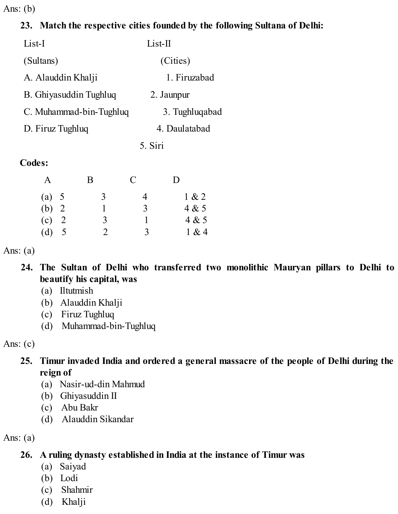Ans: (b)

### **23. Match the respective cities founded by the following Sultana of Delhi:**

| List-I                  | $List-II$      |
|-------------------------|----------------|
| (Sultans)               | (Cities)       |
| A. Alauddin Khalji      | 1. Firuzabad   |
| B. Ghiyasuddin Tughluq  | 2. Jaunpur     |
| C. Muhammad-bin-Tughluq | 3. Tughluqabad |
| D. Firuz Tughluq        | 4. Daulatabad  |
|                         | 5. Siri        |
| <b>Codes:</b>           |                |

# A B C D (a)  $5 \t 3 \t 4 \t 1 \& 2$ (b) 2 1 3 4 & 5 (c) 2 3 1 4 & 5 (d)  $5$  2 3 1 & 4

Ans:  $(a)$ 

- **24. The Sultan of Delhi who transferred two monolithic Mauryan pillars to Delhi to beautify his capital, was**
	- (a) Iltutmish
	- (b) Alauddin Khalji
	- (c) Firuz Tughluq
	- (d) Muhammad-bin-Tughluq

Ans:  $(c)$ 

### **25. Timur invaded India and ordered a general massacre of the people of Delhi during the reign of**

- (a) Nasir-ud-din Mahmud
- (b) Ghiyasuddin II
- (c) Abu Bakr
- (d) Alauddin Sikandar

Ans:  $(a)$ 

# **26. A ruling dynasty established in India at the instance of Timur was**

- (a) Saiyad
- (b) Lodi
- (c) Shahmir
- (d) Khalji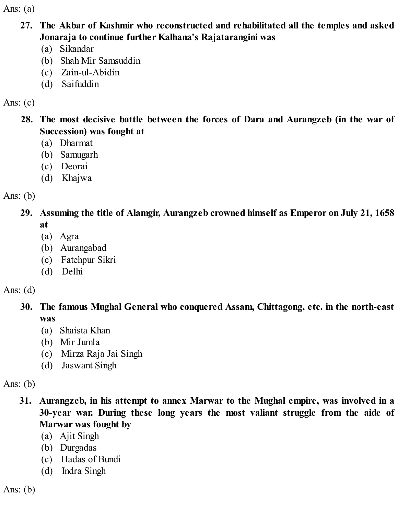Ans:  $(a)$ 

- **27. The Akbar of Kashmir who reconstructed and rehabilitated all the temples and asked Jonaraja to continue further Kalhana's Rajatarangini was**
	- (a) Sikandar
	- (b) Shah Mir Samsuddin
	- (c) Zain-ul-Abidin
	- (d) Saifuddin

Ans:  $(c)$ 

- **28. The most decisive battle between the forces of Dara and Aurangzeb (in the war of Succession) was fought at**
	- (a) Dharmat
	- (b) Samugarh
	- (c) Deorai
	- (d) Khajwa

Ans:  $(b)$ 

**29. Assuming the title of Alamgir, Aurangzeb crowned himself as Emperor on July 21, 1658 at**

- (a) Agra
- (b) Aurangabad
- (c) Fatehpur Sikri
- (d) Delhi

Ans:  $(d)$ 

**30. The famous Mughal General who conquered Assam, Chittagong, etc. in the north-east was**

- (a) Shaista Khan
- (b) Mir Jumla
- (c) Mirza Raja Jai Singh
- (d) Jaswant Singh

Ans:  $(b)$ 

- **31. Aurangzeb, in his attempt to annex Marwar to the Mughal empire, was involved in a 30-year war. During these long years the most valiant struggle from the aide of Marwar was fought by**
	- (a) Ajit Singh
	- (b) Durgadas
	- (c) Hadas of Bundi
	- (d) Indra Singh

Ans:  $(b)$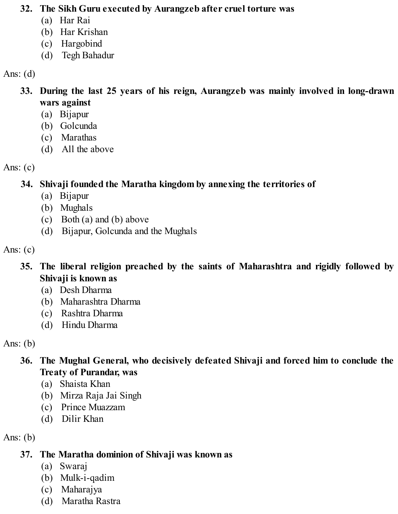#### **32. The Sikh Guru executed by Aurangzeb after cruel torture was**

- (a) Har Rai
- (b) Har Krishan
- (c) Hargobind
- (d) Tegh Bahadur

Ans:  $(d)$ 

- **33. During the last 25 years of his reign, Aurangzeb was mainly involved in long-drawn wars against**
	- (a) Bijapur
	- (b) Golcunda
	- (c) Marathas
	- (d) All the above

Ans:  $(c)$ 

**34. Shivaji founded the Maratha kingdom by annexing the territories of**

- (a) Bijapur
- (b) Mughals
- (c) Both (a) and (b) above
- (d) Bijapur, Golcunda and the Mughals

Ans:  $(c)$ 

- **35. The liberal religion preached by the saints of Maharashtra and rigidly followed by Shivaji is known as**
	- (a) Desh Dharma
	- (b) Maharashtra Dharma
	- (c) Rashtra Dharma
	- (d) Hindu Dharma

Ans:  $(b)$ 

- **36. The Mughal General, who decisively defeated Shivaji and forced him to conclude the Treaty of Purandar, was**
	- (a) Shaista Khan
	- (b) Mirza Raja Jai Singh
	- (c) Prince Muazzam
	- (d) Dilir Khan

Ans:  $(b)$ 

# **37. The Maratha dominion of Shivaji was known as**

- (a) Swaraj
- (b) Mulk-i-qadim
- (c) Maharajya
- (d) Maratha Rastra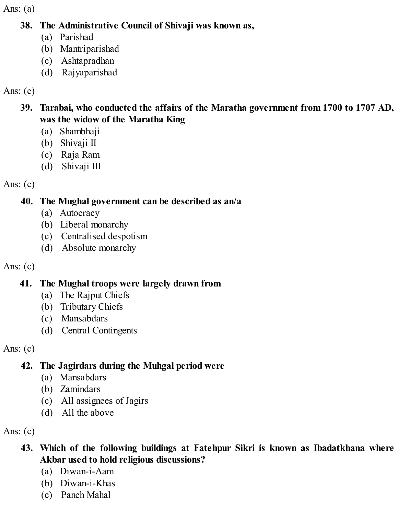Ans:  $(a)$ 

#### **38. The Administrative Council of Shivaji was known as,**

- (a) Parishad
- (b) Mantriparishad
- (c) Ashtapradhan
- (d) Rajyaparishad

## Ans:  $(c)$

### **39. Tarabai, who conducted the affairs of the Maratha government from 1700 to 1707 AD, was the widow of the Maratha King**

- (a) Shambhaji
- (b) Shivaji II
- (c) Raja Ram
- (d) Shivaji III

Ans:  $(c)$ 

## **40. The Mughal government can be described as an/a**

- (a) Autocracy
- (b) Liberal monarchy
- (c) Centralised despotism
- (d) Absolute monarchy

Ans:  $(c)$ 

# **41. The Mughal troops were largely drawn from**

- (a) The Rajput Chiefs
- (b) Tributary Chiefs
- (c) Mansabdars
- (d) Central Contingents

Ans:  $(c)$ 

# **42. The Jagirdars during the Muhgal period were**

- (a) Mansabdars
- (b) Zamindars
- (c) All assignees of Jagirs
- (d) All the above

Ans:  $(c)$ 

- **43. Which of the following buildings at Fatehpur Sikri is known as Ibadatkhana where Akbar used to hold religious discussions?**
	- (a) Diwan-i-Aam
	- (b) Diwan-i-Khas
	- (c) Panch Mahal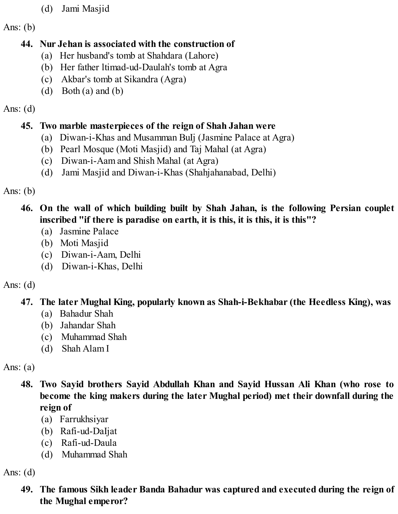- (d) Jami Masjid
- Ans:  $(b)$

## **44. Nur Jehan is associated with the construction of**

- (a) Her husband's tomb at Shahdara (Lahore)
- (b) Her father ltimad-ud-Daulah's tomb at Agra
- (c) Akbar's tomb at Sikandra (Agra)
- (d) Both (a) and (b)

# Ans:  $(d)$

# **45. Two marble masterpieces of the reign of Shah Jahan were**

- (a) Diwan-i-Khas and Musamman BuIj (Jasmine Palace at Agra)
- (b) Pearl Mosque (Moti Masjid) and Taj Mahal (at Agra)
- (c) Diwan-i-Aam and Shish Mahal (at Agra)
- (d) Jami Masjid and Diwan-i-Khas (Shahjahanabad, Delhi)

Ans:  $(b)$ 

# **46. On the wall of which building built by Shah Jahan, is the following Persian couplet inscribed "if there is paradise on earth, it is this, it is this, it is this"?**

- (a) Jasmine Palace
- (b) Moti Masjid
- (c) Diwan-i-Aam, Delhi
- (d) Diwan-i-Khas, Delhi

# Ans:  $(d)$

# **47. The later Mughal King, popularly known as Shah-i-Bekhabar (the Heedless King), was**

- (a) Bahadur Shah
- (b) Jahandar Shah
- (c) Muhammad Shah
- (d) Shah Alam I

Ans:  $(a)$ 

- **48. Two Sayid brothers Sayid Abdullah Khan and Sayid Hussan Ali Khan (who rose to become the king makers during the later Mughal period) met their downfall during the reign of**
	- (a) Farrukhsiyar
	- (b) Rafi-ud-DaIjat
	- (c) Rafi-ud-Daula
	- (d) Muhammad Shah

Ans:  $(d)$ 

## **49. The famous Sikh leader Banda Bahadur was captured and executed during the reign of the Mughal emperor?**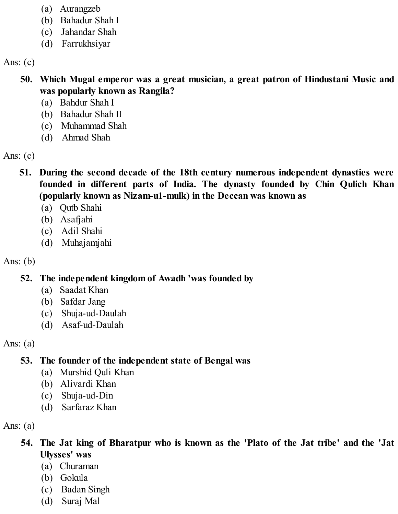- (a) Aurangzeb
- (b) Bahadur Shah I
- (c) Jahandar Shah
- (d) Farrukhsiyar

Ans:  $(c)$ 

- **50. Which Mugal emperor was a great musician, a great patron of Hindustani Music and was popularly known as Rangila?**
	- (a) Bahdur Shah I
	- (b) Bahadur Shah II
	- (c) Muhammad Shah
	- (d) Ahmad Shah

Ans:  $(c)$ 

- **51. During the second decade of the 18th century numerous independent dynasties were founded in different parts of India. The dynasty founded by Chin Qulich Khan (popularly known as Nizam-u1-mulk) in the Deccan was known as**
	- (a) Qutb Shahi
	- (b) Asafjahi
	- (c) Adil Shahi
	- (d) Muhajamjahi

Ans:  $(b)$ 

**52. The independent kingdom of Awadh 'was founded by**

- (a) Saadat Khan
- (b) Safdar Jang
- (c) Shuja-ud-Daulah
- (d) Asaf-ud-Daulah

Ans:  $(a)$ 

# **53. The founder of the independent state of Bengal was**

- (a) Murshid Quli Khan
- (b) Alivardi Khan
- (c) Shuja-ud-Din
- (d) Sarfaraz Khan

Ans:  $(a)$ 

- **54. The Jat king of Bharatpur who is known as the 'Plato of the Jat tribe' and the 'Jat Ulysses' was**
	- (a) Churaman
	- (b) Gokula
	- (c) Badan Singh
	- (d) Suraj Mal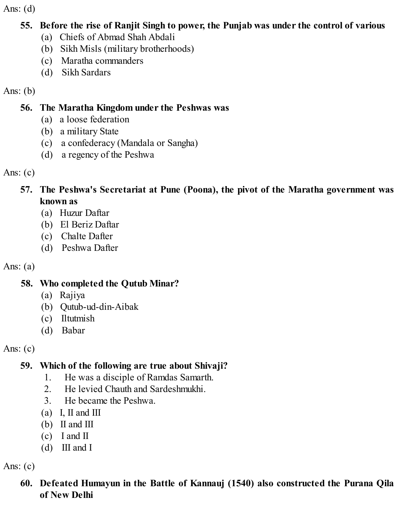#### **55. Before the rise of Ranjit Singh to power, the Punjab was under the control of various**

- (a) Chiefs of Abmad Shah Abdali
- (b) Sikh Misls (military brotherhoods)
- (c) Maratha commanders
- (d) Sikh Sardars

Ans:  $(b)$ 

### **56. The Maratha Kingdom under the Peshwas was**

- (a) a loose federation
- (b) a military State
- (c) a confederacy (Mandala or Sangha)
- (d) a regency of the Peshwa

Ans:  $(c)$ 

#### **57. The Peshwa's Secretariat at Pune (Poona), the pivot of the Maratha government was known as**

- (a) Huzur Daftar
- (b) El Beriz Daftar
- (c) Chalte Dafter
- (d) Peshwa Dafter

Ans:  $(a)$ 

# **58. Who completed the Qutub Minar?**

- (a) Rajiya
- (b) Qutub-ud-din-Aibak
- (c) Iltutmish
- (d) Babar

Ans:  $(c)$ 

# **59. Which of the following are true about Shivaji?**

- 1. He was a disciple of Ramdas Samarth.
- 2. He levied Chauth and Sardeshmukhi.
- 3. He became the Peshwa.
- (a) I, II and III
- (b) II and III
- (c) I and II
- (d) III and I

Ans:  $(c)$ 

**60. Defeated Humayun in the Battle of Kannauj (1540) also constructed the Purana Qila of New Delhi**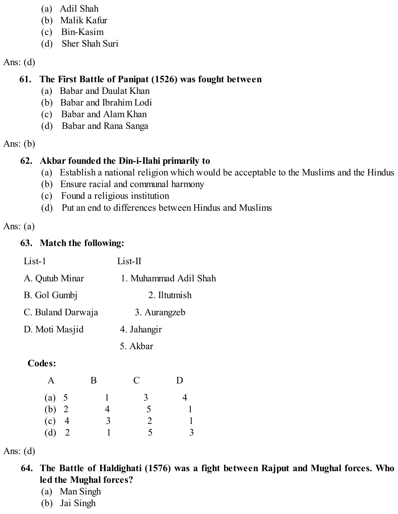- (a) Adil Shah
- (b) Malik Kafur
- (c) Bin-Kasim
- (d) Sher Shah Suri

#### **61. The First Battle of Panipat (1526) was fought between**

- (a) Babar and Daulat Khan
- (b) Babar and Ibrahim Lodi
- (c) Babar and Alam Khan
- (d) Babar and Rana Sanga
- Ans: (b)

### **62. Akbar founded the Din-i-Ilahi primarily to**

- (a) Establish a national religion which would be acceptable to the Muslims and the Hindus
- (b) Ensure racial and communal harmony
- (c) Found a religious institution
- (d) Put an end to differences between Hindus and Muslims

#### Ans:  $(a)$

## **63. Match the following:**

| $List-1$          | $List-II$             |
|-------------------|-----------------------|
| A. Qutub Minar    | 1. Muhammad Adil Shah |
| B. Gol Gumbj      | 2. Iltutmish          |
| C. Buland Darwaja | 3. Aurangzeb          |
| D. Moti Masjid    | 4. Jahangir           |
|                   | 5. Akbar              |
|                   |                       |

# **Codes:**

| $\mathbf{A}$ | B | $\mathbf C$    | D |
|--------------|---|----------------|---|
| (a) 5        |   | 3              |   |
| (b) $2$      | 4 | 5              |   |
| $(c)$ 4      | 3 | $\overline{2}$ |   |
| $(d)$ 2      |   | 5              | 3 |

Ans: (d)

- **64. The Battle of Haldighati (1576) was a fight between Rajput and Mughal forces. Who led the Mughal forces?**
	- (a) Man Singh
	- (b) Jai Singh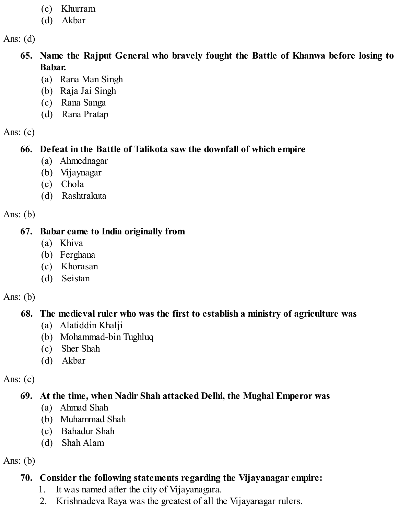- (c) Khurram
- (d) Akbar

- **65. Name the Rajput General who bravely fought the Battle of Khanwa before losing to Babar.**
	- (a) Rana Man Singh
	- (b) Raja Jai Singh
	- (c) Rana Sanga
	- (d) Rana Pratap

Ans:  $(c)$ 

### **66. Defeat in the Battle of Talikota saw the downfall of which empire**

- (a) Ahmednagar
- (b) Vijaynagar
- (c) Chola
- (d) Rashtrakuta

Ans:  $(b)$ 

#### **67. Babar came to India originally from**

- (a) Khiva
- (b) Ferghana
- (c) Khorasan
- (d) Seistan

Ans:  $(b)$ 

# **68. The medieval ruler who was the first to establish a ministry of agriculture was**

- (a) Alatiddin Khalji
- (b) Mohammad-bin Tughluq
- (c) Sher Shah
- (d) Akbar

Ans:  $(c)$ 

# **69. At the time, when Nadir Shah attacked Delhi, the Mughal Emperor was**

- (a) Ahmad Shah
- (b) Muhammad Shah
- (c) Bahadur Shah
- (d) Shah Alam

Ans:  $(b)$ 

# **70. Consider the following statements regarding the Vijayanagar empire:**

- 1. It was named after the city of Vijayanagara.
- 2. Krishnadeva Raya was the greatest of all the Vijayanagar rulers.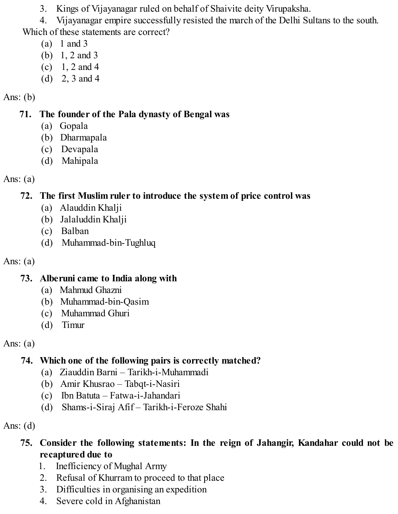3. Kings of Vijayanagar ruled on behalf of Shaivite deity Virupaksha.

4. Vijayanagar empire successfully resisted the march of the Delhi Sultans to the south. Which of these statements are correct?

- (a) 1 and 3
- (b) 1, 2 and 3
- $(c)$  1, 2 and 4
- (d) 2, 3 and 4

# Ans:  $(b)$

# **71. The founder of the Pala dynasty of Bengal was**

- (a) Gopala
- (b) Dharmapala
- (c) Devapala
- (d) Mahipala

# Ans:  $(a)$

# **72. The first Muslim ruler to introduce the system of price control was**

- (a) Alauddin Khalji
- (b) Jalaluddin Khalji
- (c) Balban
- (d) Muhammad-bin-Tughluq

# Ans:  $(a)$

# **73. Alberuni came to India along with**

- (a) Mahmud Ghazni
- (b) Muhammad-bin-Qasim
- (c) Muhammad Ghuri
- (d) Timur

Ans:  $(a)$ 

# **74. Which one of the following pairs is correctly matched?**

- (a) Ziauddin Barni Tarikh-i-Muhammadi
- (b) Amir Khusrao Tabqt-i-Nasiri
- (c) Ibn Batuta Fatwa-i-Jahandari
- (d) Shams-i-Siraj Afif Tarikh-i-Feroze Shahi

Ans:  $(d)$ 

# **75. Consider the following statements: In the reign of Jahangir, Kandahar could not be recaptured due to**

- 1. Inefficiency of Mughal Army
- 2. Refusal of Khurram to proceed to that place
- 3. Difficulties in organising an expedition
- 4. Severe cold in Afghanistan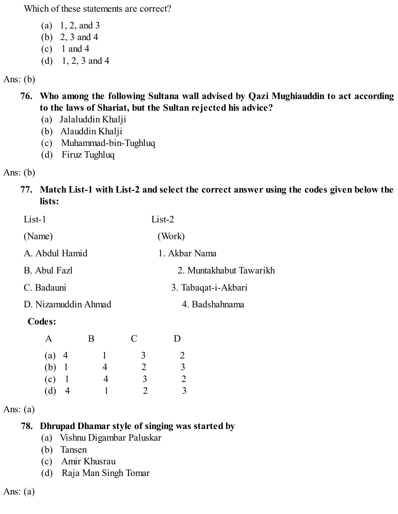Which of these statements are correct?

- (a) 1, 2, and 3
- (b) 2, 3 and 4
- (c) 1 and 4
- (d)  $1, 2, 3$  and 4

#### Ans: (b)

- **76. Who among the following Sultana wall advised by Qazi Mughiauddin to act according to the laws of Shariat, but the Sultan rejected his advice?**
	- (a) Jalaluddin Khalji
	- (b) Alauddin Khalji
	- (c) Muhammad-bin-Tughluq
	- (d) Firuz Tughluq

#### Ans: (b)

#### **77. Match List-1 with List-2 and select the correct answer using the codes given below the lists:**

| $List-1$              | $List-2$                |
|-----------------------|-------------------------|
| (Name)                | (Work)                  |
| A. Abdul Hamid        | 1. Akbar Nama           |
| <b>B.</b> Abul Fazl   | 2. Muntakhabut Tawarikh |
| C. Badauni            | 3. Tabaqat-i-Akbari     |
| D. Nizamuddin Ahmad   | 4. Badshahnama          |
| $\sum_{n=1}^{\infty}$ |                         |

#### **Codes:**

| A       |                | B | $\mathbf C$ | D              |
|---------|----------------|---|-------------|----------------|
| $(a)$ 4 |                |   | 3           | 2              |
| $(b)$ 1 |                | 4 | 2           | $\mathfrak{Z}$ |
| $(c)$ 1 |                | 4 | 3           | 2              |
| (d)     | $\overline{4}$ |   | 2           | 3              |

#### Ans:  $(a)$

### **78. Dhrupad Dhamar style of singing was started by**

- (a) Vishnu Digambar Paluskar
- (b) Tansen
- (c) Amir Khusrau
- (d) Raja Man Singh Tomar

Ans:  $(a)$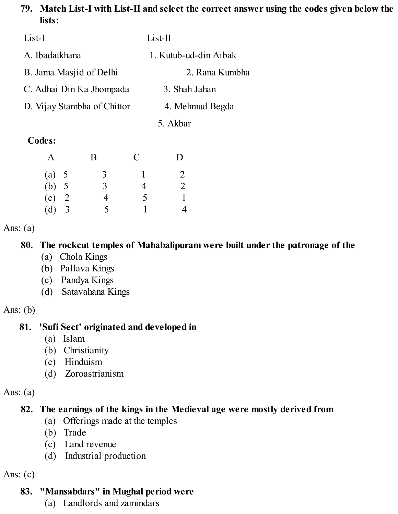#### **79. Match List-I with List-II and select the correct answer using the codes given below the lists:**

| List-I                      | $List-II$             |
|-----------------------------|-----------------------|
| A. Ibadatkhana              | 1. Kutub-ud-din Aibak |
| B. Jama Masjid of Delhi     | 2. Rana Kumbha        |
| C. Adhai Din Ka Jhompada    | 3. Shah Jahan         |
| D. Vijay Stambha of Chittor | 4. Mehmud Begda       |
|                             | 5. Akbar              |

#### **Codes:**

| A       | B              | $\mathcal{C}$ | D |
|---------|----------------|---------------|---|
| (a) 5   | $\mathfrak{Z}$ |               | 2 |
| (b) 5   | 3              | 4             | 2 |
| $(c)$ 2 | 4              | 5             |   |
| (d) 3   | 5              |               | 4 |

#### Ans:  $(a)$

#### **80. The rockcut temples of Mahabalipuram were built under the patronage of the**

- (a) Chola Kings
- (b) Pallava Kings
- (c) Pandya Kings
- (d) Satavahana Kings

Ans:  $(b)$ 

### **81. 'Sufi Sect' originated and developed in**

- (a) Islam
- (b) Christianity
- (c) Hinduism
- (d) Zoroastrianism

#### Ans:  $(a)$

# **82. The earnings of the kings in the Medieval age were mostly derived from**

- (a) Offerings made at the temples
- (b) Trade
- (c) Land revenue
- (d) Industrial production

Ans:  $(c)$ 

### **83. "Mansabdars" in Mughal period were**

(a) Landlords and zamindars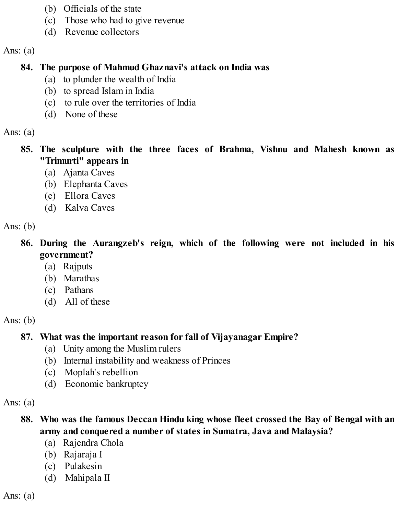- (b) Officials of the state
- (c) Those who had to give revenue
- (d) Revenue collectors

#### Ans:  $(a)$

### **84. The purpose of Mahmud Ghaznavi's attack on India was**

- (a) to plunder the wealth of India
- (b) to spread Islam in India
- (c) to rule over the territories of India
- (d) None of these

### Ans:  $(a)$

- **85. The sculpture with the three faces of Brahma, Vishnu and Mahesh known as "Trimurti" appears in**
	- (a) Ajanta Caves
	- (b) Elephanta Caves
	- (c) Ellora Caves
	- (d) Kalva Caves

## Ans:  $(b)$

- **86. During the Aurangzeb's reign, which of the following were not included in his government?**
	- (a) Rajputs
	- (b) Marathas
	- (c) Pathans
	- (d) All of these

# Ans:  $(b)$

# **87. What was the important reason for fall of Vijayanagar Empire?**

- (a) Unity among the Muslim rulers
- (b) Internal instability and weakness of Princes
- (c) Moplah's rebellion
- (d) Economic bankruptcy

# Ans:  $(a)$

# **88. Who was the famous Deccan Hindu king whose fleet crossed the Bay of Bengal with an army and conquered a number of states in Sumatra, Java and Malaysia?**

- (a) Rajendra Chola
- (b) Rajaraja I
- (c) Pulakesin
- (d) Mahipala II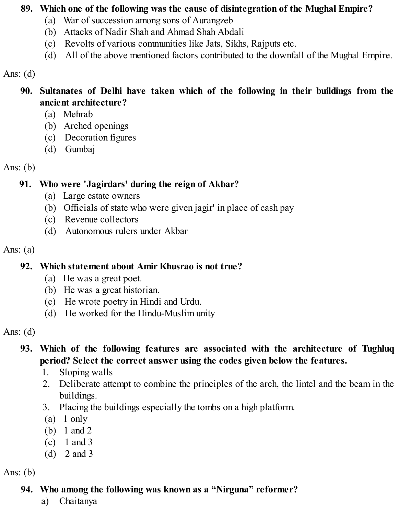#### **89. Which one of the following was the cause of disintegration of the Mughal Empire?**

- (a) War of succession among sons of Aurangzeb
- (b) Attacks of Nadir Shah and Ahmad Shah Abdali
- (c) Revolts of various communities like Jats, Sikhs, Rajputs etc.
- (d) All of the above mentioned factors contributed to the downfall of the Mughal Empire.

Ans:  $(d)$ 

- **90. Sultanates of Delhi have taken which of the following in their buildings from the ancient architecture?**
	- (a) Mehrab
	- (b) Arched openings
	- (c) Decoration figures
	- (d) Gumbaj

Ans:  $(b)$ 

#### **91. Who were 'Jagirdars' during the reign of Akbar?**

- (a) Large estate owners
- (b) Officials of state who were given jagir' in place of cash pay
- (c) Revenue collectors
- (d) Autonomous rulers under Akbar

Ans:  $(a)$ 

### **92. Which statement about Amir Khusrao is not true?**

- (a) He was a great poet.
- (b) He was a great historian.
- (c) He wrote poetry in Hindi and Urdu.
- (d) He worked for the Hindu-Muslim unity

Ans:  $(d)$ 

## **93. Which of the following features are associated with the architecture of Tughluq period? Select the correct answer using the codes given below the features.**

- 1. Sloping walls
- 2. Deliberate attempt to combine the principles of the arch, the lintel and the beam in the buildings.
- 3. Placing the buildings especially the tombs on a high platform.
- (a) 1 only
- (b) 1 and 2
- (c) 1 and 3
- (d) 2 and 3

Ans:  $(b)$ 

# **94. Who among the following was known as a "Nirguna" reformer?**

a) Chaitanya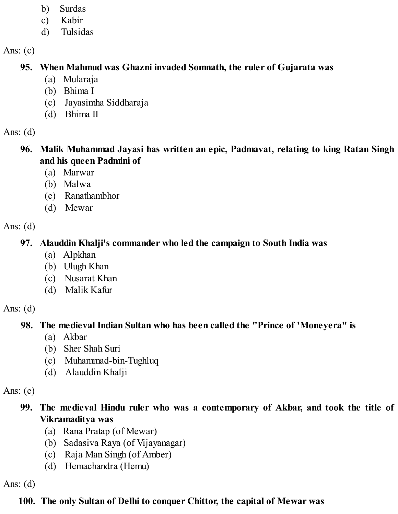- b) Surdas
- c) Kabir
- d) Tulsidas

Ans:  $(c)$ 

# **95. When Mahmud was Ghazni invaded Somnath, the ruler of Gujarata was**

- (a) Mularaja
- (b) Bhima I
- (c) Jayasimha Siddharaja
- (d) Bhima II

Ans:  $(d)$ 

- **96. Malik Muhammad Jayasi has written an epic, Padmavat, relating to king Ratan Singh and his queen Padmini of**
	- (a) Marwar
	- (b) Malwa
	- (c) Ranathambhor
	- (d) Mewar

Ans:  $(d)$ 

# **97. Alauddin Khalji's commander who led the campaign to South India was**

- (a) Alpkhan
- (b) Ulugh Khan
- (c) Nusarat Khan
- (d) Malik Kafur

Ans:  $(d)$ 

# **98. The medieval Indian Sultan who has been called the "Prince of 'Moneyera" is**

- (a) Akbar
- (b) Sher Shah Suri
- (c) Muhammad-bin-Tughluq
- (d) Alauddin Khalji

Ans:  $(c)$ 

- **99. The medieval Hindu ruler who was a contemporary of Akbar, and took the title of Vikramaditya was**
	- (a) Rana Pratap (of Mewar)
	- (b) Sadasiva Raya (of Vijayanagar)
	- (c) Raja Man Singh (of Amber)
	- (d) Hemachandra (Hemu)

Ans:  $(d)$ 

# **100. The only Sultan of Delhi to conquer Chittor, the capital of Mewar was**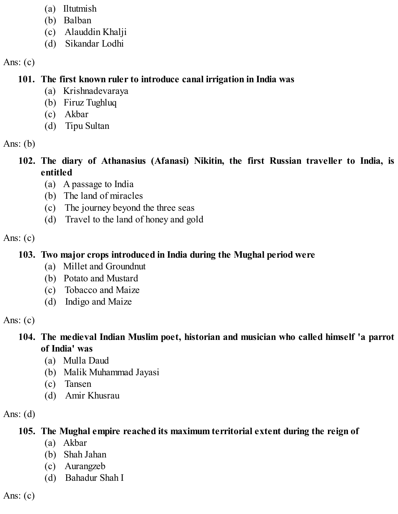- (a) Iltutmish
- (b) Balban
- (c) Alauddin Khalji
- (d) Sikandar Lodhi

#### **101. The first known ruler to introduce canal irrigation in India was**

- (a) Krishnadevaraya
- (b) Firuz Tughluq
- (c) Akbar
- (d) Tipu Sultan

Ans:  $(b)$ 

## **102. The diary of Athanasius (Afanasi) Nikitin, the first Russian traveller to India, is entitled**

- (a) A passage to India
- (b) The land of miracles
- (c) The journey beyond the three seas
- (d) Travel to the land of honey and gold

Ans:  $(c)$ 

## **103. Two major crops introduced in India during the Mughal period were**

- (a) Millet and Groundnut
- (b) Potato and Mustard
- (c) Tobacco and Maize
- (d) Indigo and Maize

Ans:  $(c)$ 

## **104. The medieval Indian Muslim poet, historian and musician who called himself 'a parrot of India' was**

- (a) Mulla Daud
- (b) Malik Muhammad Jayasi
- (c) Tansen
- (d) Amir Khusrau

Ans:  $(d)$ 

## **105. The Mughal empire reached its maximum territorial extent during the reign of**

- (a) Akbar
- (b) Shah Jahan
- (c) Aurangzeb
- (d) Bahadur Shah I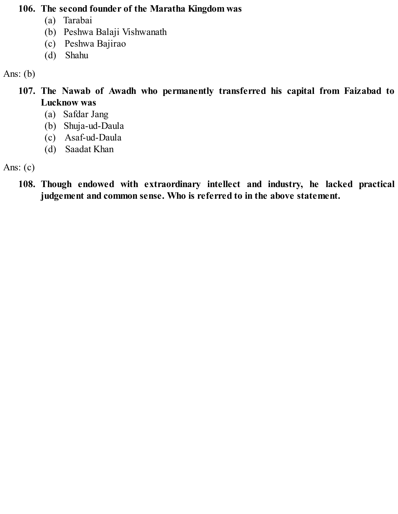#### **106. The second founder of the Maratha Kingdom was**

- (a) Tarabai
- (b) Peshwa Balaji Vishwanath
- (c) Peshwa Bajirao
- (d) Shahu

Ans: (b)

- **107. The Nawab of Awadh who permanently transferred his capital from Faizabad to Lucknow was**
	- (a) Safdar Jang
	- (b) Shuja-ud-Daula
	- (c) Asaf-ud-Daula
	- (d) Saadat Khan

Ans:  $(c)$ 

**108. Though endowed with extraordinary intellect and industry, he lacked practical judgement and common sense. Who is referred to in the above statement.**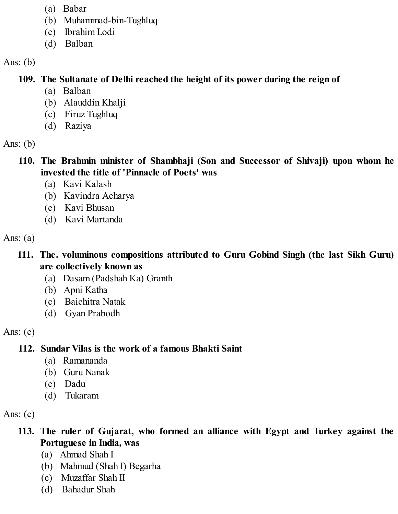- (a) Babar
- (b) Muhammad-bin-Tughluq
- (c) Ibrahim Lodi
- (d) Balban

#### Ans:  $(b)$

## **109. The Sultanate of Delhi reached the height of its power during the reign of**

- (a) Balban
- (b) Alauddin Khalji
- (c) Firuz Tughluq
- (d) Raziya

Ans:  $(b)$ 

- **110. The Brahmin minister of Shambhaji (Son and Successor of Shivaji) upon whom he invested the title of 'Pinnacle of Poets' was**
	- (a) Kavi Kalash
	- (b) Kavindra Acharya
	- (c) Kavi Bhusan
	- (d) Kavi Martanda

Ans:  $(a)$ 

#### **111. The. voluminous compositions attributed to Guru Gobind Singh (the last Sikh Guru) are collectively known as**

- (a) Dasam (Padshah Ka) Granth
- (b) Apni Katha
- (c) Baichitra Natak
- (d) Gyan Prabodh

Ans:  $(c)$ 

# **112. Sundar Vilas is the work of a famous Bhakti Saint**

- (a) Ramananda
- (b) Guru Nanak
- (c) Dadu
- (d) Tukaram

Ans:  $(c)$ 

**113. The ruler of Gujarat, who formed an alliance with Egypt and Turkey against the Portuguese in India, was**

- (a) Ahmad Shah I
- (b) Mahmud (Shah I) Begarha
- (c) Muzaffar Shah II
- (d) Bahadur Shah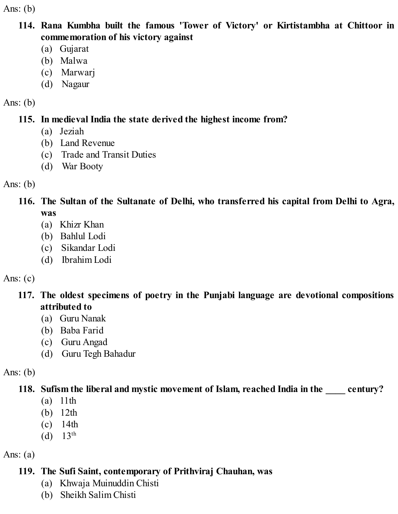Ans:  $(b)$ 

#### **114. Rana Kumbha built the famous 'Tower of Victory' or Kirtistambha at Chittoor in commemoration of his victory against**

- (a) Gujarat
- (b) Malwa
- (c) Marwarj
- (d) Nagaur

#### Ans:  $(b)$

## **115. In medieval India the state derived the highest income from?**

- (a) Jeziah
- (b) Land Revenue
- (c) Trade and Transit Duties
- (d) War Booty

Ans:  $(b)$ 

- **116. The Sultan of the Sultanate of Delhi, who transferred his capital from Delhi to Agra, was**
	- (a) Khizr Khan
	- (b) Bahlul Lodi
	- (c) Sikandar Lodi
	- (d) Ibrahim Lodi

# Ans:  $(c)$

## **117. The oldest specimens of poetry in the Punjabi language are devotional compositions attributed to**

- (a) Guru Nanak
- (b) Baba Farid
- (c) Guru Angad
- (d) Guru Tegh Bahadur

# Ans:  $(b)$

# **118. Sufism the liberal and mystic movement of Islam, reached India in the \_\_\_\_ century?**

- (a) 11th
- (b) 12th
- (c) 14th
- (d)  $13^{th}$

# Ans:  $(a)$

# **119. The Sufi Saint, contemporary of Prithviraj Chauhan, was**

- (a) Khwaja Muinuddin Chisti
- (b) Sheikh Salim Chisti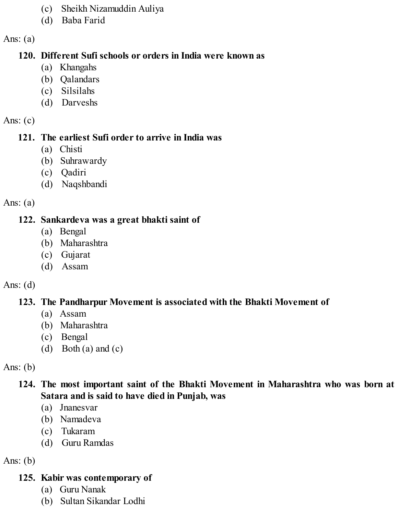- (c) Sheikh Nizamuddin Auliya
- (d) Baba Farid

#### **120. Different Sufi schools or orders in India were known as**

- (a) Khangahs
- (b) Qalandars
- (c) Silsilahs
- (d) Darveshs

#### Ans:  $(c)$

#### **121. The earliest Sufi order to arrive in India was**

- (a) Chisti
- (b) Suhrawardy
- (c) Qadiri
- (d) Naqshbandi

## Ans:  $(a)$

## **122. Sankardeva was a great bhakti saint of**

- (a) Bengal
- (b) Maharashtra
- (c) Gujarat
- (d) Assam

## Ans:  $(d)$

# **123. The Pandharpur Movement is associated with the Bhakti Movement of**

- (a) Assam
- (b) Maharashtra
- (c) Bengal
- (d) Both (a) and (c)

# Ans:  $(b)$

## **124. The most important saint of the Bhakti Movement in Maharashtra who was born at Satara and is said to have died in Punjab, was**

- (a) Jnanesvar
- (b) Namadeva
- (c) Tukaram
- (d) Guru Ramdas

## Ans:  $(b)$

# **125. Kabir was contemporary of**

- (a) Guru Nanak
- (b) Sultan Sikandar Lodhi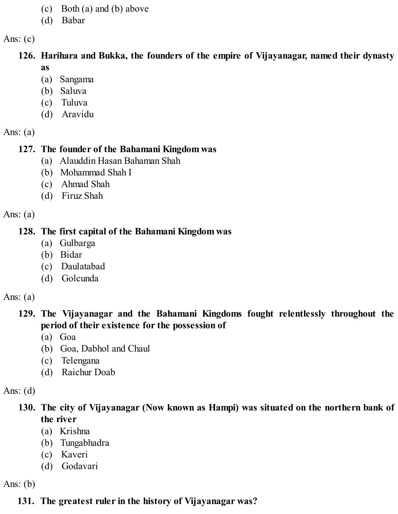- (c) Both (a) and (b) above
- (d) Babar

**126. Harihara and Bukka, the founders of the empire of Vijayanagar, named their dynasty as**

- (a) Sangama
- (b) Saluva
- (c) Tuluva
- (d) Aravidu

Ans:  $(a)$ 

#### **127. The founder of the Bahamani Kingdom was**

- (a) Alauddin Hasan Bahaman Shah
- (b) Mohammad Shah I
- (c) Ahmad Shah
- (d) Firuz Shah

Ans:  $(a)$ 

#### **128. The first capital of the Bahamani Kingdom was**

- (a) Gulbarga
- (b) Bidar
- (c) Daulatabad
- (d) Golcunda

Ans:  $(a)$ 

#### **129. The Vijayanagar and the Bahamani Kingdoms fought relentlessly throughout the period of their existence for the possession of**

- (a) Goa
- (b) Goa, Dabhol and Chaul
- (c) Telengana
- (d) Raichur Doab

Ans:  $(d)$ 

#### **130. The city of Vijayanagar (Now known as Hampi) was situated on the northern bank of the river**

- (a) Krishna
- (b) Tungabhadra
- (c) Kaveri
- (d) Godavari

Ans:  $(b)$ 

## **131. The greatest ruler in the history of Vijayanagar was?**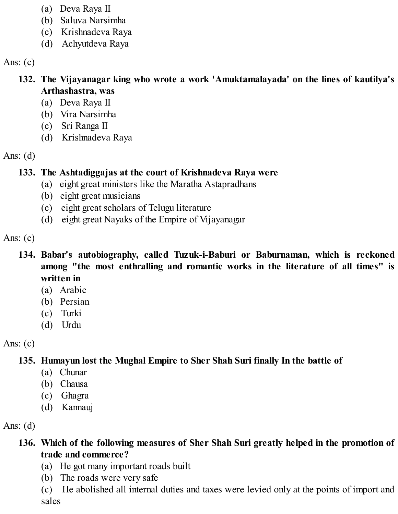- (a) Deva Raya II
- (b) Saluva Narsimha
- (c) Krishnadeva Raya
- (d) Achyutdeva Raya

- **132. The Vijayanagar king who wrote a work 'Amuktamalayada' on the lines of kautilya's Arthashastra, was**
	- (a) Deva Raya II
	- (b) Vira Narsimha
	- (c) Sri Ranga II
	- (d) Krishnadeva Raya

Ans:  $(d)$ 

## **133. The Ashtadiggajas at the court of Krishnadeva Raya were**

- (a) eight great ministers like the Maratha Astapradhans
- (b) eight great musicians
- (c) eight great scholars of Telugu literature
- (d) eight great Nayaks of the Empire of Vijayanagar

Ans:  $(c)$ 

- **134. Babar's autobiography, called Tuzuk-i-Baburi or Baburnaman, which is reckoned among "the most enthralling and romantic works in the literature of all times" is written in**
	- (a) Arabic
	- (b) Persian
	- (c) Turki
	- (d) Urdu

Ans:  $(c)$ 

# **135. Humayun lost the Mughal Empire to Sher Shah Suri finally In the battle of**

- (a) Chunar
- (b) Chausa
- (c) Ghagra
- (d) Kannauj

Ans:  $(d)$ 

## **136. Which of the following measures of Sher Shah Suri greatly helped in the promotion of trade and commerce?**

- (a) He got many important roads built
- (b) The roads were very safe

(c) He abolished all internal duties and taxes were levied only at the points of import and sales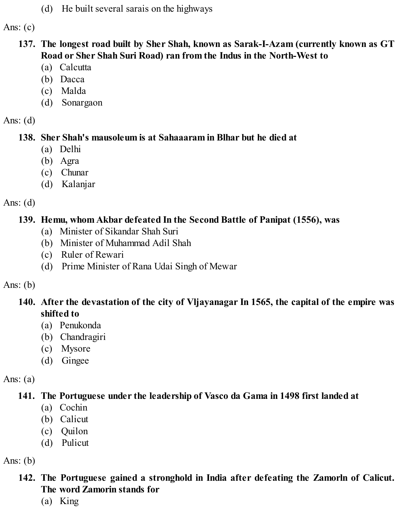(d) He built several sarais on the highways

Ans:  $(c)$ 

- **137. The longest road built by Sher Shah, known as Sarak-I-Azam (currently known as GT Road or Sher Shah Suri Road) ran from the Indus in the North-West to**
	- (a) Calcutta
	- (b) Dacca
	- (c) Malda
	- (d) Sonargaon

Ans:  $(d)$ 

#### **138. Sher Shah's mausoleum is at Sahaaaram in Blhar but he died at**

- (a) Delhi
- (b) Agra
- (c) Chunar
- (d) Kalanjar

Ans:  $(d)$ 

#### **139. Hemu, whom Akbar defeated In the Second Battle of Panipat (1556), was**

- (a) Minister of Sikandar Shah Suri
- (b) Minister of Muhammad Adil Shah
- (c) Ruler of Rewari
- (d) Prime Minister of Rana Udai Singh of Mewar

Ans:  $(b)$ 

## **140. After the devastation of the city of Vljayanagar In 1565, the capital of the empire was shifted to**

- (a) Penukonda
- (b) Chandragiri
- (c) Mysore
- (d) Gingee

Ans:  $(a)$ 

# **141. The Portuguese under the leadership of Vasco da Gama in 1498 first landed at**

- (a) Cochin
- (b) Calicut
- (c) Quilon
- (d) Pulicut

Ans:  $(b)$ 

#### **142. The Portuguese gained a stronghold in India after defeating the Zamorln of Calicut. The word Zamorin stands for**

(a) King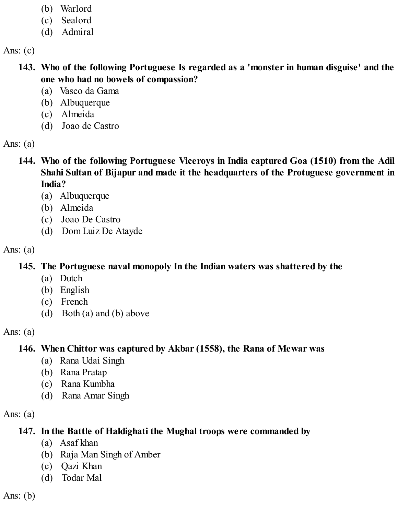- (b) Warlord
- (c) Sealord
- (d) Admiral

- **143. Who of the following Portuguese Is regarded as a 'monster in human disguise' and the one who had no bowels of compassion?**
	- (a) Vasco da Gama
	- (b) Albuquerque
	- (c) Almeida
	- (d) Joao de Castro

Ans:  $(a)$ 

- **144. Who of the following Portuguese Viceroys in India captured Goa (1510) from the Adil Shahi Sultan of Bijapur and made it the headquarters of the Protuguese government in India?**
	- (a) Albuquerque
	- (b) Almeida
	- (c) Joao De Castro
	- (d) Dom Luiz De Atayde

Ans:  $(a)$ 

# **145. The Portuguese naval monopoly In the Indian waters was shattered by the**

- (a) Dutch
- (b) English
- (c) French
- (d) Both (a) and (b) above

Ans:  $(a)$ 

# **146. When Chittor was captured by Akbar (1558), the Rana of Mewar was**

- (a) Rana Udai Singh
- (b) Rana Pratap
- (c) Rana Kumbha
- (d) Rana Amar Singh

Ans:  $(a)$ 

# **147. In the Battle of Haldighati the Mughal troops were commanded by**

- (a) Asaf khan
- (b) Raja Man Singh of Amber
- (c) Qazi Khan
- (d) Todar Mal

Ans:  $(b)$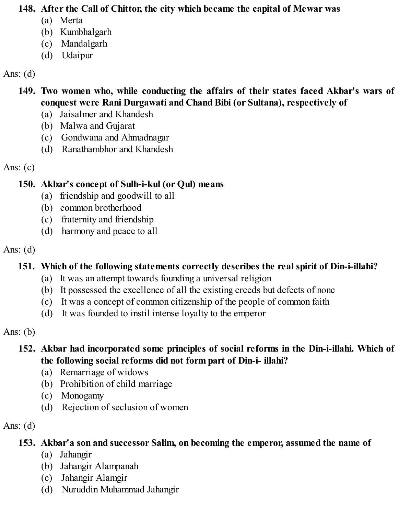#### **148. After the Call of Chittor, the city which became the capital of Mewar was**

- (a) Merta
- (b) Kumbhalgarh
- (c) Mandalgarh
- (d) Udaipur

## Ans:  $(d)$

## **149. Two women who, while conducting the affairs of their states faced Akbar's wars of conquest were Rani Durgawati and Chand Bibi (or Sultana), respectively of**

- (a) Jaisalmer and Khandesh
- (b) Malwa and Gujarat
- (c) Gondwana and Ahmadnagar
- (d) Ranathambhor and Khandesh

Ans:  $(c)$ 

# **150. Akbar's concept of Sulh-i-kul (or Qul) means**

- (a) friendship and goodwill to all
- (b) common brotherhood
- (c) fraternity and friendship
- (d) harmony and peace to all

## Ans:  $(d)$

# **151. Which of the following statements correctly describes the real spirit of Din-i-illahi?**

- (a) It was an attempt towards founding a universal religion
- (b) It possessed the excellence of all the existing creeds but defects of none
- (c) It was a concept of common citizenship of the people of common faith
- (d) It was founded to instil intense loyalty to the emperor

Ans:  $(b)$ 

## **152. Akbar had incorporated some principles of social reforms in the Din-i-illahi. Which of the following social reforms did not form part of Din-i- illahi?**

- (a) Remarriage of widows
- (b) Prohibition of child marriage
- (c) Monogamy
- (d) Rejection of seclusion of women

Ans:  $(d)$ 

# **153. Akbar'a son and successor Salim, on becoming the emperor, assumed the name of**

- (a) Jahangir
- (b) Jahangir Alampanah
- (c) Jahangir Alamgir
- (d) Nuruddin Muhammad Jahangir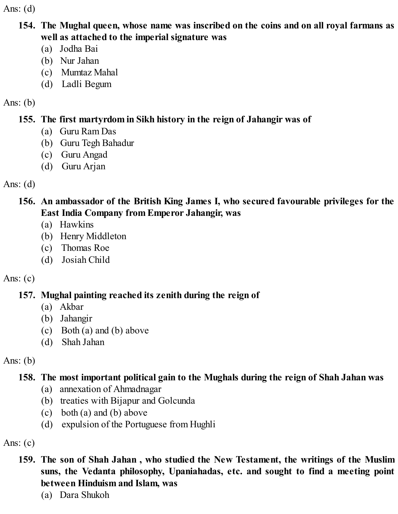Ans:  $(d)$ 

- **154. The Mughal queen, whose name was inscribed on the coins and on all royal farmans as well as attached to the imperial signature was**
	- (a) Jodha Bai
	- (b) Nur Jahan
	- (c) Mumtaz Mahal
	- (d) Ladli Begum

#### Ans: (b)

## **155. The first martyrdom in Sikh history in the reign of Jahangir was of**

- (a) Guru Ram Das
- (b) Guru Tegh Bahadur
- (c) Guru Angad
- (d) Guru Arjan

Ans:  $(d)$ 

**156. An ambassador of the British King James I, who secured favourable privileges for the East India Company from Emperor Jahangir, was**

- (a) Hawkins
- (b) Henry Middleton
- (c) Thomas Roe
- (d) Josiah Child

# Ans:  $(c)$

# **157. Mughal painting reached its zenith during the reign of**

- (a) Akbar
- (b) Jahangir
- (c) Both (a) and (b) above
- (d) Shah Jahan

Ans:  $(b)$ 

# **158. The most important political gain to the Mughals during the reign of Shah Jahan was**

- (a) annexation of Ahmadnagar
- (b) treaties with Bijapur and Golcunda
- (c) both (a) and (b) above
- (d) expulsion of the Portuguese from Hughli

Ans:  $(c)$ 

## **159. The son of Shah Jahan , who studied the New Testament, the writings of the Muslim suns, the Vedanta philosophy, Upaniahadas, etc. and sought to find a meeting point between Hinduism and Islam, was**

(a) Dara Shukoh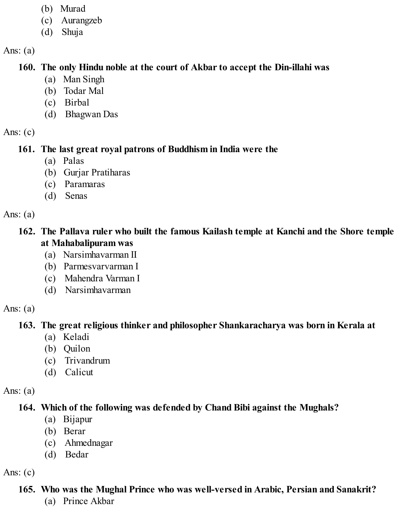- (b) Murad
- (c) Aurangzeb
- (d) Shuja

#### **160. The only Hindu noble at the court of Akbar to accept the Din-illahi was**

- (a) Man Singh
- (b) Todar Mal
- (c) Birbal
- (d) Bhagwan Das

Ans:  $(c)$ 

# **161. The last great royal patrons of Buddhism in India were the**

- (a) Palas
- (b) Gurjar Pratiharas
- (c) Paramaras
- (d) Senas

Ans:  $(a)$ 

#### **162. The Pallava ruler who built the famous Kailash temple at Kanchi and the Shore temple at Mahabalipuram was**

- (a) Narsimhavarman II
- (b) Parmesvarvarman I
- (c) Mahendra Varman I
- (d) Narsimhavarman

Ans:  $(a)$ 

# **163. The great religious thinker and philosopher Shankaracharya was born in Kerala at**

- (a) Keladi
- (b) Quilon
- (c) Trivandrum
- (d) Calicut

Ans:  $(a)$ 

# **164. Which of the following was defended by Chand Bibi against the Mughals?**

- (a) Bijapur
- (b) Berar
- (c) Ahmednagar
- (d) Bedar

Ans:  $(c)$ 

# **165. Who was the Mughal Prince who was well-versed in Arabic, Persian and Sanakrit?**

(a) Prince Akbar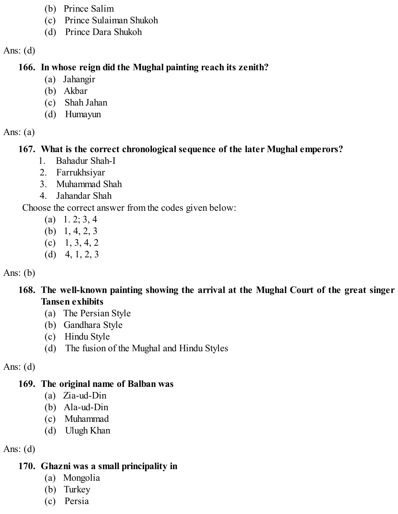- (b) Prince Salim
- (c) Prince Sulaiman Shukoh
- (d) Prince Dara Shukoh

Ans:  $(d)$ 

### **166. In whose reign did the Mughal painting reach its zenith?**

- (a) Jahangir
- (b) Akbar
- (c) Shah Jahan
- (d) Humayun

#### Ans:  $(a)$

# **167. What is the correct chronological sequence of the later Mughal emperors?**

- 1. Bahadur Shah-I
- 2. Farrukhsiyar
- 3. Muhammad Shah
- 4. Jahandar Shah

Choose the correct answer from the codes given below:

- (a)  $1. 2; 3, 4$
- (b) 1, 4, 2, 3
- $(c)$  1, 3, 4, 2
- (d)  $4, 1, 2, 3$

## Ans:  $(b)$

## **168. The well-known painting showing the arrival at the Mughal Court of the great singer Tansen exhibits**

- (a) The Persian Style
- (b) Gandhara Style
- (c) Hindu Style
- (d) The fusion of the Mughal and Hindu Styles

Ans:  $(d)$ 

# **169. The original name of Balban was**

- (a) Zia-ud-Din
- (b) Ala-ud-Din
- (c) Muhammad
- (d) Ulugh Khan

Ans:  $(d)$ 

# **170. Ghazni was a small principality in**

- (a) Mongolia
- (b) Turkey
- (c) Persia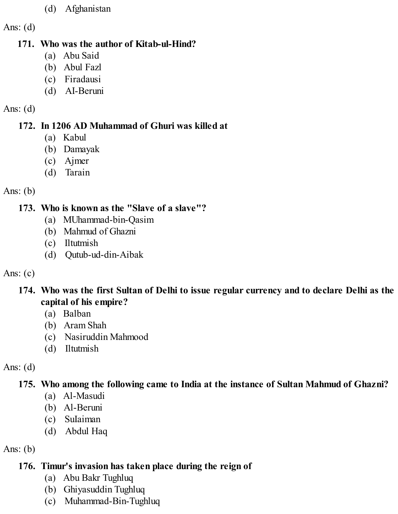#### (d) Afghanistan

Ans:  $(d)$ 

#### **171. Who was the author of Kitab-ul-Hind?**

- (a) Abu Said
- (b) Abul Fazl
- (c) Firadausi
- (d) AI-Beruni

#### Ans: (d)

## **172. In 1206 AD Muhammad of Ghuri was killed at**

- (a) Kabul
- (b) Damayak
- (c) Ajmer
- (d) Tarain

#### Ans: (b)

## **173. Who is known as the "Slave of a slave"?**

- (a) MUhammad-bin-Qasim
- (b) Mahmud of Ghazni
- (c) Iltutmish
- (d) Qutub-ud-din-Aibak

## Ans:  $(c)$

## **174. Who was the first Sultan of Delhi to issue regular currency and to declare Delhi as the capital of his empire?**

- (a) Balban
- (b) Aram Shah
- (c) Nasiruddin Mahmood
- (d) Iltutmish

# Ans:  $(d)$

# **175. Who among the following came to India at the instance of Sultan Mahmud of Ghazni?**

- (a) Al-Masudi
- (b) Al-Beruni
- (c) SuIaiman
- (d) Abdul Haq

# Ans:  $(b)$

# **176. Timur's invasion has taken place during the reign of**

- (a) Abu Bakr Tughluq
- (b) Ghiyasuddin Tughluq
- (c) Muhammad-Bin-Tughluq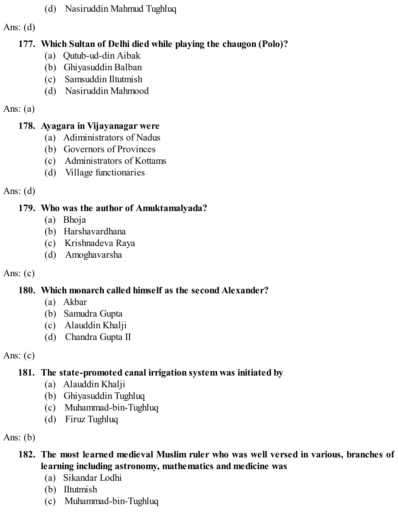(d) Nasiruddin Mahmud Tughluq

Ans:  $(d)$ 

## **177. Which Sultan of Delhi died while playing the chaugon (Polo)?**

- (a) Qutub-ud-din Aibak
- (b) Ghiyasuddin Balban
- (c) Samsuddin Iltutmish
- (d) Nasiruddin Mahmood

## Ans:  $(a)$

# **178. Ayagara in Vijayanagar were**

- (a) Adiministrators of Nadus
- (b) Governors of Provinces
- (c) Administrators of Kottams
- (d) Village functionaries

Ans: (d)

# **179. Who was the author of Amuktamalyada?**

- (a) Bhoja
- (b) Harshavardhana
- (c) Krishnadeva Raya
- (d) Amoghavarsha

# Ans:  $(c)$

# **180. Which monarch called himself as the second Alexander?**

- (a) Akbar
- (b) Samudra Gupta
- (c) Alauddin Khalji
- (d) Chandra Gupta II

Ans: (c)

# **181. The state-promoted canal irrigation system was initiated by**

- (a) Alauddin Khalji
- (b) Ghiyasuddin Tughluq
- (c) Muhammad-bin-Tughluq
- (d) Firuz Tughluq

Ans:  $(b)$ 

## **182. The most learned medieval Muslim ruler who was well versed in various, branches of learning including astronomy, mathematics and medicine was**

- (a) Sikandar Lodhi
- (b) IItutmish
- (c) Muhammad-bin-Tughluq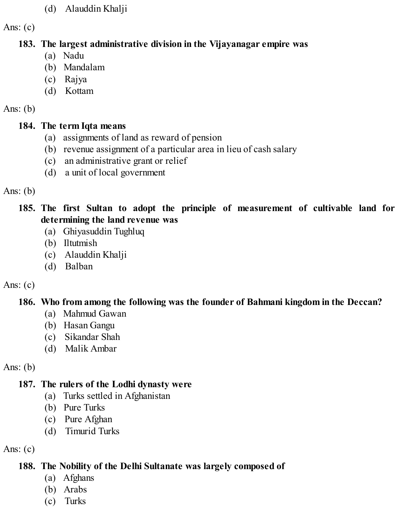#### (d) Alauddin Khalji

Ans:  $(c)$ 

#### **183. The largest administrative division in the Vijayanagar empire was**

- (a) Nadu
- (b) Mandalam
- (c) Rajya
- (d) Kottam

#### Ans: (b)

## **184. The term Iqta means**

- (a) assignments of land as reward of pension
- (b) revenue assignment of a particular area in lieu of cash salary
- (c) an administrative grant or relief
- (d) a unit of local government

## Ans: (b)

**185. The first Sultan to adopt the principle of measurement of cultivable land for determining the land revenue was**

- (a) Ghiyasuddin Tughluq
- (b) Iltutmish
- (c) Alauddin Khalji
- (d) Balban

# Ans:  $(c)$

# **186. Who from among the following was the founder of Bahmani kingdom in the Deccan?**

- (a) Mahmud Gawan
- (b) Hasan Gangu
- (c) Sikandar Shah
- (d) Malik Ambar

# Ans:  $(b)$

# **187. The rulers of the Lodhi dynasty were**

- (a) Turks settled in Afghanistan
- (b) Pure Turks
- (c) Pure Afghan
- (d) Timurid Turks

# Ans:  $(c)$

# **188. The Nobility of the Delhi Sultanate was largely composed of**

- (a) Afghans
- (b) Arabs
- (c) Turks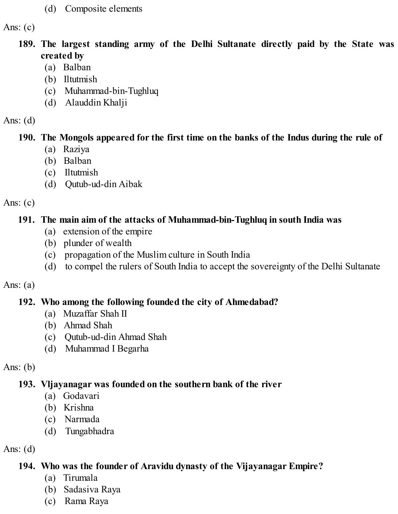(d) Composite elements

Ans:  $(c)$ 

- **189. The largest standing army of the Delhi Sultanate directly paid by the State was created by**
	- (a) Balban
	- (b) Iltutmish
	- (c) Muhammad-bin-Tughluq
	- (d) Alauddin Khalji

#### Ans:  $(d)$

## **190. The Mongols appeared for the first time on the banks of the Indus during the rule of**

- (a) Raziya
- (b) Balban
- (c) Iltutmish
- (d) Qutub-ud-din Aibak

#### Ans:  $(c)$

## **191. The main aim of the attacks of Muhammad-bin-Tughluq in south India was**

- (a) extension of the empire
- (b) plunder of wealth
- (c) propagation of the Muslim culture in South India
- (d) to compel the rulers of South India to accept the sovereignty of the Delhi Sultanate

#### Ans:  $(a)$

## **192. Who among the following founded the city of Ahmedabad?**

- (a) Muzaffar Shah II
- (b) Ahmad Shah
- (c) Qutub-ud-din Ahmad Shah
- (d) Muhammad I Begarha

## Ans:  $(b)$

# **193. Vljayanagar was founded on the southern bank of the river**

- (a) Godavari
- (b) Krishna
- (c) Narmada
- (d) Tungabhadra

# Ans:  $(d)$

# **194. Who was the founder of Aravidu dynasty of the Vijayanagar Empire?**

- (a) Tirumala
- (b) Sadasiva Raya
- (c) Rama Raya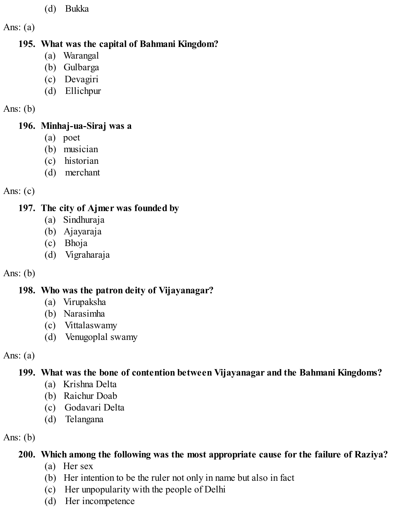- (d) Bukka
- Ans:  $(a)$

## **195. What was the capital of Bahmani Kingdom?**

- (a) Warangal
- (b) Gulbarga
- (c) Devagiri
- (d) Ellichpur

## Ans:  $(b)$

## **196. Minhaj-ua-Siraj was a**

- (a) poet
- (b) musician
- (c) historian
- (d) merchant

# Ans:  $(c)$

# **197. The city of Ajmer was founded by**

- (a) Sindhuraja
- (b) Ajayaraja
- (c) Bhoja
- (d) Vigraharaja

# Ans: (b)

# **198. Who was the patron deity of Vijayanagar?**

- (a) Virupaksha
- (b) Narasimha
- (c) Vittalaswamy
- (d) Venugoplal swamy

# Ans:  $(a)$

# **199. What was the bone of contention between Vijayanagar and the Bahmani Kingdoms?**

- (a) Krishna Delta
- (b) Raichur Doab
- (c) Godavari Delta
- (d) Telangana

# Ans:  $(b)$

# **200. Which among the following was the most appropriate cause for the failure of Raziya?**

- (a) Her sex
- (b) Her intention to be the ruler not only in name but also in fact
- (c) Her unpopularity with the people of Delhi
- (d) Her incompetence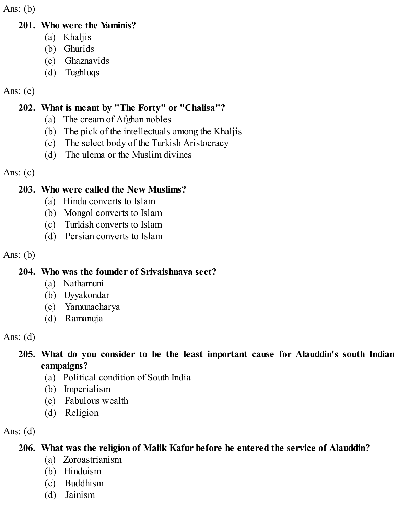Ans:  $(b)$ 

#### **201. Who were the Yaminis?**

- (a) Khaljis
- (b) Ghurids
- (c) Ghaznavids
- (d) Tughluqs

#### Ans:  $(c)$

## **202. What is meant by "The Forty" or "Chalisa"?**

- (a) The cream of Afghan nobles
- (b) The pick of the intellectuals among the Khaljis
- (c) The select body of the Turkish Aristocracy
- (d) The ulema or the Muslim divines

Ans:  $(c)$ 

#### **203. Who were called the New Muslims?**

- (a) Hindu converts to Islam
- (b) Mongol converts to Islam
- (c) Turkish converts to Islam
- (d) Persian converts to Islam

Ans:  $(b)$ 

## **204. Who was the founder of Srivaishnava sect?**

- (a) Nathamuni
- (b) Uyyakondar
- (c) Yamunacharya
- (d) Ramanuja

Ans:  $(d)$ 

## **205. What do you consider to be the least important cause for Alauddin's south Indian campaigns?**

- (a) Political condition of South India
- (b) Imperialism
- (c) Fabulous wealth
- (d) Religion

Ans:  $(d)$ 

# **206. What was the religion of Malik Kafur before he entered the service of Alauddin?**

- (a) Zoroastrianism
- (b) Hinduism
- (c) Buddhism
- (d) Jainism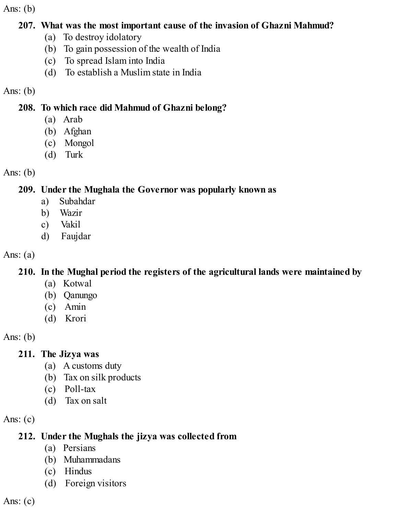Ans: (b)

#### **207. What was the most important cause of the invasion of Ghazni Mahmud?**

- (a) To destroy idolatory
- (b) To gain possession of the wealth of India
- (c) To spread Islam into India
- (d) To establish a Muslim state in India

## Ans:  $(b)$

# **208. To which race did Mahmud of Ghazni belong?**

- (a) Arab
- (b) Afghan
- (c) Mongol
- (d) Turk

# Ans:  $(b)$

# **209. Under the Mughala the Governor was popularly known as**

- a) Subahdar
- b) Wazir
- c) Vakil
- d) Faujdar

# Ans:  $(a)$

# **210. In the Mughal period the registers of the agricultural lands were maintained by**

- (a) Kotwal
- (b) Qanungo
- (c) Amin
- (d) Krori

Ans: (b)

# **211. The Jizya was**

- (a) A customs duty
- (b) Tax on silk products
- (c) Poll-tax
- (d) Tax on salt

Ans:  $(c)$ 

# **212. Under the Mughals the jizya was collected from**

- (a) Persians
- (b) Muhammadans
- (c) Hindus
- (d) Foreign visitors

Ans:  $(c)$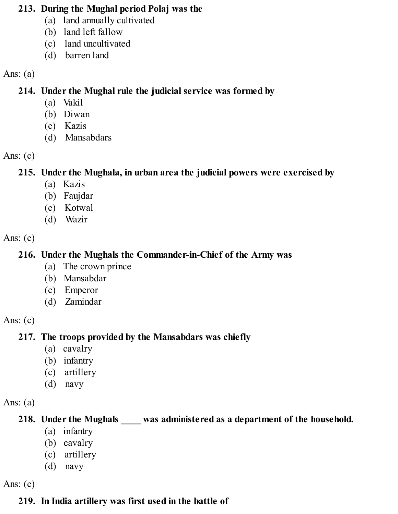#### **213. During the Mughal period Polaj was the**

- (a) land annually cultivated
- (b) land left fallow
- (c) land uncultivated
- (d) barren land

#### Ans:  $(a)$

**214. Under the Mughal rule the judicial service was formed by**

- (a) Vakil
- (b) Diwan
- (c) Kazis
- (d) Mansabdars

#### Ans:  $(c)$

**215. Under the Mughala, in urban area the judicial powers were exercised by**

- (a) Kazis
- (b) Faujdar
- (c) Kotwal
- (d) Wazir

#### Ans:  $(c)$

# **216. Under the Mughals the Commander-in-Chief of the Army was**

- (a) The crown prince
- (b) Mansabdar
- (c) Emperor
- (d) Zamindar

## Ans:  $(c)$

# **217. The troops provided by the Mansabdars was chiefly**

- (a) cavalry
- (b) infantry
- (c) artillery
- (d) navy

## Ans:  $(a)$

# **218. Under the Mughals \_\_\_\_ was administered as a department of the household.**

- (a) infantry
- (b) cavalry
- (c) artillery
- (d) navy

Ans: (c)

# **219. In India artillery was first used in the battle of**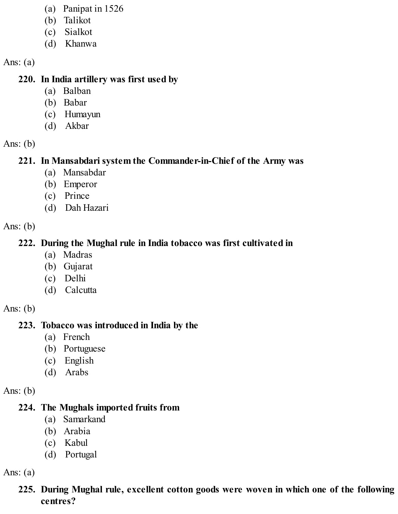- (a) Panipat in 1526
- (b) Talikot
- (c) Sialkot
- (d) Khanwa

#### **220. In India artillery was first used by**

- (a) Balban
- (b) Babar
- (c) Humayun
- (d) Akbar

Ans: (b)

# **221. In Mansabdari system the Commander-in-Chief of the Army was**

- (a) Mansabdar
- (b) Emperor
- (c) Prince
- (d) Dah Hazari

Ans: (b)

# **222. During the Mughal rule in India tobacco was first cultivated in**

- (a) Madras
- (b) Gujarat
- (c) Delhi
- (d) Calcutta

Ans:  $(b)$ 

# **223. Tobacco was introduced in India by the**

- (a) French
- (b) Portuguese
- (c) English
- (d) Arabs

Ans:  $(b)$ 

## **224. The Mughals imported fruits from**

- (a) Samarkand
- (b) Arabia
- (c) Kabul
- (d) Portugal

Ans:  $(a)$ 

## **225. During Mughal rule, excellent cotton goods were woven in which one of the following centres?**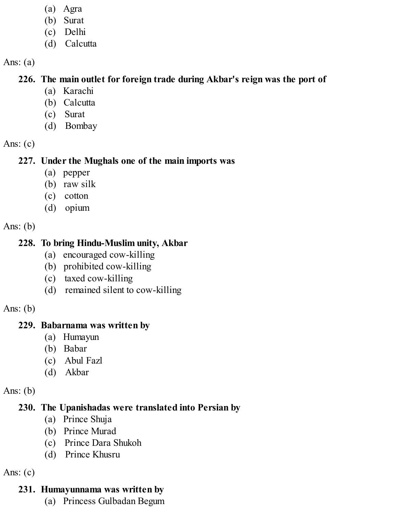- (a) Agra
- (b) Surat
- (c) Delhi
- (d) Calcutta

#### **226. The main outlet for foreign trade during Akbar's reign was the port of**

- (a) Karachi
- (b) Calcutta
- (c) Surat
- (d) Bombay

Ans: (c)

## **227. Under the Mughals one of the main imports was**

- (a) pepper
- (b) raw silk
- (c) cotton
- (d) opium

Ans: (b)

## **228. To bring Hindu-Muslim unity, Akbar**

- (a) encouraged cow-killing
- (b) prohibited cow-killing
- (c) taxed cow-killing
- (d) remained silent to cow-killing

Ans: (b)

#### **229. Babarnama was written by**

- (a) Humayun
- (b) Babar
- (c) Abul Fazl
- (d) Akbar

Ans:  $(b)$ 

## **230. The Upanishadas were translated into Persian by**

- (a) Prince Shuja
- (b) Prince Murad
- (c) Prince Dara Shukoh
- (d) Prince Khusru

Ans:  $(c)$ 

# **231. Humayunnama was written by**

(a) Princess Gulbadan Begum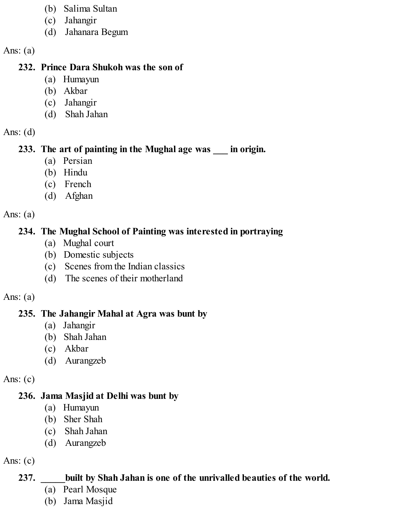- (b) Salima Sultan
- (c) Jahangir
- (d) Jahanara Begum

#### **232. Prince Dara Shukoh was the son of**

- (a) Humayun
- (b) Akbar
- (c) Jahangir
- (d) Shah Jahan
- Ans:  $(d)$

## **233. The art of painting in the Mughal age was \_\_\_ in origin.**

- (a) Persian
- (b) Hindu
- (c) French
- (d) Afghan

Ans:  $(a)$ 

## **234. The Mughal School of Painting was interested in portraying**

- (a) Mughal court
- (b) Domestic subjects
- (c) Scenes from the Indian classics
- (d) The scenes of their motherland

#### Ans:  $(a)$

# **235. The Jahangir Mahal at Agra was bunt by**

- (a) Jahangir
- (b) Shah Jahan
- (c) Akbar
- (d) Aurangzeb

Ans:  $(c)$ 

## **236. Jama Masjid at Delhi was bunt by**

- (a) Humayun
- (b) Sher Shah
- (c) Shah Jahan
- (d) Aurangzeb

Ans:  $(c)$ 

# **237. \_\_\_\_\_built by Shah Jahan is one of the unrivalled beauties of the world.**

- (a) Pearl Mosque
- (b) Jama Masjid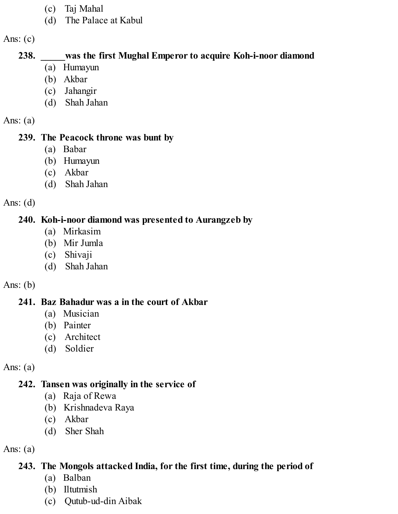- (c) Taj Mahal
- (d) The Palace at Kabul

#### **238. \_\_\_\_\_was the first Mughal Emperor to acquire Koh-i-noor diamond**

- (a) Humayun
- (b) Akbar
- (c) Jahangir
- (d) Shah Jahan

Ans:  $(a)$ 

#### **239. The Peacock throne was bunt by**

- (a) Babar
- (b) Humayun
- (c) Akbar
- (d) Shah Jahan

Ans:  $(d)$ 

## **240. Koh-i-noor diamond was presented to Aurangzeb by**

- (a) Mirkasim
- (b) Mir Jumla
- (c) Shivaji
- (d) Shah Jahan

## Ans:  $(b)$

# **241. Baz Bahadur was a in the court of Akbar**

- (a) Musician
- (b) Painter
- (c) Architect
- (d) Soldier

Ans:  $(a)$ 

# **242. Tansen was originally in the service of**

- (a) Raja of Rewa
- (b) Krishnadeva Raya
- (c) Akbar
- (d) Sher Shah

Ans:  $(a)$ 

# **243. The Mongols attacked India, for the first time, during the period of**

- (a) Balban
- (b) Iltutmish
- (c) Qutub-ud-din Aibak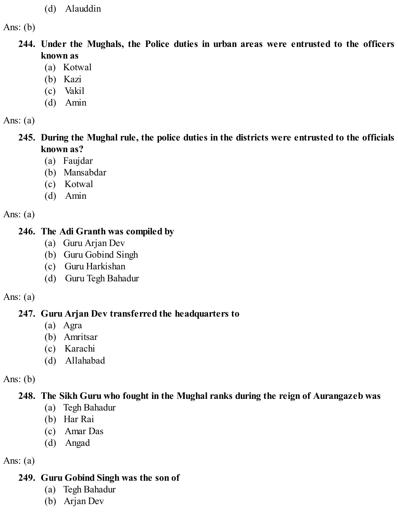(d) Alauddin

Ans:  $(b)$ 

**244. Under the Mughals, the Police duties in urban areas were entrusted to the officers known as**

- (a) Kotwal
- (b) Kazi
- (c) Vakil
- (d) Amin

Ans:  $(a)$ 

**245. During the Mughal rule, the police duties in the districts were entrusted to the officials known as?**

- (a) Faujdar
- (b) Mansabdar
- (c) Kotwal
- (d) Amin

Ans:  $(a)$ 

#### **246. The Adi Granth was compiled by**

- (a) Guru Arjan Dev
- (b) Guru Gobind Singh
- (c) Guru Harkishan
- (d) Guru Tegh Bahadur

#### Ans:  $(a)$

## **247. Guru Arjan Dev transferred the headquarters to**

- (a) Agra
- (b) Amritsar
- (c) Karachi
- (d) Allahabad

Ans: (b)

## **248. The Sikh Guru who fought in the Mughal ranks during the reign of Aurangazeb was**

- (a) Tegh Bahadur
- (b) Har Rai
- (c) Amar Das
- (d) Angad

Ans:  $(a)$ 

#### **249. Guru Gobind Singh was the son of**

- (a) Tegh Bahadur
- (b) Arjan Dev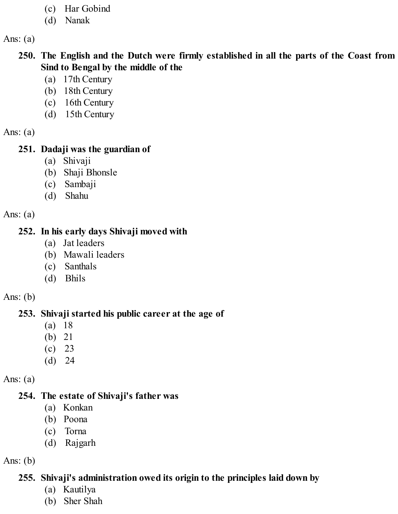- (c) Har Gobind
- (d) Nanak

- **250. The English and the Dutch were firmly established in all the parts of the Coast from Sind to Bengal by the middle of the**
	- (a) 17th Century
	- (b) 18th Century
	- (c) 16th Century
	- (d) 15th Century

Ans:  $(a)$ 

## **251. Dadaji was the guardian of**

- (a) Shivaji
- (b) Shaji Bhonsle
- (c) Sambaji
- (d) Shahu

Ans:  $(a)$ 

#### **252. In his early days Shivaji moved with**

- (a) Jat leaders
- (b) Mawali leaders
- (c) Santhals
- (d) Bhils

Ans:  $(b)$ 

# **253. Shivaji started his public career at the age of**

- (a) 18
- (b) 21
- (c) 23
- (d) 24

Ans:  $(a)$ 

## **254. The estate of Shivaji's father was**

- (a) Konkan
- (b) Poona
- (c) Torna
- (d) Rajgarh

Ans:  $(b)$ 

# **255. Shivaji's administration owed its origin to the principles laid down by**

- (a) Kautilya
- (b) Sher Shah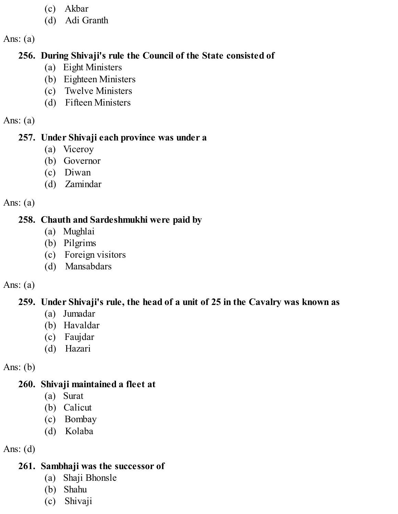- (c) Akbar
- (d) Adi Granth

#### **256. During Shivaji's rule the Council of the State consisted of**

- (a) Eight Ministers
- (b) Eighteen Ministers
- (c) Twelve Ministers
- (d) Fifteen Ministers

#### Ans:  $(a)$

#### **257. Under Shivaji each province was under a**

- (a) Viceroy
- (b) Governor
- (c) Diwan
- (d) Zamindar

#### Ans:  $(a)$

## **258. Chauth and Sardeshmukhi were paid by**

- (a) Mughlai
- (b) Pilgrims
- (c) Foreign visitors
- (d) Mansabdars

## Ans:  $(a)$

## **259. Under Shivaji's rule, the head of a unit of 25 in the Cavalry was known as**

- (a) Jumadar
- (b) Havaldar
- (c) Faujdar
- (d) Hazari

# Ans:  $(b)$

# **260. Shivaji maintained a fleet at**

- (a) Surat
- (b) Calicut
- (c) Bombay
- (d) Kolaba

# Ans:  $(d)$

# **261. Sambhaji was the successor of**

- (a) Shaji Bhonsle
- (b) Shahu
- (c) Shivaji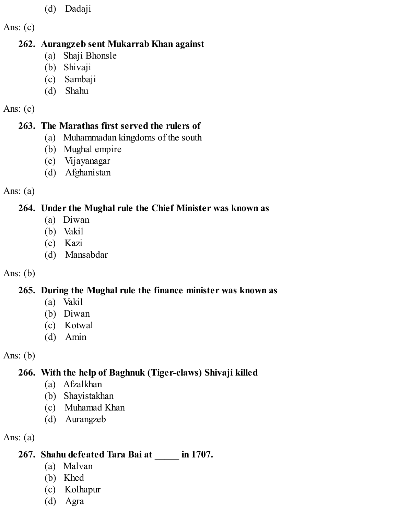(d) Dadaji

Ans: (c)

#### **262. Aurangzeb sent Mukarrab Khan against**

- (a) Shaji Bhonsle
- (b) Shivaji
- (c) Sambaji
- (d) Shahu

#### Ans:  $(c)$

# **263. The Marathas first served the rulers of**

- (a) Muhammadan kingdoms of the south
- (b) Mughal empire
- (c) Vijayanagar
- (d) Afghanistan

## Ans: (a)

# **264. Under the Mughal rule the Chief Minister was known as**

- (a) Diwan
- (b) Vakil
- (c) Kazi
- (d) Mansabdar

# Ans: (b)

# **265. During the Mughal rule the finance minister was known as**

- (a) Vakil
- (b) Diwan
- (c) Kotwal
- (d) Amin

Ans: (b)

# **266. With the help of Baghnuk (Tiger-claws) Shivaji killed**

- (a) Afzalkhan
- (b) Shayistakhan
- (c) Muhamad Khan
- (d) Aurangzeb

Ans: (a)

# **267. Shahu defeated Tara Bai at \_\_\_\_\_ in 1707.**

- (a) Malvan
- (b) Khed
- (c) Kolhapur
- (d) Agra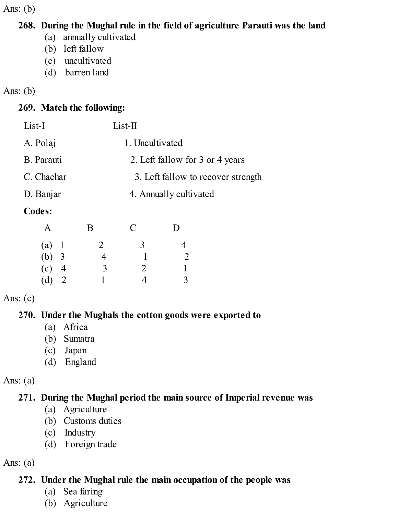Ans: (b)

#### **268. During the Mughal rule in the field of agriculture Parauti was the land**

- (a) annually cultivated
- (b) left fallow
- (c) uncultivated
- (d) barren land

#### Ans: (b)

## **269. Match the following:**

| List-I     | $List-II$                          |
|------------|------------------------------------|
| A. Polaj   | 1. Uncultivated                    |
| B. Parauti | 2. Left fallow for 3 or 4 years    |
| C. Chachar | 3. Left fallow to recover strength |
| D. Banjar  | 4. Annually cultivated             |
|            |                                    |

#### **Codes:**

| A       | Β | $\mathcal{C}$  | I) |
|---------|---|----------------|----|
| (a) 1   | 2 | $\overline{3}$ | 4  |
| (b) $3$ | 4 |                | 2  |
| $(c)$ 4 | 3 | 2              |    |
| $(d)$ 2 |   | 4              | 3  |

#### Ans:  $(c)$

## **270. Under the Mughals the cotton goods were exported to**

- (a) Africa
- (b) Sumatra
- (c) Japan
- (d) England

#### Ans:  $(a)$

# **271. During the Mughal period the main source of Imperial revenue was**

- (a) Agriculture
- (b) Customs duties
- (c) Industry
- (d) Foreign trade

#### Ans:  $(a)$

# **272. Under the Mughal rule the main occupation of the people was**

- (a) Sea faring
- (b) Agriculture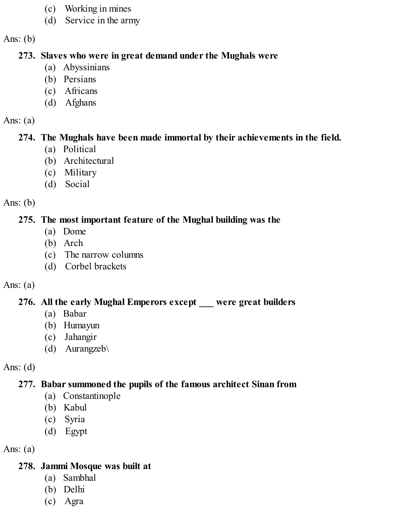- (c) Working in mines
- (d) Service in the army

Ans:  $(b)$ 

#### **273. Slaves who were in great demand under the Mughals were**

- (a) Abyssinians
- (b) Persians
- (c) Africans
- (d) Afghans

#### Ans:  $(a)$

#### **274. The Mughals have been made immortal by their achievements in the field.**

- (a) Political
- (b) Architectural
- (c) Military
- (d) Social

#### Ans:  $(b)$

#### **275. The most important feature of the Mughal building was the**

- (a) Dome
- (b) Arch
- (c) The narrow columns
- (d) Corbel brackets

#### Ans:  $(a)$

#### **276. All the early Mughal Emperors except \_\_\_ were great builders**

- (a) Babar
- (b) Humayun
- (c) Jahangir
- (d) Aurangzeb\

#### Ans:  $(d)$

#### **277. Babar summoned the pupils of the famous architect Sinan from**

- (a) Constantinople
- (b) Kabul
- (c) Syria
- (d) Egypt

## Ans:  $(a)$

#### **278. Jammi Mosque was built at**

- (a) Sambhal
- (b) Delhi
- (c) Agra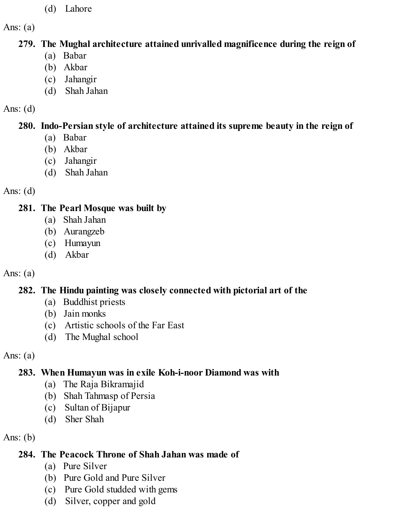(d) Lahore

Ans:  $(a)$ 

### **279. The Mughal architecture attained unrivalled magnificence during the reign of**

- (a) Babar
- (b) Akbar
- (c) Jahangir
- (d) Shah Jahan

## Ans:  $(d)$

# **280. Indo-Persian style of architecture attained its supreme beauty in the reign of**

- (a) Babar
- (b) Akbar
- (c) Jahangir
- (d) Shah Jahan

## Ans:  $(d)$

# **281. The Pearl Mosque was built by**

- (a) Shah Jahan
- (b) Aurangzeb
- (c) Humayun
- (d) Akbar

# Ans:  $(a)$

# **282. The Hindu painting was closely connected with pictorial art of the**

- (a) Buddhist priests
- (b) Jain monks
- (c) Artistic schools of the Far East
- (d) The Mughal school

# Ans:  $(a)$

# **283. When Humayun was in exile Koh-i-noor Diamond was with**

- (a) The Raja Bikramajid
- (b) Shah Tahmasp of Persia
- (c) Sultan of Bijapur
- (d) Sher Shah

# Ans:  $(b)$

# **284. The Peacock Throne of Shah Jahan was made of**

- (a) Pure Silver
- (b) Pure Gold and Pure Silver
- (c) Pure Gold studded with gems
- (d) Silver, copper and gold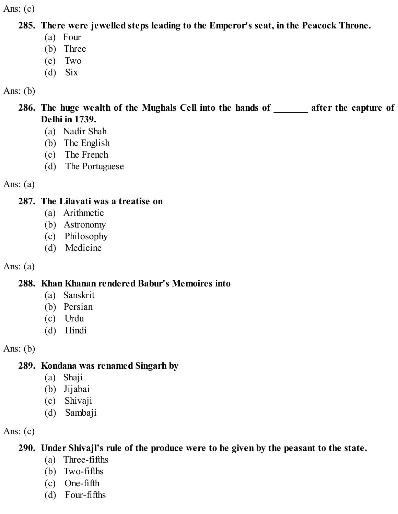**285. There were jewelled steps leading to the Emperor's seat, in the Peacock Throne.**

- (a) Four
- (b) Three
- (c) Two
- (d) Six

## Ans:  $(b)$

**286. The huge wealth of the Mughals Cell into the hands of \_\_\_\_\_\_\_ after the capture of Delhi in 1739.**

- (a) Nadir Shah
- (b) The English
- (c) The French
- (d) The Portuguese

Ans:  $(a)$ 

## **287. The Lilavati was a treatise on**

- (a) Arithmetic
- (b) Astronomy
- (c) Philosophy
- (d) Medicine

# Ans:  $(a)$

# **288. Khan Khanan rendered Babur's Memoires into**

- (a) Sanskrit
- (b) Persian
- (c) Urdu
- (d) Hindi

Ans:  $(b)$ 

# **289. Kondana was renamed Singarh by**

- (a) Shaji
- (b) Jijabai
- (c) Shivaji
- (d) Sambaji

Ans:  $(c)$ 

# **290. Under Shivajl's rule of the produce were to be given by the peasant to the state.**

- (a) Three-fifths
- (b) Two-fifths
- (c) One-fifth
- (d) Four-fifths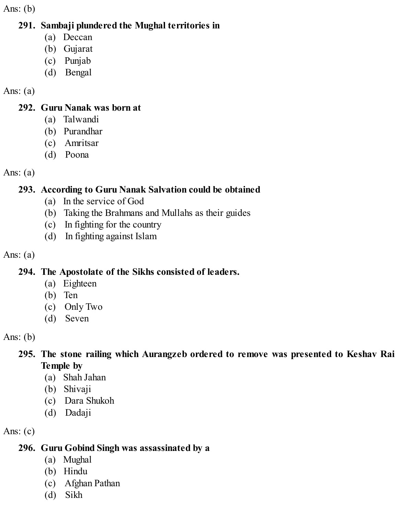Ans:  $(b)$ 

#### **291. Sambaji plundered the Mughal territories in**

- (a) Deccan
- (b) Gujarat
- (c) Punjab
- (d) Bengal

## Ans:  $(a)$

## **292. Guru Nanak was born at**

- (a) Talwandi
- (b) Purandhar
- (c) Amritsar
- (d) Poona

# Ans:  $(a)$

# **293. According to Guru Nanak Salvation could be obtained**

- (a) In the service of God
- (b) Taking the Brahmans and Mullahs as their guides
- (c) In fighting for the country
- (d) In fighting against Islam

# Ans:  $(a)$

# **294. The Apostolate of the Sikhs consisted of leaders.**

- (a) Eighteen
- (b) Ten
- (c) Only Two
- (d) Seven

# Ans: (b)

# **295. The stone railing which Aurangzeb ordered to remove was presented to Keshav Rai Temple by**

- (a) Shah Jahan
- (b) Shivaji
- (c) Dara Shukoh
- (d) Dadaji

# Ans:  $(c)$

# **296. Guru Gobind Singh was assassinated by a**

- (a) Mughal
- (b) Hindu
- (c) Afghan Pathan
- (d) Sikh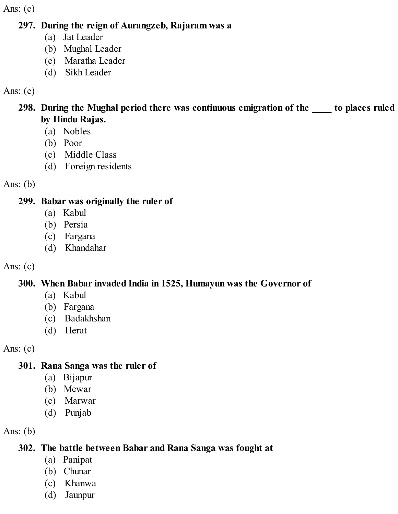#### **297. During the reign of Aurangzeb, Rajaram was a**

- (a) Jat Leader
- (b) Mughal Leader
- (c) Maratha Leader
- (d) Sikh Leader

#### Ans:  $(c)$

#### **298. During the Mughal period there was continuous emigration of the \_\_\_\_ to places ruled by Hindu Rajas.**

- (a) Nobles
- (b) Poor
- (c) Middle Class
- (d) Foreign residents

Ans: (b)

#### **299. Babar was originally the ruler of**

- (a) Kabul
- (b) Persia
- (c) Fargana
- (d) Khandahar

## Ans:  $(c)$

## **300. When Babar invaded India in 1525, Humayun was the Governor of**

- (a) Kabul
- (b) Fargana
- (c) Badakhshan
- (d) Herat

Ans:  $(c)$ 

## **301. Rana Sanga was the ruler of**

- (a) Bijapur
- (b) Mewar
- (c) Marwar
- (d) Punjab

Ans:  $(b)$ 

## **302. The battle between Babar and Rana Sanga was fought at**

- (a) Panipat
- (b) Chunar
- (c) Khanwa
- (d) Jaunpur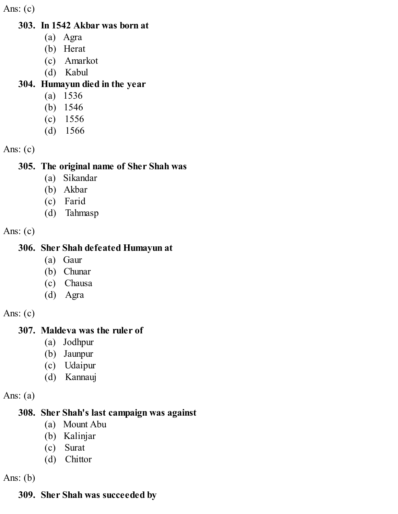#### **303. In 1542 Akbar was born at**

- (a) Agra
- (b) Herat
- (c) Amarkot
- (d) Kabul

#### **304. Humayun died in the year**

- (a) 1536
- (b) 1546
- (c) 1556
- (d) 1566

Ans:  $(c)$ 

#### **305. The original name of Sher Shah was**

- (a) Sikandar
- (b) Akbar
- (c) Farid
- (d) Tahmasp

Ans:  $(c)$ 

#### **306. Sher Shah defeated Humayun at**

- (a) Gaur
- (b) Chunar
- (c) Chausa
- (d) Agra

Ans:  $(c)$ 

#### **307. Maldeva was the ruler of**

- (a) Jodhpur
- (b) Jaunpur
- (c) Udaipur
- (d) Kannauj

Ans:  $(a)$ 

#### **308. Sher Shah's last campaign was against**

- (a) Mount Abu
- (b) Kalinjar
- (c) Surat
- (d) Chittor

Ans:  $(b)$ 

## **309. Sher Shah was succeeded by**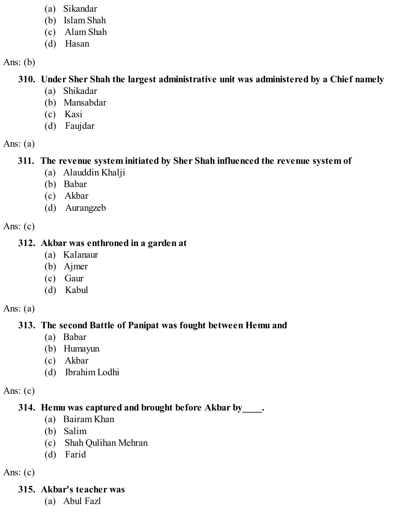- (a) Sikandar
- (b) Islam Shah
- (c) Alam Shah
- (d) Hasan

Ans: (b)

### **310. Under Sher Shah the largest administrative unit was administered by a Chief namely**

- (a) Shikadar
- (b) Mansabdar
- (c) Kasi
- (d) Faujdar

Ans:  $(a)$ 

### **311. The revenue system initiated by Sher Shah influenced the revenue system of**

- (a) Alauddin Khalji
- (b) Babar
- (c) Akbar
- (d) Aurangzeb

Ans:  $(c)$ 

#### **312. Akbar was enthroned in a garden at**

- (a) Kalanaur
- (b) Ajmer
- (c) Gaur
- (d) Kabul

Ans:  $(a)$ 

### **313. The second Battle of Panipat was fought between Hemu and**

- (a) Babar
- (b) Humayun
- (c) Akbar
- (d) Ibrahim Lodhi

Ans:  $(c)$ 

### **314. Hemu was captured and brought before Akbar by\_\_\_\_.**

- (a) Bairam Khan
- (b) Salim
- (c) Shah Qulihan Mehran
- (d) Farid

Ans:  $(c)$ 

# **315. Akbar's teacher was**

(a) Abul Fazl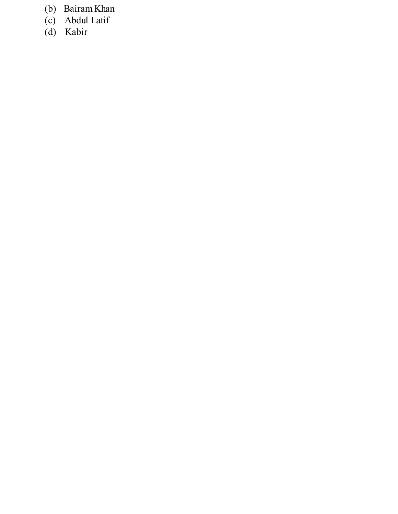- (b) Bairam Khan
- (c) Abdul Latif
- (d) Kabir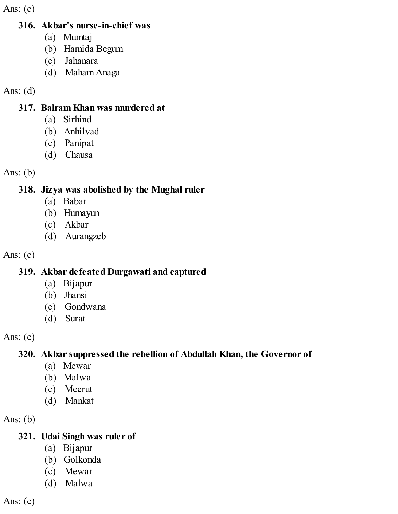#### **316. Akbar's nurse-in-chief was**

- (a) Mumtaj
- (b) Hamida Begum
- (c) Jahanara
- (d) Maham Anaga

## Ans: (d)

### **317. Balram Khan was murdered at**

- (a) Sirhind
- (b) Anhilvad
- (c) Panipat
- (d) Chausa

Ans: (b)

# **318. Jizya was abolished by the Mughal ruler**

- (a) Babar
- (b) Humayun
- (c) Akbar
- (d) Aurangzeb

Ans:  $(c)$ 

# **319. Akbar defeated Durgawati and captured**

- (a) Bijapur
- (b) Jhansi
- (c) Gondwana
- (d) Surat

Ans:  $(c)$ 

# **320. Akbar suppressed the rebellion of Abdullah Khan, the Governor of**

- (a) Mewar
- (b) Malwa
- (c) Meerut
- (d) Mankat

Ans: (b)

# **321. Udai Singh was ruler of**

- (a) Bijapur
- (b) Golkonda
- (c) Mewar
- (d) Malwa

Ans:  $(c)$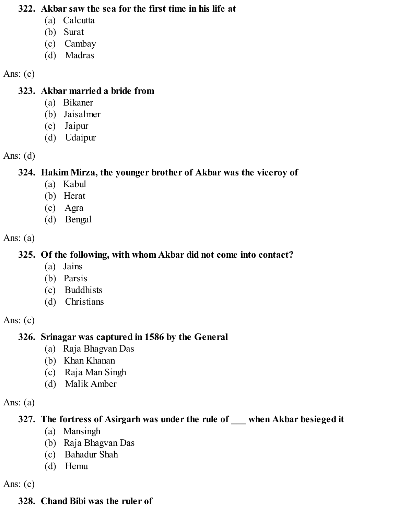#### **322. Akbar saw the sea for the first time in his life at**

- (a) Calcutta
- (b) Surat
- (c) Cambay
- (d) Madras

#### Ans:  $(c)$

### **323. Akbar married a bride from**

- (a) Bikaner
- (b) Jaisalmer
- (c) Jaipur
- (d) Udaipur

### Ans:  $(d)$

# **324. Hakim Mirza, the younger brother of Akbar was the viceroy of**

- (a) Kabul
- (b) Herat
- (c) Agra
- (d) Bengal

### Ans:  $(a)$

# **325. Of the following, with whom Akbar did not come into contact?**

- (a) Jains
- (b) Parsis
- (c) Buddhists
- (d) Christians

### Ans:  $(c)$

# **326. Srinagar was captured in 1586 by the General**

- (a) Raja Bhagvan Das
- (b) Khan Khanan
- (c) Raja Man Singh
- (d) Malik Amber

### Ans: (a)

# **327. The fortress of Asirgarh was under the rule of \_\_\_ when Akbar besieged it**

- (a) Mansingh
- (b) Raja Bhagvan Das
- (c) Bahadur Shah
- (d) Hemu

Ans: (c)

# **328. Chand Bibi was the ruler of**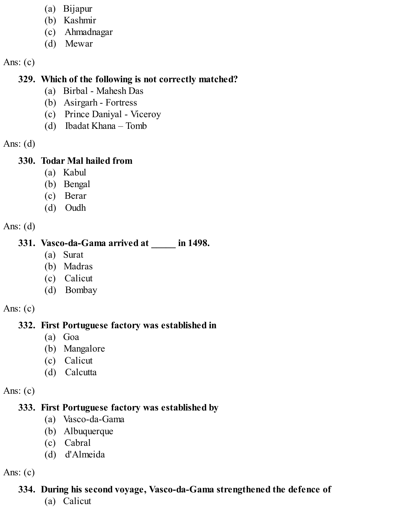- (a) Bijapur
- (b) Kashmir
- (c) Ahmadnagar
- (d) Mewar

### **329. Which of the following is not correctly matched?**

- (a) Birbal Mahesh Das
- (b) Asirgarh Fortress
- (c) Prince Daniyal Viceroy
- (d) Ibadat Khana Tomb

Ans: (d)

### **330. Todar Mal hailed from**

- (a) Kabul
- (b) Bengal
- (c) Berar
- (d) Oudh

Ans:  $(d)$ 

# **331. Vasco-da-Gama arrived at \_\_\_\_\_ in 1498.**

- (a) Surat
- (b) Madras
- (c) Calicut
- (d) Bombay

Ans:  $(c)$ 

# **332. First Portuguese factory was established in**

- (a) Goa
- (b) Mangalore
- (c) Calicut
- (d) Calcutta

Ans:  $(c)$ 

# **333. First Portuguese factory was established by**

- (a) Vasco-da-Gama
- (b) Albuquerque
- (c) Cabral
- (d) d'Almeida

Ans:  $(c)$ 

# **334. During his second voyage, Vasco-da-Gama strengthened the defence of**

(a) Calicut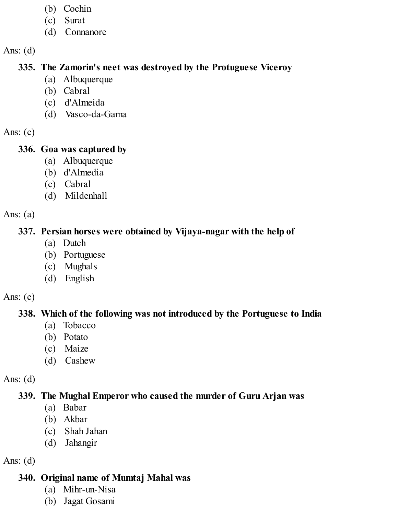- (b) Cochin
- (c) Surat
- (d) Connanore

#### **335. The Zamorin's neet was destroyed by the Protuguese Viceroy**

- (a) Albuquerque
- (b) Cabral
- (c) d'Almeida
- (d) Vasco-da-Gama

Ans:  $(c)$ 

### **336. Goa was captured by**

- (a) Albuquerque
- (b) d'Almedia
- (c) Cabral
- (d) Mildenhall

Ans:  $(a)$ 

### **337. Persian horses were obtained by Vijaya-nagar with the help of**

- (a) Dutch
- (b) Portuguese
- (c) Mughals
- (d) English

Ans:  $(c)$ 

### **338. Which of the following was not introduced by the Portuguese to India**

- (a) Tobacco
- (b) Potato
- (c) Maize
- (d) Cashew

Ans: (d)

# **339. The Mughal Emperor who caused the murder of Guru Arjan was**

- (a) Babar
- (b) Akbar
- (c) Shah Jahan
- (d) Jahangir

Ans:  $(d)$ 

# **340. Original name of Mumtaj Mahal was**

- (a) Mihr-un-Nisa
- (b) Jagat Gosami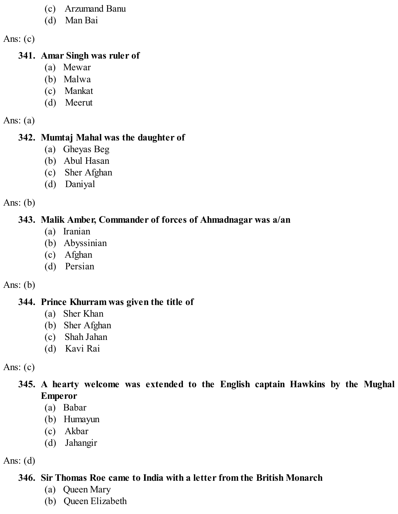- (c) Arzumand Banu
- (d) Man Bai

#### **341. Amar Singh was ruler of**

- (a) Mewar
- (b) Malwa
- (c) Mankat
- (d) Meerut

Ans:  $(a)$ 

### **342. Mumtaj Mahal was the daughter of**

- (a) Gheyas Beg
- (b) Abul Hasan
- (c) Sher Afghan
- (d) Daniyal

Ans:  $(b)$ 

# **343. Malik Amber, Commander of forces of Ahmadnagar was a/an**

- (a) Iranian
- (b) Abyssinian
- (c) Afghan
- (d) Persian

### Ans:  $(b)$

# **344. Prince Khurram was given the title of**

- (a) Sher Khan
- (b) Sher Afghan
- (c) Shah Jahan
- (d) Kavi Rai

Ans:  $(c)$ 

- **345. A hearty welcome was extended to the English captain Hawkins by the Mughal Emperor**
	- (a) Babar
	- (b) Humayun
	- (c) Akbar
	- (d) Jahangir

Ans:  $(d)$ 

# **346. Sir Thomas Roe came to India with a letter from the British Monarch**

- (a) Queen Mary
- (b) Queen Elizabeth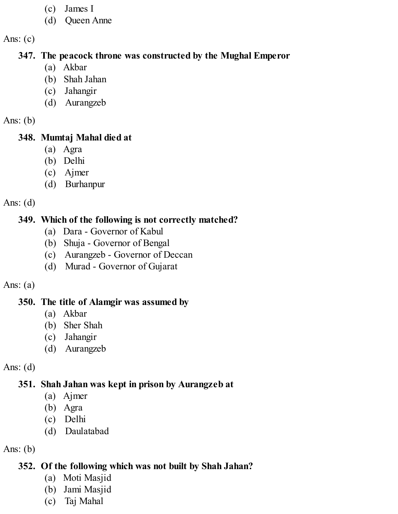- (c) James I
- (d) Queen Anne

#### **347. The peacock throne was constructed by the Mughal Emperor**

- (a) Akbar
- (b) Shah Jahan
- (c) Jahangir
- (d) Aurangzeb

Ans:  $(b)$ 

# **348. Mumtaj Mahal died at**

- (a) Agra
- (b) Delhi
- (c) Ajmer
- (d) Burhanpur

Ans:  $(d)$ 

# **349. Which of the following is not correctly matched?**

- (a) Dara Governor of Kabul
- (b) Shuja Governor of Bengal
- (c) Aurangzeb Governor of Deccan
- (d) Murad Governor of Gujarat

# Ans:  $(a)$

# **350. The title of Alamgir was assumed by**

- (a) Akbar
- (b) Sher Shah
- (c) Jahangir
- (d) Aurangzeb

Ans:  $(d)$ 

# **351. Shah Jahan was kept in prison by Aurangzeb at**

- (a) Ajmer
- (b) Agra
- (c) Delhi
- (d) Daulatabad

Ans:  $(b)$ 

# **352. Of the following which was not built by Shah Jahan?**

- (a) Moti Masjid
- (b) Jami Masjid
- (c) Taj Mahal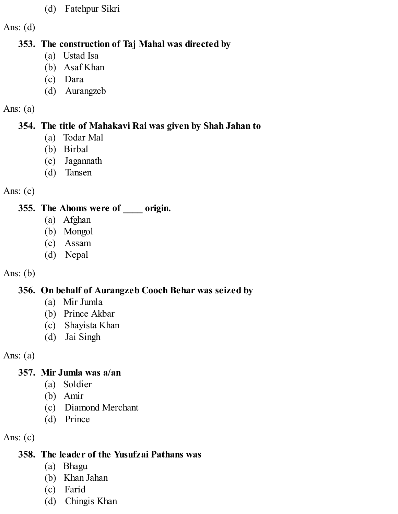(d) Fatehpur Sikri

Ans: (d)

### **353. The construction of Taj Mahal was directed by**

- (a) Ustad Isa
- (b) Asaf Khan
- (c) Dara
- (d) Aurangzeb

### Ans:  $(a)$

# **354. The title of Mahakavi Rai was given by Shah Jahan to**

- (a) Todar Mal
- (b) Birbal
- (c) Jagannath
- (d) Tansen

# Ans:  $(c)$

# **355. The Ahoms were of \_\_\_\_ origin.**

- (a) Afghan
- (b) Mongol
- (c) Assam
- (d) Nepal

# Ans: (b)

# **356. On behalf of Aurangzeb Cooch Behar was seized by**

- (a) Mir Jumla
- (b) Prince Akbar
- (c) Shayista Khan
- (d) Jai Singh

Ans: (a)

# **357. Mir Jumla was a/an**

- (a) Soldier
- (b) Amir
- (c) Diamond Merchant
- (d) Prince

Ans:  $(c)$ 

# **358. The leader of the Yusufzai Pathans was**

- (a) Bhagu
- (b) Khan Jahan
- (c) Farid
- (d) Chingis Khan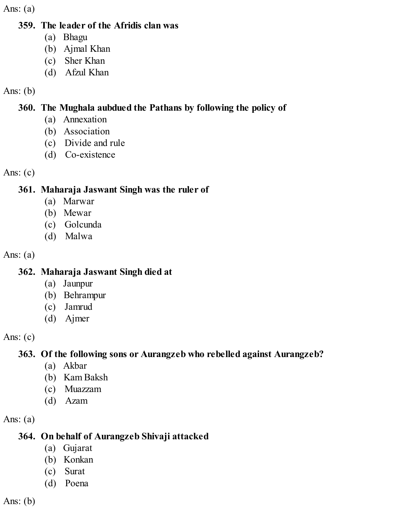Ans:  $(a)$ 

#### **359. The leader of the Afridis clan was**

- (a) Bhagu
- (b) Ajmal Khan
- (c) Sher Khan
- (d) Afzul Khan

### Ans: (b)

## **360. The Mughala aubdued the Pathans by following the policy of**

- (a) Annexation
- (b) Association
- (c) Divide and rule
- (d) Co-existence

### Ans:  $(c)$

# **361. Maharaja Jaswant Singh was the ruler of**

- (a) Marwar
- (b) Mewar
- (c) Golcunda
- (d) Malwa

Ans:  $(a)$ 

# **362. Maharaja Jaswant Singh died at**

- (a) Jaunpur
- (b) Behrampur
- (c) Jamrud
- (d) Ajmer

Ans:  $(c)$ 

# **363. Of the following sons or Aurangzeb who rebelled against Aurangzeb?**

- (a) Akbar
- (b) Kam Baksh
- (c) Muazzam
- (d) Azam

Ans:  $(a)$ 

# **364. On behalf of Aurangzeb Shivaji attacked**

- (a) Gujarat
- (b) Konkan
- (c) Surat
- (d) Poena

Ans:  $(b)$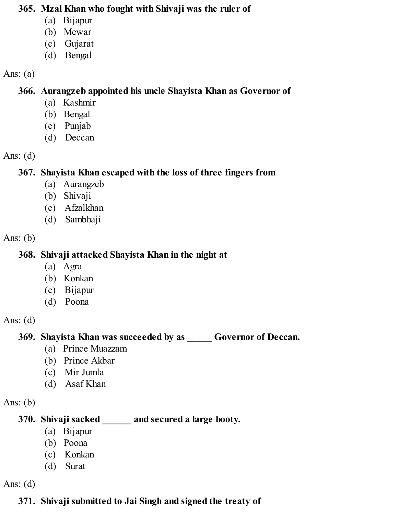#### **365. Mzal Khan who fought with Shivaji was the ruler of**

- (a) Bijapur
- (b) Mewar
- (c) Gujarat
- (d) Bengal

#### Ans: (a)

### **366. Aurangzeb appointed his uncle Shayista Khan as Governor of**

- (a) Kashmir
- (b) Bengal
- (c) Punjab
- (d) Deccan

## Ans:  $(d)$

# **367. Shayista Khan escaped with the loss of three fingers from**

- (a) Aurangzeb
- (b) Shivaji
- (c) Afzalkhan
- (d) Sambhaji

## Ans:  $(b)$

# **368. Shivaji attacked Shayista Khan in the night at**

- (a) Agra
- (b) Konkan
- (c) Bijapur
- (d) Poona

# Ans:  $(d)$

# **369. Shayista Khan was succeeded by as \_\_\_\_\_ Governor of Deccan.**

- (a) Prince Muazzam
- (b) Prince Akbar
- (c) Mir Jumla
- (d) Asaf Khan

### Ans:  $(b)$

# **370. Shivaji sacked \_\_\_\_\_\_ and secured a large booty.**

- (a) Bijapur
- (b) Poona
- (c) Konkan
- (d) Surat

Ans:  $(d)$ 

# **371. Shivaji submitted to Jai Singh and signed the treaty of**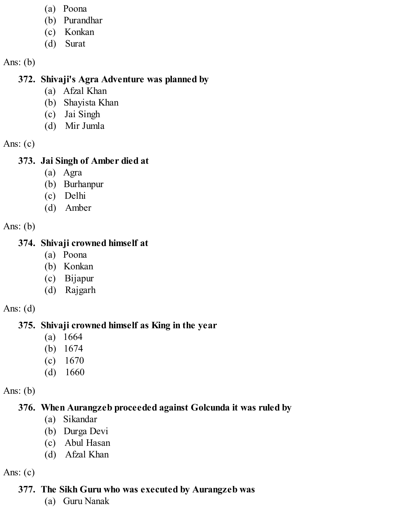- (a) Poona
- (b) Purandhar
- (c) Konkan
- (d) Surat

Ans: (b)

## **372. Shivaji's Agra Adventure was planned by**

- (a) Afzal Khan
- (b) Shayista Khan
- (c) Jai Singh
- (d) Mir Jumla

Ans: (c)

## **373. Jai Singh of Amber died at**

- (a) Agra
- (b) Burhanpur
- (c) Delhi
- (d) Amber

Ans: (b)

# **374. Shivaji crowned himself at**

- (a) Poona
- (b) Konkan
- (c) Bijapur
- (d) Rajgarh

Ans: (d)

# **375. Shivaji crowned himself as King in the year**

- (a) 1664
- (b) 1674
- (c) 1670
- (d) 1660

Ans: (b)

# **376. When Aurangzeb proceeded against Golcunda it was ruled by**

- (a) Sikandar
- (b) Durga Devi
- (c) Abul Hasan
- (d) Afzal Khan

Ans: (c)

# **377. The Sikh Guru who was executed by Aurangzeb was**

(a) Guru Nanak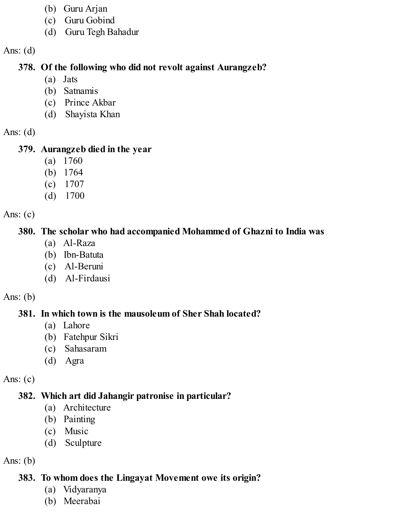- (b) Guru Arjan
- (c) Guru Gobind
- (d) Guru Tegh Bahadur

#### **378. Of the following who did not revolt against Aurangzeb?**

- (a) Jats
- (b) Satnamis
- (c) Prince Akbar
- (d) Shayista Khan

Ans:  $(d)$ 

# **379. Aurangzeb died in the year**

- (a) 1760
- (b) 1764
- (c) 1707
- (d) 1700

Ans:  $(c)$ 

# **380. The scholar who had accompanied Mohammed of Ghazni to India was**

- (a) Al-Raza
- (b) Ibn-Batuta
- (c) Al-Beruni
- (d) Al-Firdausi

Ans:  $(b)$ 

# **381. In which town is the mausoleum of Sher Shah located?**

- (a) Lahore
- (b) Fatehpur Sikri
- (c) Sahasaram
- (d) Agra

Ans:  $(c)$ 

# **382. Which art did Jahangir patronise in particular?**

- (a) Architecture
- (b) Painting
- (c) Music
- (d) Sculpture

Ans:  $(b)$ 

# **383. To whom does the Lingayat Movement owe its origin?**

- (a) Vidyaranya
- (b) Meerabai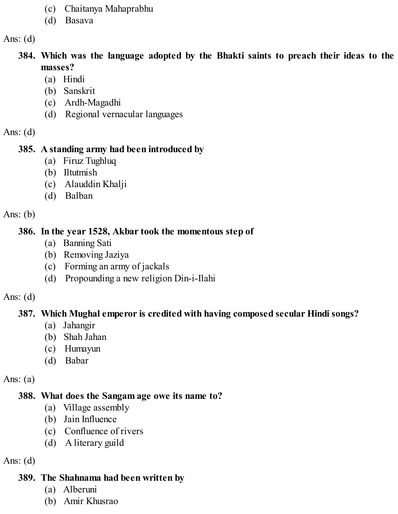- (c) Chaitanya Mahaprabhu
- (d) Basava

- **384. Which was the language adopted by the Bhakti saints to preach their ideas to the masses?**
	- (a) Hindi
	- (b) Sanskrit
	- (c) Ardh-Magadhi
	- (d) Regional vernacular languages

Ans:  $(d)$ 

#### **385. A standing army had been introduced by**

- (a) Firuz Tughluq
- (b) Iltutmish
- (c) Alauddin Khalji
- (d) Balban

Ans:  $(b)$ 

#### **386. In the year 1528, Akbar took the momentous step of**

- (a) Banning Sati
- (b) Removing Jaziya
- (c) Forming an army of jackals
- (d) Propounding a new religion Din-i-Ilahi

#### Ans:  $(d)$

### **387. Which Mughal emperor is credited with having composed secular Hindi songs?**

- (a) Jahangir
- (b) Shah Jahan
- (c) Humayun
- (d) Babar

Ans:  $(a)$ 

### **388. What does the Sangam age owe its name to?**

- (a) Village assembly
- (b) Jain Influence
- (c) Confluence of rivers
- (d) A literary guild

Ans:  $(d)$ 

#### **389. The Shahnama had been written by**

- (a) Alberuni
- (b) Amir Khusrao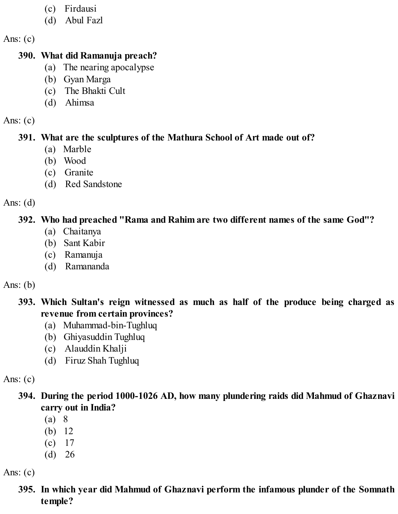- (c) Firdausi
- (d) Abul Fazl

#### **390. What did Ramanuja preach?**

- (a) The nearing apocalypse
- (b) Gyan Marga
- (c) The Bhakti Cult
- (d) Ahimsa

Ans:  $(c)$ 

## **391. What are the sculptures of the Mathura School of Art made out of?**

- (a) Marble
- (b) Wood
- (c) Granite
- (d) Red Sandstone

Ans:  $(d)$ 

# **392. Who had preached "Rama and Rahim are two different names of the same God"?**

- (a) Chaitanya
- (b) Sant Kabir
- (c) Ramanuja
- (d) Ramananda

# Ans:  $(b)$

**393. Which Sultan's reign witnessed as much as half of the produce being charged as revenue from certain provinces?**

- (a) Muhammad-bin-Tughluq
- (b) Ghiyasuddin Tughluq
- (c) Alauddin Khalji
- (d) Firuz Shah Tughluq

Ans:  $(c)$ 

**394. During the period 1000-1026 AD, how many plundering raids did Mahmud of Ghaznavi carry out in India?**

- (a) 8
- (b) 12
- (c) 17
- (d) 26

Ans:  $(c)$ 

# **395. In which year did Mahmud of Ghaznavi perform the infamous plunder of the Somnath temple?**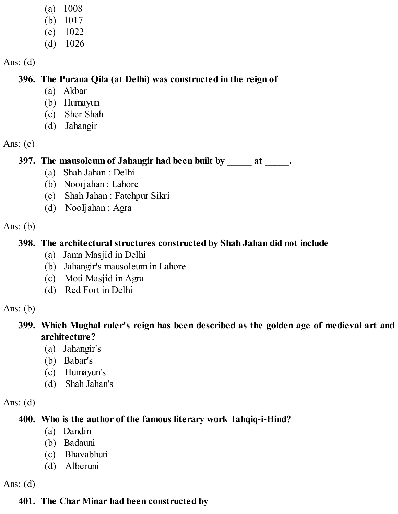- (a) 1008
- (b) 1017
- (c) 1022
- (d) 1026

#### **396. The Purana Qila (at Delhi) was constructed in the reign of**

- (a) Akbar
- (b) Humayun
- (c) Sher Shah
- (d) Jahangir

Ans:  $(c)$ 

### **397. The mausoleum of Jahangir had been built by \_\_\_\_\_ at \_\_\_\_\_.**

- (a) Shah Jahan : Delhi
- (b) Noorjahan : Lahore
- (c) Shah Jahan : Fatehpur Sikri
- (d) NooIjahan : Agra

Ans:  $(b)$ 

### **398. The architectural structures constructed by Shah Jahan did not include**

- (a) Jama Masjid in Delhi
- (b) Jahangir's mausoleum in Lahore
- (c) Moti Masjid in Agra
- (d) Red Fort in Delhi

Ans:  $(b)$ 

### **399. Which Mughal ruler's reign has been described as the golden age of medieval art and architecture?**

- (a) Jahangir's
- (b) Babar's
- (c) Humayun's
- (d) Shah Jahan's

Ans:  $(d)$ 

### **400. Who is the author of the famous literary work Tahqiq-i-Hind?**

- (a) Dandin
- (b) Badauni
- (c) Bhavabhuti
- (d) Alberuni

Ans:  $(d)$ 

# **401. The Char Minar had been constructed by**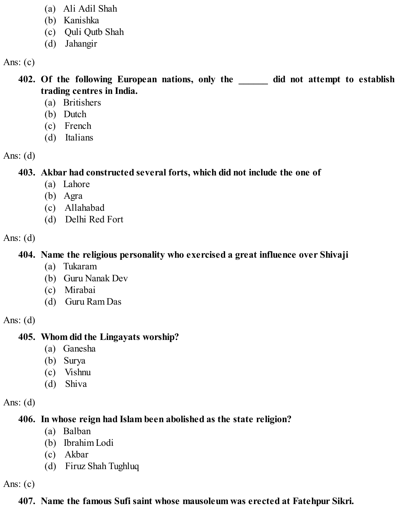- (a) Ali Adil Shah
- (b) Kanishka
- (c) Quli Qutb Shah
- (d) Jahangir

**402. Of the following European nations, only the \_\_\_\_\_\_ did not attempt to establish trading centres in India.**

- (a) Britishers
- (b) Dutch
- (c) French
- (d) Italians

Ans:  $(d)$ 

**403. Akbar had constructed several forts, which did not include the one of**

- (a) Lahore
- (b) Agra
- (c) Allahabad
- (d) Delhi Red Fort

Ans:  $(d)$ 

## **404. Name the religious personality who exercised a great influence over Shivaji**

- (a) Tukaram
- (b) Guru Nanak Dev
- (c) Mirabai
- (d) Guru Ram Das

Ans:  $(d)$ 

# **405. Whom did the Lingayats worship?**

- (a) Ganesha
- (b) Surya
- (c) Vishnu
- (d) Shiva

Ans:  $(d)$ 

# **406. In whose reign had Islam been abolished as the state religion?**

- (a) Balban
- (b) Ibrahim Lodi
- (c) Akbar
- (d) Firuz Shah Tughluq

Ans:  $(c)$ 

# **407. Name the famous Sufi saint whose mausoleum was erected at Fatehpur Sikri.**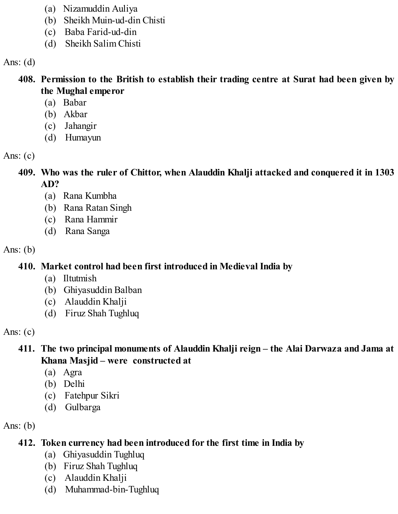- (a) Nizamuddin Auliya
- (b) Sheikh Muin-ud-din Chisti
- (c) Baba Farid-ud-din
- (d) Sheikh Salim Chisti

## **408. Permission to the British to establish their trading centre at Surat had been given by the Mughal emperor**

- (a) Babar
- (b) Akbar
- (c) Jahangir
- (d) Humayun

Ans:  $(c)$ 

**409. Who was the ruler of Chittor, when Alauddin Khalji attacked and conquered it in 1303 AD?**

- (a) Rana Kumbha
- (b) Rana Ratan Singh
- (c) Rana Hammir
- (d) Rana Sanga

Ans:  $(b)$ 

**410. Market control had been first introduced in Medieval India by**

- (a) Iltutmish
- (b) Ghiyasuddin Balban
- (c) Alauddin Khalji
- (d) Firuz Shah Tughluq

Ans:  $(c)$ 

# **411. The two principal monuments of Alauddin Khalji reign – the Alai Darwaza and Jama at Khana Masjid – were constructed at**

- (a) Agra
- (b) Delhi
- (c) Fatehpur Sikri
- (d) Gulbarga

Ans:  $(b)$ 

# **412. Token currency had been introduced for the first time in India by**

- (a) Ghiyasuddin Tughluq
- (b) Firuz Shah Tughluq
- (c) Alauddin Khalji
- (d) Muhammad-bin-Tughluq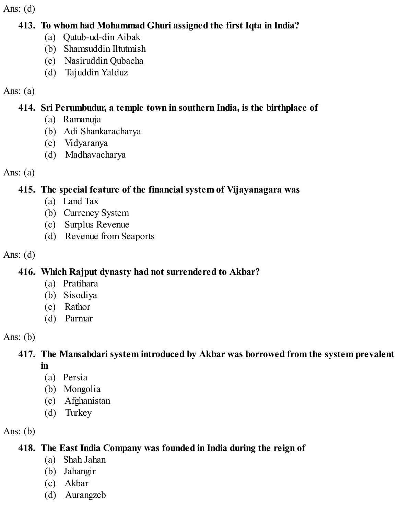#### **413. To whom had Mohammad Ghuri assigned the first Iqta in India?**

- (a) Qutub-ud-din Aibak
- (b) Shamsuddin Iltutmish
- (c) Nasiruddin Qubacha
- (d) Tajuddin Yalduz

Ans:  $(a)$ 

# **414. Sri Perumbudur, a temple town in southern India, is the birthplace of**

- (a) Ramanuja
- (b) Adi Shankaracharya
- (c) Vidyaranya
- (d) Madhavacharya

Ans:  $(a)$ 

# **415. The special feature of the financial system of Vijayanagara was**

- (a) Land Tax
- (b) Currency System
- (c) Surplus Revenue
- (d) Revenue from Seaports

Ans:  $(d)$ 

# **416. Which Rajput dynasty had not surrendered to Akbar?**

- (a) Pratihara
- (b) Sisodiya
- (c) Rathor
- (d) Parmar

Ans:  $(b)$ 

# **417. The Mansabdari system introduced by Akbar was borrowed from the system prevalent in**

- (a) Persia
- (b) Mongolia
- (c) Afghanistan
- (d) Turkey

Ans:  $(b)$ 

# **418. The East India Company was founded in India during the reign of**

- (a) Shah Jahan
- (b) Jahangir
- (c) Akbar
- (d) Aurangzeb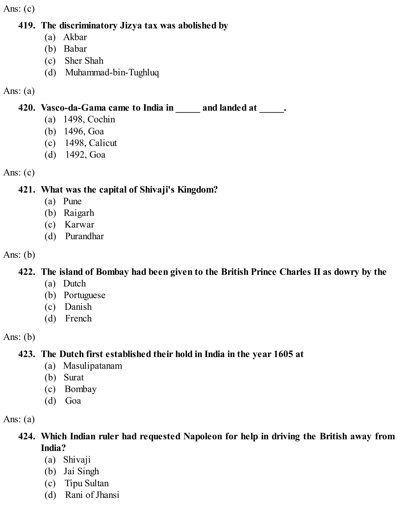#### **419. The discriminatory Jizya tax was abolished by**

- (a) Akbar
- (b) Babar
- (c) Sher Shah
- (d) Muhammad-bin-Tughluq

#### Ans:  $(a)$

## **420. Vasco-da-Gama came to India in \_\_\_\_\_ and landed at \_\_\_\_\_.**

- (a) 1498, Cochin
- (b) 1496, Goa
- (c) 1498, Calicut
- (d) 1492, Goa

#### Ans:  $(c)$

### **421. What was the capital of Shivaji's Kingdom?**

- (a) Pune
- (b) Raigarh
- (c) Karwar
- (d) Purandhar

#### Ans:  $(b)$

### **422. The island of Bombay had been given to the British Prince Charles II as dowry by the**

- (a) Dutch
- (b) Portuguese
- (c) Danish
- (d) French

### Ans:  $(b)$

# **423. The Dutch first established their hold in India in the year 1605 at**

- (a) Masulipatanam
- (b) Surat
- (c) Bombay
- (d) Goa

### Ans:  $(a)$

# **424. Which Indian ruler had requested Napoleon for help in driving the British away from India?**

- (a) Shivaji
- (b) Jai Singh
- (c) Tipu Sultan
- (d) Rani of Jhansi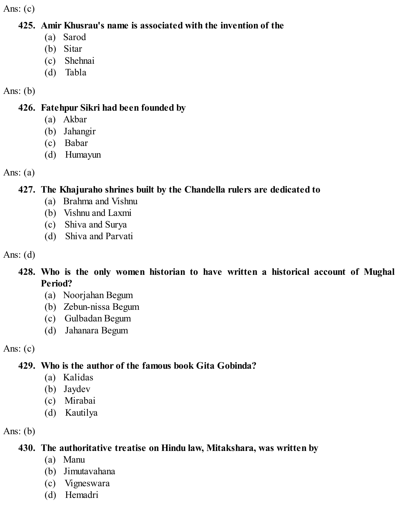#### **425. Amir Khusrau's name is associated with the invention of the**

- (a) Sarod
- (b) Sitar
- (c) Shehnai
- (d) Tabla

## Ans:  $(b)$

### **426. Fatehpur Sikri had been founded by**

- (a) Akbar
- (b) Jahangir
- (c) Babar
- (d) Humayun

Ans:  $(a)$ 

# **427. The Khajuraho shrines built by the Chandella rulers are dedicated to**

- (a) Brahma and Vishnu
- (b) Vishnu and Laxmi
- (c) Shiva and Surya
- (d) Shiva and Parvati

Ans:  $(d)$ 

## **428. Who is the only women historian to have written a historical account of Mughal Period?**

- (a) Noorjahan Begum
- (b) Zebun-nissa Begum
- (c) Gulbadan Begum
- (d) Jahanara Begum

Ans:  $(c)$ 

# **429. Who is the author of the famous book Gita Gobinda?**

- (a) Kalidas
- (b) Jaydev
- (c) Mirabai
- (d) Kautilya

Ans:  $(b)$ 

# **430. The authoritative treatise on Hindu law, Mitakshara, was written by**

- (a) Manu
- (b) Jimutavahana
- (c) Vigneswara
- (d) Hemadri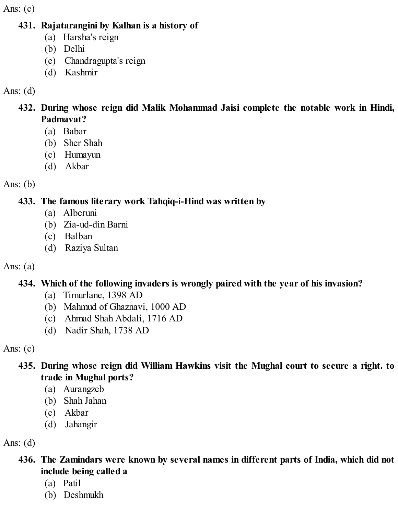#### **431. Rajatarangini by Kalhan is a history of**

- (a) Harsha's reign
- (b) Delhi
- (c) Chandragupta's reign
- (d) Kashmir

## Ans: (d)

- **432. During whose reign did Malik Mohammad Jaisi complete the notable work in Hindi, Padmavat?**
	- (a) Babar
	- (b) Sher Shah
	- (c) Humayun
	- (d) Akbar

Ans:  $(b)$ 

# **433. The famous literary work Tahqiq-i-Hind was written by**

- (a) Alberuni
- (b) Zia-ud-din Barni
- (c) Balban
- (d) Raziya Sultan

# Ans:  $(a)$

# **434. Which of the following invaders is wrongly paired with the year of his invasion?**

- (a) Timurlane, 1398 AD
- (b) Mahmud of Ghaznavi, 1000 AD
- (c) Ahmad Shah Abdali, 1716 AD
- (d) Nadir Shah, 1738 AD

Ans:  $(c)$ 

# **435. During whose reign did William Hawkins visit the Mughal court to secure a right. to trade in Mughal ports?**

- (a) Aurangzeb
- (b) Shah Jahan
- (c) Akbar
- (d) Jahangir

Ans:  $(d)$ 

- **436. The Zamindars were known by several names in different parts of India, which did not include being called a**
	- (a) Patil
	- (b) Deshmukh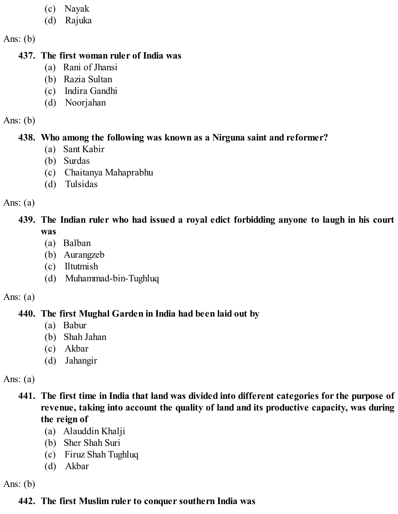- (c) Nayak
- (d) Rajuka

Ans:  $(b)$ 

#### **437. The first woman ruler of India was**

- (a) Rani of Jhansi
- (b) Razia Sultan
- (c) Indira Gandhi
- (d) Noorjahan

#### Ans:  $(b)$

#### **438. Who among the following was known as a Nirguna saint and reformer?**

- (a) Sant Kabir
- (b) Surdas
- (c) Chaitanya Mahaprabhu
- (d) Tulsidas

#### Ans:  $(a)$

### **439. The Indian ruler who had issued a royal edict forbidding anyone to laugh in his court was**

- (a) Balban
- (b) Aurangzeb
- (c) Iltutmish
- (d) Muhammad-bin-Tughluq

#### Ans:  $(a)$

# **440. The first Mughal Garden in India had been laid out by**

- (a) Babur
- (b) Shah Jahan
- (c) Akbar
- (d) Jahangir

### Ans:  $(a)$

- **441. The first time in India that land was divided into different categories for the purpose of revenue, taking into account the quality of land and its productive capacity, was during the reign of**
	- (a) Alauddin Khalji
	- (b) Sher Shah Suri
	- (c) Firuz Shah Tughluq
	- (d) Akbar

Ans:  $(b)$ 

# **442. The first Muslim ruler to conquer southern India was**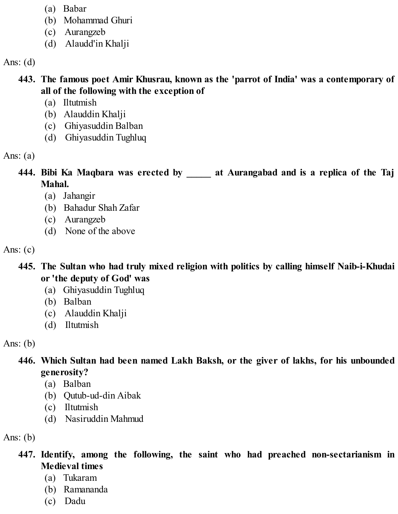- (a) Babar
- (b) Mohammad Ghuri
- (c) Aurangzeb
- (d) Alaudd'in Khalji

### **443. The famous poet Amir Khusrau, known as the 'parrot of India' was a contemporary of all of the following with the exception of**

- (a) Iltutmish
- (b) Alauddin Khalji
- (c) Ghiyasuddin Balban
- (d) Ghiyasuddin Tughluq

Ans:  $(a)$ 

**444. Bibi Ka Maqbara was erected by \_\_\_\_\_ at Aurangabad and is a replica of the Taj Mahal.**

- (a) Jahangir
- (b) Bahadur Shah Zafar
- (c) Aurangzeb
- (d) None of the above

Ans:  $(c)$ 

- **445. The Sultan who had truly mixed religion with politics by calling himself Naib-i-Khudai or 'the deputy of God' was**
	- (a) Ghiyasuddin Tughluq
	- (b) Balban
	- (c) Alauddin Khalji
	- (d) Iltutmish

Ans:  $(b)$ 

# **446. Which Sultan had been named Lakh Baksh, or the giver of lakhs, for his unbounded generosity?**

- (a) Balban
- (b) Qutub-ud-din Aibak
- (c) Iltutmish
- (d) Nasiruddin Mahmud

Ans:  $(b)$ 

# **447. Identify, among the following, the saint who had preached non-sectarianism in Medieval times**

- (a) Tukaram
- (b) Ramananda
- (c) Dadu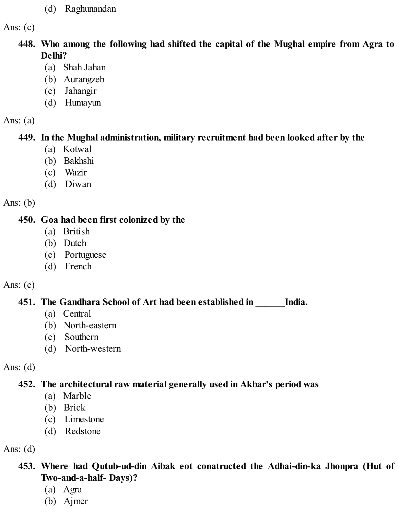(d) Raghunandan

Ans:  $(c)$ 

- **448. Who among the following had shifted the capital of the Mughal empire from Agra to Delhi?**
	- (a) Shah Jahan
	- (b) Aurangzeb
	- (c) Jahangir
	- (d) Humayun

Ans:  $(a)$ 

### **449. In the Mughal administration, military recruitment had been looked after by the**

- (a) Kotwal
- (b) Bakhshi
- (c) Wazir
- (d) Diwan

Ans:  $(b)$ 

# **450. Goa had been first colonized by the**

- (a) British
- (b) Dutch
- (c) Portuguese
- (d) French

# Ans:  $(c)$

# **451. The Gandhara School of Art had been established in \_\_\_\_\_\_India.**

- (a) Central
- (b) North-eastern
- (c) Southern
- (d) North-western

Ans:  $(d)$ 

# **452. The architectural raw material generally used in Akbar's period was**

- (a) Marble
- (b) Brick
- (c) Limestone
- (d) Redstone

Ans:  $(d)$ 

- **453. Where had Qutub-ud-din Aibak eot conatructed the Adhai-din-ka Jhonpra (Hut of Two-and-a-half- Days)?**
	- (a) Agra
	- (b) Ajmer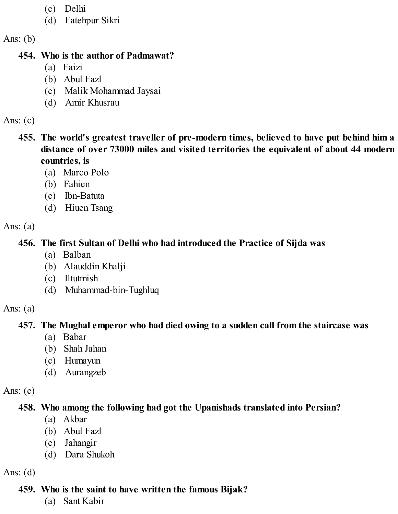- (c) Delhi
- (d) Fatehpur Sikri

Ans:  $(b)$ 

#### **454. Who is the author of Padmawat?**

- (a) Faizi
- (b) Abul Fazl
- (c) Malik Mohammad Jaysai
- (d) Amir Khusrau

Ans:  $(c)$ 

- **455. The world's greatest traveller of pre-modern times, believed to have put behind him a distance of over 73000 miles and visited territories the equivalent of about 44 modern countries, is**
	- (a) Marco Polo
	- (b) Fahien
	- (c) Ibn-Batuta
	- (d) Hiuen Tsang

Ans:  $(a)$ 

# **456. The first Sultan of Delhi who had introduced the Practice of Sijda was**

- (a) Balban
- (b) Alauddin Khalji
- (c) Iltutmish
- (d) Muhammad-bin-Tughluq

Ans:  $(a)$ 

# **457. The Mughal emperor who had died owing to a sudden call from the staircase was**

- (a) Babar
- (b) Shah Jahan
- (c) Humayun
- (d) Aurangzeb

Ans:  $(c)$ 

# **458. Who among the following had got the Upanishads translated into Persian?**

- (a) Akbar
- (b) Abul Fazl
- (c) Jahangir
- (d) Dara Shukoh

Ans:  $(d)$ 

# **459. Who is the saint to have written the famous Bijak?**

(a) Sant Kabir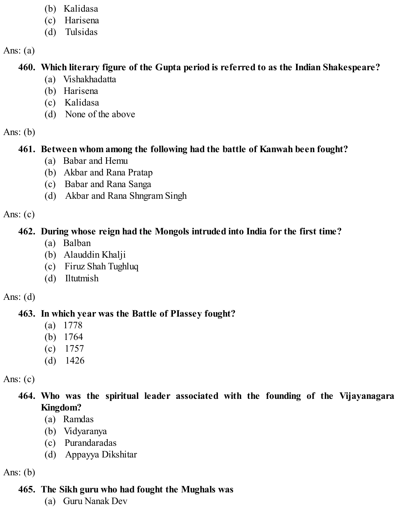- (b) Kalidasa
- (c) Harisena
- (d) Tulsidas

Ans:  $(a)$ 

# **460. Which literary figure of the Gupta period is referred to as the Indian Shakespeare?**

- (a) Vishakhadatta
- (b) Harisena
- (c) Kalidasa
- (d) None of the above

Ans:  $(b)$ 

# **461. Between whom among the following had the battle of Kanwah been fought?**

- (a) Babar and Hemu
- (b) Akbar and Rana Pratap
- (c) Babar and Rana Sanga
- (d) Akbar and Rana Shngram Singh

Ans:  $(c)$ 

# **462. During whose reign had the Mongols intruded into India for the first time?**

- (a) Balban
- (b) Alauddin Khalji
- (c) Firuz Shah Tughluq
- (d) Iltutmish

Ans:  $(d)$ 

# **463. In which year was the Battle of PIassey fought?**

- (a) 1778
- (b) 1764
- (c) 1757
- (d) 1426

Ans:  $(c)$ 

**464. Who was the spiritual leader associated with the founding of the Vijayanagara Kingdom?**

- (a) Ramdas
- (b) Vidyaranya
- (c) Purandaradas
- (d) Appayya Dikshitar

Ans:  $(b)$ 

# **465. The Sikh guru who had fought the Mughals was**

(a) Guru Nanak Dev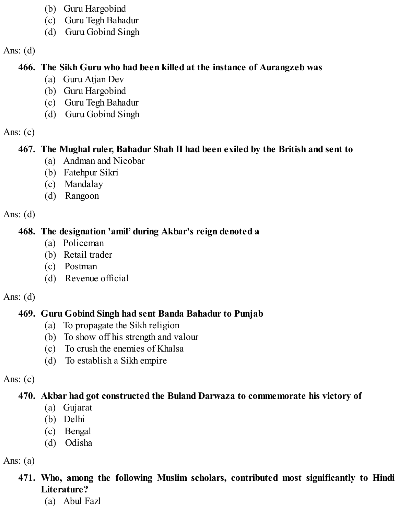- (b) Guru Hargobind
- (c) Guru Tegh Bahadur
- (d) Guru Gobind Singh

### **466. The Sikh Guru who had been killed at the instance of Aurangzeb was**

- (a) Guru Atjan Dev
- (b) Guru Hargobind
- (c) Guru Tegh Bahadur
- (d) Guru Gobind Singh

Ans:  $(c)$ 

# **467. The Mughal ruler, Bahadur Shah II had been exiled by the British and sent to**

- (a) Andman and Nicobar
- (b) Fatehpur Sikri
- (c) Mandalay
- (d) Rangoon

Ans:  $(d)$ 

# **468. The designation 'amil' during Akbar's reign denoted a**

- (a) Policeman
- (b) Retail trader
- (c) Postman
- (d) Revenue official

# Ans:  $(d)$

# **469. Guru Gobind Singh had sent Banda Bahadur to Punjab**

- (a) To propagate the Sikh religion
- (b) To show off his strength and valour
- (c) To crush the enemies of Khalsa
- (d) To establish a Sikh empire

Ans:  $(c)$ 

# **470. Akbar had got constructed the Buland Darwaza to commemorate his victory of**

- (a) Gujarat
- (b) Delhi
- (c) Bengal
- (d) Odisha

Ans:  $(a)$ 

# **471. Who, among the following Muslim scholars, contributed most significantly to Hindi Literature?**

(a) Abul Fazl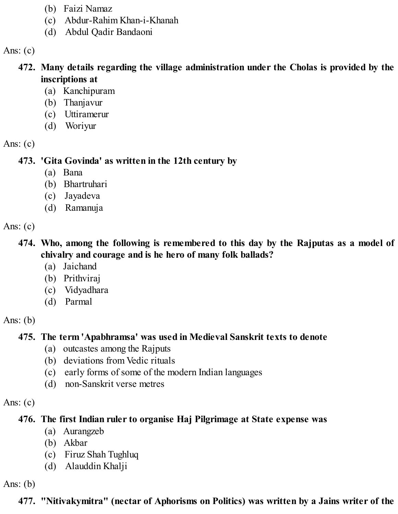- (b) Faizi Namaz
- (c) Abdur-Rahim Khan-i-Khanah
- (d) Abdul Qadir Bandaoni

- **472. Many details regarding the village administration under the Cholas is provided by the inscriptions at**
	- (a) Kanchipuram
	- (b) Thanjavur
	- (c) Uttiramerur
	- (d) Woriyur

Ans:  $(c)$ 

**473. 'Gita Govinda' as written in the 12th century by**

- (a) Bana
- (b) Bhartruhari
- (c) Jayadeva
- (d) Ramanuja

Ans:  $(c)$ 

**474. Who, among the following is remembered to this day by the Rajputas as a model of chivalry and courage and is he hero of many folk ballads?**

- (a) Jaichand
- (b) Prithviraj
- (c) Vidyadhara
- (d) Parmal

Ans:  $(b)$ 

# **475. The term 'Apabhramsa' was used in Medieval Sanskrit texts to denote**

- (a) outcastes among the Rajputs
- (b) deviations from Vedic rituals
- (c) early forms of some of the modern Indian languages
- (d) non-Sanskrit verse metres

Ans:  $(c)$ 

# **476. The first Indian ruler to organise Haj Pilgrimage at State expense was**

- (a) Aurangzeb
- (b) Akbar
- (c) Firuz Shah Tughluq
- (d) Alauddin Khalji

Ans:  $(b)$ 

**477. "Nitivakymitra" (nectar of Aphorisms on Politics) was written by a Jains writer of the**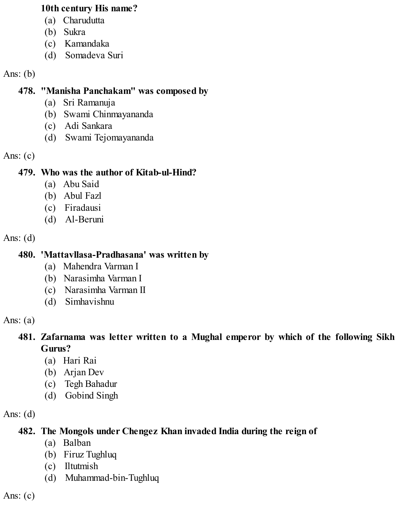#### **10th century His name?**

- (a) Charudutta
- (b) Sukra
- (c) Kamandaka
- (d) Somadeva Suri

### Ans:  $(b)$

## **478. "Manisha Panchakam" was composed by**

- (a) Sri Ramanuja
- (b) Swami Chinmayananda
- (c) Adi Sankara
- (d) Swami Tejomayananda

### Ans:  $(c)$

# **479. Who was the author of Kitab-ul-Hind?**

- (a) Abu Said
- (b) Abul Fazl
- (c) Firadausi
- (d) Al-Beruni

### Ans:  $(d)$

# **480. 'Mattavllasa-Pradhasana' was written by**

- (a) Mahendra Varman I
- (b) Narasimha Varman I
- (c) Narasimha Varman II
- (d) Simhavishnu

### Ans:  $(a)$

## **481. Zafarnama was letter written to a Mughal emperor by which of the following Sikh Gurus?**

- (a) Hari Rai
- (b) Arjan Dev
- (c) Tegh Bahadur
- (d) Gobind Singh

# Ans:  $(d)$

# **482. The Mongols under Chengez Khan invaded India during the reign of**

- (a) Balban
- (b) Firuz Tughluq
- (c) Iltutmish
- (d) Muhammad-bin-Tughluq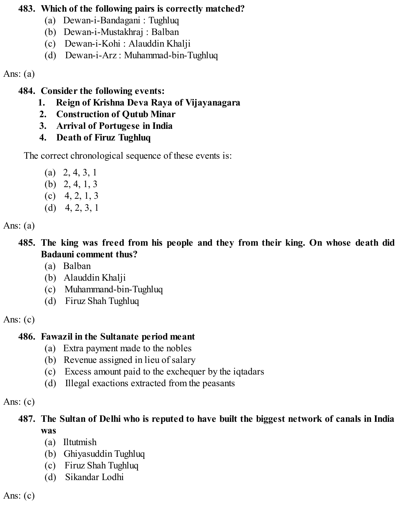#### **483. Which of the following pairs is correctly matched?**

- (a) Dewan-i-Bandagani : Tughluq
- (b) Dewan-i-Mustakhraj : Balban
- (c) Dewan-i-Kohi : Alauddin Khalji
- (d) Dewan-i-Arz : Muhammad-bin-Tughluq

Ans:  $(a)$ 

**484. Consider the following events:**

- **1. Reign of Krishna Deva Raya of Vijayanagara**
- **2. Construction of Qutub Minar**
- **3. Arrival of Portugese in India**
- **4. Death of Firuz Tughluq**

The correct chronological sequence of these events is:

- (a) 2, 4, 3, 1
- (b) 2, 4, 1, 3
- $(c)$  4, 2, 1, 3
- (d) 4, 2, 3, 1

Ans:  $(a)$ 

**485. The king was freed from his people and they from their king. On whose death did Badauni comment thus?**

- (a) Balban
- (b) Alauddin Khalji
- (c) Muhammand-bin-Tughluq
- (d) Firuz Shah Tughluq

Ans:  $(c)$ 

# **486. Fawazil in the Sultanate period meant**

- (a) Extra payment made to the nobles
- (b) Revenue assigned in lieu of salary
- (c) Excess amount paid to the exchequer by the iqtadars
- (d) Illegal exactions extracted from the peasants

### Ans:  $(c)$

## **487. The Sultan of Delhi who is reputed to have built the biggest network of canals in India was**

- (a) Iltutmish
- (b) Ghiyasuddin Tughluq
- (c) Firuz Shah Tughluq
- (d) Sikandar Lodhi

Ans:  $(c)$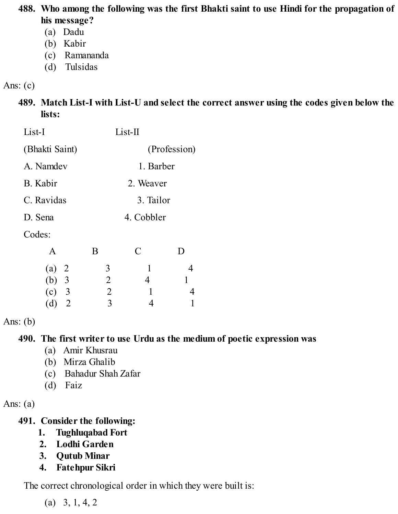#### **488. Who among the following was the first Bhakti saint to use Hindi for the propagation of his message?**

- (a) Dadu
- (b) Kabir
- (c) Ramananda
- (d) Tulsidas

### Ans:  $(c)$

#### **489. Match List-I with List-U and select the correct answer using the codes given below the lists:**

| List-I                |                | List-II       |   |
|-----------------------|----------------|---------------|---|
| (Bhakti Saint)        | (Profession)   |               |   |
| A. Namdev             | 1. Barber      |               |   |
| B. Kabir              | 2. Weaver      |               |   |
| C. Ravidas            | 3. Tailor      |               |   |
| D. Sena               | 4. Cobbler     |               |   |
| Codes:                |                |               |   |
| A                     | B              | $\mathcal{C}$ | D |
| (a)<br>$\overline{2}$ | 3              | 1             | 4 |
| (b)<br>$\overline{3}$ | $\overline{2}$ | 4             | 1 |
| $(c)$ 3               | $\overline{2}$ | 1             | 4 |
| $\overline{2}$<br>(d) | 3              | 4             |   |

#### Ans:  $(b)$

### **490. The first writer to use Urdu as the medium of poetic expression was**

- (a) Amir Khusrau
- (b) Mirza Ghalib
- (c) Bahadur Shah Zafar
- (d) Faiz

Ans:  $(a)$ 

- **491. Consider the following:**
	- **1. Tughluqabad Fort**
	- **2. Lodhi Garden**
	- **3. Qutub Minar**
	- **4. Fatehpur Sikri**

The correct chronological order in which they were built is:

 $(a)$  3, 1, 4, 2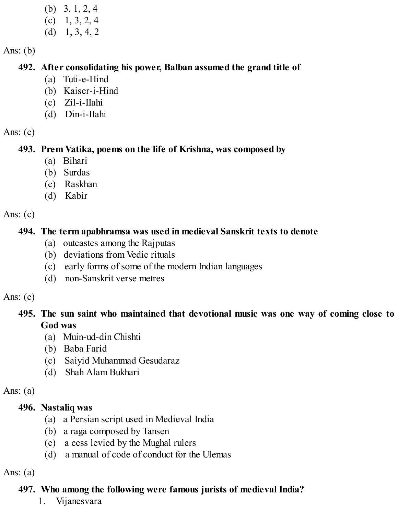(b) 3, 1, 2, 4  $(c)$  1, 3, 2, 4  $(d)$  1, 3, 4, 2

Ans:  $(b)$ 

#### **492. After consolidating his power, Balban assumed the grand title of**

- (a) Tuti-e-Hind
- (b) Kaiser-i-Hind
- (c) Zil-i-IIahi
- (d) Din-i-IIahi

Ans:  $(c)$ 

## **493. Prem Vatika, poems on the life of Krishna, was composed by**

- (a) Bihari
- (b) Surdas
- (c) Raskhan
- (d) Kabir

```
Ans: (c)
```
# **494. The term apabhramsa was used in medieval Sanskrit texts to denote**

- (a) outcastes among the Rajputas
- (b) deviations from Vedic rituals
- (c) early forms of some of the modern Indian languages
- (d) non-Sanskrit verse metres

# Ans:  $(c)$

## **495. The sun saint who maintained that devotional music was one way of coming close to God was**

- (a) Muin-ud-din Chishti
- (b) Baba Farid
- (c) Saiyid Muhammad Gesudaraz
- (d) Shah Alam Bukhari

# Ans:  $(a)$

# **496. Nastaliq was**

- (a) a Persian script used in Medieval India
- (b) a raga composed by Tansen
- (c) a cess levied by the Mughal rulers
- (d) a manual of code of conduct for the Ulemas

# Ans:  $(a)$

# **497. Who among the following were famous jurists of medieval India?**

1. Vijanesvara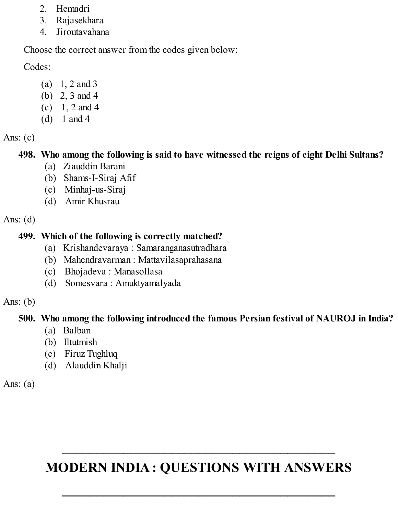- 2. Hemadri
- 3. Rajasekhara
- 4. Jiroutavahana

Choose the correct answer from the codes given below:

Codes:

- (a) 1, 2 and 3
- (b) 2, 3 and 4
- (c)  $1, 2$  and 4
- (d) 1 and 4

Ans:  $(c)$ 

# **498. Who among the following is said to have witnessed the reigns of eight Delhi Sultans?**

- (a) Ziauddin Barani
- (b) Shams-I-Siraj Afif
- (c) Minhaj-us-Siraj
- (d) Amir Khusrau

Ans:  $(d)$ 

# **499. Which of the following is correctly matched?**

- (a) Krishandevaraya : Samaranganasutradhara
- (b) Mahendravarman : Mattavilasaprahasana
- (c) Bhojadeva : Manasollasa
- (d) Somesvara : Amuktyamalyada

# Ans:  $(b)$

# **500. Who among the following introduced the famous Persian festival of NAUROJ in India?**

- (a) Balban
- (b) Iltutmish
- (c) Firuz Tughluq
- (d) Alauddin Khalji

Ans:  $(a)$ 

# **MODERN INDIA : QUESTIONS WITH ANSWERS**

**\_\_\_\_\_\_\_\_\_\_\_\_\_\_\_\_\_\_\_\_\_\_\_\_\_\_\_\_\_\_\_\_\_\_\_\_\_\_\_\_**

**\_\_\_\_\_\_\_\_\_\_\_\_\_\_\_\_\_\_\_\_\_\_\_\_\_\_\_\_\_\_\_\_\_\_\_\_\_\_\_\_**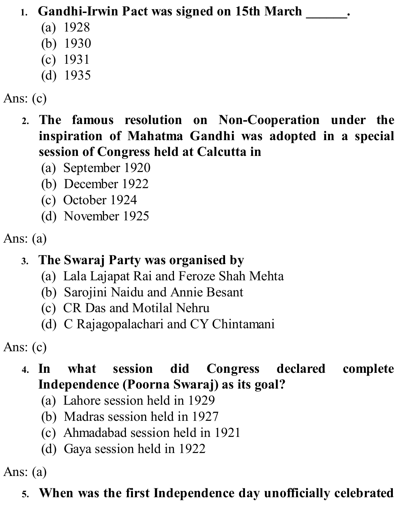# **1. Gandhi-Irwin Pact was signed on 15th March \_\_\_\_\_\_.**

- (a) 1928
- (b) 1930
- (c) 1931
- (d) 1935

# Ans: (c)

- **2. The famous resolution on Non-Cooperation under the inspiration of Mahatma Gandhi was adopted in a special session of Congress held at Calcutta in**
	- (a) September 1920
	- (b) December 1922
	- (c) October 1924
	- (d) November 1925

# Ans: (a)

# **3. The Swaraj Party was organised by**

- (a) Lala Lajapat Rai and Feroze Shah Mehta
- (b) Sarojini Naidu and Annie Besant
- (c) CR Das and Motilal Nehru
- (d) C Rajagopalachari and CY Chintamani

Ans: (c)

# **4. In what session did Congress declared complete Independence (Poorna Swaraj) as its goal?**

- (a) Lahore session held in 1929
- (b) Madras session held in 1927
- (c) Ahmadabad session held in 1921
- (d) Gaya session held in 1922

Ans: (a)

# **5. When was the first Independence day unofficially celebrated**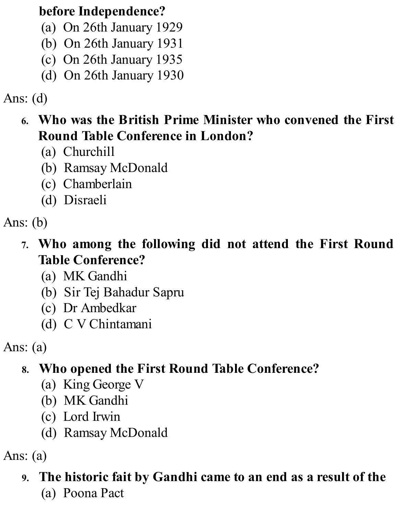# **before Independence?**

- (a) On 26th January 1929
- (b) On 26th January 1931
- (c) On 26th January 1935
- (d) On 26th January 1930

# Ans: (d)

# **6. Who was the British Prime Minister who convened the First Round Table Conference in London?**

- (a) Churchill
- (b) Ramsay McDonald
- (c) Chamberlain
- (d) Disraeli

# Ans: (b)

- **7. Who among the following did not attend the First Round Table Conference?**
	- (a) MK Gandhi
	- (b) Sir Tej Bahadur Sapru
	- (c) Dr Ambedkar
	- (d) C V Chintamani

Ans: (a)

# **8. Who opened the First Round Table Conference?**

- (a) King George V
- (b) MK Gandhi
- (c) Lord Irwin
- (d) Ramsay McDonald

Ans: (a)

# **9. The historic fait by Gandhi came to an end as a result of the**

(a) Poona Pact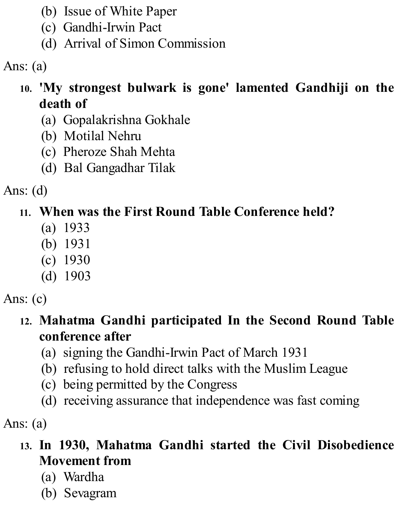- (b) Issue of White Paper
- (c) Gandhi-Irwin Pact
- (d) Arrival of Simon Commission

Ans: (a)

- **10. 'My strongest bulwark is gone' lamented Gandhiji on the death of**
	- (a) Gopalakrishna Gokhale
	- (b) Motilal Nehru
	- (c) Pheroze Shah Mehta
	- (d) Bal Gangadhar Tilak

Ans: (d)

# **11. When was the First Round Table Conference held?**

- (a) 1933
- (b) 1931
- (c) 1930
- (d) 1903

Ans: (c)

- **12. Mahatma Gandhi participated In the Second Round Table conference after**
	- (a) signing the Gandhi-Irwin Pact of March 1931
	- (b) refusing to hold direct talks with the Muslim League
	- (c) being permitted by the Congress
	- (d) receiving assurance that independence was fast coming

Ans: (a)

- **13. In 1930, Mahatma Gandhi started the Civil Disobedience Movement from**
	- (a) Wardha
	- (b) Sevagram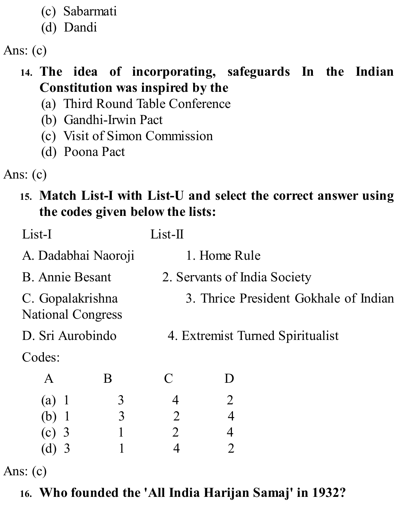- (c) Sabarmati
- (d) Dandi

Ans: (c)

## **14. The idea of incorporating, safeguards In the Indian Constitution was inspired by the**

- (a) Third Round Table Conference
- (b) Gandhi-Irwin Pact
- (c) Visit of Simon Commission
- (d) Poona Pact

Ans: (c)

## **15. Match List-I with List-U and select the correct answer using the codes given below the lists:**

| List-I                 |                                              | $List-II$      |                                       |                                  |  |
|------------------------|----------------------------------------------|----------------|---------------------------------------|----------------------------------|--|
| A. Dadabhai Naoroji    |                                              |                | 1. Home Rule                          |                                  |  |
| <b>B.</b> Annie Besant |                                              |                | 2. Servants of India Society          |                                  |  |
|                        | C. Gopalakrishna<br><b>National Congress</b> |                | 3. Thrice President Gokhale of Indian |                                  |  |
| D. Sri Aurobindo       |                                              |                |                                       | 4. Extremist Turned Spiritualist |  |
| Codes:                 |                                              |                |                                       |                                  |  |
| $\bf{A}$               | B                                            | $\mathcal C$   | $\mathsf{I}$                          |                                  |  |
| (a)                    | 3                                            | 4              | $\overline{2}$                        |                                  |  |
| (b)                    | 3                                            | $\overline{2}$ | $\overline{4}$                        |                                  |  |
| $(c)$ 3                | 1                                            | $\overline{2}$ |                                       |                                  |  |
| (d)                    |                                              |                |                                       |                                  |  |

Ans: (c)

# **16. Who founded the 'All India Harijan Samaj' in 1932?**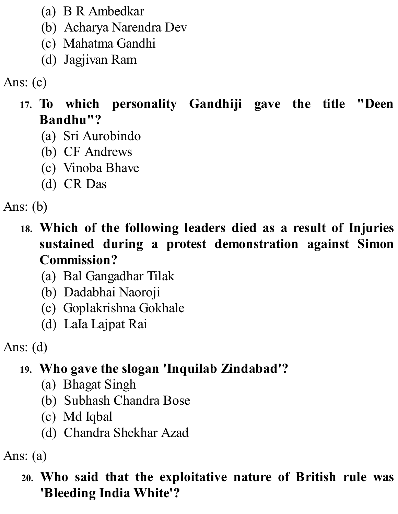- (a) B R Ambedkar
- (b) Acharya Narendra Dev
- (c) Mahatma Gandhi
- (d) Jagjivan Ram

Ans: (c)

- **17. To which personality Gandhiji gave the title "Deen Bandhu"?**
	- (a) Sri Aurobindo
	- (b) CF Andrews
	- (c) Vinoba Bhave
	- (d) CR Das

Ans: (b)

- **18. Which of the following leaders died as a result of Injuries sustained during a protest demonstration against Simon Commission?**
	- (a) Bal Gangadhar Tilak
	- (b) Dadabhai Naoroji
	- (c) Goplakrishna Gokhale
	- (d) LaIa Lajpat Rai

Ans: (d)

# **19. Who gave the slogan 'Inquilab Zindabad'?**

- (a) Bhagat Singh
- (b) Subhash Chandra Bose
- (c) Md Iqbal
- (d) Chandra Shekhar Azad

Ans: (a)

**20. Who said that the exploitative nature of British rule was 'Bleeding India White'?**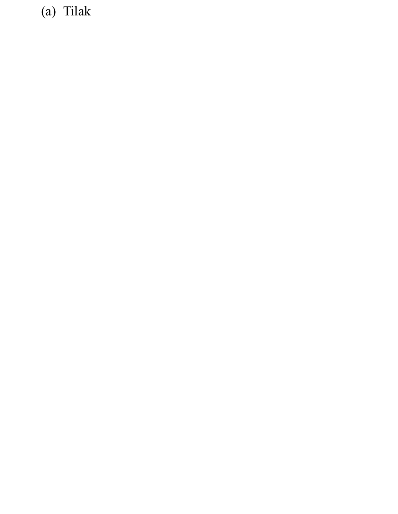(a) Tilak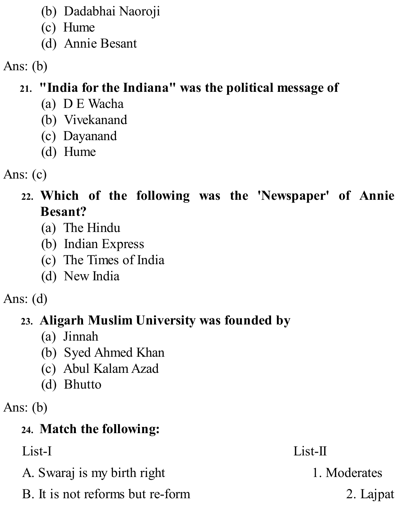- (b) Dadabhai Naoroji
- (c) Hume
- (d) Annie Besant

Ans: (b)

# **21. "India for the Indiana" was the political message of**

- (a) D E Wacha
- (b) Vivekanand
- (c) Dayanand
- (d) Hume
- Ans: (c)
	- **22. Which of the following was the 'Newspaper' of Annie Besant?**
		- (a) The Hindu
		- (b) Indian Express
		- (c) The Times of India
		- (d) New India
- Ans: (d)

# **23. Aligarh Muslim University was founded by**

- (a) Jinnah
- (b) Syed Ahmed Khan
- (c) Abul Kalam Azad
- (d) Bhutto
- Ans: (b)

# **24. Match the following:**

List-I List-II

- A. Swaraj is my birth right 1. Moderates
- B. It is not reforms but re-form 2. Lajpat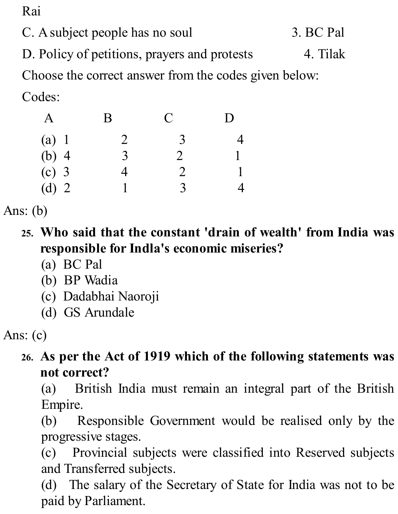Rai

C. A subject people has no soul 3. BC Pal

D. Policy of petitions, prayers and protests 4. Tilak

Choose the correct answer from the codes given below:

Codes:

|         | B              | C              | $\Box$ |
|---------|----------------|----------------|--------|
| (a) 1   | $\overline{2}$ | 3              |        |
| $(b)$ 4 | 3              | $\overline{2}$ |        |
| $(c)$ 3 | 4              | $\overline{2}$ |        |
| (d) $2$ |                | $\mathcal{R}$  |        |

Ans: (b)

- **25. Who said that the constant 'drain of wealth' from India was responsible for Indla's economic miseries?**
	- (a) BC Pal
	- (b) BP Wadia
	- (c) Dadabhai Naoroji
	- (d) GS Arundale

Ans: (c)

## **26. As per the Act of 1919 which of the following statements was not correct?**

(a) British India must remain an integral part of the British Empire.

(b) Responsible Government would be realised only by the progressive stages.

(c) Provincial subjects were classified into Reserved subjects and Transferred subjects.

(d) The salary of the Secretary of State for India was not to be paid by Parliament.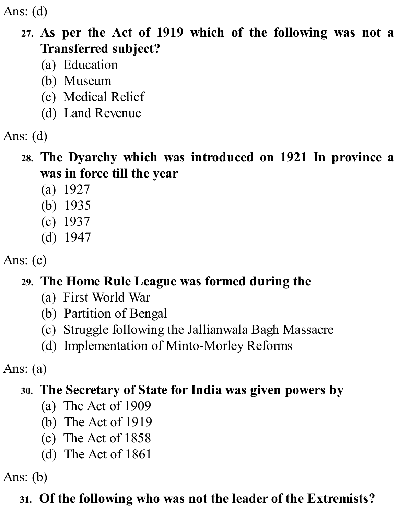Ans: (d)

#### **27. As per the Act of 1919 which of the following was not a Transferred subject?**

- (a) Education
- (b) Museum
- (c) Medical Relief
- (d) Land Revenue
- Ans: (d)

#### **28. The Dyarchy which was introduced on 1921 In province a was in force till the year**

- (a) 1927
- (b) 1935
- (c) 1937
- (d) 1947
- Ans: (c)

## **29. The Home Rule League was formed during the**

- (a) First World War
- (b) Partition of Bengal
- (c) Struggle following the Jallianwala Bagh Massacre
- (d) Implementation of Minto-Morley Reforms

Ans: (a)

## **30. The Secretary of State for India was given powers by**

- (a) The Act of 1909
- (b) The Act of 1919
- (c) The Act of 1858
- (d) The Act of 1861

Ans: (b)

## **31. Of the following who was not the leader of the Extremists?**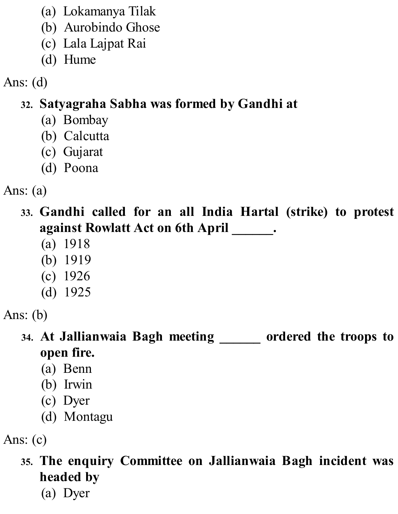- (a) Lokamanya Tilak
- (b) Aurobindo Ghose
- (c) Lala Lajpat Rai
- (d) Hume

Ans: (d)

# **32. Satyagraha Sabha was formed by Gandhi at**

- (a) Bombay
- (b) Calcutta
- (c) Gujarat
- (d) Poona

Ans: (a)

- **33. Gandhi called for an all India Hartal (strike) to protest against Rowlatt Act on 6th April \_\_\_\_\_\_.**
	- (a) 1918
	- (b) 1919
	- (c) 1926
	- (d) 1925

Ans: (b)

**34. At Jallianwaia Bagh meeting \_\_\_\_\_\_ ordered the troops to open fire.**

- (a) Benn
- (b) Irwin
- (c) Dyer
- (d) Montagu

Ans: (c)

**35. The enquiry Committee on Jallianwaia Bagh incident was headed by**

(a) Dyer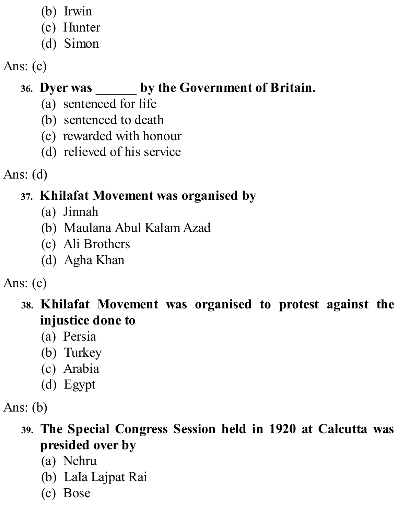- (b) Irwin
- (c) Hunter
- (d) Simon

# Ans: (c)

# **36. Dyer was \_\_\_\_\_\_ by the Government of Britain.**

- (a) sentenced for life
- (b) sentenced to death
- (c) rewarded with honour
- (d) relieved of his service

Ans: (d)

# **37. Khilafat Movement was organised by**

- (a) Jinnah
- (b) Maulana Abul Kalam Azad
- (c) Ali Brothers
- (d) Agha Khan

## Ans: (c)

**38. Khilafat Movement was organised to protest against the injustice done to**

- (a) Persia
- (b) Turkey
- (c) Arabia
- (d) Egypt

## **39. The Special Congress Session held in 1920 at Calcutta was presided over by**

- (a) Nehru
- (b) LaIa Lajpat Rai
- (c) Bose

Ans: (b)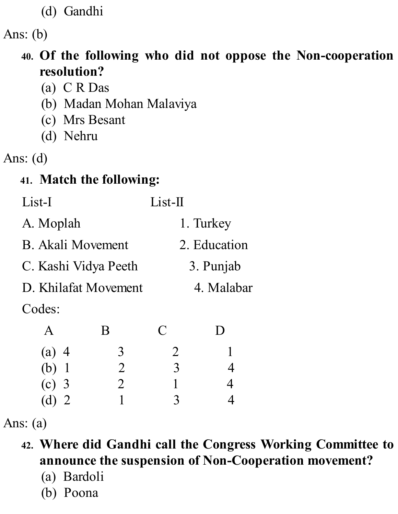(d) Gandhi

Ans: (b)

- **40. Of the following who did not oppose the Non-cooperation resolution?**
	- (a) C R Das
	- (b) Madan Mohan Malaviya
	- (c) Mrs Besant
	- (d) Nehru
- Ans: (d)

## **41. Match the following:**

| List-I               |                | $List-II$      |                |  |
|----------------------|----------------|----------------|----------------|--|
| A. Moplah            |                |                | 1. Turkey      |  |
| B. Akali Movement    |                |                | 2. Education   |  |
| C. Kashi Vidya Peeth |                | 3. Punjab      |                |  |
| D. Khilafat Movement |                |                | 4. Malabar     |  |
| Codes:               |                |                |                |  |
| $\mathbf{A}$         | B              | C              | $\Box$         |  |
| $(a)$ 4              | 3              | $\overline{2}$ | $\mathbf{1}$   |  |
| $(b)$ 1              | $\overline{2}$ | 3              | $\overline{4}$ |  |
| $(c)$ 3              | $\overline{2}$ | 1              | 4              |  |
| (d)                  |                | 3              |                |  |

Ans: (a)

- **42. Where did Gandhi call the Congress Working Committee to announce the suspension of Non-Cooperation movement?**
	- (a) Bardoli
	- (b) Poona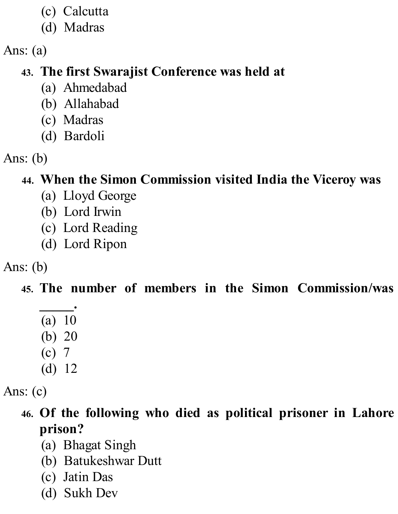- (c) Calcutta
- (d) Madras

Ans: (a)

## **43. The first Swarajist Conference was held at**

- (a) Ahmedabad
- (b) Allahabad
- (c) Madras
- (d) Bardoli
- Ans: (b)

## **44. When the Simon Commission visited India the Viceroy was**

- (a) Lloyd George
- (b) Lord Irwin
- (c) Lord Reading
- (d) Lord Ripon

## Ans: (b)

## **45. The number of members in the Simon Commission/was**

- **\_\_\_\_\_.** (a) 10
- (b) 20
- (c) 7
- (d) 12

Ans: (c)

# **46. Of the following who died as political prisoner in Lahore prison?**

- (a) Bhagat Singh
- (b) Batukeshwar Dutt
- (c) Jatin Das
- (d) Sukh Dev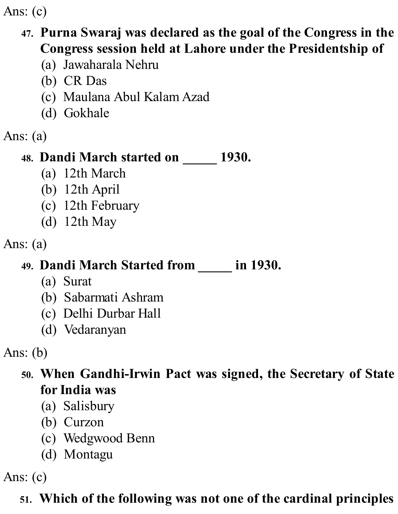Ans: (c)

#### **47. Purna Swaraj was declared as the goal of the Congress in the Congress session held at Lahore under the Presidentship of**

- (a) Jawaharala Nehru
- (b) CR Das
- (c) Maulana Abul Kalam Azad
- (d) Gokhale
- Ans: (a)

## **48. Dandi March started on \_\_\_\_\_ 1930.**

- (a) 12th March
- (b) 12th April
- (c) 12th February
- (d) 12th May
- Ans: (a)

## **49. Dandi March Started from \_\_\_\_\_ in 1930.**

- (a) Surat
- (b) Sabarmati Ashram
- (c) Delhi Durbar Hall
- (d) Vedaranyan

Ans: (b)

**50. When Gandhi-Irwin Pact was signed, the Secretary of State for India was**

- (a) Salisbury
- (b) Curzon
- (c) Wedgwood Benn
- (d) Montagu

Ans: (c)

## **51. Which of the following was not one of the cardinal principles**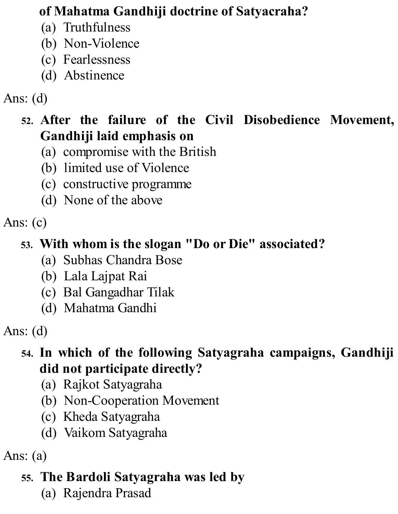## **of Mahatma Gandhiji doctrine of Satyacraha?**

- (a) Truthfulness
- (b) Non-Violence
- (c) Fearlessness
- (d) Abstinence

## Ans: (d)

#### **52. After the failure of the Civil Disobedience Movement, Gandhiji laid emphasis on**

- (a) compromise with the British
- (b) limited use of Violence
- (c) constructive programme
- (d) None of the above

## Ans: (c)

#### **53. With whom is the slogan "Do or Die" associated?**

- (a) Subhas Chandra Bose
- (b) Lala Lajpat Rai
- (c) Bal Gangadhar Tilak
- (d) Mahatma Gandhi

Ans: (d)

## **54. In which of the following Satyagraha campaigns, Gandhiji did not participate directly?**

- (a) Rajkot Satyagraha
- (b) Non-Cooperation Movement
- (c) Kheda Satyagraha
- (d) Vaikom Satyagraha

Ans: (a)

## **55. The Bardoli Satyagraha was led by**

(a) Rajendra Prasad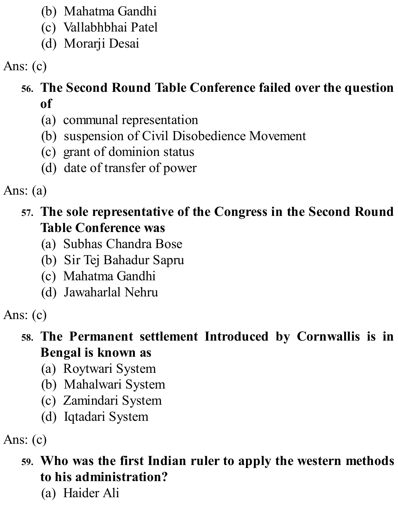- (b) Mahatma Gandhi
- (c) Vallabhbhai Patel
- (d) Morarji Desai

Ans: (c)

#### **56. The Second Round Table Conference failed over the question of**

- (a) communal representation
- (b) suspension of Civil Disobedience Movement
- (c) grant of dominion status
- (d) date of transfer of power

Ans: (a)

- **57. The sole representative of the Congress in the Second Round Table Conference was**
	- (a) Subhas Chandra Bose
	- (b) Sir Tej Bahadur Sapru
	- (c) Mahatma Gandhi
	- (d) Jawaharlal Nehru

- **58. The Permanent settlement Introduced by Cornwallis is in Bengal is known as**
	- (a) Roytwari System
	- (b) Mahalwari System
	- (c) Zamindari System
	- (d) Iqtadari System

Ans: (c)

**59. Who was the first Indian ruler to apply the western methods to his administration?**

(a) Haider Ali

Ans: (c)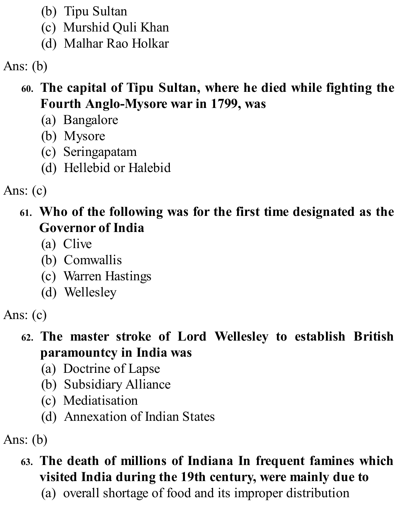- (b) Tipu Sultan
- (c) Murshid Quli Khan
- (d) Malhar Rao Holkar

Ans: (b)

#### **60. The capital of Tipu Sultan, where he died while fighting the Fourth Anglo-Mysore war in 1799, was**

- (a) Bangalore
- (b) Mysore
- (c) Seringapatam
- (d) Hellebid or Halebid

Ans: (c)

- **61. Who of the following was for the first time designated as the Governor of India**
	- (a) Clive
	- (b) Comwallis
	- (c) Warren Hastings
	- (d) Wellesley

#### **62. The master stroke of Lord Wellesley to establish British paramountcy in India was**

- (a) Doctrine of Lapse
- (b) Subsidiary Alliance
- (c) Mediatisation
- (d) Annexation of Indian States

Ans: (b)

## **63. The death of millions of Indiana In frequent famines which visited India during the 19th century, were mainly due to**

(a) overall shortage of food and its improper distribution

Ans: (c)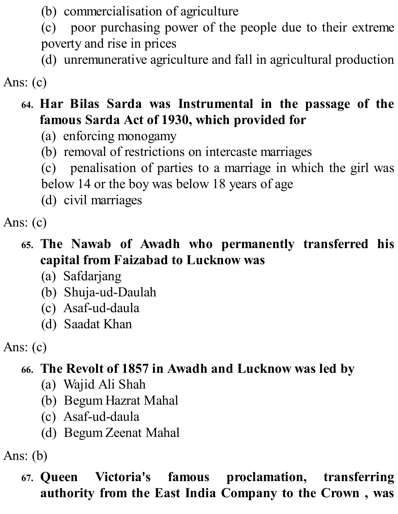(b) commercialisation of agriculture

(c) poor purchasing power of the people due to their extreme poverty and rise in prices

(d) unremunerative agriculture and fall in agricultural production

Ans: (c)

## **64. Har Bilas Sarda was Instrumental in the passage of the famous Sarda Act of 1930, which provided for**

- (a) enforcing monogamy
- (b) removal of restrictions on intercaste marriages

(c) penalisation of parties to a marriage in which the girl was

below 14 or the boy was below 18 years of age

(d) civil marriages

Ans: (c)

## **65. The Nawab of Awadh who permanently transferred his capital from Faizabad to Lucknow was**

- (a) Safdarjang
- (b) Shuja-ud-Daulah
- (c) Asaf-ud-daula
- (d) Saadat Khan

Ans: (c)

# **66. The Revolt of 1857 in Awadh and Lucknow was led by**

- (a) Wajid Ali Shah
- (b) Begum Hazrat Mahal
- (c) Asaf-ud-daula
- (d) Begum Zeenat Mahal

Ans: (b)

**67. Queen Victoria's famous proclamation, transferring authority from the East India Company to the Crown , was**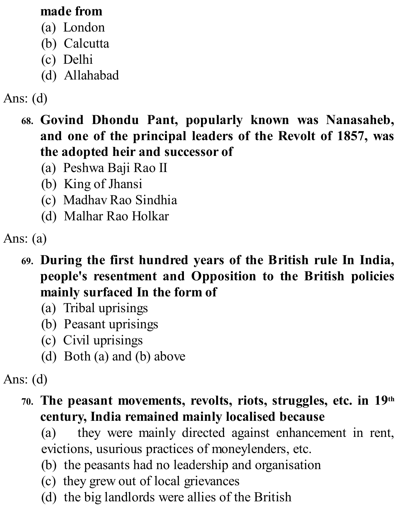#### **made from**

- (a) London
- (b) Calcutta
- (c) Delhi
- (d) Allahabad

# Ans: (d)

- **68. Govind Dhondu Pant, popularly known was Nanasaheb, and one of the principal leaders of the Revolt of 1857, was the adopted heir and successor of**
	- (a) Peshwa Baji Rao II
	- (b) King of Jhansi
	- (c) Madhav Rao Sindhia
	- (d) Malhar Rao Holkar

Ans: (a)

- **69. During the first hundred years of the British rule In India, people's resentment and Opposition to the British policies mainly surfaced In the form of**
	- (a) Tribal uprisings
	- (b) Peasant uprisings
	- (c) Civil uprisings
	- (d) Both (a) and (b) above

#### Ans: (d)

#### **70. The peasant movements, revolts, riots, struggles, etc. in 19th century, India remained mainly localised because**

(a) they were mainly directed against enhancement in rent, evictions, usurious practices of moneylenders, etc.

- (b) the peasants had no leadership and organisation
- (c) they grew out of local grievances
- (d) the big landlords were allies of the British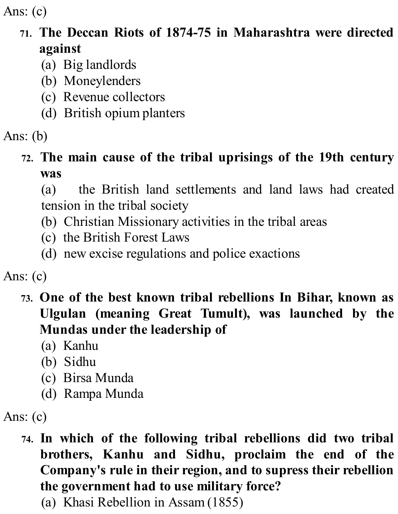Ans: (c)

## **71. The Deccan Riots of 1874-75 in Maharashtra were directed against**

- (a) Big landlords
- (b) Moneylenders
- (c) Revenue collectors
- (d) British opium planters
- Ans: (b)

## **72. The main cause of the tribal uprisings of the 19th century was**

(a) the British land settlements and land laws had created tension in the tribal society

- (b) Christian Missionary activities in the tribal areas
- (c) the British Forest Laws
- (d) new excise regulations and police exactions

Ans: (c)

- **73. One of the best known tribal rebellions In Bihar, known as Ulgulan (meaning Great Tumult), was launched by the Mundas under the leadership of**
	- (a) Kanhu
	- (b) Sidhu
	- (c) Birsa Munda
	- (d) Rampa Munda

Ans: (c)

- **74. In which of the following tribal rebellions did two tribal brothers, Kanhu and Sidhu, proclaim the end of the Company's rule in their region, and to supress their rebellion the government had to use military force?**
	- (a) Khasi Rebellion in Assam (1855)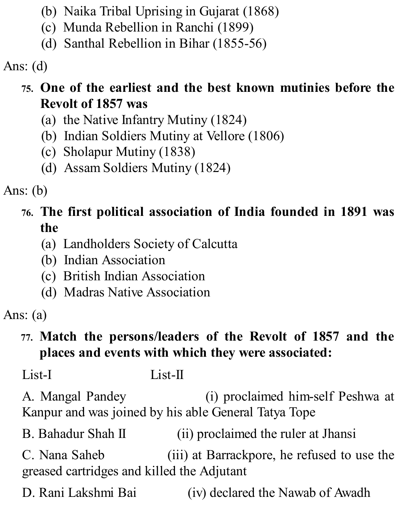- (b) Naika Tribal Uprising in Gujarat (1868)
- (c) Munda Rebellion in Ranchi (1899)
- (d) Santhal Rebellion in Bihar (1855-56)

Ans: (d)

## **75. One of the earliest and the best known mutinies before the Revolt of 1857 was**

- (a) the Native Infantry Mutiny (1824)
- (b) Indian Soldiers Mutiny at Vellore (1806)
- (c) Sholapur Mutiny (1838)
- (d) Assam Soldiers Mutiny (1824)

Ans: (b)

## **76. The first political association of India founded in 1891 was the**

- (a) Landholders Society of Calcutta
- (b) Indian Association
- (c) British Indian Association
- (d) Madras Native Association

Ans: (a)

## **77. Match the persons/leaders of the Revolt of 1857 and the places and events with which they were associated:**

List-I List-II

A. Mangal Pandey (i) proclaimed him-self Peshwa at Kanpur and was joined by his able General Tatya Tope

B. Bahadur Shah II (ii) proclaimed the ruler at Jhansi

C. Nana Saheb (iii) at Barrackpore, he refused to use the greased cartridges and killed the Adjutant

D. Rani Lakshmi Bai (iv) declared the Nawab of Awadh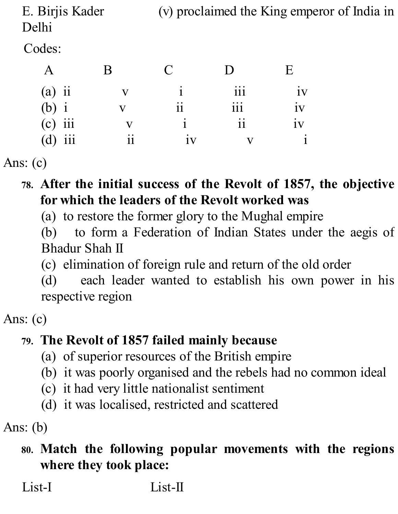E. Birjis Kader (v) proclaimed the King emperor of India in Delhi

Codes:

|                        |     |                                              | $\mathbf C$ |                                                                                 | E               |
|------------------------|-----|----------------------------------------------|-------------|---------------------------------------------------------------------------------|-----------------|
| $(a)$ ii               |     |                                              |             | 111                                                                             | 1V              |
| $\overrightarrow{b}$ i |     |                                              | 11          | $\bullet\hspace{0.1cm}\bullet\hspace{0.1cm}\bullet\hspace{0.1cm}\bullet$<br>111 | 1V              |
| $(c)$ iii              |     |                                              |             | $\ddot{\phantom{0}}$<br>11                                                      | $\bullet$<br>1V |
| (d)                    | iii | $\bullet\hspace{0.4mm}\bullet\hspace{0.4mm}$ | 1V          |                                                                                 |                 |

Ans: (c)

- **78. After the initial success of the Revolt of 1857, the objective for which the leaders of the Revolt worked was**
	- (a) to restore the former glory to the Mughal empire

(b) to form a Federation of Indian States under the aegis of Bhadur Shah II

(c) elimination of foreign rule and return of the old order

(d) each leader wanted to establish his own power in his respective region

Ans: (c)

## **79. The Revolt of 1857 failed mainly because**

- (a) of superior resources of the British empire
- (b) it was poorly organised and the rebels had no common ideal
- (c) it had very little nationalist sentiment
- (d) it was localised, restricted and scattered

Ans: (b)

#### **80. Match the following popular movements with the regions where they took place:**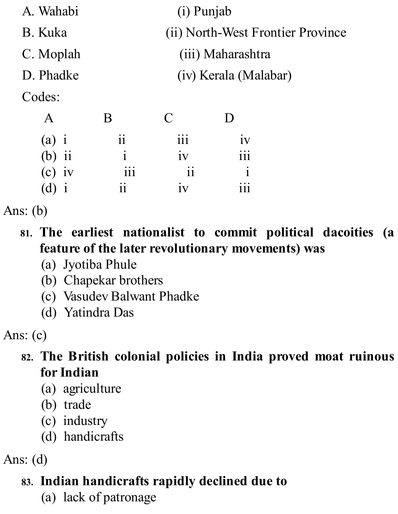| A. Wahabi          | (i) Punjab                        |                  |                 |  |  |
|--------------------|-----------------------------------|------------------|-----------------|--|--|
| B. Kuka            | (ii) North-West Frontier Province |                  |                 |  |  |
| C. Moplah          | (iii) Maharashtra                 |                  |                 |  |  |
| D. Phadke          | (iv) Kerala (Malabar)             |                  |                 |  |  |
| Codes:             |                                   |                  |                 |  |  |
| $\mathbf{A}$       | B                                 | C                |                 |  |  |
| $(a)$ i            | $\mathbf{ii}$                     | $\overline{111}$ | $\overline{1}V$ |  |  |
| $\ddot{11}$<br>(b) | 1                                 | $\overline{1}V$  | $\cdots$<br>111 |  |  |
| $(c)$ iv           | 111                               | $\mathbf{ii}$    | 1               |  |  |
| $\mathbf{d}$       | 11                                | 1V               |                 |  |  |

Ans: (b)

- **81. The earliest nationalist to commit political dacoities (a feature of the later revolutionary movements) was**
	- (a) Jyotiba Phule
	- (b) Chapekar brothers
	- (c) Vasudev Balwant Phadke
	- (d) Yatindra Das

Ans: (c)

- **82. The British colonial policies in India proved moat ruinous for Indian**
	- (a) agriculture
	- (b) trade
	- (c) industry
	- (d) handicrafts

Ans: (d)

## **83. Indian handicrafts rapidly declined due to**

(a) lack of patronage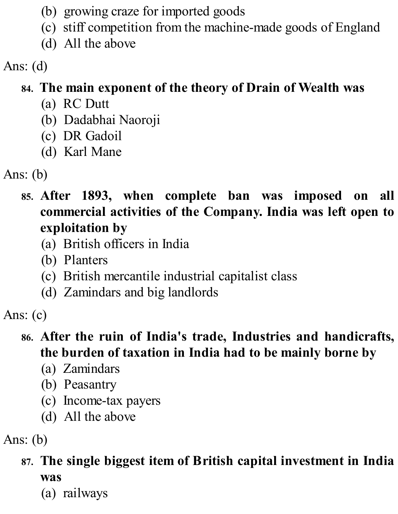- (b) growing craze for imported goods
- (c) stiff competition from the machine-made goods of England
- (d) All the above

Ans: (d)

## **84. The main exponent of the theory of Drain of Wealth was**

- (a) RC Dutt
- (b) Dadabhai Naoroji
- (c) DR Gadoil
- (d) Karl Mane

Ans: (b)

**85. After 1893, when complete ban was imposed on all commercial activities of the Company. India was left open to exploitation by**

- (a) British officers in India
- (b) Planters
- (c) British mercantile industrial capitalist class
- (d) Zamindars and big landlords

Ans: (c)

#### **86. After the ruin of India's trade, Industries and handicrafts, the burden of taxation in India had to be mainly borne by**

- (a) Zamindars
- (b) Peasantry
- (c) Income-tax payers
- (d) All the above

Ans: (b)

# **87. The single biggest item of British capital investment in India was**

(a) railways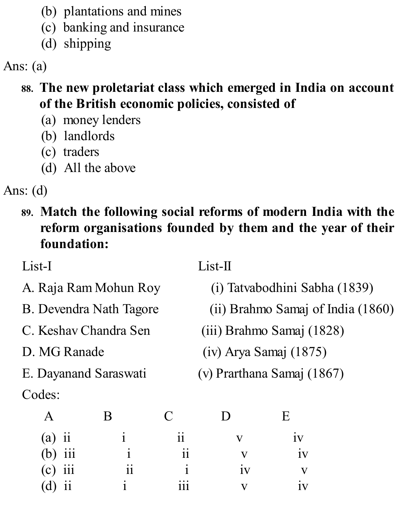- (b) plantations and mines
- (c) banking and insurance
- (d) shipping

Ans: (a)

- **88. The new proletariat class which emerged in India on account of the British economic policies, consisted of**
	- (a) money lenders
	- (b) landlords
	- (c) traders
	- (d) All the above

Ans: (d)

**89. Match the following social reforms of modern India with the reform organisations founded by them and the year of their foundation:**

List-I List-II

- 
- 
- 
- 
- 
- Codes:
- A. Raja Ram Mohun Roy (i) Tatvabodhini Sabha (1839)
- B. Devendra Nath Tagore (ii) Brahmo Samaj of India (1860)
- C. Keshav Chandra Sen (iii) Brahmo Samaj (1828)
- D. MG Ranade (iv) Arya Samaj (1875)
- E. Dayanand Saraswati (v) Prarthana Samaj (1867)

|                            |    |     |    | iv        |
|----------------------------|----|-----|----|-----------|
| (a) ii<br>(b) iii          |    |     |    | $\bullet$ |
| $(c)$ iii                  | 11 |     | 1V |           |
| $\ddot{\mathbf{i}}$<br>(d) |    | 111 |    |           |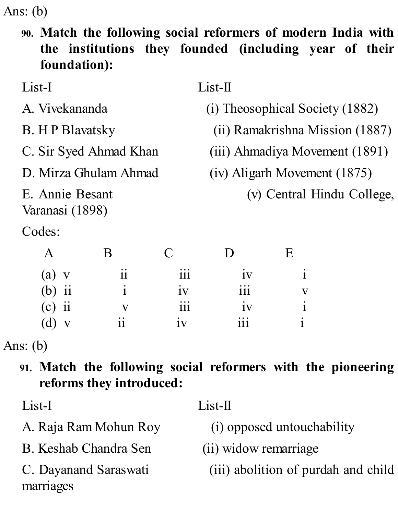Ans: (b)

**90. Match the following social reformers of modern India with the institutions they founded (including year of their foundation):**

| List-I                             |    |          | $List-II$                       |                                 |                                |
|------------------------------------|----|----------|---------------------------------|---------------------------------|--------------------------------|
| A. Vivekananda                     |    |          |                                 | (i) Theosophical Society (1882) |                                |
| <b>B.</b> H P Blavatsky            |    |          | (ii) Ramakrishna Mission (1887) |                                 |                                |
| C. Sir Syed Ahmad Khan             |    |          |                                 |                                 | (iii) Ahmadiya Movement (1891) |
| D. Mirza Ghulam Ahmad              |    |          | (iv) Aligarh Movement (1875)    |                                 |                                |
| E. Annie Besant<br>Varanasi (1898) |    |          |                                 |                                 | (v) Central Hindu College,     |
| Codes:                             |    |          |                                 |                                 |                                |
| A                                  | B  | $\Gamma$ |                                 | E                               |                                |
| $\lbrack a)$                       | 11 | 111      | 1V                              | $\mathbf{1}$                    |                                |

| $(b)$ ii | ٠                                            | 1V                                                                              | $\bullet\hspace{0.1cm} \bullet\hspace{0.1cm}\bullet\hspace{0.1cm}\bullet$<br>111 |           |
|----------|----------------------------------------------|---------------------------------------------------------------------------------|----------------------------------------------------------------------------------|-----------|
| $(c)$ ii |                                              | $\bullet\hspace{0.1cm}\bullet\hspace{0.1cm}\bullet\hspace{0.1cm}\bullet$<br>111 | $\bullet$<br>1V                                                                  | $\bullet$ |
| $(d)$ v  | $\bullet\hspace{0.4mm}\bullet\hspace{0.4mm}$ | 1V                                                                              | $\bullet\hspace{0.1cm}\bullet\hspace{0.1cm}\bullet\hspace{0.1cm}\bullet$<br>111  | ٠         |

Ans: (b)

**91. Match the following social reformers with the pioneering reforms they introduced:**

B. Keshab Chandra Sen (ii) widow remarriage

marriages

List-I List-II

- A. Raja Ram Mohun Roy (i) opposed untouchability
	-
- C. Dayanand Saraswati (iii) abolition of purdah and child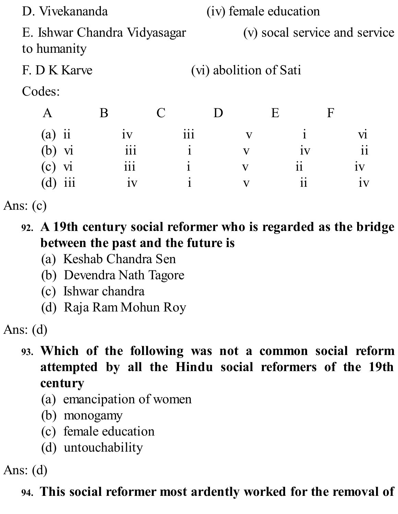| D. Vivekananda                              |   |    |             |                 |                        |                    | (iv) female education |                               |                                          |
|---------------------------------------------|---|----|-------------|-----------------|------------------------|--------------------|-----------------------|-------------------------------|------------------------------------------|
| E. Ishwar Chandra Vidyasagar<br>to humanity |   |    |             |                 |                        |                    |                       | (v) socal service and service |                                          |
| F. D K Karve                                |   |    |             |                 | (vi) abolition of Sati |                    |                       |                               |                                          |
| Codes:                                      |   |    |             |                 |                        |                    |                       |                               |                                          |
| A                                           | B |    | $\mathbf C$ |                 |                        |                    | E                     | $\mathbf F$                   |                                          |
| 11<br>(a)                                   |   | 1V |             | $\cdots$<br>111 |                        | $\mathbf{V}$       |                       |                               | Vl                                       |
| $\bf{V}$                                    |   |    |             |                 |                        | $\bar{\mathbf{V}}$ |                       |                               | $\bullet\hspace{1mm}\bullet\hspace{1mm}$ |

(c)  $vi$  iii i v ii iv (d) iii iv i v ii iv

Ans: (c)

- **92. A 19th century social reformer who is regarded as the bridge between the past and the future is**
	- (a) Keshab Chandra Sen
	- (b) Devendra Nath Tagore
	- (c) Ishwar chandra
	- (d) Raja Ram Mohun Roy

Ans: (d)

- **93. Which of the following was not a common social reform attempted by all the Hindu social reformers of the 19th century**
	- (a) emancipation of women
	- (b) monogamy
	- (c) female education
	- (d) untouchability

Ans: (d)

## **94. This social reformer most ardently worked for the removal of**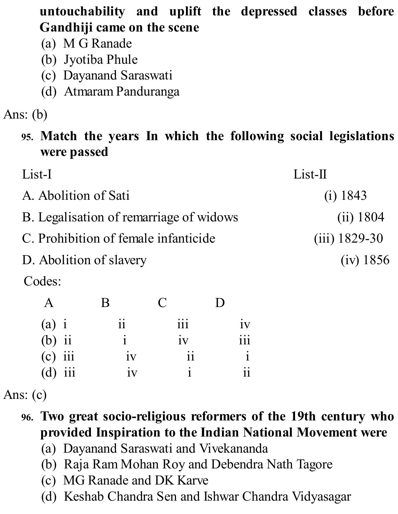**untouchability and uplift the depressed classes before Gandhiji came on the scene**

- (a) M G Ranade
- (b) Jyotiba Phule
- (c) Dayanand Saraswati
- (d) Atmaram Panduranga

Ans: (b)

**95. Match the years In which the following social legislations were passed**

| List-I                                  | $List-II$       |
|-----------------------------------------|-----------------|
| A. Abolition of Sati                    | (i) 1843        |
| B. Legalisation of remarriage of widows | (ii) 1804       |
| C. Prohibition of female infanticide    | $(iii)$ 1829-30 |
| D. Abolition of slavery                 | (iv) 1856       |
| $\sim$ 1                                |                 |

Codes:

|                     | B            | $\mathbf{C}$ | D          |
|---------------------|--------------|--------------|------------|
|                     | 11           | iii          | 1V         |
| (a) $i$<br>(b) $ii$ | $\mathbf{1}$ | iv           | <u>iii</u> |
| $(c)$ iii           | iv           | $\rm ii$     |            |
| $(d)$ iii           | iv           | 1            |            |

Ans: (c)

- **96. Two great socio-religious reformers of the 19th century who provided Inspiration to the Indian National Movement were**
	- (a) Dayanand Saraswati and Vivekananda
	- (b) Raja Ram Mohan Roy and Debendra Nath Tagore
	- (c) MG Ranade and DK Karve
	- (d) Keshab Chandra Sen and Ishwar Chandra Vidyasagar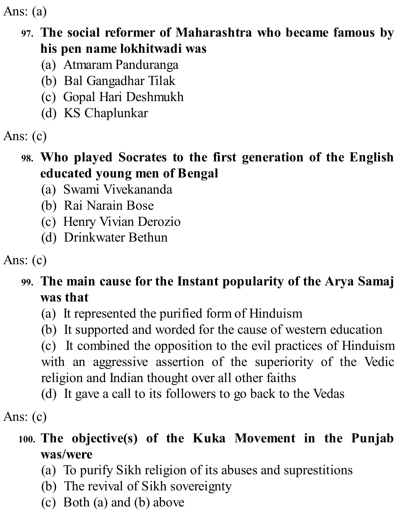Ans: (a)

#### **97. The social reformer of Maharashtra who became famous by his pen name lokhitwadi was**

- (a) Atmaram Panduranga
- (b) Bal Gangadhar Tilak
- (c) Gopal Hari Deshmukh
- (d) KS Chaplunkar

Ans: (c)

#### **98. Who played Socrates to the first generation of the English educated young men of Bengal**

- (a) Swami Vivekananda
- (b) Rai Narain Bose
- (c) Henry Vivian Derozio
- (d) Drinkwater Bethun

Ans: (c)

## **99. The main cause for the Instant popularity of the Arya Samaj was that**

- (a) It represented the purified form of Hinduism
- (b) It supported and worded for the cause of western education

(c) It combined the opposition to the evil practices of Hinduism with an aggressive assertion of the superiority of the Vedic religion and Indian thought over all other faiths

(d) It gave a call to its followers to go back to the Vedas

Ans: (c)

## **100. The objective(s) of the Kuka Movement in the Punjab was/were**

- (a) To purify Sikh religion of its abuses and suprestitions
- (b) The revival of Sikh sovereignty
- (c) Both (a) and (b) above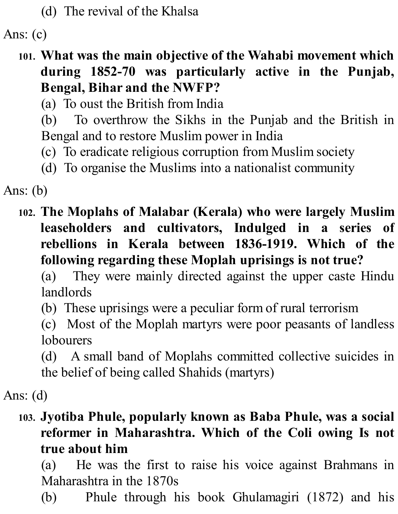(d) The revival of the Khalsa

Ans: (c)

**101. What was the main objective of the Wahabi movement which during 1852-70 was particularly active in the Punjab, Bengal, Bihar and the NWFP?**

(a) To oust the British from India

(b) To overthrow the Sikhs in the Punjab and the British in Bengal and to restore Muslim power in India

- (c) To eradicate religious corruption from Muslim society
- (d) To organise the Muslims into a nationalist community

Ans: (b)

**102. The Moplahs of Malabar (Kerala) who were largely Muslim leaseholders and cultivators, Indulged in a series of rebellions in Kerala between 1836-1919. Which of the following regarding these Moplah uprisings is not true?**

(a) They were mainly directed against the upper caste Hindu landlords

(b) These uprisings were a peculiar form of rural terrorism

(c) Most of the Moplah martyrs were poor peasants of landless lobourers

(d) A small band of Moplahs committed collective suicides in the belief of being called Shahids (martyrs)

Ans: (d)

#### **103. Jyotiba Phule, popularly known as Baba Phule, was a social reformer in Maharashtra. Which of the Coli owing Is not true about him**

(a) He was the first to raise his voice against Brahmans in Maharashtra in the 1870s

(b) Phule through his book Ghulamagiri (1872) and his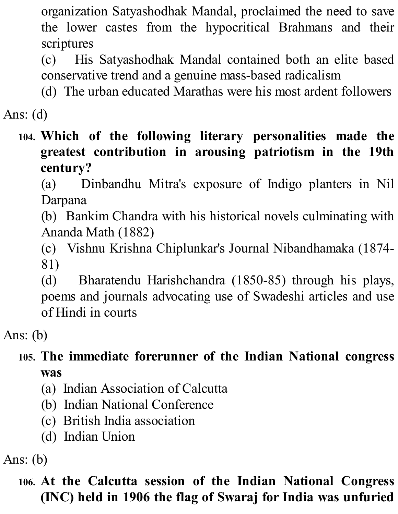organization Satyashodhak Mandal, proclaimed the need to save the lower castes from the hypocritical Brahmans and their scriptures

(c) His Satyashodhak Mandal contained both an elite based conservative trend and a genuine mass-based radicalism

(d) The urban educated Marathas were his most ardent followers

Ans: (d)

**104. Which of the following literary personalities made the greatest contribution in arousing patriotism in the 19th century?**

(a) Dinbandhu Mitra's exposure of Indigo planters in Nil Darpana

(b) Bankim Chandra with his historical novels culminating with Ananda Math (1882)

(c) Vishnu Krishna Chiplunkar's Journal Nibandhamaka (1874- 81)

(d) Bharatendu Harishchandra (1850-85) through his plays, poems and journals advocating use of Swadeshi articles and use of Hindi in courts

Ans: (b)

#### **105. The immediate forerunner of the Indian National congress was**

- (a) Indian Association of Calcutta
- (b) Indian National Conference
- (c) British India association
- (d) Indian Union

Ans: (b)

## **106. At the Calcutta session of the Indian National Congress (INC) held in 1906 the flag of Swaraj for India was unfuried**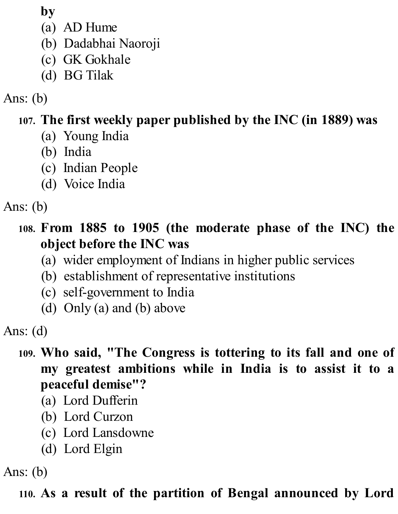**by**

- (a) AD Hume
- (b) Dadabhai Naoroji
- (c) GK Gokhale
- (d) BG Tilak

Ans: (b)

## **107. The first weekly paper published by the INC (in 1889) was**

- (a) Young India
- (b) India
- (c) Indian People
- (d) Voice India

Ans: (b)

## **108. From 1885 to 1905 (the moderate phase of the INC) the object before the INC was**

- (a) wider employment of Indians in higher public services
- (b) establishment of representative institutions
- (c) self-government to India
- (d) Only (a) and (b) above

Ans: (d)

#### **109. Who said, "The Congress is tottering to its fall and one of my greatest ambitions while in India is to assist it to a peaceful demise"?**

- (a) Lord Dufferin
- (b) Lord Curzon
- (c) Lord Lansdowne
- (d) Lord Elgin

Ans: (b)

## **110. As a result of the partition of Bengal announced by Lord**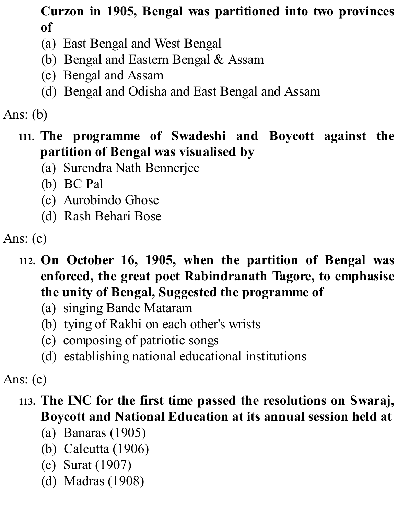## **Curzon in 1905, Bengal was partitioned into two provinces of**

- (a) East Bengal and West Bengal
- (b) Bengal and Eastern Bengal & Assam
- (c) Bengal and Assam
- (d) Bengal and Odisha and East Bengal and Assam

# Ans: (b)

#### **111. The programme of Swadeshi and Boycott against the partition of Bengal was visualised by**

- (a) Surendra Nath Bennerjee
- (b) BC Pal
- (c) Aurobindo Ghose
- (d) Rash Behari Bose

- **112. On October 16, 1905, when the partition of Bengal was enforced, the great poet Rabindranath Tagore, to emphasise the unity of Bengal, Suggested the programme of**
	- (a) singing Bande Mataram
	- (b) tying of Rakhi on each other's wrists
	- (c) composing of patriotic songs
	- (d) establishing national educational institutions

#### Ans: (c)

## **113. The INC for the first time passed the resolutions on Swaraj, Boycott and National Education at its annual session held at**

- (a) Banaras (1905)
- (b) Calcutta (1906)
- (c) Surat (1907)
- (d) Madras (1908)

Ans: (c)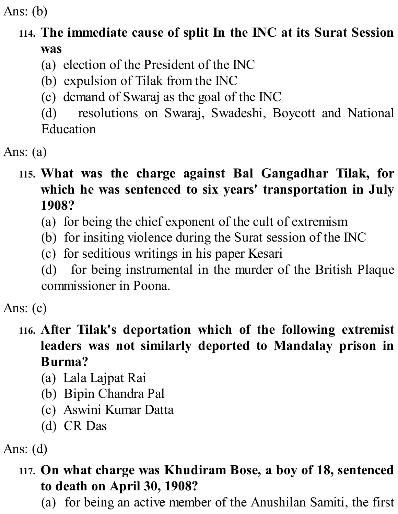Ans: (b)

## **114. The immediate cause of split In the INC at its Surat Session was**

- (a) election of the President of the INC
- (b) expulsion of Tilak from the INC
- (c) demand of Swaraj as the goal of the INC

(d) resolutions on Swaraj, Swadeshi, Boycott and National Education

Ans: (a)

#### **115. What was the charge against Bal Gangadhar Tilak, for which he was sentenced to six years' transportation in July 1908?**

- (a) for being the chief exponent of the cult of extremism
- (b) for insiting violence during the Surat session of the INC
- (c) for seditious writings in his paper Kesari
- (d) for being instrumental in the murder of the British Plaque commissioner in Poona.
- Ans: (c)

## **116. After Tilak's deportation which of the following extremist leaders was not similarly deported to Mandalay prison in Burma?**

- (a) Lala Lajpat Rai
- (b) Bipin Chandra Pal
- (c) Aswini Kumar Datta
- (d) CR Das

Ans: (d)

#### **117. On what charge was Khudiram Bose, a boy of 18, sentenced to death on April 30, 1908?**

(a) for being an active member of the Anushilan Samiti, the first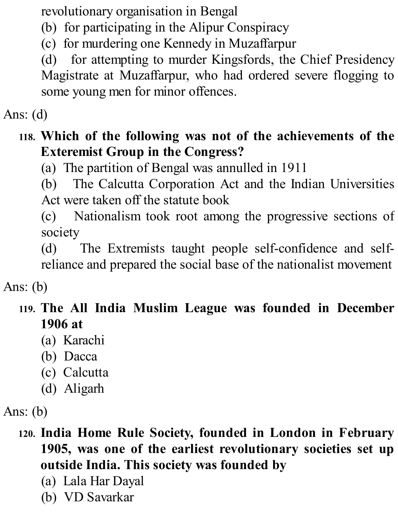revolutionary organisation in Bengal

- (b) for participating in the Alipur Conspiracy
- (c) for murdering one Kennedy in Muzaffarpur

(d) for attempting to murder Kingsfords, the Chief Presidency Magistrate at Muzaffarpur, who had ordered severe flogging to some young men for minor offences.

Ans: (d)

#### **118. Which of the following was not of the achievements of the Exteremist Group in the Congress?**

(a) The partition of Bengal was annulled in 1911

(b) The Calcutta Corporation Act and the Indian Universities Act were taken off the statute book

(c) Nationalism took root among the progressive sections of society

(d) The Extremists taught people self-confidence and selfreliance and prepared the social base of the nationalist movement

Ans: (b)

#### **119. The All India Muslim League was founded in December 1906 at**

- (a) Karachi
- (b) Dacca
- (c) Calcutta
- (d) Aligarh

Ans: (b)

- **120. India Home Rule Society, founded in London in February 1905, was one of the earliest revolutionary societies set up outside India. This society was founded by**
	- (a) Lala Har Dayal
	- (b) VD Savarkar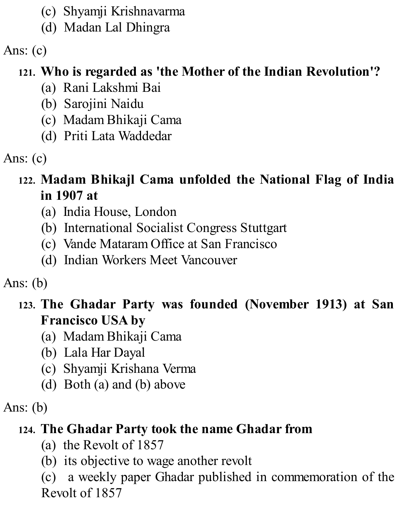- (c) Shyamji Krishnavarma
- (d) Madan Lal Dhingra

Ans: (c)

# **121. Who is regarded as 'the Mother of the Indian Revolution'?**

- (a) Rani Lakshmi Bai
- (b) Sarojini Naidu
- (c) Madam Bhikaji Cama
- (d) Priti Lata Waddedar

Ans: (c)

## **122. Madam Bhikajl Cama unfolded the National Flag of India in 1907 at**

- (a) India House, London
- (b) International Socialist Congress Stuttgart
- (c) Vande Mataram Office at San Francisco
- (d) Indian Workers Meet Vancouver

Ans: (b)

## **123. The Ghadar Party was founded (November 1913) at San Francisco USA by**

- (a) Madam Bhikaji Cama
- (b) Lala Har Dayal
- (c) Shyamji Krishana Verma
- (d) Both (a) and (b) above

Ans: (b)

## **124. The Ghadar Party took the name Ghadar from**

- (a) the Revolt of 1857
- (b) its objective to wage another revolt

(c) a weekly paper Ghadar published in commemoration of the Revolt of 1857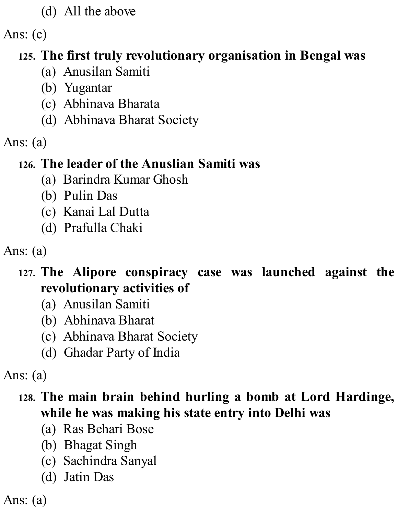(d) All the above

Ans: (c)

# **125. The first truly revolutionary organisation in Bengal was**

- (a) Anusilan Samiti
- (b) Yugantar
- (c) Abhinava Bharata
- (d) Abhinava Bharat Society
- Ans: (a)

## **126. The leader of the Anuslian Samiti was**

- (a) Barindra Kumar Ghosh
- (b) Pulin Das
- (c) Kanai Lal Dutta
- (d) Prafulla Chaki

Ans: (a)

## **127. The Alipore conspiracy case was launched against the revolutionary activities of**

- (a) Anusilan Samiti
- (b) Abhinava Bharat
- (c) Abhinava Bharat Society
- (d) Ghadar Party of India

Ans: (a)

## **128. The main brain behind hurling a bomb at Lord Hardinge, while he was making his state entry into Delhi was**

- (a) Ras Behari Bose
- (b) Bhagat Singh
- (c) Sachindra Sanyal
- (d) Jatin Das

Ans: (a)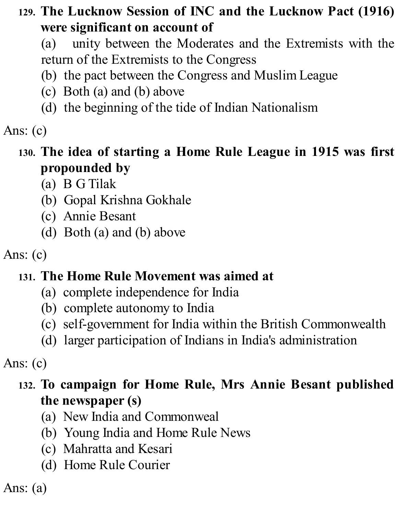## **129. The Lucknow Session of INC and the Lucknow Pact (1916) were significant on account of**

(a) unity between the Moderates and the Extremists with the return of the Extremists to the Congress

- (b) the pact between the Congress and Muslim League
- (c) Both (a) and (b) above
- (d) the beginning of the tide of Indian Nationalism

# Ans: (c)

#### **130. The idea of starting a Home Rule League in 1915 was first propounded by**

- (a) B G Tilak
- (b) Gopal Krishna Gokhale
- (c) Annie Besant
- (d) Both (a) and (b) above

# Ans: (c)

## **131. The Home Rule Movement was aimed at**

- (a) complete independence for India
- (b) complete autonomy to India
- (c) self-government for India within the British Commonwealth
- (d) larger participation of Indians in India's administration

## Ans: (c)

## **132. To campaign for Home Rule, Mrs Annie Besant published the newspaper (s)**

- (a) New India and Commonweal
- (b) Young India and Home Rule News
- (c) Mahratta and Kesari
- (d) Home Rule Courier

Ans: (a)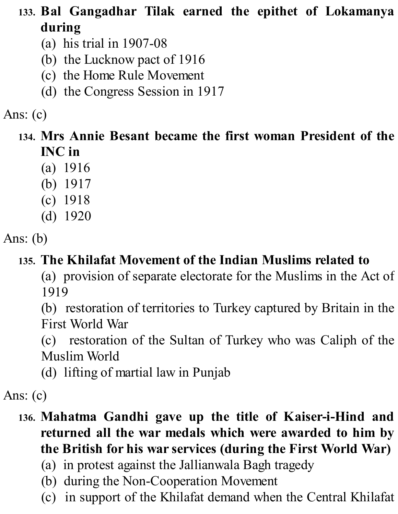- **133. Bal Gangadhar Tilak earned the epithet of Lokamanya during**
	- (a) his trial in 1907-08
	- (b) the Lucknow pact of 1916
	- (c) the Home Rule Movement
	- (d) the Congress Session in 1917

Ans: (c)

- **134. Mrs Annie Besant became the first woman President of the INC in**
	- (a) 1916
	- (b) 1917
	- (c) 1918
	- (d) 1920

Ans: (b)

## **135. The Khilafat Movement of the Indian Muslims related to**

(a) provision of separate electorate for the Muslims in the Act of 1919

(b) restoration of territories to Turkey captured by Britain in the First World War

(c) restoration of the Sultan of Turkey who was Caliph of the Muslim World

(d) lifting of martial law in Punjab

## Ans: (c)

## **136. Mahatma Gandhi gave up the title of Kaiser-i-Hind and returned all the war medals which were awarded to him by the British for his war services (during the First World War)**

- (a) in protest against the Jallianwala Bagh tragedy
- (b) during the Non-Cooperation Movement
- (c) in support of the Khilafat demand when the Central Khilafat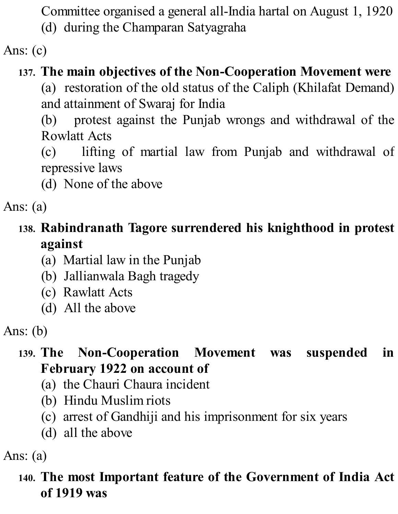Committee organised a general all-India hartal on August 1, 1920

(d) during the Champaran Satyagraha

Ans: (c)

# **137. The main objectives of the Non-Cooperation Movement were**

(a) restoration of the old status of the Caliph (Khilafat Demand) and attainment of Swaraj for India

(b) protest against the Punjab wrongs and withdrawal of the Rowlatt Acts

(c) lifting of martial law from Punjab and withdrawal of repressive laws

(d) None of the above

Ans: (a)

# **138. Rabindranath Tagore surrendered his knighthood in protest against**

- (a) Martial law in the Punjab
- (b) Jallianwala Bagh tragedy
- (c) Rawlatt Acts
- (d) All the above

Ans: (b)

### **139. The Non-Cooperation Movement was suspended in February 1922 on account of**

- (a) the Chauri Chaura incident
- (b) Hindu Muslim riots
- (c) arrest of Gandhiji and his imprisonment for six years
- (d) all the above

Ans: (a)

## **140. The most Important feature of the Government of India Act of 1919 was**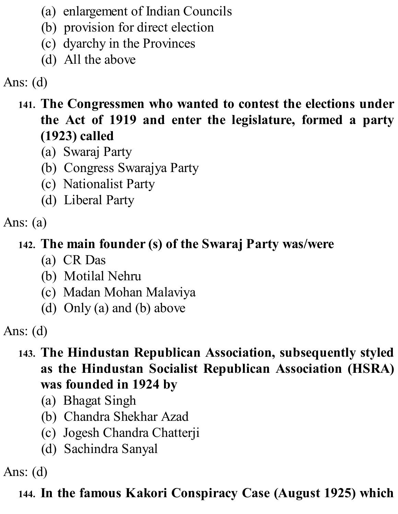- (a) enlargement of Indian Councils
- (b) provision for direct election
- (c) dyarchy in the Provinces
- (d) All the above

## **141. The Congressmen who wanted to contest the elections under the Act of 1919 and enter the legislature, formed a party (1923) called**

- (a) Swaraj Party
- (b) Congress Swarajya Party
- (c) Nationalist Party
- (d) Liberal Party

Ans: (a)

## **142. The main founder (s) of the Swaraj Party was/were**

- (a) CR Das
- (b) Motilal Nehru
- (c) Madan Mohan Malaviya
- (d) Only (a) and (b) above

Ans: (d)

- **143. The Hindustan Republican Association, subsequently styled as the Hindustan Socialist Republican Association (HSRA) was founded in 1924 by**
	- (a) Bhagat Singh
	- (b) Chandra Shekhar Azad
	- (c) Jogesh Chandra Chatterji
	- (d) Sachindra Sanyal

Ans: (d)

## **144. In the famous Kakori Conspiracy Case (August 1925) which**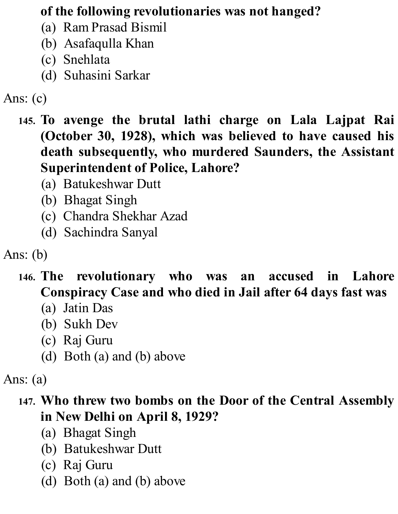### **of the following revolutionaries was not hanged?**

- (a) Ram Prasad Bismil
- (b) Asafaqulla Khan
- (c) Snehlata
- (d) Suhasini Sarkar
- Ans: (c)
	- **145. To avenge the brutal lathi charge on Lala Lajpat Rai (October 30, 1928), which was believed to have caused his death subsequently, who murdered Saunders, the Assistant Superintendent of Police, Lahore?**
		- (a) Batukeshwar Dutt
		- (b) Bhagat Singh
		- (c) Chandra Shekhar Azad
		- (d) Sachindra Sanyal

Ans: (b)

- **146. The revolutionary who was an accused in Lahore Conspiracy Case and who died in Jail after 64 days fast was**
	- (a) Jatin Das
	- (b) Sukh Dev
	- (c) Raj Guru
	- (d) Both (a) and (b) above

Ans: (a)

### **147. Who threw two bombs on the Door of the Central Assembly in New Delhi on April 8, 1929?**

- (a) Bhagat Singh
- (b) Batukeshwar Dutt
- (c) Raj Guru
- (d) Both (a) and (b) above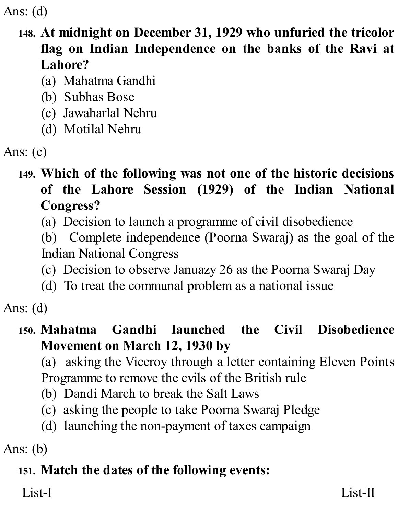### **148. At midnight on December 31, 1929 who unfuried the tricolor flag on Indian Independence on the banks of the Ravi at Lahore?**

- (a) Mahatma Gandhi
- (b) Subhas Bose
- (c) Jawaharlal Nehru
- (d) Motilal Nehru

```
Ans: (c)
```
## **149. Which of the following was not one of the historic decisions of the Lahore Session (1929) of the Indian National Congress?**

- (a) Decision to launch a programme of civil disobedience
- (b) Complete independence (Poorna Swaraj) as the goal of the Indian National Congress
- (c) Decision to observe Januazy 26 as the Poorna Swaraj Day
- (d) To treat the communal problem as a national issue

Ans: (d)

### **150. Mahatma Gandhi launched the Civil Disobedience Movement on March 12, 1930 by**

(a) asking the Viceroy through a letter containing Eleven Points Programme to remove the evils of the British rule

- (b) Dandi March to break the Salt Laws
- (c) asking the people to take Poorna Swaraj Pledge
- (d) launching the non-payment of taxes campaign

Ans: (b)

# **151. Match the dates of the following events:**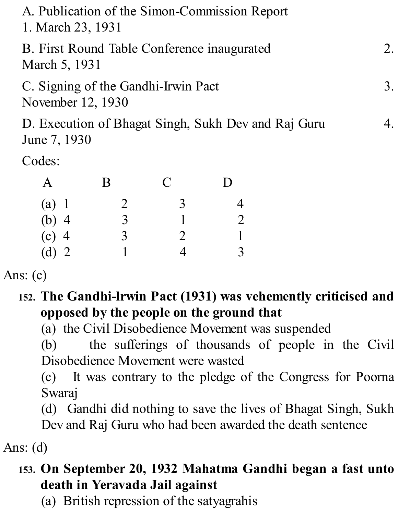| A. Publication of the Simon-Commission Report<br>1. March 23, 1931  |  |
|---------------------------------------------------------------------|--|
| B. First Round Table Conference inaugurated<br>March 5, 1931        |  |
| C. Signing of the Gandhi-Irwin Pact<br>November 12, 1930            |  |
| D. Execution of Bhagat Singh, Sukh Dev and Raj Guru<br>June 7, 1930 |  |
| Codes:                                                              |  |

A B C D (a) 1 2 3 4<br>
(b) 4 3 1 2<br>
(c) 4 3 2 1 (b) 4 3 1 2 (c) 4 3 2 1 (d) 2 1 4 3

Ans: (c)

**152. The Gandhi-lrwin Pact (1931) was vehemently criticised and opposed by the people on the ground that**

(a) the Civil Disobedience Movement was suspended

(b) the sufferings of thousands of people in the Civil Disobedience Movement were wasted

(c) It was contrary to the pledge of the Congress for Poorna Swaraj

(d) Gandhi did nothing to save the lives of Bhagat Singh, Sukh Dev and Raj Guru who had been awarded the death sentence

Ans: (d)

## **153. On September 20, 1932 Mahatma Gandhi began a fast unto death in Yeravada Jail against**

(a) British repression of the satyagrahis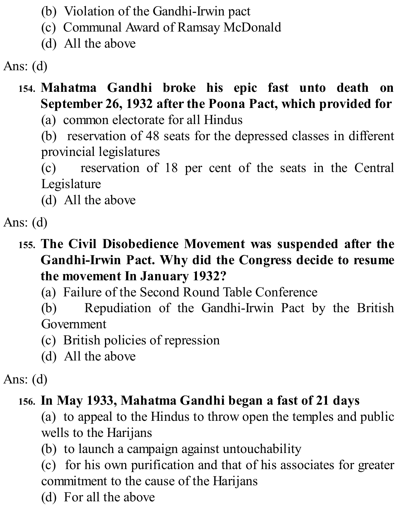- (b) Violation of the Gandhi-Irwin pact
- (c) Communal Award of Ramsay McDonald
- (d) All the above

# **154. Mahatma Gandhi broke his epic fast unto death on September 26, 1932 after the Poona Pact, which provided for**

(a) common electorate for all Hindus

(b) reservation of 48 seats for the depressed classes in different provincial legislatures

(c) reservation of 18 per cent of the seats in the Central Legislature

(d) All the above

Ans: (d)

### **155. The Civil Disobedience Movement was suspended after the Gandhi-Irwin Pact. Why did the Congress decide to resume the movement In January 1932?**

(a) Failure of the Second Round Table Conference

(b) Repudiation of the Gandhi-Irwin Pact by the British Government

- (c) British policies of repression
- (d) All the above

## Ans: (d)

# **156. In May 1933, Mahatma Gandhi began a fast of 21 days**

(a) to appeal to the Hindus to throw open the temples and public wells to the Harijans

(b) to launch a campaign against untouchability

(c) for his own purification and that of his associates for greater commitment to the cause of the Harijans

(d) For all the above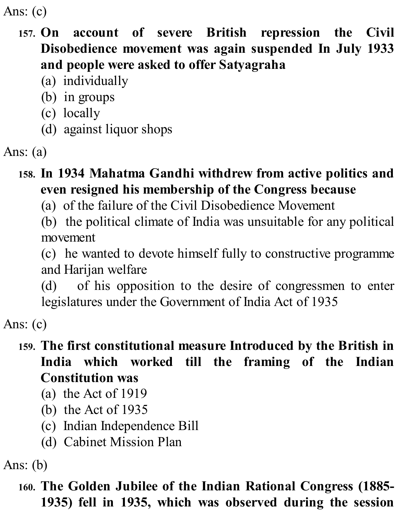Ans: (c)

### **157. On account of severe British repression the Civil Disobedience movement was again suspended In July 1933 and people were asked to offer Satyagraha**

- (a) individually
- (b) in groups
- (c) locally
- (d) against liquor shops

```
Ans: (a)
```
### **158. In 1934 Mahatma Gandhi withdrew from active politics and even resigned his membership of the Congress because**

(a) of the failure of the Civil Disobedience Movement

(b) the political climate of India was unsuitable for any political movement

(c) he wanted to devote himself fully to constructive programme and Harijan welfare

(d) of his opposition to the desire of congressmen to enter legislatures under the Government of India Act of 1935

Ans: (c)

### **159. The first constitutional measure Introduced by the British in India which worked till the framing of the Indian Constitution was**

- (a) the Act of 1919
- (b) the Act of 1935
- (c) Indian Independence Bill
- (d) Cabinet Mission Plan

Ans: (b)

**160. The Golden Jubilee of the Indian Rational Congress (1885- 1935) fell in 1935, which was observed during the session**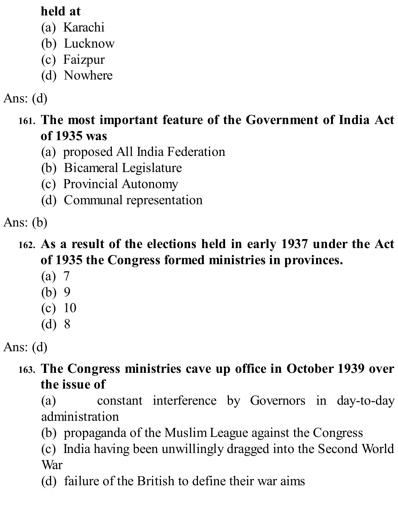### **held at**

- (a) Karachi
- (b) Lucknow
- (c) Faizpur
- (d) Nowhere

# Ans: (d)

## **161. The most important feature of the Government of India Act of 1935 was**

- (a) proposed All India Federation
- (b) Bicameral Legislature
- (c) Provincial Autonomy
- (d) Communal representation

Ans: (b)

## **162. As a result of the elections held in early 1937 under the Act of 1935 the Congress formed ministries in provinces.**

- (a) 7
- (b) 9
- (c) 10
- (d) 8

Ans: (d)

## **163. The Congress ministries cave up office in October 1939 over the issue of**

(a) constant interference by Governors in day-to-day administration

(b) propaganda of the Muslim League against the Congress

(c) India having been unwillingly dragged into the Second World War

(d) failure of the British to define their war aims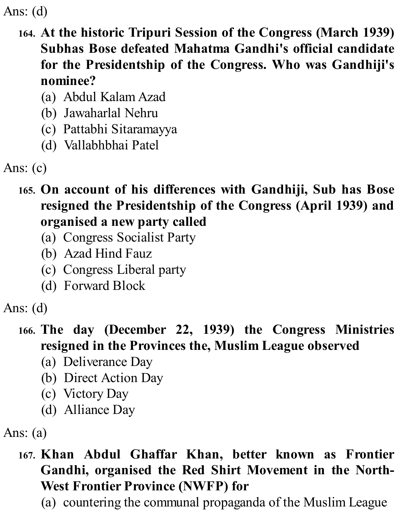- **164. At the historic Tripuri Session of the Congress (March 1939) Subhas Bose defeated Mahatma Gandhi's official candidate for the Presidentship of the Congress. Who was Gandhiji's nominee?**
	- (a) Abdul Kalam Azad
	- (b) Jawaharlal Nehru
	- (c) Pattabhi Sitaramayya
	- (d) Vallabhbhai Patel

Ans: (c)

- **165. On account of his differences with Gandhiji, Sub has Bose resigned the Presidentship of the Congress (April 1939) and organised a new party called**
	- (a) Congress Socialist Party
	- (b) Azad Hind Fauz
	- (c) Congress Liberal party
	- (d) Forward Block

Ans: (d)

## **166. The day (December 22, 1939) the Congress Ministries resigned in the Provinces the, Muslim League observed**

- (a) Deliverance Day
- (b) Direct Action Day
- (c) Victory Day
- (d) Alliance Day

Ans: (a)

- **167. Khan Abdul Ghaffar Khan, better known as Frontier Gandhi, organised the Red Shirt Movement in the North-West Frontier Province (NWFP) for**
	- (a) countering the communal propaganda of the Muslim League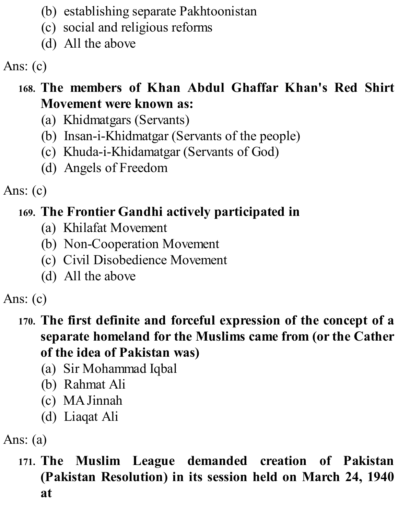- (b) establishing separate Pakhtoonistan
- (c) social and religious reforms
- (d) All the above

Ans: (c)

## **168. The members of Khan Abdul Ghaffar Khan's Red Shirt Movement were known as:**

- (a) Khidmatgars (Servants)
- (b) Insan-i-Khidmatgar (Servants of the people)
- (c) Khuda-i-Khidamatgar (Servants of God)
- (d) Angels of Freedom

Ans: (c)

# **169. The Frontier Gandhi actively participated in**

- (a) Khilafat Movement
- (b) Non-Cooperation Movement
- (c) Civil Disobedience Movement
- (d) All the above

Ans: (c)

### **170. The first definite and forceful expression of the concept of a separate homeland for the Muslims came from (or the Cather of the idea of Pakistan was)**

- (a) Sir Mohammad Iqbal
- (b) Rahmat Ali
- (c) MAJinnah
- (d) Liaqat Ali

Ans: (a)

**171. The Muslim League demanded creation of Pakistan (Pakistan Resolution) in its session held on March 24, 1940 at**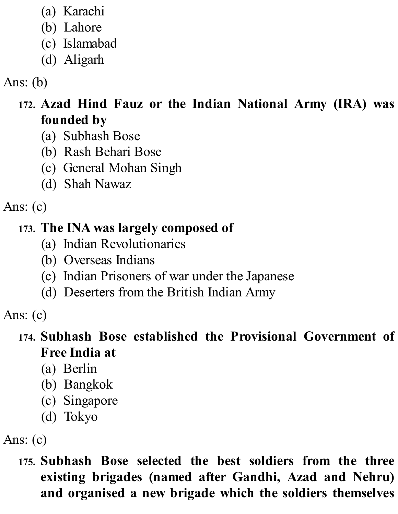- (a) Karachi
- (b) Lahore
- (c) Islamabad
- (d) Aligarh

## Ans: (b)

- **172. Azad Hind Fauz or the Indian National Army (IRA) was founded by**
	- (a) Subhash Bose
	- (b) Rash Behari Bose
	- (c) General Mohan Singh
	- (d) Shah Nawaz

Ans: (c)

## **173. The INA was largely composed of**

- (a) Indian Revolutionaries
- (b) Overseas Indians
- (c) Indian Prisoners of war under the Japanese
- (d) Deserters from the British Indian Army

Ans: (c)

### **174. Subhash Bose established the Provisional Government of Free India at**

- (a) Berlin
- (b) Bangkok
- (c) Singapore
- (d) Tokyo

Ans: (c)

**175. Subhash Bose selected the best soldiers from the three existing brigades (named after Gandhi, Azad and Nehru) and organised a new brigade which the soldiers themselves**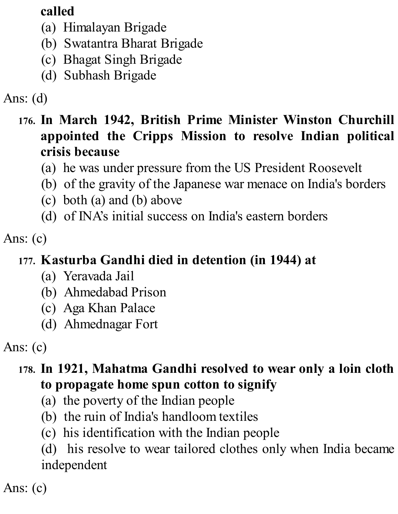## **called**

- (a) Himalayan Brigade
- (b) Swatantra Bharat Brigade
- (c) Bhagat Singh Brigade
- (d) Subhash Brigade

# Ans: (d)

### **176. In March 1942, British Prime Minister Winston Churchill appointed the Cripps Mission to resolve Indian political crisis because**

- (a) he was under pressure from the US President Roosevelt
- (b) of the gravity of the Japanese war menace on India's borders
- (c) both (a) and (b) above
- (d) of INA's initial success on India's eastern borders

Ans: (c)

## **177. Kasturba Gandhi died in detention (in 1944) at**

- (a) Yeravada Jail
- (b) Ahmedabad Prison
- (c) Aga Khan Palace
- (d) Ahmednagar Fort

Ans: (c)

## **178. In 1921, Mahatma Gandhi resolved to wear only a loin cloth to propagate home spun cotton to signify**

- (a) the poverty of the Indian people
- (b) the ruin of India's handloom textiles
- (c) his identification with the Indian people

(d) his resolve to wear tailored clothes only when India became independent

Ans: (c)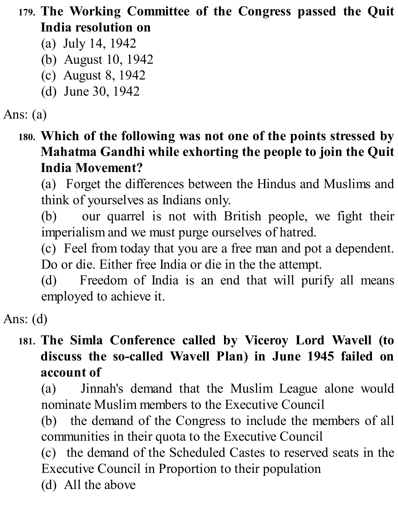**179. The Working Committee of the Congress passed the Quit India resolution on**

- (a) July 14, 1942
- (b) August 10, 1942
- (c) August 8, 1942
- (d) June 30, 1942

## Ans: (a)

**180. Which of the following was not one of the points stressed by Mahatma Gandhi while exhorting the people to join the Quit India Movement?**

(a) Forget the differences between the Hindus and Muslims and think of yourselves as Indians only.

(b) our quarrel is not with British people, we fight their imperialism and we must purge ourselves of hatred.

(c) Feel from today that you are a free man and pot a dependent. Do or die. Either free India or die in the the attempt.

(d) Freedom of India is an end that will purify all means employed to achieve it.

Ans: (d)

### **181. The Simla Conference called by Viceroy Lord Wavell (to discuss the so-called Wavell Plan) in June 1945 failed on account of**

(a) Jinnah's demand that the Muslim League alone would nominate Muslim members to the Executive Council

(b) the demand of the Congress to include the members of all communities in their quota to the Executive Council

(c) the demand of the Scheduled Castes to reserved seats in the Executive Council in Proportion to their population (d) All the above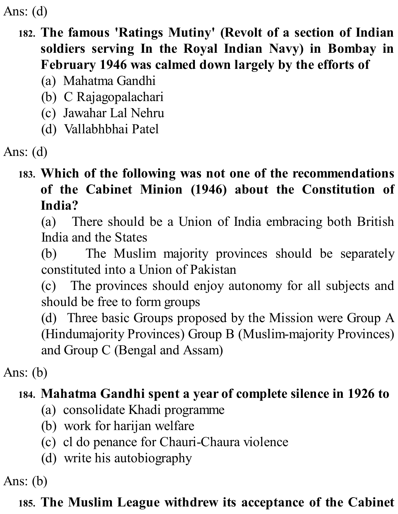### **182. The famous 'Ratings Mutiny' (Revolt of a section of Indian soldiers serving In the Royal Indian Navy) in Bombay in February 1946 was calmed down largely by the efforts of**

- (a) Mahatma Gandhi
- (b) C Rajagopalachari
- (c) Jawahar Lal Nehru
- (d) Vallabhbhai Patel

Ans: (d)

## **183. Which of the following was not one of the recommendations of the Cabinet Minion (1946) about the Constitution of India?**

(a) There should be a Union of India embracing both British India and the States

(b) The Muslim majority provinces should be separately constituted into a Union of Pakistan

(c) The provinces should enjoy autonomy for all subjects and should be free to form groups

(d) Three basic Groups proposed by the Mission were Group A (Hindumajority Provinces) Group B (Muslim-majority Provinces) and Group C (Bengal and Assam)

Ans: (b)

## **184. Mahatma Gandhi spent a year of complete silence in 1926 to**

- (a) consolidate Khadi programme
- (b) work for harijan welfare
- (c) cl do penance for Chauri-Chaura violence
- (d) write his autobiography

Ans: (b)

## **185. The Muslim League withdrew its acceptance of the Cabinet**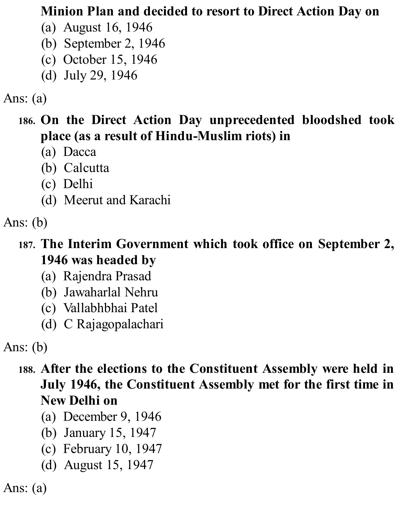#### **Minion Plan and decided to resort to Direct Action Day on**

- (a) August 16, 1946
- (b) September 2, 1946
- (c) October 15, 1946
- (d) July 29, 1946

## Ans: (a)

- **186. On the Direct Action Day unprecedented bloodshed took place (as a result of Hindu-Muslim riots) in**
	- (a) Dacca
	- (b) Calcutta
	- (c) Delhi
	- (d) Meerut and Karachi

## Ans: (b)

## **187. The Interim Government which took office on September 2, 1946 was headed by**

- (a) Rajendra Prasad
- (b) Jawaharlal Nehru
- (c) Vallabhbhai Patel
- (d) C Rajagopalachari

Ans: (b)

### **188. After the elections to the Constituent Assembly were held in July 1946, the Constituent Assembly met for the first time in New Delhi on**

- (a) December 9, 1946
- (b) January 15, 1947
- (c) February 10, 1947
- (d) August 15, 1947

Ans: (a)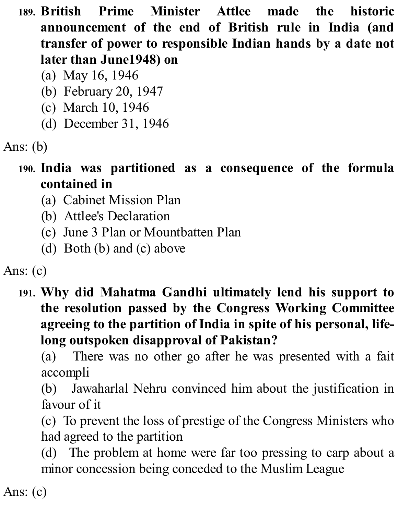- **189. British Prime Minister Attlee made the historic announcement of the end of British rule in India (and transfer of power to responsible Indian hands by a date not later than June1948) on**
	- (a) May 16, 1946
	- (b) February 20, 1947
	- (c) March 10, 1946
	- (d) December 31, 1946

```
Ans: (b)
```
- **190. India was partitioned as a consequence of the formula contained in**
	- (a) Cabinet Mission Plan
	- (b) Attlee's Declaration
	- (c) June 3 Plan or Mountbatten Plan
	- (d) Both (b) and (c) above

Ans: (c)

**191. Why did Mahatma Gandhi ultimately lend his support to the resolution passed by the Congress Working Committee agreeing to the partition of India in spite of his personal, lifelong outspoken disapproval of Pakistan?**

(a) There was no other go after he was presented with a fait accompli

(b) Jawaharlal Nehru convinced him about the justification in favour of it

(c) To prevent the loss of prestige of the Congress Ministers who had agreed to the partition

(d) The problem at home were far too pressing to carp about a minor concession being conceded to the Muslim League

Ans: (c)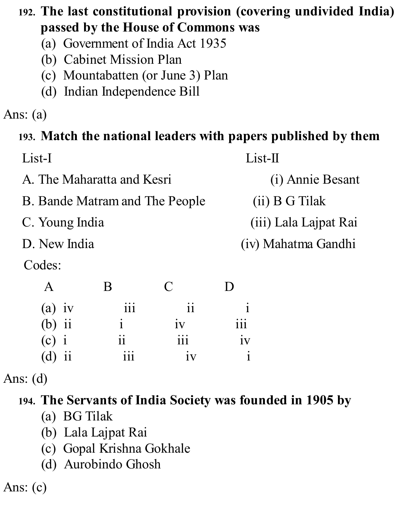## **192. The last constitutional provision (covering undivided India) passed by the House of Commons was**

- (a) Government of India Act 1935
- (b) Cabinet Mission Plan
- (c) Mountabatten (or June 3) Plan
- (d) Indian Independence Bill

## Ans: (a)

### **193. Match the national leaders with papers published by them**

| List-I                         | $List-II$             |
|--------------------------------|-----------------------|
| A. The Maharatta and Kesri     | (i) Annie Besant      |
| B. Bande Matram and The People | (ii) B G Tilak        |
| C. Young India                 | (iii) Lala Lajpat Rai |
| D. New India                   | (iv) Mahatma Gandhi   |
| Codes:                         |                       |

|          |                  | $\Box$        | I)         |
|----------|------------------|---------------|------------|
| $(a)$ iv | iii              | $\mathbf{ii}$ |            |
| $(b)$ ii |                  | iv            | <i>iii</i> |
| $(c)$ i  | $\ddot{\rm{11}}$ | iii           | 1V         |
| $(d)$ ii | iii              | iv            |            |

Ans: (d)

### **194. The Servants of India Society was founded in 1905 by**

- (a) BG Tilak
- (b) Lala Lajpat Rai
- (c) Gopal Krishna Gokhale
- (d) Aurobindo Ghosh

Ans: (c)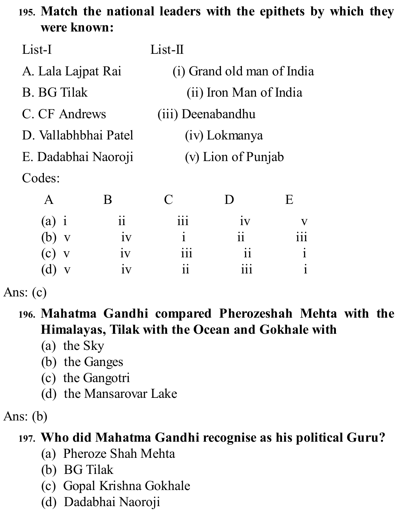## **195. Match the national leaders with the epithets by which they were known:**

| List-I               |            | $List-II$                  |               |                           |  |
|----------------------|------------|----------------------------|---------------|---------------------------|--|
| A. Lala Lajpat Rai   |            | (i) Grand old man of India |               |                           |  |
| <b>B.</b> BG Tilak   |            | (ii) Iron Man of India     |               |                           |  |
| C. CF Andrews        |            | <i>(iii)</i> Deenabandhu   |               |                           |  |
| D. Vallabhbhai Patel |            | (iv) Lokmanya              |               |                           |  |
| E. Dadabhai Naoroji  |            | (v) Lion of Punjab         |               |                           |  |
| Codes:               |            |                            |               |                           |  |
| $\mathsf{A}$         | B          | $\mathcal C$               | $\mathbf{D}$  | E                         |  |
| $(a)$ i              | $\ddot{i}$ | 111                        | 1V            | $\boldsymbol{\mathrm{V}}$ |  |
| (b)<br>V             | iv         | $\mathbf i$                | $\mathbf{ii}$ | $\overline{111}$          |  |
| (c)<br>$\mathbf{V}$  | 1V         | $\overline{111}$           | 11            | $\mathbf{i}$              |  |
| d)                   | 1V         | 11                         | 111           |                           |  |

Ans: (c)

## **196. Mahatma Gandhi compared Pherozeshah Mehta with the Himalayas, Tilak with the Ocean and Gokhale with**

- (a) the Sky
- (b) the Ganges
- (c) the Gangotri
- (d) the Mansarovar Lake

Ans: (b)

### **197. Who did Mahatma Gandhi recognise as his political Guru?**

- (a) Pheroze Shah Mehta
- (b) BG Tilak
- (c) Gopal Krishna Gokhale
- (d) Dadabhai Naoroji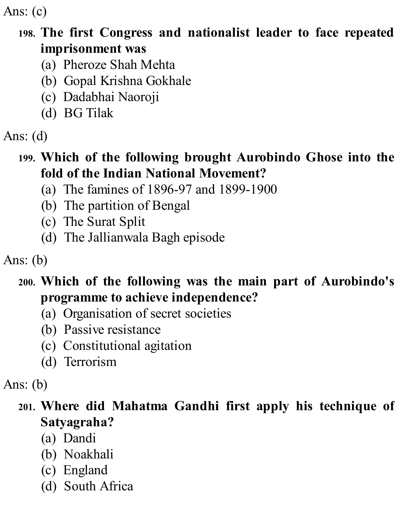Ans: (c)

## **198. The first Congress and nationalist leader to face repeated imprisonment was**

- (a) Pheroze Shah Mehta
- (b) Gopal Krishna Gokhale
- (c) Dadabhai Naoroji
- (d) BG Tilak
- Ans: (d)

### **199. Which of the following brought Aurobindo Ghose into the fold of the Indian National Movement?**

- (a) The famines of 1896-97 and 1899-1900
- (b) The partition of Bengal
- (c) The Surat Split
- (d) The Jallianwala Bagh episode

Ans: (b)

## **200. Which of the following was the main part of Aurobindo's programme to achieve independence?**

- (a) Organisation of secret societies
- (b) Passive resistance
- (c) Constitutional agitation
- (d) Terrorism

Ans: (b)

## **201. Where did Mahatma Gandhi first apply his technique of Satyagraha?**

- (a) Dandi
- (b) Noakhali
- (c) England
- (d) South Africa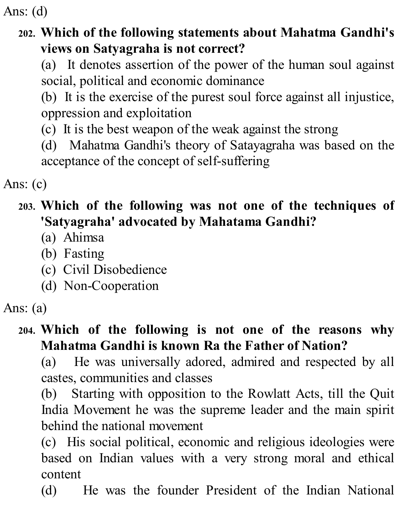#### **202. Which of the following statements about Mahatma Gandhi's views on Satyagraha is not correct?**

(a) It denotes assertion of the power of the human soul against social, political and economic dominance

(b) It is the exercise of the purest soul force against all injustice, oppression and exploitation

- (c) It is the best weapon of the weak against the strong
- (d) Mahatma Gandhi's theory of Satayagraha was based on the acceptance of the concept of self-suffering

Ans: (c)

## **203. Which of the following was not one of the techniques of 'Satyagraha' advocated by Mahatama Gandhi?**

- (a) Ahimsa
- (b) Fasting
- (c) Civil Disobedience
- (d) Non-Cooperation

### **204. Which of the following is not one of the reasons why Mahatma Gandhi is known Ra the Father of Nation?**

(a) He was universally adored, admired and respected by all castes, communities and classes

(b) Starting with opposition to the Rowlatt Acts, till the Quit India Movement he was the supreme leader and the main spirit behind the national movement

(c) His social political, economic and religious ideologies were based on Indian values with a very strong moral and ethical content

(d) He was the founder President of the Indian National

Ans: (a)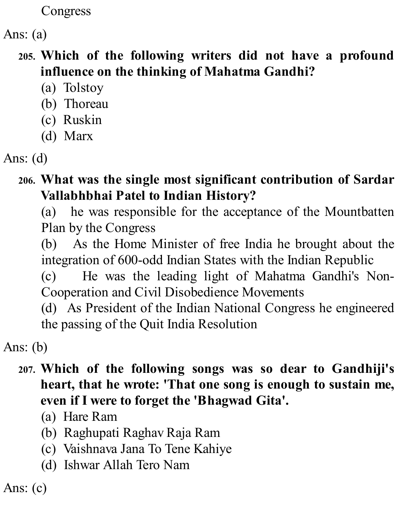Congress

Ans: (a)

### **205. Which of the following writers did not have a profound influence on the thinking of Mahatma Gandhi?**

- (a) Tolstoy
- (b) Thoreau
- (c) Ruskin
- (d) Marx

### **206. What was the single most significant contribution of Sardar Vallabhbhai Patel to Indian History?**

(a) he was responsible for the acceptance of the Mountbatten Plan by the Congress

(b) As the Home Minister of free India he brought about the integration of 600-odd Indian States with the Indian Republic

(c) He was the leading light of Mahatma Gandhi's Non-Cooperation and Civil Disobedience Movements

(d) As President of the Indian National Congress he engineered the passing of the Quit India Resolution

Ans: (b)

#### **207. Which of the following songs was so dear to Gandhiji's heart, that he wrote: 'That one song is enough to sustain me, even if I were to forget the 'Bhagwad Gita'.**

- (a) Hare Ram
- (b) Raghupati Raghav Raja Ram
- (c) Vaishnava Jana To Tene Kahiye
- (d) Ishwar Allah Tero Nam

Ans: (c)

Ans: (d)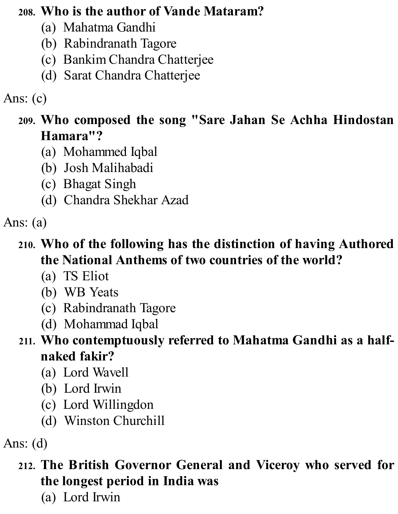#### **208. Who is the author of Vande Mataram?**

- (a) Mahatma Gandhi
- (b) Rabindranath Tagore
- (c) Bankim Chandra Chatterjee
- (d) Sarat Chandra Chatterjee

## Ans: (c)

### **209. Who composed the song "Sare Jahan Se Achha Hindostan Hamara"?**

- (a) Mohammed Iqbal
- (b) Josh Malihabadi
- (c) Bhagat Singh
- (d) Chandra Shekhar Azad

### Ans: (a)

## **210. Who of the following has the distinction of having Authored the National Anthems of two countries of the world?**

- (a) TS Eliot
- (b) WB Yeats
- (c) Rabindranath Tagore
- (d) Mohammad Iqbal

### **211. Who contemptuously referred to Mahatma Gandhi as a halfnaked fakir?**

- (a) Lord Wavell
- (b) Lord Irwin
- (c) Lord Willingdon
- (d) Winston Churchill

Ans: (d)

## **212. The British Governor General and Viceroy who served for the longest period in India was**

(a) Lord Irwin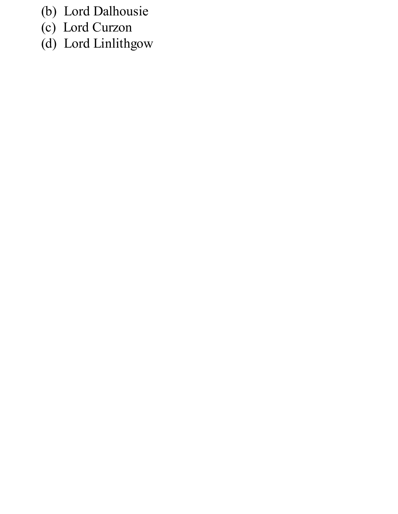- (b) Lord Dalhousie
- (c) Lord Curzon
- (d) Lord Linlithgow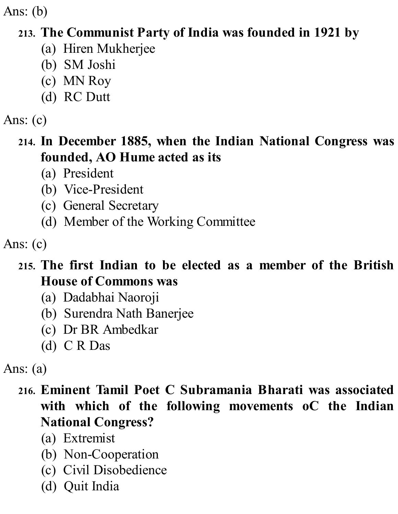Ans: (b)

## **213. The Communist Party of India was founded in 1921 by**

- (a) Hiren Mukherjee
- (b) SM Joshi
- (c) MN Roy
- (d) RC Dutt

Ans: (c)

## **214. In December 1885, when the Indian National Congress was founded, AO Hume acted as its**

- (a) President
- (b) Vice-President
- (c) General Secretary
- (d) Member of the Working Committee

Ans: (c)

## **215. The first Indian to be elected as a member of the British House of Commons was**

- (a) Dadabhai Naoroji
- (b) Surendra Nath Banerjee
- (c) Dr BR Ambedkar
- (d) C R Das

Ans: (a)

## **216. Eminent Tamil Poet C Subramania Bharati was associated with which of the following movements oC the Indian National Congress?**

- (a) Extremist
- (b) Non-Cooperation
- (c) Civil Disobedience
- (d) Quit India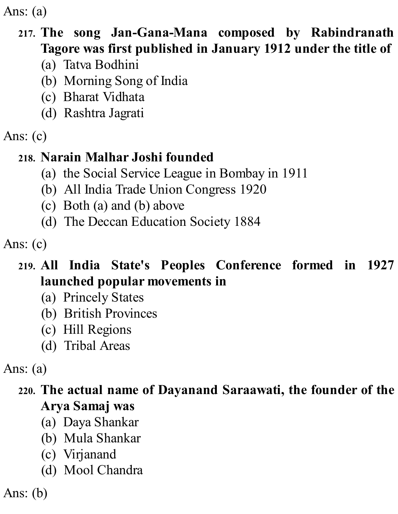Ans: (a)

#### **217. The song Jan-Gana-Mana composed by Rabindranath Tagore was first published in January 1912 under the title of**

- (a) Tatva Bodhini
- (b) Morning Song of India
- (c) Bharat Vidhata
- (d) Rashtra Jagrati
- Ans: (c)

## **218. Narain Malhar Joshi founded**

- (a) the Social Service League in Bombay in 1911
- (b) All India Trade Union Congress 1920
- (c) Both (a) and (b) above
- (d) The Deccan Education Society 1884

Ans: (c)

## **219. All India State's Peoples Conference formed in 1927 launched popular movements in**

- (a) Princely States
- (b) British Provinces
- (c) Hill Regions
- (d) Tribal Areas

Ans: (a)

## **220. The actual name of Dayanand Saraawati, the founder of the Arya Samaj was**

- (a) Daya Shankar
- (b) Mula Shankar
- (c) Virjanand
- (d) Mool Chandra

Ans: (b)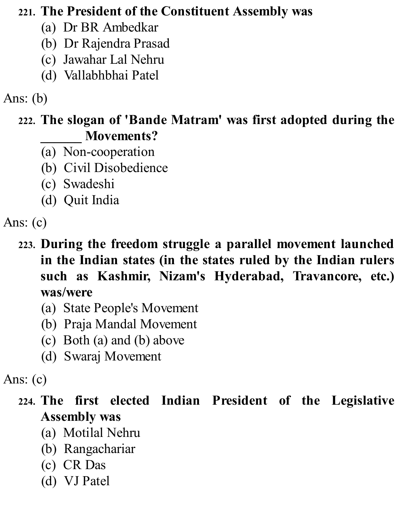#### **221. The President of the Constituent Assembly was**

- (a) Dr BR Ambedkar
- (b) Dr Rajendra Prasad
- (c) Jawahar Lal Nehru
- (d) Vallabhbhai Patel

## Ans: (b)

### **222. The slogan of 'Bande Matram' was first adopted during the \_\_\_\_\_\_ Movements?**

- (a) Non-cooperation
- (b) Civil Disobedience
- (c) Swadeshi
- (d) Quit India

- **223. During the freedom struggle a parallel movement launched in the Indian states (in the states ruled by the Indian rulers such as Kashmir, Nizam's Hyderabad, Travancore, etc.) was/were**
	- (a) State People's Movement
	- (b) Praja Mandal Movement
	- (c) Both (a) and (b) above
	- (d) Swaraj Movement

### Ans: (c)

# **224. The first elected Indian President of the Legislative Assembly was**

- (a) Motilal Nehru
- (b) Rangachariar
- (c) CR Das
- (d) VJ Patel

Ans: (c)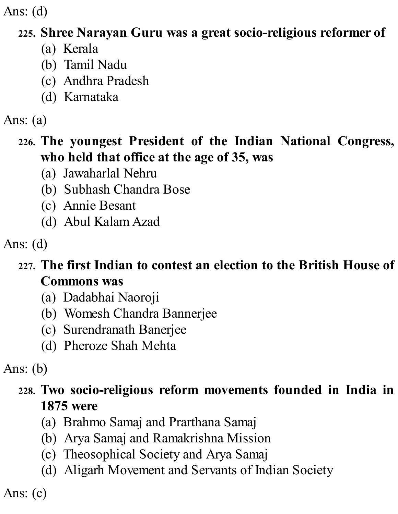### **225. Shree Narayan Guru was a great socio-religious reformer of**

- (a) Kerala
- (b) Tamil Nadu
- (c) Andhra Pradesh
- (d) Karnataka

### Ans: (a)

## **226. The youngest President of the Indian National Congress, who held that office at the age of 35, was**

- (a) Jawaharlal Nehru
- (b) Subhash Chandra Bose
- (c) Annie Besant
- (d) Abul Kalam Azad

Ans: (d)

## **227. The first Indian to contest an election to the British House of Commons was**

- (a) Dadabhai Naoroji
- (b) Womesh Chandra Bannerjee
- (c) Surendranath Banerjee
- (d) Pheroze Shah Mehta

Ans: (b)

## **228. Two socio-religious reform movements founded in India in 1875 were**

- (a) Brahmo Samaj and Prarthana Samaj
- (b) Arya Samaj and Ramakrishna Mission
- (c) Theosophical Society and Arya Samaj
- (d) Aligarh Movement and Servants of Indian Society

Ans: (c)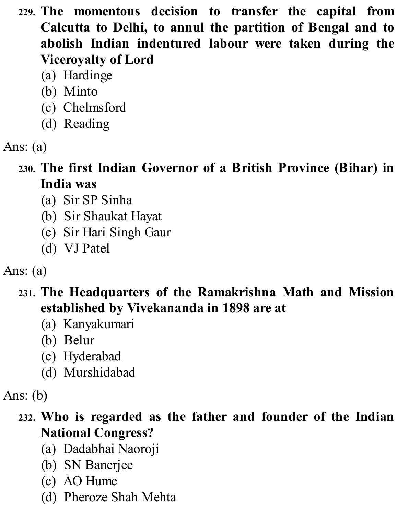- **229. The momentous decision to transfer the capital from Calcutta to Delhi, to annul the partition of Bengal and to abolish Indian indentured labour were taken during the Viceroyalty of Lord**
	- (a) Hardinge
	- (b) Minto
	- (c) Chelmsford
	- (d) Reading
- Ans: (a)
	- **230. The first Indian Governor of a British Province (Bihar) in India was**
		- (a) Sir SP Sinha
		- (b) Sir Shaukat Hayat
		- (c) Sir Hari Singh Gaur
		- (d) VJ Patel
- Ans: (a)
	- **231. The Headquarters of the Ramakrishna Math and Mission established by Vivekananda in 1898 are at**
		- (a) Kanyakumari
		- (b) Belur
		- (c) Hyderabad
		- (d) Murshidabad

- **232. Who is regarded as the father and founder of the Indian National Congress?**
	- (a) Dadabhai Naoroji
	- (b) SN Banerjee
	- (c) AO Hume
	- (d) Pheroze Shah Mehta

Ans: (b)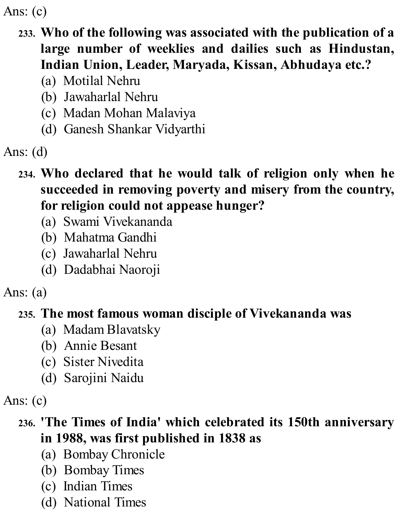Ans: (c)

### **233. Who of the following was associated with the publication of a large number of weeklies and dailies such as Hindustan, Indian Union, Leader, Maryada, Kissan, Abhudaya etc.?**

- (a) Motilal Nehru
- (b) Jawaharlal Nehru
- (c) Madan Mohan Malaviya
- (d) Ganesh Shankar Vidyarthi

Ans: (d)

- **234. Who declared that he would talk of religion only when he succeeded in removing poverty and misery from the country, for religion could not appease hunger?**
	- (a) Swami Vivekananda
	- (b) Mahatma Gandhi
	- (c) Jawaharlal Nehru
	- (d) Dadabhai Naoroji

Ans: (a)

### **235. The most famous woman disciple of Vivekananda was**

- (a) Madam Blavatsky
- (b) Annie Besant
- (c) Sister Nivedita
- (d) Sarojini Naidu

Ans: (c)

## **236. 'The Times of India' which celebrated its 150th anniversary in 1988, was first published in 1838 as**

- (a) Bombay Chronicle
- (b) Bombay Times
- (c) Indian Times
- (d) National Times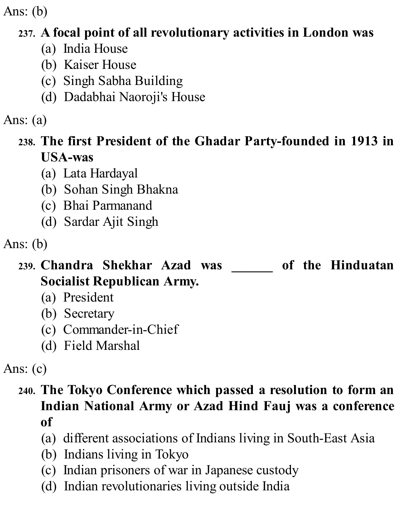Ans: (b)

## **237. A focal point of all revolutionary activities in London was**

- (a) India House
- (b) Kaiser House
- (c) Singh Sabha Building
- (d) Dadabhai Naoroji's House

## Ans: (a)

## **238. The first President of the Ghadar Party-founded in 1913 in USA-was**

- (a) Lata Hardayal
- (b) Sohan Singh Bhakna
- (c) Bhai Parmanand
- (d) Sardar Ajit Singh

- **239. Chandra Shekhar Azad was \_\_\_\_\_\_ of the Hinduatan Socialist Republican Army.**
	- (a) President
	- (b) Secretary
	- (c) Commander-in-Chief
	- (d) Field Marshal

# Ans: (c)

- **240. The Tokyo Conference which passed a resolution to form an Indian National Army or Azad Hind Fauj was a conference of**
	- (a) different associations of Indians living in South-East Asia
	- (b) Indians living in Tokyo
	- (c) Indian prisoners of war in Japanese custody
	- (d) Indian revolutionaries living outside India

Ans: (b)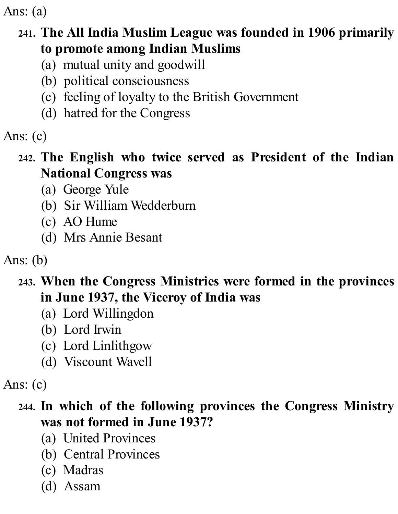Ans: (a)

## **241. The All India Muslim League was founded in 1906 primarily to promote among Indian Muslims**

- (a) mutual unity and goodwill
- (b) political consciousness
- (c) feeling of loyalty to the British Government
- (d) hatred for the Congress

## Ans: (c)

#### **242. The English who twice served as President of the Indian National Congress was**

- (a) George Yule
- (b) Sir William Wedderburn
- (c) AO Hume
- (d) Mrs Annie Besant

Ans: (b)

#### **243. When the Congress Ministries were formed in the provinces in June 1937, the Viceroy of India was**

- (a) Lord Willingdon
- (b) Lord Irwin
- (c) Lord Linlithgow
- (d) Viscount Wavell

Ans: (c)

## **244. In which of the following provinces the Congress Ministry was not formed in June 1937?**

- (a) United Provinces
- (b) Central Provinces
- (c) Madras
- (d) Assam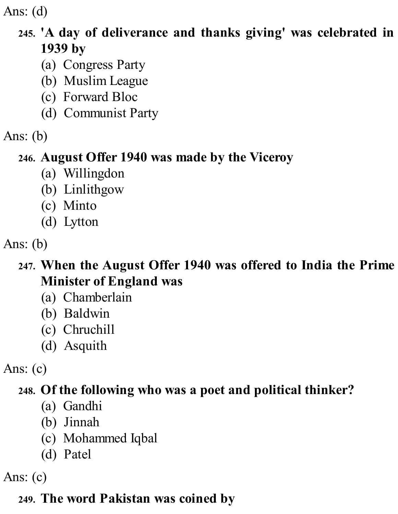### **245. 'A day of deliverance and thanks giving' was celebrated in 1939 by**

- (a) Congress Party
- (b) Muslim League
- (c) Forward Bloc
- (d) Communist Party
- Ans: (b)

### **246. August Offer 1940 was made by the Viceroy**

- (a) Willingdon
- (b) Linlithgow
- (c) Minto
- (d) Lytton
- Ans: (b)
	- **247. When the August Offer 1940 was offered to India the Prime Minister of England was**
		- (a) Chamberlain
		- (b) Baldwin
		- (c) Chruchill
		- (d) Asquith
- Ans: (c)

## **248. Of the following who was a poet and political thinker?**

- (a) Gandhi
- (b) Jinnah
- (c) Mohammed Iqbal
- (d) Patel
- Ans: (c)

## **249. The word Pakistan was coined by**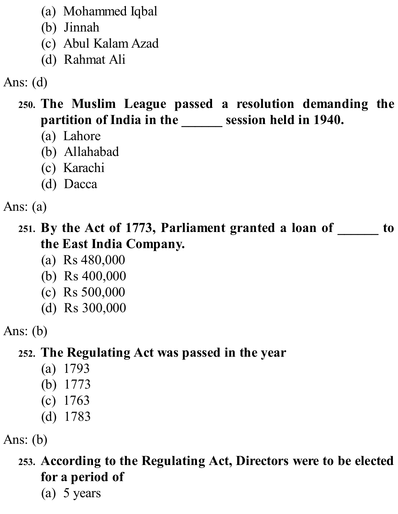- (a) Mohammed Iqbal
- (b) Jinnah
- (c) Abul Kalam Azad
- (d) Rahmat Ali

- **250. The Muslim League passed a resolution demanding the partition of India in the \_\_\_\_\_\_ session held in 1940.**
	- (a) Lahore
	- (b) Allahabad
	- (c) Karachi
	- (d) Dacca

Ans: (a)

**251. By the Act of 1773, Parliament granted a loan of \_\_\_\_\_\_ to the East India Company.**

- (a) Rs 480,000
- (b) Rs 400,000
- (c) Rs 500,000
- (d) Rs 300,000

Ans: (b)

## **252. The Regulating Act was passed in the year**

- (a) 1793
- (b) 1773
- (c) 1763
- (d) 1783

Ans: (b)

**253. According to the Regulating Act, Directors were to be elected for a period of**

(a) 5 years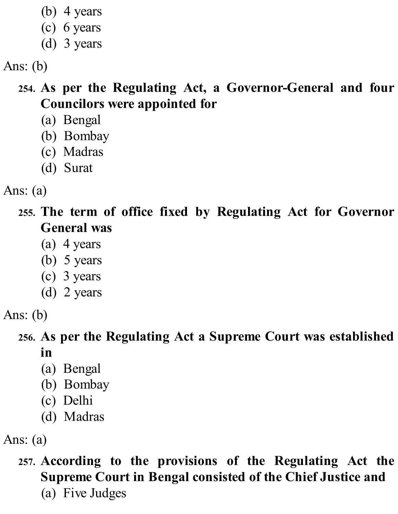- (b) 4 years
- (c) 6 years
- (d) 3 years

Ans: (b)

## **254. As per the Regulating Act, a Governor-General and four Councilors were appointed for**

- (a) Bengal
- (b) Bombay
- (c) Madras
- (d) Surat

Ans: (a)

**255. The term of office fixed by Regulating Act for Governor General was**

- (a) 4 years
- (b) 5 years
- (c) 3 years
- (d) 2 years

Ans: (b)

#### **256. As per the Regulating Act a Supreme Court was established in**

- (a) Bengal
- (b) Bombay
- (c) Delhi
- (d) Madras

Ans: (a)

**257. According to the provisions of the Regulating Act the Supreme Court in Bengal consisted of the Chief Justice and** (a) Five Judges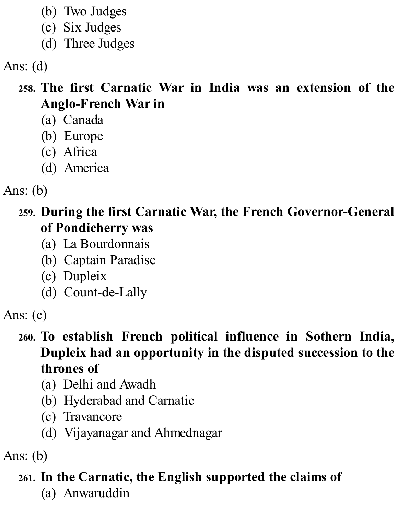- (b) Two Judges
- (c) Six Judges
- (d) Three Judges

### **258. The first Carnatic War in India was an extension of the Anglo-French War in**

- (a) Canada
- (b) Europe
- (c) Africa
- (d) America
- Ans: (b)

**259. During the first Carnatic War, the French Governor-General of Pondicherry was**

- (a) La Bourdonnais
- (b) Captain Paradise
- (c) Dupleix
- (d) Count-de-Lally

### **260. To establish French political influence in Sothern India, Dupleix had an opportunity in the disputed succession to the thrones of**

- (a) Delhi and Awadh
- (b) Hyderabad and Carnatic
- (c) Travancore
- (d) Vijayanagar and Ahmednagar

Ans: (b)

## **261. In the Carnatic, the English supported the claims of**

(a) Anwaruddin

Ans: (c)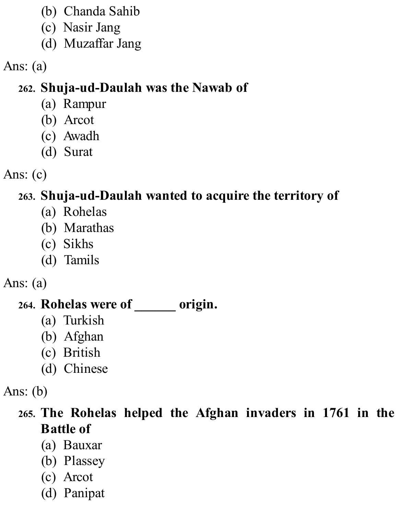- (b) Chanda Sahib
- (c) Nasir Jang
- (d) Muzaffar Jang
- Ans: (a)

# **262. Shuja-ud-Daulah was the Nawab of**

- (a) Rampur
- (b) Arcot
- (c) Awadh
- (d) Surat
- Ans: (c)

# **263. Shuja-ud-Daulah wanted to acquire the territory of**

- (a) Rohelas
- (b) Marathas
- (c) Sikhs
- (d) Tamils
- Ans: (a)

#### **264. Rohelas were of \_\_\_\_\_\_ origin.**

- (a) Turkish
- (b) Afghan
- (c) British
- (d) Chinese
- Ans: (b)

# **265. The Rohelas helped the Afghan invaders in 1761 in the Battle of**

- (a) Bauxar
- (b) Plassey
- (c) Arcot
- (d) Panipat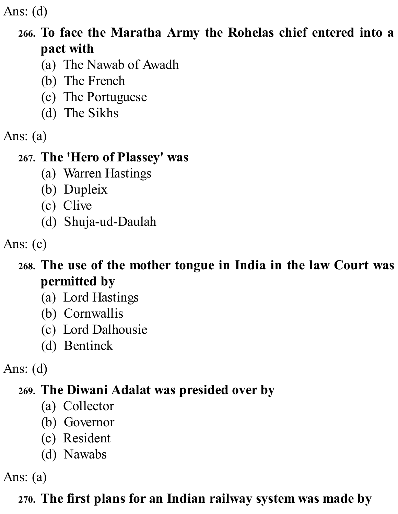Ans: (d)

#### **266. To face the Maratha Army the Rohelas chief entered into a pact with**

- (a) The Nawab of Awadh
- (b) The French
- (c) The Portuguese
- (d) The Sikhs
- Ans: (a)

#### **267. The 'Hero of Plassey' was**

- (a) Warren Hastings
- (b) Dupleix
- (c) Clive
- (d) Shuja-ud-Daulah

Ans: (c)

#### **268. The use of the mother tongue in India in the law Court was permitted by**

- (a) Lord Hastings
- (b) Cornwallis
- (c) Lord Dalhousie
- (d) Bentinck

Ans: (d)

# **269. The Diwani Adalat was presided over by**

- (a) Collector
- (b) Governor
- (c) Resident
- (d) Nawabs

Ans: (a)

# **270. The first plans for an Indian railway system was made by**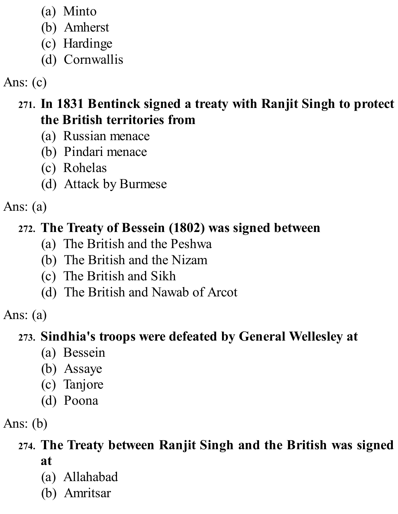- (a) Minto
- (b) Amherst
- (c) Hardinge
- (d) Cornwallis

# Ans: (c)

#### **271. In 1831 Bentinck signed a treaty with Ranjit Singh to protect the British territories from**

- (a) Russian menace
- (b) Pindari menace
- (c) Rohelas
- (d) Attack by Burmese

#### Ans: (a)

# **272. The Treaty of Bessein (1802) was signed between**

- (a) The British and the Peshwa
- (b) The British and the Nizam
- (c) The British and Sikh
- (d) The British and Nawab of Arcot

# Ans: (a)

#### **273. Sindhia's troops were defeated by General Wellesley at**

- (a) Bessein
- (b) Assaye
- (c) Tanjore
- (d) Poona

# Ans: (b)

#### **274. The Treaty between Ranjit Singh and the British was signed at**

- (a) Allahabad
- (b) Amritsar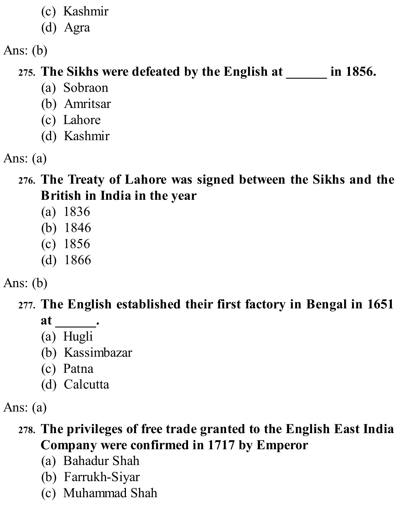- (c) Kashmir
- (d) Agra

# **275. The Sikhs were defeated by the English at \_\_\_\_\_\_ in 1856.**

- (a) Sobraon
- (b) Amritsar
- (c) Lahore
- (d) Kashmir
- Ans: (a)
	- **276. The Treaty of Lahore was signed between the Sikhs and the British in India in the year**
		- (a) 1836
		- (b) 1846
		- (c) 1856
		- (d) 1866
- Ans: (b)

# **277. The English established their first factory in Bengal in 1651 at \_\_\_\_\_\_.**

- (a) Hugli
- (b) Kassimbazar
- (c) Patna
- (d) Calcutta

Ans: (a)

# **278. The privileges of free trade granted to the English East India Company were confirmed in 1717 by Emperor**

- (a) Bahadur Shah
- (b) Farrukh-Siyar
- (c) Muhammad Shah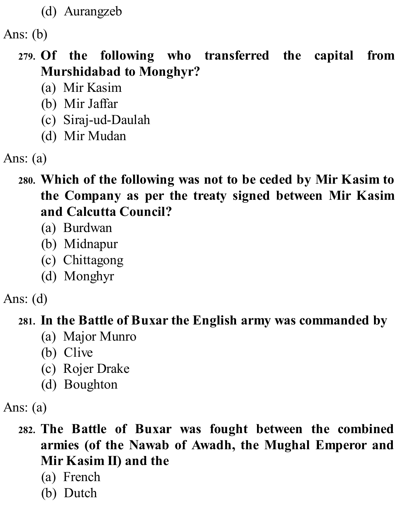(d) Aurangzeb

Ans: (b)

- **279. Of the following who transferred the capital from Murshidabad to Monghyr?**
	- (a) Mir Kasim
	- (b) Mir Jaffar
	- (c) Siraj-ud-Daulah
	- (d) Mir Mudan

- **280. Which of the following was not to be ceded by Mir Kasim to the Company as per the treaty signed between Mir Kasim and Calcutta Council?**
	- (a) Burdwan
	- (b) Midnapur
	- (c) Chittagong
	- (d) Monghyr

Ans: (d)

#### **281. In the Battle of Buxar the English army was commanded by**

- (a) Major Munro
- (b) Clive
- (c) Rojer Drake
- (d) Boughton

Ans: (a)

- **282. The Battle of Buxar was fought between the combined armies (of the Nawab of Awadh, the Mughal Emperor and Mir Kasim II) and the**
	- (a) French
	- (b) Dutch

Ans: (a)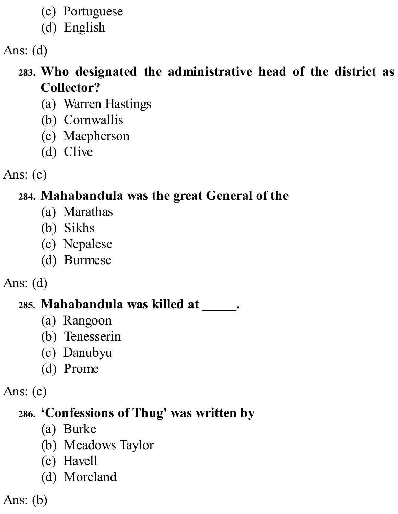- (c) Portuguese
- (d) English

Ans: (d)

# **283. Who designated the administrative head of the district as Collector?**

- (a) Warren Hastings
- (b) Cornwallis
- (c) Macpherson
- (d) Clive

Ans: (c)

# **284. Mahabandula was the great General of the**

- (a) Marathas
- (b) Sikhs
- (c) Nepalese
- (d) Burmese
- Ans: (d)

#### **285. Mahabandula was killed at \_\_\_\_\_.**

- (a) Rangoon
- (b) Tenesserin
- (c) Danubyu
- (d) Prome

Ans: (c)

# **286. 'Confessions of Thug' was written by**

- (a) Burke
- (b) Meadows Taylor
- (c) Havell
- (d) Moreland

Ans: (b)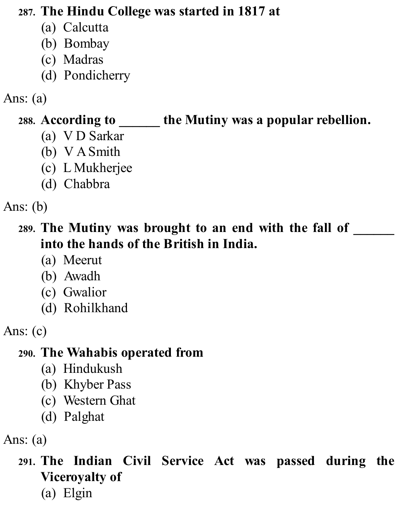#### **287. The Hindu College was started in 1817 at**

- (a) Calcutta
- (b) Bombay
- (c) Madras
- (d) Pondicherry

#### Ans: (a)

# **288. According to \_\_\_\_\_\_ the Mutiny was a popular rebellion.**

- (a) V D Sarkar
- (b) V ASmith
- (c) L Mukherjee
- (d) Chabbra

Ans: (b)

## **289. The Mutiny was brought to an end with the fall of \_\_\_\_\_\_ into the hands of the British in India.**

- (a) Meerut
- (b) Awadh
- (c) Gwalior
- (d) Rohilkhand

#### **290. The Wahabis operated from**

- (a) Hindukush
- (b) Khyber Pass
- (c) Western Ghat
- (d) Palghat

Ans: (a)

# **291. The Indian Civil Service Act was passed during the Viceroyalty of**

(a) Elgin

Ans: (c)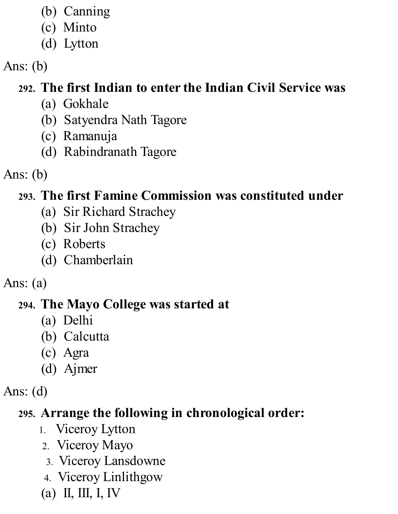- (b) Canning
- (c) Minto
- (d) Lytton

# **292. The first Indian to enter the Indian Civil Service was**

- (a) Gokhale
- (b) Satyendra Nath Tagore
- (c) Ramanuja
- (d) Rabindranath Tagore
- Ans: (b)

# **293. The first Famine Commission was constituted under**

- (a) Sir Richard Strachey
- (b) Sir John Strachey
- (c) Roberts
- (d) Chamberlain
- Ans: (a)

#### **294. The Mayo College was started at**

- (a) Delhi
- (b) Calcutta
- (c) Agra
- (d) Ajmer
- Ans: (d)

# **295. Arrange the following in chronological order:**

- 1. Viceroy Lytton
- 2. Viceroy Mayo
- 3. Viceroy Lansdowne
- 4. Viceroy Linlithgow
- (a) II, III, I, IV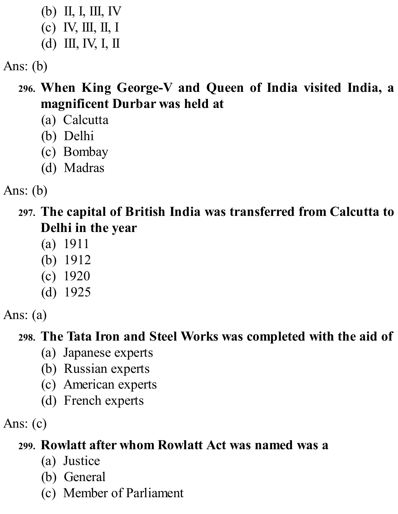- (b) II, I, III, IV
- (c) IV, III, II, I
- (d) III, IV, I, II

#### **296. When King George-V and Queen of India visited India, a magnificent Durbar was held at**

- (a) Calcutta
- (b) Delhi
- (c) Bombay
- (d) Madras

Ans: (b)

**297. The capital of British India was transferred from Calcutta to Delhi in the year**

- (a) 1911
- (b) 1912
- (c) 1920
- (d) 1925

Ans: (a)

# **298. The Tata Iron and Steel Works was completed with the aid of**

- (a) Japanese experts
- (b) Russian experts
- (c) American experts
- (d) French experts

Ans:  $(c)$ 

# **299. Rowlatt after whom Rowlatt Act was named was a**

- (a) Justice
- (b) General
- (c) Member of Parliament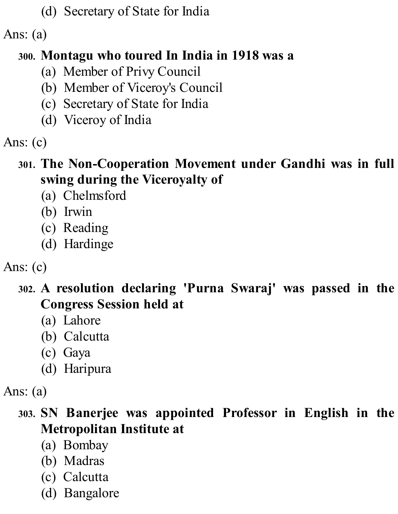(d) Secretary of State for India

#### Ans: (a)

#### **300. Montagu who toured In India in 1918 was a**

- (a) Member of Privy Council
- (b) Member of Viceroy's Council
- (c) Secretary of State for India
- (d) Viceroy of India
- Ans: (c)

#### **301. The Non-Cooperation Movement under Gandhi was in full swing during the Viceroyalty of**

- (a) Chelmsford
- (b) Irwin
- (c) Reading
- (d) Hardinge

# Ans: (c)

- **302. A resolution declaring 'Purna Swaraj' was passed in the Congress Session held at**
	- (a) Lahore
	- (b) Calcutta
	- (c) Gaya
	- (d) Haripura

#### **303. SN Banerjee was appointed Professor in English in the Metropolitan Institute at**

- (a) Bombay
- (b) Madras
- (c) Calcutta
- (d) Bangalore

Ans: (a)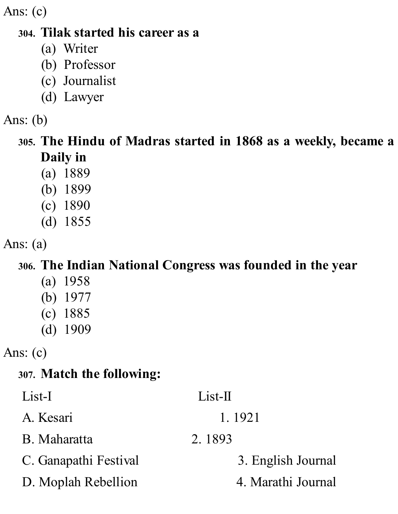Ans: (c)

#### **304. Tilak started his career as a**

- (a) Writer
- (b) Professor
- (c) Journalist
- (d) Lawyer

#### Ans: (b)

**305. The Hindu of Madras started in 1868 as a weekly, became a Daily in**

- (a) 1889
- (b) 1899
- (c) 1890
- (d) 1855

Ans: (a)

#### **306. The Indian National Congress was founded in the year**

- (a) 1958
- (b) 1977
- (c) 1885
- (d) 1909

Ans: (c)

# **307. Match the following:**

| List-I                | $List-II$          |
|-----------------------|--------------------|
| A. Kesari             | 1.1921             |
| B. Maharatta          | 2.1893             |
| C. Ganapathi Festival | 3. English Journal |
| D. Moplah Rebellion   | 4. Marathi Journal |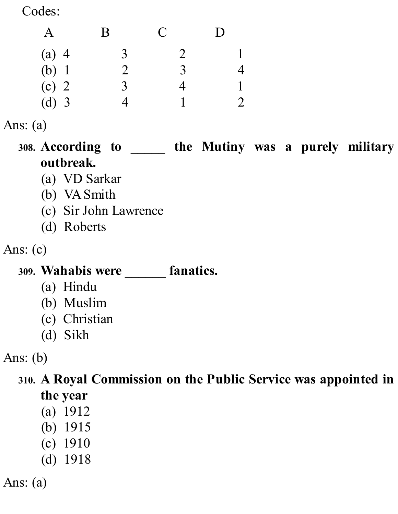Codes:

|         | $\bf{B}$       | $\mathbf C$    | $\mathsf{D}$ |
|---------|----------------|----------------|--------------|
| $(a)$ 4 | $\overline{3}$ | $\overline{2}$ |              |
| (b) 1   | 2              | 3              |              |
| $(c)$ 2 | 3              | 4              |              |
| $(d)$ 3 |                |                |              |

#### Ans: (a)

**308. According to \_\_\_\_\_ the Mutiny was a purely military outbreak.**

- (a) VD Sarkar
- (b) VASmith
- (c) Sir John Lawrence
- (d) Roberts

Ans: (c)

#### **309. Wahabis were \_\_\_\_\_\_ fanatics.**

- (a) Hindu
- (b) Muslim
- (c) Christian
- (d) Sikh

Ans: (b)

**310. A Royal Commission on the Public Service was appointed in the year**

- (a) 1912
- (b) 1915
- (c) 1910
- (d) 1918

Ans: (a)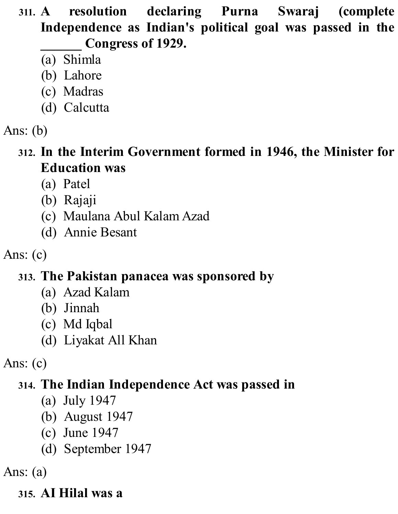**311. A resolution declaring Purna Swaraj (complete Independence as Indian's political goal was passed in the \_\_\_\_\_\_ Congress of 1929.**

- (a) Shimla
- (b) Lahore
- (c) Madras
- (d) Calcutta

## Ans: (b)

**312. In the Interim Government formed in 1946, the Minister for Education was**

- (a) Patel
- (b) Rajaji
- (c) Maulana Abul Kalam Azad
- (d) Annie Besant

Ans: (c)

#### **313. The Pakistan panacea was sponsored by**

- (a) Azad Kalam
- (b) Jinnah
- (c) Md Iqbal
- (d) Liyakat All Khan

Ans: (c)

#### **314. The Indian Independence Act was passed in**

- (a) July 1947
- (b) August 1947
- (c) June 1947
- (d) September 1947

Ans: (a)

#### **315. AI Hilal was a**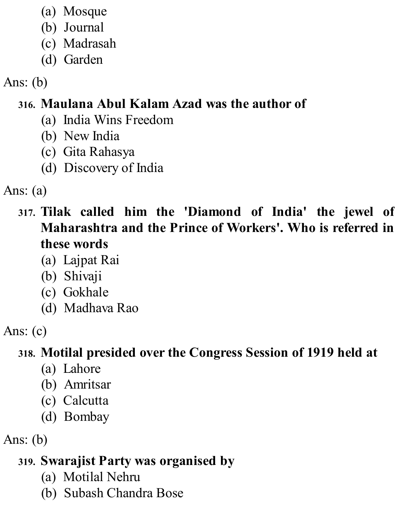- (a) Mosque
- (b) Journal
- (c) Madrasah
- (d) Garden

# **316. Maulana Abul Kalam Azad was the author of**

- (a) India Wins Freedom
- (b) New India
- (c) Gita Rahasya
- (d) Discovery of India

Ans: (a)

- **317. Tilak called him the 'Diamond of India' the jewel of Maharashtra and the Prince of Workers'. Who is referred in these words**
	- (a) Lajpat Rai
	- (b) Shivaji
	- (c) Gokhale
	- (d) Madhava Rao

Ans: (c)

# **318. Motilal presided over the Congress Session of 1919 held at**

- (a) Lahore
- (b) Amritsar
- (c) Calcutta
- (d) Bombay

Ans: (b)

# **319. Swarajist Party was organised by**

- (a) Motilal Nehru
- (b) Subash Chandra Bose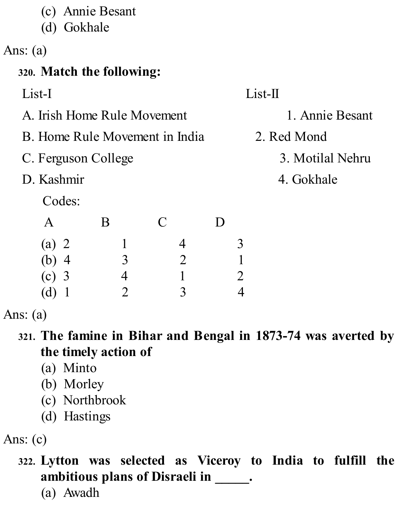- (c) Annie Besant
- (d) Gokhale

Ans: (a)

# **320. Match the following:**

| List-I                         |   |              |                |              |                       | $List-II$        |
|--------------------------------|---|--------------|----------------|--------------|-----------------------|------------------|
| A. Irish Home Rule Movement    |   |              |                |              |                       | 1. Annie Besant  |
| B. Home Rule Movement in India |   |              |                | 2. Red Mond  |                       |                  |
| C. Ferguson College            |   |              |                |              |                       | 3. Motilal Nehru |
| D. Kashmir                     |   |              |                |              |                       | 4. Gokhale       |
| Codes:                         |   |              |                |              |                       |                  |
| $\mathsf{A}$                   | B | $\mathcal C$ |                | $\mathbf{D}$ |                       |                  |
| (a) 2                          |   |              | $\overline{4}$ |              | 3                     |                  |
| $(b)$ 4                        | 3 |              | $\overline{2}$ |              |                       |                  |
| $(c)$ 3                        | 4 |              |                |              | $\mathcal{D}_{\cdot}$ |                  |
| (d)                            |   |              | 3              |              |                       |                  |

Ans: (a)

- **321. The famine in Bihar and Bengal in 1873-74 was averted by the timely action of**
	- (a) Minto
	- (b) Morley
	- (c) Northbrook
	- (d) Hastings

Ans: (c)

**322. Lytton was selected as Viceroy to India to fulfill the ambitious plans of Disraeli in \_\_\_\_\_.**

(a) Awadh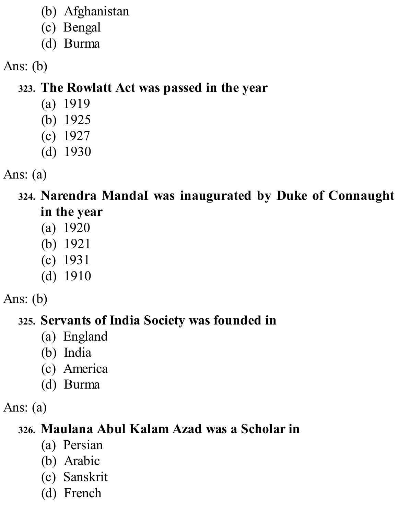- (b) Afghanistan
- (c) Bengal
- (d) Burma

# **323. The Rowlatt Act was passed in the year**

- (a) 1919
- (b) 1925
- (c) 1927
- (d) 1930
- Ans: (a)

# **324. Narendra MandaI was inaugurated by Duke of Connaught in the year**

- (a) 1920
- (b) 1921
- (c) 1931
- (d) 1910
- Ans: (b)

# **325. Servants of India Society was founded in**

- (a) England
- (b) India
- (c) America
- (d) Burma
- Ans: (a)

# **326. Maulana Abul Kalam Azad was a Scholar in**

- (a) Persian
- (b) Arabic
- (c) Sanskrit
- (d) French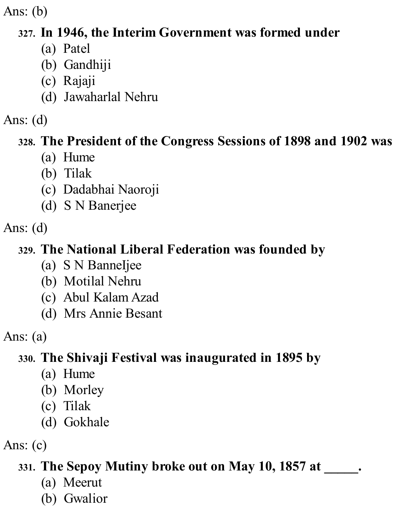## **327. In 1946, the Interim Government was formed under**

- (a) Patel
- (b) Gandhiji
- (c) Rajaji
- (d) Jawaharlal Nehru

## Ans: (d)

# **328. The President of the Congress Sessions of 1898 and 1902 was**

- (a) Hume
- (b) Tilak
- (c) Dadabhai Naoroji
- (d) S N Banerjee

Ans: (d)

# **329. The National Liberal Federation was founded by**

- (a) S N BanneIjee
- (b) Motilal Nehru
- (c) Abul Kalam Azad
- (d) Mrs Annie Besant

Ans: (a)

# **330. The Shivaji Festival was inaugurated in 1895 by**

- (a) Hume
- (b) Morley
- (c) Tilak
- (d) Gokhale

Ans: (c)

# **331. The Sepoy Mutiny broke out on May 10, 1857 at \_\_\_\_\_.**

- (a) Meerut
- (b) Gwalior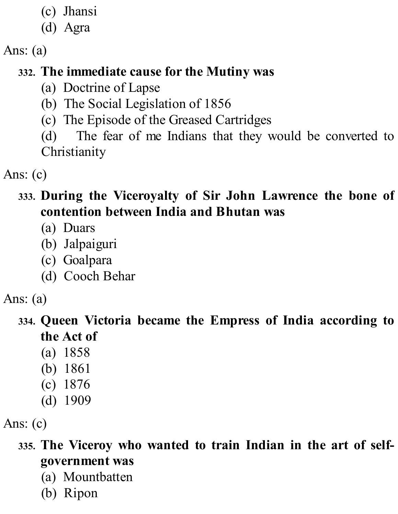- (c) Jhansi
- (d) Agra

Ans: (a)

# **332. The immediate cause for the Mutiny was**

- (a) Doctrine of Lapse
- (b) The Social Legislation of 1856
- (c) The Episode of the Greased Cartridges
- (d) The fear of me Indians that they would be converted to **Christianity**

Ans: (c)

#### **333. During the Viceroyalty of Sir John Lawrence the bone of contention between India and Bhutan was**

- (a) Duars
- (b) Jalpaiguri
- (c) Goalpara
- (d) Cooch Behar

Ans: (a)

- **334. Queen Victoria became the Empress of India according to the Act of**
	- (a) 1858
	- (b) 1861
	- (c) 1876
	- (d) 1909

Ans: (c)

- **335. The Viceroy who wanted to train Indian in the art of selfgovernment was**
	- (a) Mountbatten
	- (b) Ripon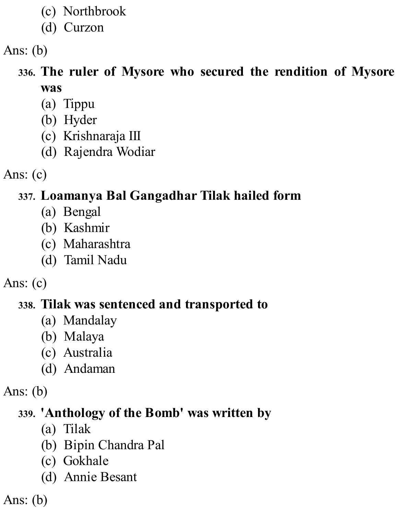- (c) Northbrook
- (d) Curzon

# **336. The ruler of Mysore who secured the rendition of Mysore was**

- (a) Tippu
- (b) Hyder
- (c) Krishnaraja III
- (d) Rajendra Wodiar
- Ans: (c)

# **337. Loamanya Bal Gangadhar Tilak hailed form**

- (a) Bengal
- (b) Kashmir
- (c) Maharashtra
- (d) Tamil Nadu

Ans: (c)

#### **338. Tilak was sentenced and transported to**

- (a) Mandalay
- (b) Malaya
- (c) Australia
- (d) Andaman

Ans: (b)

#### **339. 'Anthology of the Bomb' was written by**

- (a) Tilak
- (b) Bipin Chandra Pal
- (c) Gokhale
- (d) Annie Besant

Ans: (b)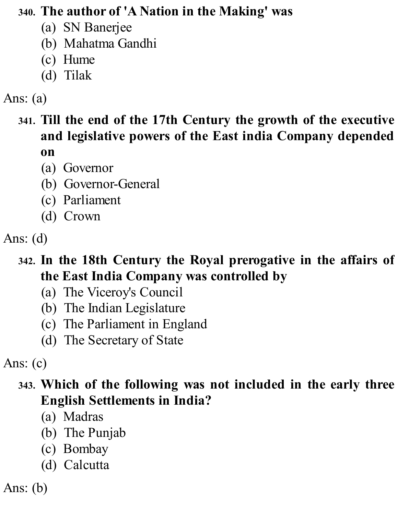#### **340. The author of 'A Nation in the Making' was**

- (a) SN Banerjee
- (b) Mahatma Gandhi
- (c) Hume
- (d) Tilak

#### Ans: (a)

#### **341. Till the end of the 17th Century the growth of the executive and legislative powers of the East india Company depended on**

- (a) Governor
- (b) Governor-General
- (c) Parliament
- (d) Crown

#### **342. In the 18th Century the Royal prerogative in the affairs of the East India Company was controlled by**

- (a) The Viceroy's Council
- (b) The Indian Legislature
- (c) The Parliament in England
- (d) The Secretary of State

Ans: (c)

## **343. Which of the following was not included in the early three English Settlements in India?**

- (a) Madras
- (b) The Punjab
- (c) Bombay
- (d) Calcutta

Ans: (b)

Ans: (d)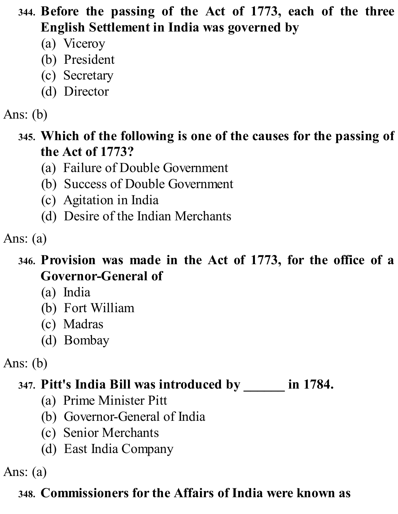- **344. Before the passing of the Act of 1773, each of the three English Settlement in India was governed by**
	- (a) Viceroy
	- (b) President
	- (c) Secretary
	- (d) Director

- **345. Which of the following is one of the causes for the passing of the Act of 1773?**
	- (a) Failure of Double Government
	- (b) Success of Double Government
	- (c) Agitation in India
	- (d) Desire of the Indian Merchants

#### Ans: (a)

- **346. Provision was made in the Act of 1773, for the office of a Governor-General of**
	- (a) India
	- (b) Fort William
	- (c) Madras
	- (d) Bombay
- Ans: (b)

#### **347. Pitt's India Bill was introduced by \_\_\_\_\_\_ in 1784.**

- (a) Prime Minister Pitt
- (b) Governor-General of India
- (c) Senior Merchants
- (d) East India Company

Ans: (a)

#### **348. Commissioners for the Affairs of India were known as**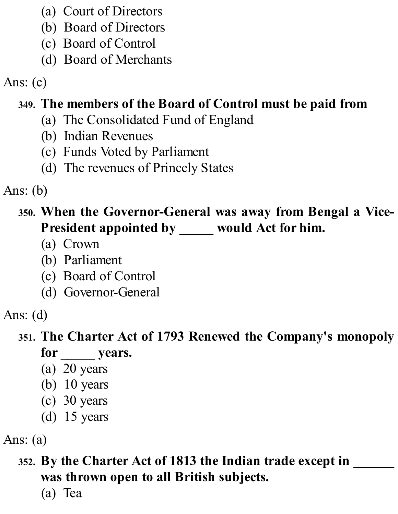- (a) Court of Directors
- (b) Board of Directors
- (c) Board of Control
- (d) Board of Merchants

Ans: (c)

# **349. The members of the Board of Control must be paid from**

- (a) The Consolidated Fund of England
- (b) Indian Revenues
- (c) Funds Voted by Parliament
- (d) The revenues of Princely States

Ans: (b)

# **350. When the Governor-General was away from Bengal a Vice-President appointed by \_\_\_\_\_ would Act for him.**

- (a) Crown
- (b) Parliament
- (c) Board of Control
- (d) Governor-General

Ans: (d)

# **351. The Charter Act of 1793 Renewed the Company's monopoly**

- **for \_\_\_\_\_ years.**
- (a) 20 years
- (b) 10 years
- (c) 30 years
- (d) 15 years

Ans: (a)

# **352. By the Charter Act of 1813 the Indian trade except in \_\_\_\_\_\_ was thrown open to all British subjects.**

(a) Tea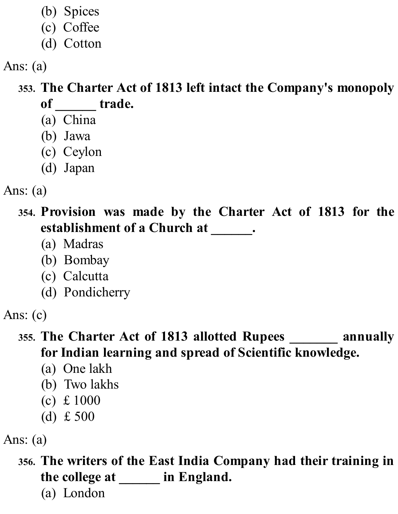- (b) Spices
- (c) Coffee
- (d) Cotton

Ans: (a)

**353. The Charter Act of 1813 left intact the Company's monopoly of \_\_\_\_\_\_ trade.**

- (a) China
- (b) Jawa
- (c) Ceylon
- (d) Japan
- Ans: (a)

**354. Provision was made by the Charter Act of 1813 for the establishment of a Church at \_\_\_\_\_\_.**

- (a) Madras
- (b) Bombay
- (c) Calcutta
- (d) Pondicherry

#### **355. The Charter Act of 1813 allotted Rupees \_\_\_\_\_\_\_ annually for Indian learning and spread of Scientific knowledge.**

- (a) One lakh
- (b) Two lakhs
- (c) £ 1000
- (d) £ 500

Ans: (a)

**356. The writers of the East India Company had their training in the college at \_\_\_\_\_\_ in England.**

(a) London

Ans: (c)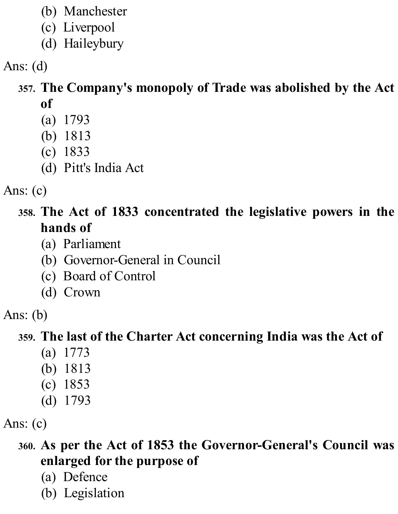- (b) Manchester
- (c) Liverpool
- (d) Haileybury

Ans: (d)

#### **357. The Company's monopoly of Trade was abolished by the Act of**

- (a) 1793
- (b) 1813
- (c) 1833
- (d) Pitt's India Act

Ans: (c)

#### **358. The Act of 1833 concentrated the legislative powers in the hands of**

- (a) Parliament
- (b) Governor-General in Council
- (c) Board of Control
- (d) Crown

Ans: (b)

# **359. The last of the Charter Act concerning India was the Act of**

- (a) 1773
- (b) 1813
- (c) 1853
- (d) 1793

Ans: (c)

# **360. As per the Act of 1853 the Governor-General's Council was enlarged for the purpose of**

- (a) Defence
- (b) Legislation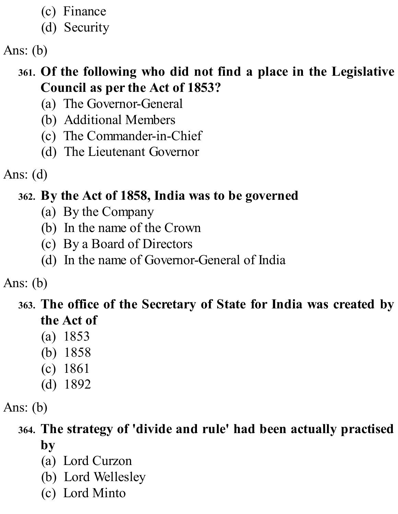- (c) Finance
- (d) Security

# **361. Of the following who did not find a place in the Legislative Council as per the Act of 1853?**

- (a) The Governor-General
- (b) Additional Members
- (c) The Commander-in-Chief
- (d) The Lieutenant Governor

Ans: (d)

# **362. By the Act of 1858, India was to be governed**

- (a) By the Company
- (b) In the name of the Crown
- (c) By a Board of Directors
- (d) In the name of Governor-General of India

Ans: (b)

## **363. The office of the Secretary of State for India was created by the Act of**

- (a) 1853
- (b) 1858
- (c) 1861
- (d) 1892

Ans: (b)

## **364. The strategy of 'divide and rule' had been actually practised by**

- (a) Lord Curzon
- (b) Lord Wellesley
- (c) Lord Minto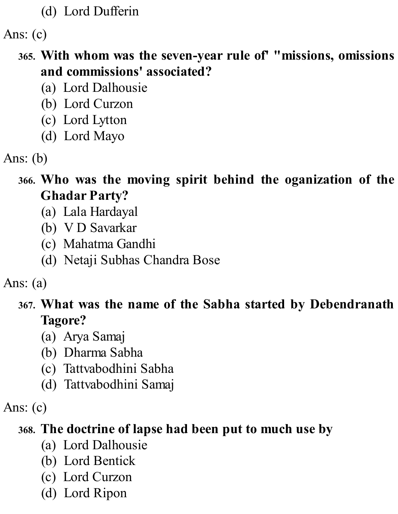(d) Lord Dufferin

Ans: (c)

#### **365. With whom was the seven-year rule of' "missions, omissions and commissions' associated?**

- (a) Lord Dalhousie
- (b) Lord Curzon
- (c) Lord Lytton
- (d) Lord Mayo

- **366. Who was the moving spirit behind the oganization of the Ghadar Party?**
	- (a) Lala Hardayal
	- (b) V D Savarkar
	- (c) Mahatma Gandhi
	- (d) Netaji Subhas Chandra Bose

Ans: (a)

#### **367. What was the name of the Sabha started by Debendranath Tagore?**

- (a) Arya Samaj
- (b) Dharma Sabha
- (c) Tattvabodhini Sabha
- (d) Tattvabodhini Samaj

Ans: (c)

#### **368. The doctrine of lapse had been put to much use by**

- (a) Lord Dalhousie
- (b) Lord Bentick
- (c) Lord Curzon
- (d) Lord Ripon

Ans: (b)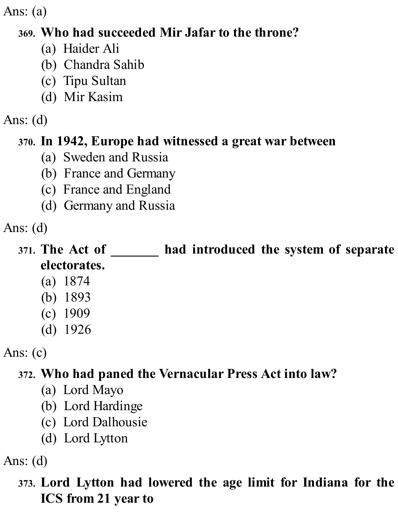Ans: (a)

#### **369. Who had succeeded Mir Jafar to the throne?**

- (a) Haider Ali
- (b) Chandra Sahib
- (c) Tipu Sultan
- (d) Mir Kasim

#### Ans: (d)

## **370. In 1942, Europe had witnessed a great war between**

- (a) Sweden and Russia
- (b) France and Germany
- (c) France and England
- (d) Germany and Russia

Ans: (d)

# **371. The Act of \_\_\_\_\_\_\_ had introduced the system of separate electorates.**

- (a) 1874
- (b) 1893
- (c) 1909
- (d) 1926

Ans: (c)

# **372. Who had paned the Vernacular Press Act into law?**

- (a) Lord Mayo
- (b) Lord Hardinge
- (c) Lord Dalhousie
- (d) Lord Lytton

Ans: (d)

# **373. Lord Lytton had lowered the age limit for Indiana for the ICS from 21 year to**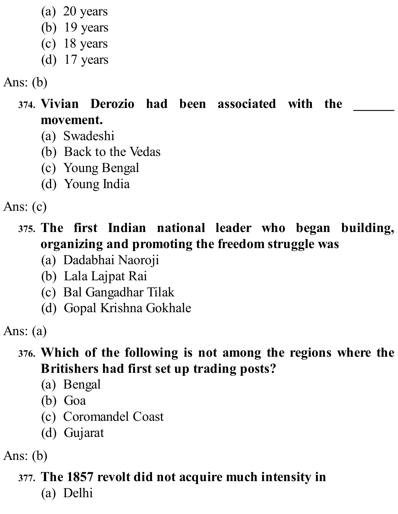- (a) 20 years
- (b) 19 years
- (c) 18 years
- (d) 17 years

- **374. Vivian Derozio had been associated with the \_\_\_\_\_\_ movement.**
	- (a) Swadeshi
	- (b) Back to the Vedas
	- (c) Young Bengal
	- (d) Young India

Ans: (c)

- **375. The first Indian national leader who began building, organizing and promoting the freedom struggle was**
	- (a) Dadabhai Naoroji
	- (b) Lala Lajpat Rai
	- (c) Bal Gangadhar Tilak
	- (d) Gopal Krishna Gokhale

Ans: (a)

## **376. Which of the following is not among the regions where the Britishers had first set up trading posts?**

- (a) Bengal
- (b) Goa
- (c) Coromandel Coast
- (d) Gujarat

Ans: (b)

# **377. The 1857 revolt did not acquire much intensity in**

(a) Delhi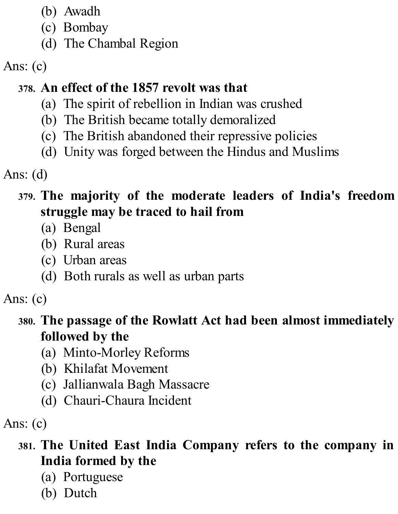- (b) Awadh
- (c) Bombay
- (d) The Chambal Region

# Ans: (c)

# **378. An effect of the 1857 revolt was that**

- (a) The spirit of rebellion in Indian was crushed
- (b) The British became totally demoralized
- (c) The British abandoned their repressive policies
- (d) Unity was forged between the Hindus and Muslims

Ans: (d)

#### **379. The majority of the moderate leaders of India's freedom struggle may be traced to hail from**

- (a) Bengal
- (b) Rural areas
- (c) Urban areas
- (d) Both rurals as well as urban parts

# Ans: (c)

#### **380. The passage of the Rowlatt Act had been almost immediately followed by the**

- (a) Minto-Morley Reforms
- (b) Khilafat Movement
- (c) Jallianwala Bagh Massacre
- (d) Chauri-Chaura Incident

Ans: (c)

## **381. The United East India Company refers to the company in India formed by the**

- (a) Portuguese
- (b) Dutch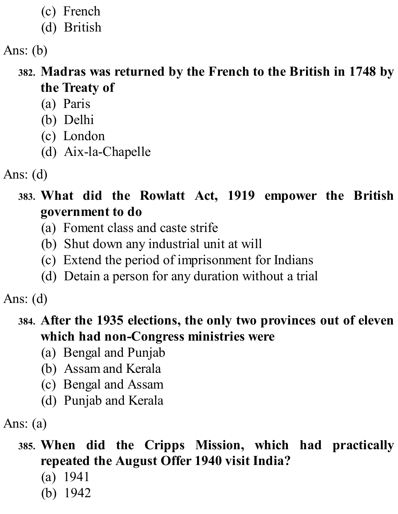- (c) French
- (d) British

- **382. Madras was returned by the French to the British in 1748 by the Treaty of**
	- (a) Paris
	- (b) Delhi
	- (c) London
	- (d) Aix-la-Chapelle
- Ans: (d)
	- **383. What did the Rowlatt Act, 1919 empower the British government to do**
		- (a) Foment class and caste strife
		- (b) Shut down any industrial unit at will
		- (c) Extend the period of imprisonment for Indians
		- (d) Detain a person for any duration without a trial

Ans: (d)

#### **384. After the 1935 elections, the only two provinces out of eleven which had non-Congress ministries were**

- (a) Bengal and Punjab
- (b) Assam and Kerala
- (c) Bengal and Assam
- (d) Punjab and Kerala

Ans: (a)

- **385. When did the Cripps Mission, which had practically repeated the August Offer 1940 visit India?**
	- (a) 1941
	- (b) 1942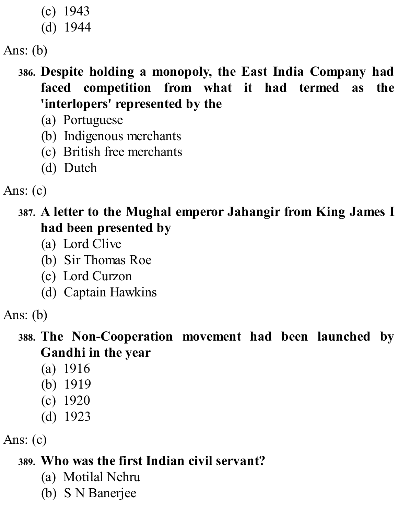- (c) 1943
- (d) 1944

#### **386. Despite holding a monopoly, the East India Company had faced competition from what it had termed as the 'interlopers' represented by the**

- (a) Portuguese
- (b) Indigenous merchants
- (c) British free merchants
- (d) Dutch

Ans: (c)

**387. A letter to the Mughal emperor Jahangir from King James I had been presented by**

- (a) Lord Clive
- (b) Sir Thomas Roe
- (c) Lord Curzon
- (d) Captain Hawkins

Ans: (b)

#### **388. The Non-Cooperation movement had been launched by Gandhi in the year**

- (a) 1916
- (b) 1919
- (c) 1920
- (d) 1923

Ans: (c)

# **389. Who was the first Indian civil servant?**

- (a) Motilal Nehru
- (b) S N Banerjee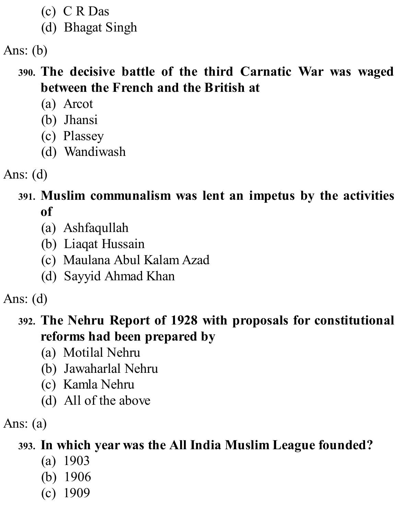- (c) C R Das
- (d) Bhagat Singh

#### **390. The decisive battle of the third Carnatic War was waged between the French and the British at**

- (a) Arcot
- (b) Jhansi
- (c) Plassey
- (d) Wandiwash
- Ans: (d)

#### **391. Muslim communalism was lent an impetus by the activities of**

- (a) Ashfaqullah
- (b) Liaqat Hussain
- (c) Maulana Abul Kalam Azad
- (d) Sayyid Ahmad Khan

Ans: (d)

# **392. The Nehru Report of 1928 with proposals for constitutional reforms had been prepared by**

- (a) Motilal Nehru
- (b) Jawaharlal Nehru
- (c) Kamla Nehru
- (d) All of the above

Ans: (a)

# **393. In which year was the All India Muslim League founded?**

- (a) 1903
- (b) 1906
- (c) 1909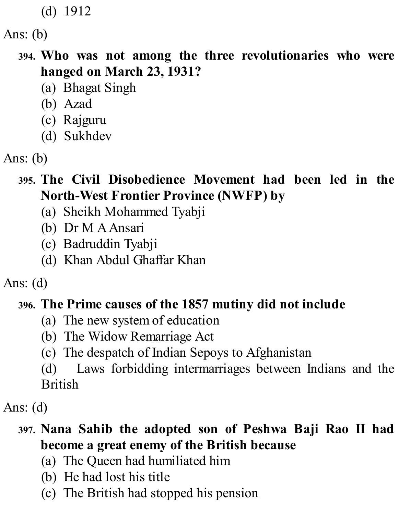(d) 1912

Ans: (b)

- **394. Who was not among the three revolutionaries who were hanged on March 23, 1931?**
	- (a) Bhagat Singh
	- (b) Azad
	- (c) Rajguru
	- (d) Sukhdev

#### **395. The Civil Disobedience Movement had been led in the North-West Frontier Province (NWFP) by**

- (a) Sheikh Mohammed Tyabji
- (b) Dr M AAnsari
- (c) Badruddin Tyabji
- (d) Khan Abdul Ghaffar Khan

Ans: (d)

#### **396. The Prime causes of the 1857 mutiny did not include**

- (a) The new system of education
- (b) The Widow Remarriage Act
- (c) The despatch of Indian Sepoys to Afghanistan

(d) Laws forbidding intermarriages between Indians and the British

Ans: (d)

#### **397. Nana Sahib the adopted son of Peshwa Baji Rao II had become a great enemy of the British because**

- (a) The Queen had humiliated him
- (b) He had lost his title
- (c) The British had stopped his pension

Ans: (b)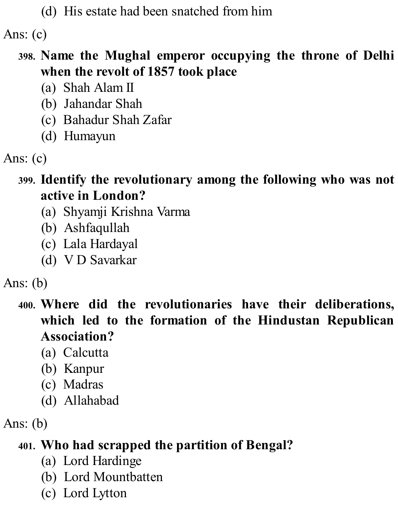(d) His estate had been snatched from him

Ans: (c)

#### **398. Name the Mughal emperor occupying the throne of Delhi when the revolt of 1857 took place**

- (a) Shah Alam II
- (b) Jahandar Shah
- (c) Bahadur Shah Zafar
- (d) Humayun
- Ans: (c)
	- **399. Identify the revolutionary among the following who was not active in London?**
		- (a) Shyamji Krishna Varma
		- (b) Ashfaqullah
		- (c) Lala Hardayal
		- (d) V D Savarkar

Ans: (b)

**400. Where did the revolutionaries have their deliberations, which led to the formation of the Hindustan Republican Association?**

- (a) Calcutta
- (b) Kanpur
- (c) Madras
- (d) Allahabad

Ans: (b)

# **401. Who had scrapped the partition of Bengal?**

- (a) Lord Hardinge
- (b) Lord Mountbatten
- (c) Lord Lytton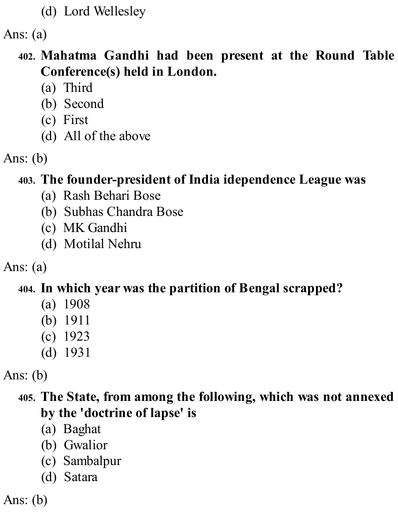(d) Lord Wellesley

Ans: (a)

#### **402. Mahatma Gandhi had been present at the Round Table Conference(s) held in London.**

- (a) Third
- (b) Second
- (c) First
- (d) All of the above

Ans: (b)

#### **403. The founder-president of India idependence League was**

- (a) Rash Behari Bose
- (b) Subhas Chandra Bose
- (c) MK Gandhi
- (d) Motilal Nehru

Ans: (a)

#### **404. In which year was the partition of Bengal scrapped?**

- (a) 1908
- (b) 1911
- (c) 1923
- (d) 1931

Ans: (b)

#### **405. The State, from among the following, which was not annexed by the 'doctrine of lapse' is**

- (a) Baghat
- (b) Gwalior
- (c) Sambalpur
- (d) Satara

Ans: (b)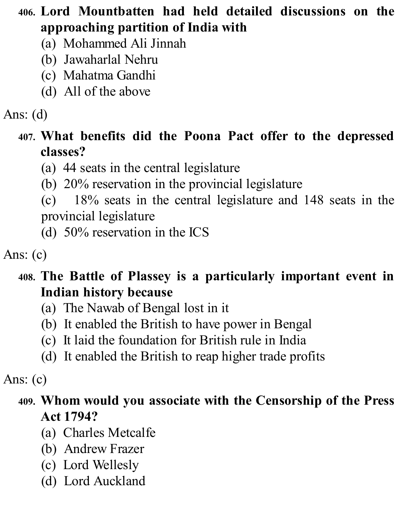# **406. Lord Mountbatten had held detailed discussions on the approaching partition of India with**

- (a) Mohammed Ali Jinnah
- (b) Jawaharlal Nehru
- (c) Mahatma Gandhi
- (d) All of the above

# Ans: (d)

#### **407. What benefits did the Poona Pact offer to the depressed classes?**

- (a) 44 seats in the central legislature
- (b) 20% reservation in the provincial legislature

(c) 18% seats in the central legislature and 148 seats in the provincial legislature

(d) 50% reservation in the ICS

Ans: (c)

## **408. The Battle of Plassey is a particularly important event in Indian history because**

- (a) The Nawab of Bengal lost in it
- (b) It enabled the British to have power in Bengal
- (c) It laid the foundation for British rule in India
- (d) It enabled the British to reap higher trade profits

#### Ans: (c)

#### **409. Whom would you associate with the Censorship of the Press Act 1794?**

- (a) Charles Metcalfe
- (b) Andrew Frazer
- (c) Lord Wellesly
- (d) Lord Auckland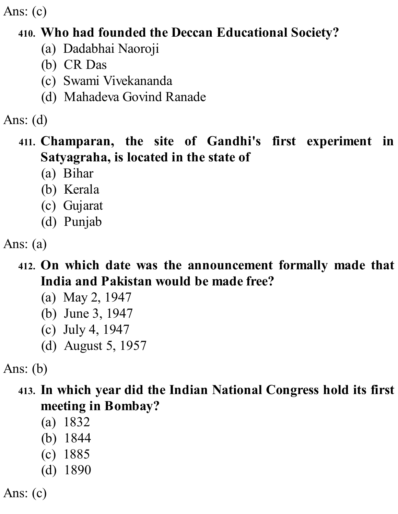#### **410. Who had founded the Deccan Educational Society?**

- (a) Dadabhai Naoroji
- (b) CR Das
- (c) Swami Vivekananda
- (d) Mahadeva Govind Ranade

Ans: (d)

### **411. Champaran, the site of Gandhi's first experiment in Satyagraha, is located in the state of**

- (a) Bihar
- (b) Kerala
- (c) Gujarat
- (d) Punjab

- **412. On which date was the announcement formally made that India and Pakistan would be made free?**
	- (a) May 2, 1947
	- (b) June 3, 1947
	- (c) July 4, 1947
	- (d) August 5, 1957

Ans: (b)

**413. In which year did the Indian National Congress hold its first meeting in Bombay?**

- (a) 1832
- (b) 1844
- (c) 1885
- (d) 1890

Ans: (c)

Ans: (a)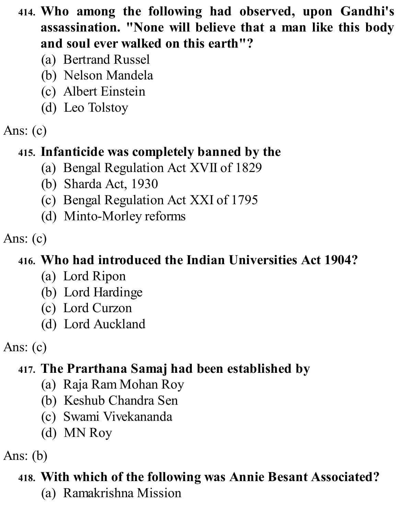- **414. Who among the following had observed, upon Gandhi's assassination. "None will believe that a man like this body and soul ever walked on this earth"?**
	- (a) Bertrand Russel
	- (b) Nelson Mandela
	- (c) Albert Einstein
	- (d) Leo Tolstoy
- Ans: (c)

## **415. Infanticide was completely banned by the**

- (a) Bengal Regulation Act XVII of 1829
- (b) Sharda Act, 1930
- (c) Bengal Regulation Act XXI of 1795
- (d) Minto-Morley reforms

Ans: (c)

# **416. Who had introduced the Indian Universities Act 1904?**

- (a) Lord Ripon
- (b) Lord Hardinge
- (c) Lord Curzon
- (d) Lord Auckland

Ans: (c)

# **417. The Prarthana Samaj had been established by**

- (a) Raja Ram Mohan Roy
- (b) Keshub Chandra Sen
- (c) Swami Vivekananda
- (d) MN Roy

Ans: (b)

## **418. With which of the following was Annie Besant Associated?**

(a) Ramakrishna Mission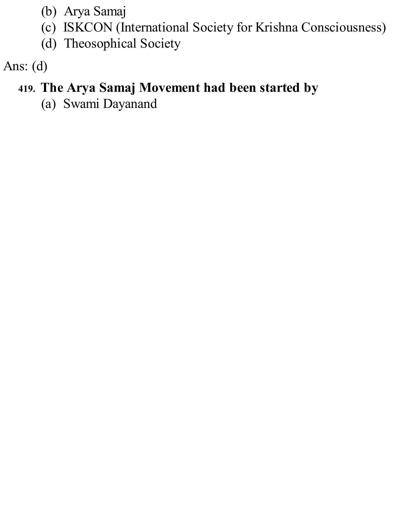- (b) Arya Samaj
- (c) ISKCON (International Society for Krishna Consciousness)
- (d) Theosophical Society

# **419. The Arya Samaj Movement had been started by**

(a) Swami Dayanand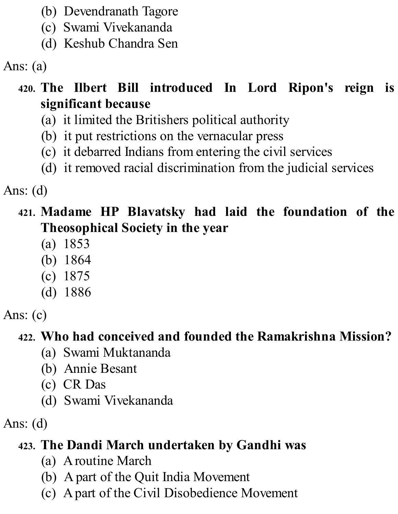- (b) Devendranath Tagore
- (c) Swami Vivekananda
- (d) Keshub Chandra Sen

Ans: (a)

## **420. The Ilbert Bill introduced In Lord Ripon's reign is significant because**

- (a) it limited the Britishers political authority
- (b) it put restrictions on the vernacular press
- (c) it debarred Indians from entering the civil services
- (d) it removed racial discrimination from the judicial services

Ans: (d)

- **421. Madame HP Blavatsky had laid the foundation of the Theosophical Society in the year**
	- (a) 1853
	- (b) 1864
	- (c) 1875
	- (d) 1886

Ans:  $(c)$ 

# **422. Who had conceived and founded the Ramakrishna Mission?**

- (a) Swami Muktananda
- (b) Annie Besant
- (c) CR Das
- (d) Swami Vivekananda

Ans: (d)

# **423. The Dandi March undertaken by Gandhi was**

- (a) Aroutine March
- (b) Apart of the Quit India Movement
- (c) Apart of the Civil Disobedience Movement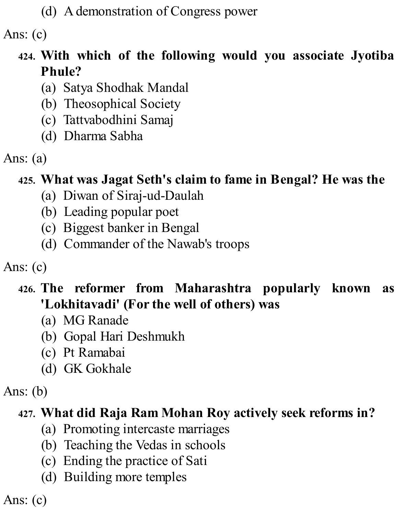(d) Ademonstration of Congress power

Ans: (c)

## **424. With which of the following would you associate Jyotiba Phule?**

- (a) Satya Shodhak Mandal
- (b) Theosophical Society
- (c) Tattvabodhini Samaj
- (d) Dharma Sabha
- Ans: (a)

### **425. What was Jagat Seth's claim to fame in Bengal? He was the**

- (a) Diwan of Siraj-ud-Daulah
- (b) Leading popular poet
- (c) Biggest banker in Bengal
- (d) Commander of the Nawab's troops

Ans: (c)

### **426. The reformer from Maharashtra popularly known as 'Lokhitavadi' (For the well of others) was**

- (a) MG Ranade
- (b) Gopal Hari Deshmukh
- (c) Pt Ramabai
- (d) GK Gokhale

Ans: (b)

### **427. What did Raja Ram Mohan Roy actively seek reforms in?**

- (a) Promoting intercaste marriages
- (b) Teaching the Vedas in schools
- (c) Ending the practice of Sati
- (d) Building more temples

Ans: (c)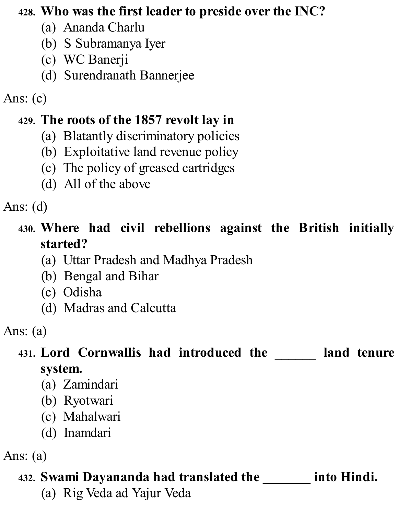#### **428. Who was the first leader to preside over the INC?**

- (a) Ananda Charlu
- (b) S Subramanya Iyer
- (c) WC Banerji
- (d) Surendranath Bannerjee

Ans: (c)

## **429. The roots of the 1857 revolt lay in**

- (a) Blatantly discriminatory policies
- (b) Exploitative land revenue policy
- (c) The policy of greased cartridges
- (d) All of the above

Ans: (d)

## **430. Where had civil rebellions against the British initially started?**

- (a) Uttar Pradesh and Madhya Pradesh
- (b) Bengal and Bihar
- (c) Odisha
- (d) Madras and Calcutta

Ans: (a)

# **431. Lord Cornwallis had introduced the \_\_\_\_\_\_ land tenure system.**

- (a) Zamindari
- (b) Ryotwari
- (c) Mahalwari
- (d) Inamdari

Ans: (a)

## **432. Swami Dayananda had translated the \_\_\_\_\_\_\_ into Hindi.**

(a) Rig Veda ad Yajur Veda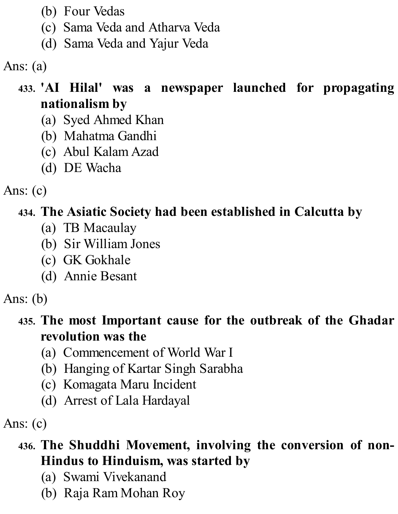- (b) Four Vedas
- (c) Sama Veda and Atharva Veda
- (d) Sama Veda and Yajur Veda

Ans: (a)

### **433. 'AI Hilal' was a newspaper launched for propagating nationalism by**

- (a) Syed Ahmed Khan
- (b) Mahatma Gandhi
- (c) Abul Kalam Azad
- (d) DE Wacha

Ans: (c)

## **434. The Asiatic Society had been established in Calcutta by**

- (a) TB Macaulay
- (b) Sir William Jones
- (c) GK Gokhale
- (d) Annie Besant

Ans: (b)

### **435. The most Important cause for the outbreak of the Ghadar revolution was the**

- (a) Commencement of World War I
- (b) Hanging of Kartar Singh Sarabha
- (c) Komagata Maru Incident
- (d) Arrest of Lala Hardayal

Ans:  $(c)$ 

### **436. The Shuddhi Movement, involving the conversion of non-Hindus to Hinduism, was started by**

- (a) Swami Vivekanand
- (b) Raja Ram Mohan Roy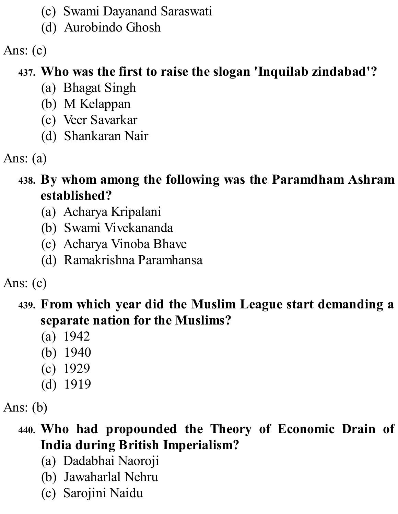- (c) Swami Dayanand Saraswati
- (d) Aurobindo Ghosh

# **437. Who was the first to raise the slogan 'Inquilab zindabad'?**

- (a) Bhagat Singh
- (b) M Kelappan
- (c) Veer Savarkar
- (d) Shankaran Nair
- Ans: (a)

## **438. By whom among the following was the Paramdham Ashram established?**

- (a) Acharya Kripalani
- (b) Swami Vivekananda
- (c) Acharya Vinoba Bhave
- (d) Ramakrishna Paramhansa

Ans: (c)

## **439. From which year did the Muslim League start demanding a separate nation for the Muslims?**

- (a) 1942
- (b) 1940
- (c) 1929
- (d) 1919

Ans: (b)

## **440. Who had propounded the Theory of Economic Drain of India during British Imperialism?**

- (a) Dadabhai Naoroji
- (b) Jawaharlal Nehru
- (c) Sarojini Naidu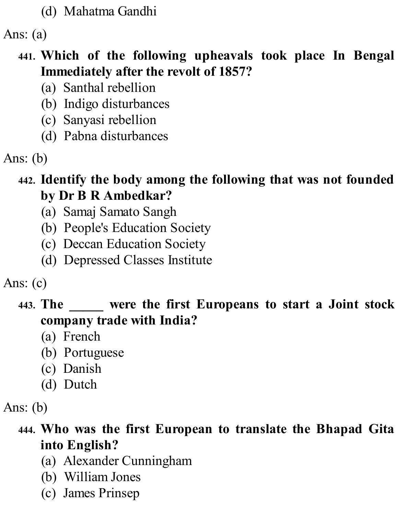(d) Mahatma Gandhi

Ans: (a)

#### **441. Which of the following upheavals took place In Bengal Immediately after the revolt of 1857?**

- (a) Santhal rebellion
- (b) Indigo disturbances
- (c) Sanyasi rebellion
- (d) Pabna disturbances

Ans: (b)

#### **442. Identify the body among the following that was not founded by Dr B R Ambedkar?**

- (a) Samaj Samato Sangh
- (b) People's Education Society
- (c) Deccan Education Society
- (d) Depressed Classes Institute

Ans: (c)

### **443. The \_\_\_\_\_ were the first Europeans to start a Joint stock company trade with India?**

- (a) French
- (b) Portuguese
- (c) Danish
- (d) Dutch

Ans: (b)

### **444. Who was the first European to translate the Bhapad Gita into English?**

- (a) Alexander Cunningham
- (b) William Jones
- (c) James Prinsep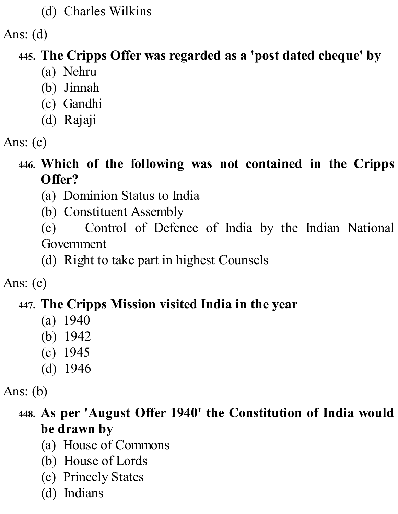#### (d) Charles Wilkins

Ans: (d)

## **445. The Cripps Offer was regarded as a 'post dated cheque' by**

- (a) Nehru
- (b) Jinnah
- (c) Gandhi
- (d) Rajaji

### **446. Which of the following was not contained in the Cripps Offer?**

- (a) Dominion Status to India
- (b) Constituent Assembly

(c) Control of Defence of India by the Indian National Government

(d) Right to take part in highest Counsels

Ans: (c)

## **447. The Cripps Mission visited India in the year**

- (a) 1940
- (b) 1942
- (c) 1945
- (d) 1946

Ans: (b)

## **448. As per 'August Offer 1940' the Constitution of India would be drawn by**

- (a) House of Commons
- (b) House of Lords
- (c) Princely States
- (d) Indians

Ans: (c)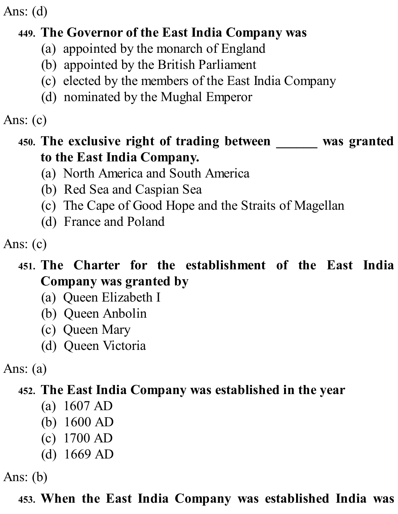## **449. The Governor of the East India Company was**

- (a) appointed by the monarch of England
- (b) appointed by the British Parliament
- (c) elected by the members of the East India Company
- (d) nominated by the Mughal Emperor

#### Ans: (c)

#### **450. The exclusive right of trading between \_\_\_\_\_\_ was granted to the East India Company.**

- (a) North America and South America
- (b) Red Sea and Caspian Sea
- (c) The Cape of Good Hope and the Straits of Magellan
- (d) France and Poland

Ans: (c)

### **451. The Charter for the establishment of the East India Company was granted by**

- (a) Queen Elizabeth I
- (b) Queen Anbolin
- (c) Queen Mary
- (d) Queen Victoria

Ans: (a)

### **452. The East India Company was established in the year**

- (a) 1607 AD
- (b) 1600 AD
- (c) 1700 AD
- (d) 1669 AD

Ans: (b)

**453. When the East India Company was established India was**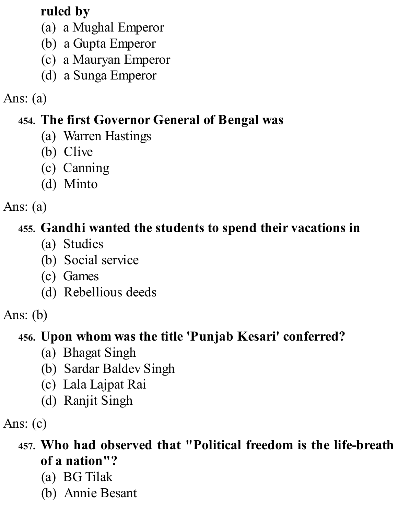## **ruled by**

- (a) a Mughal Emperor
- (b) a Gupta Emperor
- (c) a Mauryan Emperor
- (d) a Sunga Emperor

## Ans: (a)

## **454. The first Governor General of Bengal was**

- (a) Warren Hastings
- (b) Clive
- (c) Canning
- (d) Minto

#### Ans: (a)

## **455. Gandhi wanted the students to spend their vacations in**

- (a) Studies
- (b) Social service
- (c) Games
- (d) Rebellious deeds

### Ans: (b)

#### **456. Upon whom was the title 'Punjab Kesari' conferred?**

- (a) Bhagat Singh
- (b) Sardar Baldev Singh
- (c) Lala Lajpat Rai
- (d) Ranjit Singh

Ans:  $(c)$ 

## **457. Who had observed that "Political freedom is the life-breath of a nation"?**

- (a) BG Tilak
- (b) Annie Besant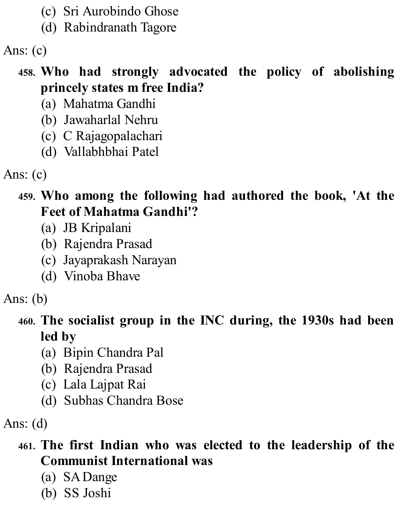- (c) Sri Aurobindo Ghose
- (d) Rabindranath Tagore

### **458. Who had strongly advocated the policy of abolishing princely states m free India?**

- (a) Mahatma Gandhi
- (b) Jawaharlal Nehru
- (c) C Rajagopalachari
- (d) Vallabhbhai Patel

Ans: (c)

#### **459. Who among the following had authored the book, 'At the Feet of Mahatma Gandhi'?**

- (a) JB Kripalani
- (b) Rajendra Prasad
- (c) Jayaprakash Narayan
- (d) Vinoba Bhave

Ans: (b)

## **460. The socialist group in the INC during, the 1930s had been led by**

- (a) Bipin Chandra Pal
- (b) Rajendra Prasad
- (c) Lala Lajpat Rai
- (d) Subhas Chandra Bose

Ans: (d)

### **461. The first Indian who was elected to the leadership of the Communist International was**

- (a) SADange
- (b) SS Joshi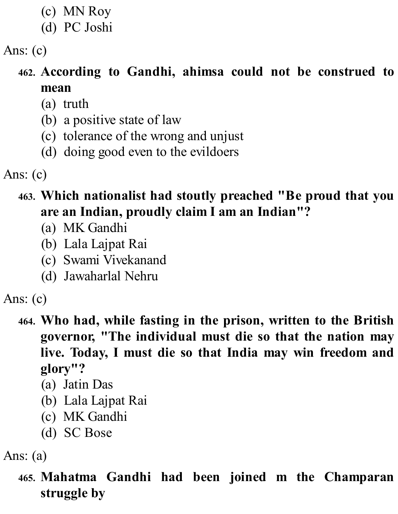- (c) MN Roy
- (d) PC Joshi

## **462. According to Gandhi, ahimsa could not be construed to mean**

- (a) truth
- (b) a positive state of law
- (c) tolerance of the wrong and unjust
- (d) doing good even to the evildoers

Ans: (c)

### **463. Which nationalist had stoutly preached "Be proud that you are an Indian, proudly claim I am an Indian"?**

- (a) MK Gandhi
- (b) Lala Lajpat Rai
- (c) Swami Vivekanand
- (d) Jawaharlal Nehru

Ans: (c)

- **464. Who had, while fasting in the prison, written to the British governor, "The individual must die so that the nation may live. Today, I must die so that India may win freedom and glory"?**
	- (a) Jatin Das
	- (b) Lala Lajpat Rai
	- (c) MK Gandhi
	- (d) SC Bose

Ans: (a)

**465. Mahatma Gandhi had been joined m the Champaran struggle by**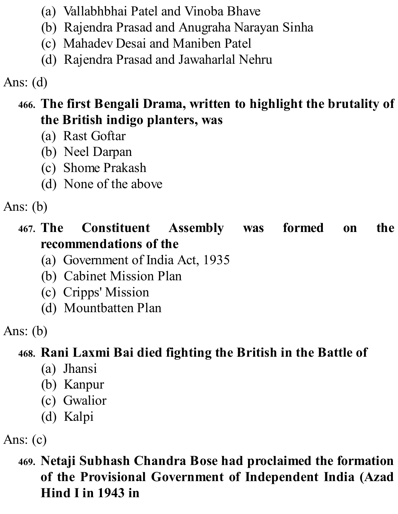- (a) Vallabhbhai Patel and Vinoba Bhave
- (b) Rajendra Prasad and Anugraha Narayan Sinha
- (c) Mahadev Desai and Maniben Patel
- (d) Rajendra Prasad and Jawaharlal Nehru

## **466. The first Bengali Drama, written to highlight the brutality of the British indigo planters, was**

- (a) Rast Goftar
- (b) Neel Darpan
- (c) Shome Prakash
- (d) None of the above

Ans: (b)

### **467. The Constituent Assembly was formed on the recommendations of the**

- (a) Government of India Act, 1935
- (b) Cabinet Mission Plan
- (c) Cripps' Mission
- (d) Mountbatten Plan

Ans: (b)

## **468. Rani Laxmi Bai died fighting the British in the Battle of**

- (a) Jhansi
- (b) Kanpur
- (c) Gwalior
- (d) Kalpi

Ans: (c)

**469. Netaji Subhash Chandra Bose had proclaimed the formation of the Provisional Government of Independent India (Azad Hind I in 1943 in**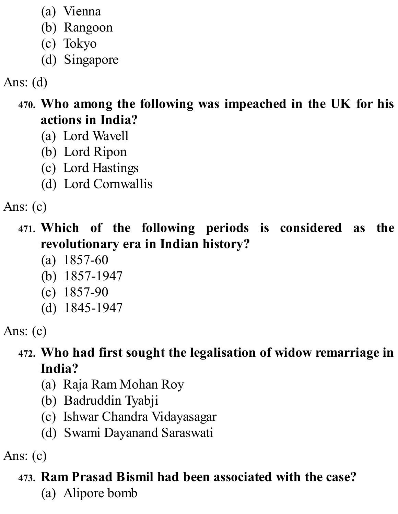- (a) Vienna
- (b) Rangoon
- (c) Tokyo
- (d) Singapore

- **470. Who among the following was impeached in the UK for his actions in India?**
	- (a) Lord Wavell
	- (b) Lord Ripon
	- (c) Lord Hastings
	- (d) Lord Cornwallis

Ans: (c)

- **471. Which of the following periods is considered as the revolutionary era in Indian history?**
	- (a) 1857-60
	- (b) 1857-1947
	- (c) 1857-90
	- (d) 1845-1947

Ans: (c)

## **472. Who had first sought the legalisation of widow remarriage in India?**

- (a) Raja Ram Mohan Roy
- (b) Badruddin Tyabji
- (c) Ishwar Chandra Vidayasagar
- (d) Swami Dayanand Saraswati

Ans: (c)

## **473. Ram Prasad Bismil had been associated with the case?**

(a) Alipore bomb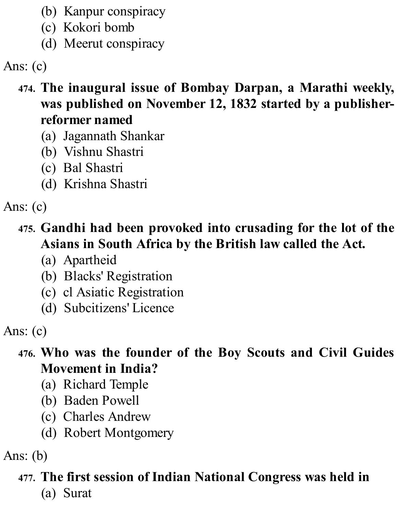- (b) Kanpur conspiracy
- (c) Kokori bomb
- (d) Meerut conspiracy

- **474. The inaugural issue of Bombay Darpan, a Marathi weekly, was published on November 12, 1832 started by a publisherreformer named**
	- (a) Jagannath Shankar
	- (b) Vishnu Shastri
	- (c) Bal Shastri
	- (d) Krishna Shastri

Ans: (c)

- **475. Gandhi had been provoked into crusading for the lot of the Asians in South Africa by the British law called the Act.**
	- (a) Apartheid
	- (b) Blacks' Registration
	- (c) cl Asiatic Registration
	- (d) Subcitizens' Licence

Ans: (c)

- **476. Who was the founder of the Boy Scouts and Civil Guides Movement in India?**
	- (a) Richard Temple
	- (b) Baden Powell
	- (c) Charles Andrew
	- (d) Robert Montgomery

Ans: (b)

#### **477. The first session of Indian National Congress was held in**

(a) Surat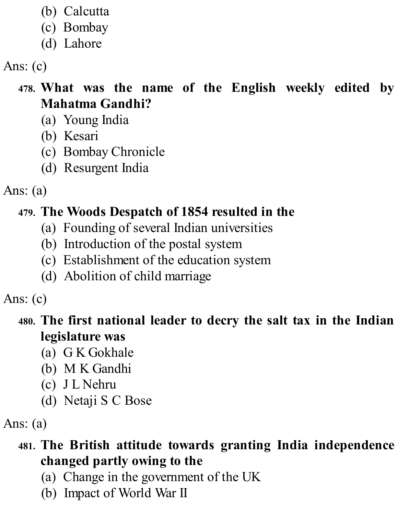- (b) Calcutta
- (c) Bombay
- (d) Lahore

## **478. What was the name of the English weekly edited by Mahatma Gandhi?**

- (a) Young India
- (b) Kesari
- (c) Bombay Chronicle
- (d) Resurgent India

Ans: (a)

## **479. The Woods Despatch of 1854 resulted in the**

- (a) Founding of several Indian universities
- (b) Introduction of the postal system
- (c) Establishment of the education system
- (d) Abolition of child marriage

Ans: (c)

## **480. The first national leader to decry the salt tax in the Indian legislature was**

- (a) G K Gokhale
- (b) M K Gandhi
- (c) J L Nehru
- (d) Netaji S C Bose

Ans: (a)

## **481. The British attitude towards granting India independence changed partly owing to the**

- (a) Change in the government of the UK
- (b) Impact of World War II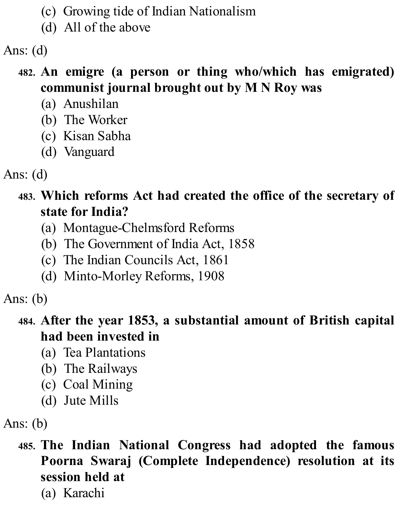- (c) Growing tide of Indian Nationalism
- (d) All of the above

### **482. An emigre (a person or thing who/which has emigrated) communist journal brought out by M N Roy was**

- (a) Anushilan
- (b) The Worker
- (c) Kisan Sabha
- (d) Vanguard

Ans: (d)

#### **483. Which reforms Act had created the office of the secretary of state for India?**

- (a) Montague-Chelmsford Reforms
- (b) The Government of India Act, 1858
- (c) The Indian Councils Act, 1861
- (d) Minto-Morley Reforms, 1908

Ans: (b)

### **484. After the year 1853, a substantial amount of British capital had been invested in**

- (a) Tea Plantations
- (b) The Railways
- (c) Coal Mining
- (d) Jute Mills

Ans: (b)

**485. The Indian National Congress had adopted the famous Poorna Swaraj (Complete Independence) resolution at its session held at**

(a) Karachi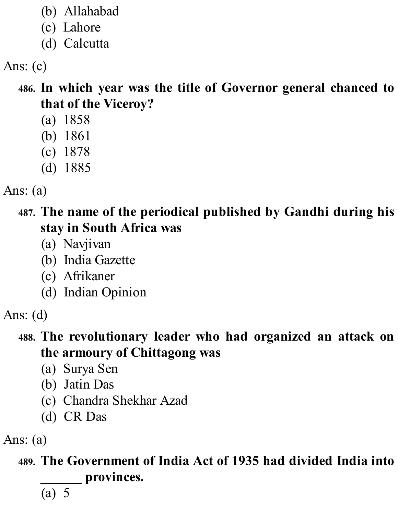- (b) Allahabad
- (c) Lahore
- (d) Calcutta

**486. In which year was the title of Governor general chanced to that of the Viceroy?**

- (a) 1858
- (b) 1861
- (c) 1878
- (d) 1885
- Ans: (a)

**487. The name of the periodical published by Gandhi during his stay in South Africa was**

- (a) Navjivan
- (b) India Gazette
- (c) Afrikaner
- (d) Indian Opinion

#### **488. The revolutionary leader who had organized an attack on the armoury of Chittagong was**

- (a) Surya Sen
- (b) Jatin Das
- (c) Chandra Shekhar Azad
- (d) CR Das

Ans: (a)

**489. The Government of India Act of 1935 had divided India into \_\_\_\_\_\_ provinces.**

(a) 5

Ans: (d)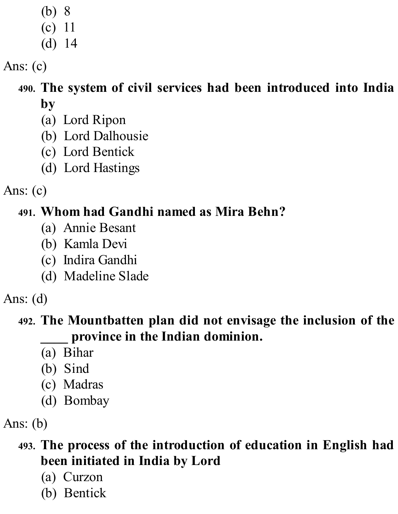- (b) 8
- (c) 11 (d) 14

**490. The system of civil services had been introduced into India by**

- (a) Lord Ripon
- (b) Lord Dalhousie
- (c) Lord Bentick
- (d) Lord Hastings

Ans: (c)

## **491. Whom had Gandhi named as Mira Behn?**

- (a) Annie Besant
- (b) Kamla Devi
- (c) Indira Gandhi
- (d) Madeline Slade

Ans: (d)

### **492. The Mountbatten plan did not envisage the inclusion of the \_\_\_\_ province in the Indian dominion.**

- (a) Bihar
- (b) Sind
- (c) Madras
- (d) Bombay

Ans: (b)

## **493. The process of the introduction of education in English had been initiated in India by Lord**

- (a) Curzon
- (b) Bentick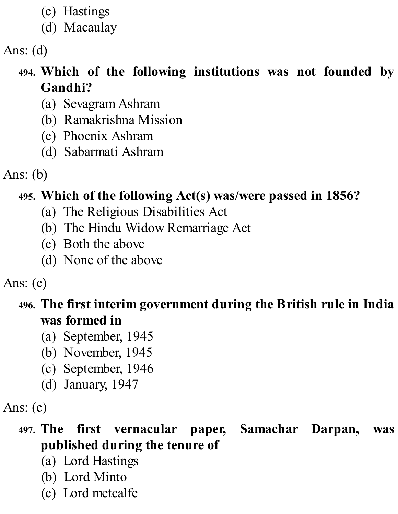- (c) Hastings
- (d) Macaulay

## **494. Which of the following institutions was not founded by Gandhi?**

- (a) Sevagram Ashram
- (b) Ramakrishna Mission
- (c) Phoenix Ashram
- (d) Sabarmati Ashram

Ans: (b)

## **495. Which of the following Act(s) was/were passed in 1856?**

- (a) The Religious Disabilities Act
- (b) The Hindu Widow Remarriage Act
- (c) Both the above
- (d) None of the above

### Ans: (c)

#### **496. The first interim government during the British rule in India was formed in**

- (a) September, 1945
- (b) November, 1945
- (c) September, 1946
- (d) January, 1947

### Ans: (c)

### **497. The first vernacular paper, Samachar Darpan, was published during the tenure of**

- (a) Lord Hastings
- (b) Lord Minto
- (c) Lord metcalfe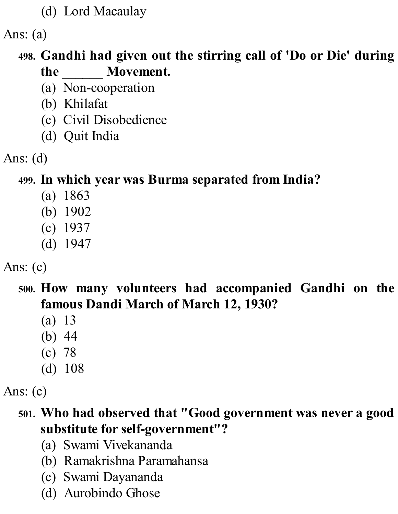(d) Lord Macaulay

Ans: (a)

#### **498. Gandhi had given out the stirring call of 'Do or Die' during the \_\_\_\_\_\_ Movement.**

- (a) Non-cooperation
- (b) Khilafat
- (c) Civil Disobedience
- (d) Quit India
- Ans: (d)

### **499. In which year was Burma separated from India?**

- (a) 1863
- (b) 1902
- (c) 1937
- (d) 1947

### Ans: (c)

### **500. How many volunteers had accompanied Gandhi on the famous Dandi March of March 12, 1930?**

- (a) 13
- (b) 44
- (c) 78
- (d) 108

Ans: (c)

#### **501. Who had observed that "Good government was never a good substitute for self-government"?**

- (a) Swami Vivekananda
- (b) Ramakrishna Paramahansa
- (c) Swami Dayananda
- (d) Aurobindo Ghose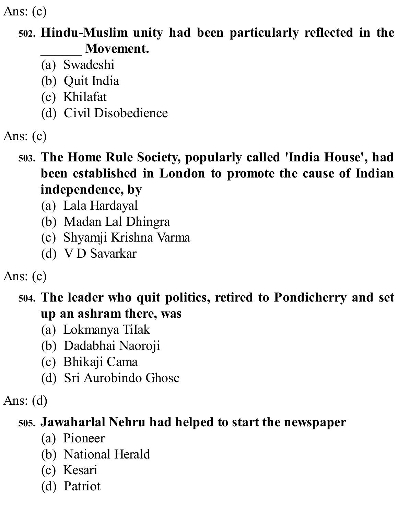#### **502. Hindu-Muslim unity had been particularly reflected in the \_\_\_\_\_\_ Movement.**

- (a) Swadeshi
- (b) Quit India
- (c) Khilafat
- (d) Civil Disobedience
- Ans: (c)

#### **503. The Home Rule Society, popularly called 'India House' , had been established in London to promote the cause of Indian independence, by**

- (a) Lala Hardayal
- (b) Madan Lal Dhingra
- (c) Shyamji Krishna Varma
- (d) V D Savarkar

## Ans: (c)

### **504. The leader who quit politics, retired to Pondicherry and set up an ashram there, was**

- (a) Lokmanya TiIak
- (b) Dadabhai Naoroji
- (c) Bhikaji Cama
- (d) Sri Aurobindo Ghose

### Ans: (d)

### **505. Jawaharlal Nehru had helped to start the newspaper**

- (a) Pioneer
- (b) National Herald
- (c) Kesari
- (d) Patriot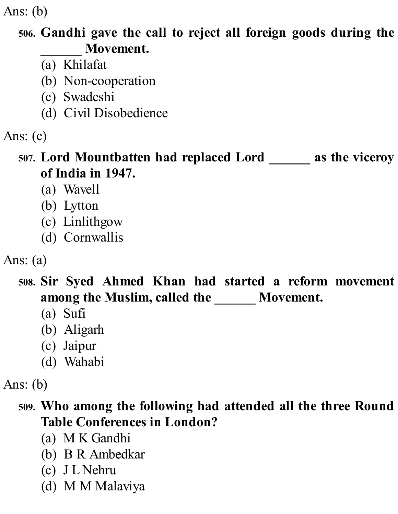Ans: (b)

#### **506. Gandhi gave the call to reject all foreign goods during the \_\_\_\_\_\_ Movement.**

- (a) Khilafat
- (b) Non-cooperation
- (c) Swadeshi
- (d) Civil Disobedience
- Ans: (c)

### **507. Lord Mountbatten had replaced Lord \_\_\_\_\_\_ as the viceroy of India in 1947.**

- (a) Wavell
- (b) Lytton
- (c) Linlithgow
- (d) Cornwallis
- Ans: (a)

### **508. Sir Syed Ahmed Khan had started a reform movement among the Muslim, called the \_\_\_\_\_\_ Movement.**

- (a) Sufi
- (b) Aligarh
- (c) Jaipur
- (d) Wahabi

Ans: (b)

## **509. Who among the following had attended all the three Round Table Conferences in London?**

- (a) M K Gandhi
- (b) B R Ambedkar
- (c) J L Nehru
- (d) M M Malaviya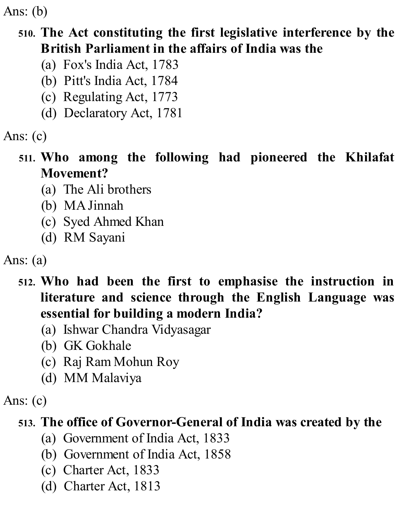Ans: (b)

#### **510. The Act constituting the first legislative interference by the British Parliament in the affairs of India was the**

- (a) Fox's India Act, 1783
- (b) Pitt's India Act, 1784
- (c) Regulating Act, 1773
- (d) Declaratory Act, 1781

Ans: (c)

#### **511. Who among the following had pioneered the Khilafat Movement?**

- (a) The Ali brothers
- (b) MAJinnah
- (c) Syed Ahmed Khan
- (d) RM Sayani

Ans: (a)

- **512. Who had been the first to emphasise the instruction in literature and science through the English Language was essential for building a modern India?**
	- (a) Ishwar Chandra Vidyasagar
	- (b) GK Gokhale
	- (c) Raj Ram Mohun Roy
	- (d) MM Malaviya

Ans: (c)

#### **513. The office of Governor-General of India was created by the**

- (a) Government of India Act, 1833
- (b) Government of India Act, 1858
- (c) Charter Act, 1833
- (d) Charter Act, 1813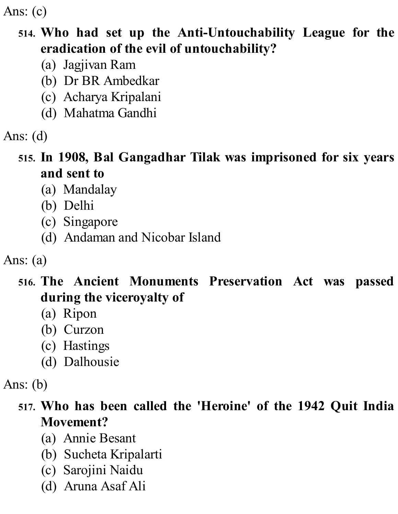#### **514. Who had set up the Anti-Untouchability League for the eradication of the evil of untouchability?**

- (a) Jagjivan Ram
- (b) Dr BR Ambedkar
- (c) Acharya Kripalani
- (d) Mahatma Gandhi
- Ans: (d)

### **515. In 1908, Bal Gangadhar Tilak was imprisoned for six years and sent to**

- (a) Mandalay
- (b) Delhi
- (c) Singapore
- (d) Andaman and Nicobar Island
- Ans: (a)

#### **516. The Ancient Monuments Preservation Act was passed during the viceroyalty of**

- (a) Ripon
- (b) Curzon
- (c) Hastings
- (d) Dalhousie

Ans: (b)

### **517. Who has been called the 'Heroine' of the 1942 Quit India Movement?**

- (a) Annie Besant
- (b) Sucheta Kripalarti
- (c) Sarojini Naidu
- (d) Aruna Asaf Ali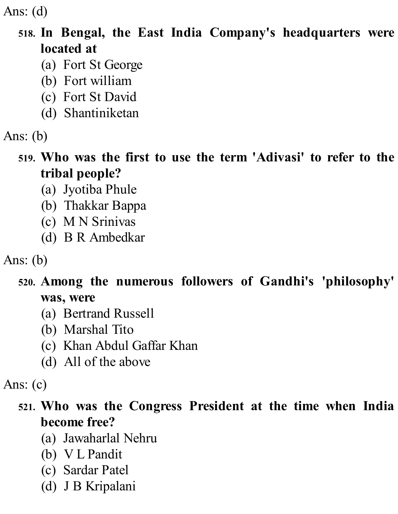#### **518. In Bengal, the East India Company's headquarters were located at**

- (a) Fort St George
- (b) Fort william
- (c) Fort St David
- (d) Shantiniketan
- Ans: (b)

#### **519. Who was the first to use the term 'Adivasi' to refer to the tribal people?**

- (a) Jyotiba Phule
- (b) Thakkar Bappa
- (c) M N Srinivas
- (d) B R Ambedkar

Ans: (b)

#### **520. Among the numerous followers of Gandhi's 'philosophy' was, were**

- (a) Bertrand Russell
- (b) Marshal Tito
- (c) Khan Abdul Gaffar Khan
- (d) All of the above

Ans: (c)

### **521. Who was the Congress President at the time when India become free?**

- (a) Jawaharlal Nehru
- (b) V L Pandit
- (c) Sardar Patel
- (d) J B Kripalani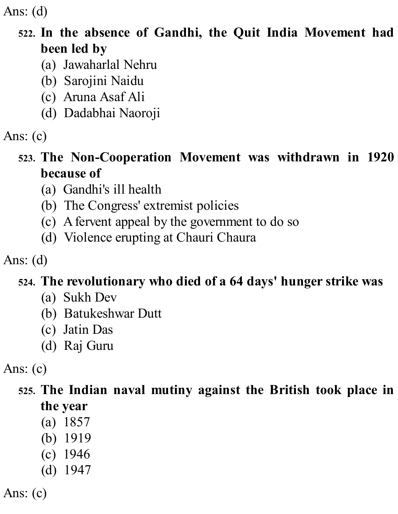#### **522. In the absence of Gandhi, the Quit India Movement had been led by**

- (a) Jawaharlal Nehru
- (b) Sarojini Naidu
- (c) Aruna Asaf Ali
- (d) Dadabhai Naoroji
- Ans: (c)

### **523. The Non-Cooperation Movement was withdrawn in 1920 because of**

- (a) Gandhi's ill health
- (b) The Congress' extremist policies
- (c) Afervent appeal by the government to do so
- (d) Violence erupting at Chauri Chaura

## Ans: (d)

## **524. The revolutionary who died of a 64 days' hunger strike was**

- (a) Sukh Dev
- (b) Batukeshwar Dutt
- (c) Jatin Das
- (d) Raj Guru

Ans: (c)

### **525. The Indian naval mutiny against the British took place in the year**

- (a) 1857
- (b) 1919
- (c) 1946
- (d) 1947

Ans: (c)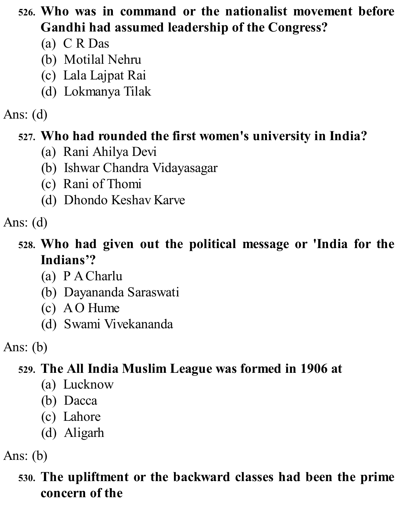## **526. Who was in command or the nationalist movement before Gandhi had assumed leadership of the Congress?**

- (a) C R Das
- (b) Motilal Nehru
- (c) Lala Lajpat Rai
- (d) Lokmanya Tilak

## Ans: (d)

## **527. Who had rounded the first women's university in India?**

- (a) Rani Ahilya Devi
- (b) Ishwar Chandra Vidayasagar
- (c) Rani of Thomi
- (d) Dhondo Keshav Karve

Ans: (d)

## **528. Who had given out the political message or 'India for the Indians'?**

- (a) P ACharlu
- (b) Dayananda Saraswati
- (c) AO Hume
- (d) Swami Vivekananda

Ans: (b)

# **529. The All India Muslim League was formed in 1906 at**

- (a) Lucknow
- (b) Dacca
- (c) Lahore
- (d) Aligarh

Ans: (b)

## **530. The upliftment or the backward classes had been the prime concern of the**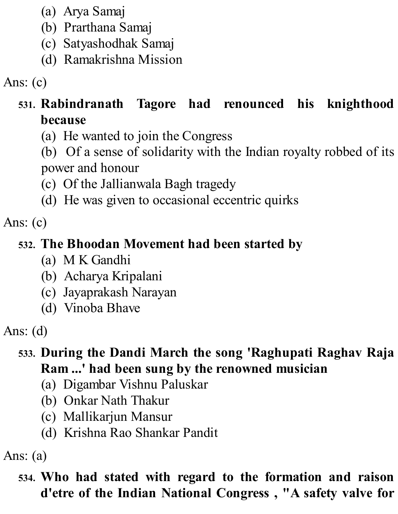- (a) Arya Samaj
- (b) Prarthana Samaj
- (c) Satyashodhak Samaj
- (d) Ramakrishna Mission

## **531. Rabindranath Tagore had renounced his knighthood because**

(a) He wanted to join the Congress

(b) Of a sense of solidarity with the Indian royalty robbed of its power and honour

(c) Of the Jallianwala Bagh tragedy

(d) He was given to occasional eccentric quirks

Ans: (c)

### **532. The Bhoodan Movement had been started by**

- (a) M K Gandhi
- (b) Acharya Kripalani
- (c) Jayaprakash Narayan
- (d) Vinoba Bhave

Ans: (d)

### **533. During the Dandi March the song 'Raghupati Raghav Raja Ram ...' had been sung by the renowned musician**

- (a) Digambar Vishnu Paluskar
- (b) Onkar Nath Thakur
- (c) Mallikarjun Mansur
- (d) Krishna Rao Shankar Pandit

Ans: (a)

### **534. Who had stated with regard to the formation and raison d'etre of the Indian National Congress , "A safety valve for**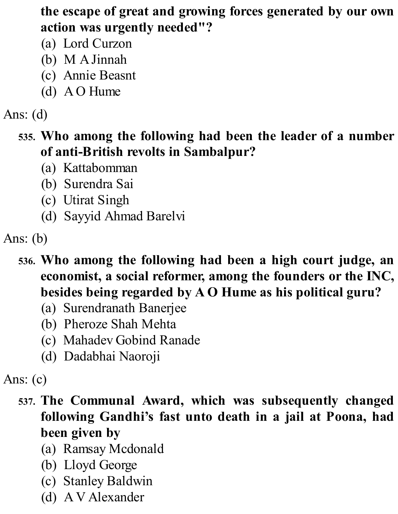#### **the escape of great and growing forces generated by our own action was urgently needed"?**

- (a) Lord Curzon
- (b) M AJinnah
- (c) Annie Beasnt
- (d) AO Hume

## Ans: (d)

### **535. Who among the following had been the leader of a number of anti-British revolts in Sambalpur?**

- (a) Kattabomman
- (b) Surendra Sai
- (c) Utirat Singh
- (d) Sayyid Ahmad Barelvi

- **536. Who among the following had been a high court judge, an economist, a social reformer, among the founders or the INC, besides being regarded by A O Hume as his political guru?**
	- (a) Surendranath Banerjee
	- (b) Pheroze Shah Mehta
	- (c) Mahadev Gobind Ranade
	- (d) Dadabhai Naoroji

#### Ans: (c)

- **537. The Communal Award, which was subsequently changed following Gandhi's fast unto death in a jail at Poona, had been given by**
	- (a) Ramsay Mcdonald
	- (b) Lloyd George
	- (c) Stanley Baldwin
	- (d) AV Alexander

Ans: (b)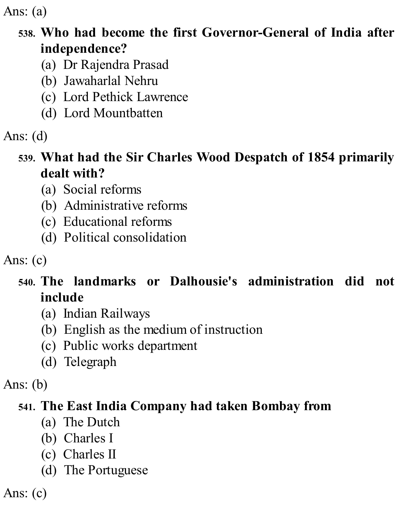Ans: (a)

### **538. Who had become the first Governor-General of India after independence?**

- (a) Dr Rajendra Prasad
- (b) Jawaharlal Nehru
- (c) Lord Pethick Lawrence
- (d) Lord Mountbatten
- Ans: (d)

#### **539. What had the Sir Charles Wood Despatch of 1854 primarily dealt with?**

- (a) Social reforms
- (b) Administrative reforms
- (c) Educational reforms
- (d) Political consolidation

Ans: (c)

## **540. The landmarks or Dalhousie's administration did not include**

- (a) Indian Railways
- (b) English as the medium of instruction
- (c) Public works department
- (d) Telegraph

Ans: (b)

## **541. The East India Company had taken Bombay from**

- (a) The Dutch
- (b) Charles I
- (c) Charles II
- (d) The Portuguese

Ans: (c)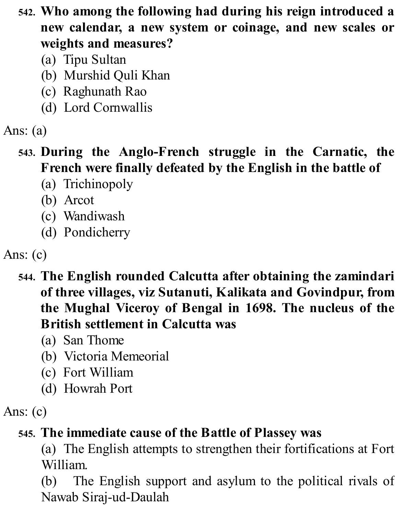- **542. Who among the following had during his reign introduced a new calendar, a new system or coinage, and new scales or weights and measures?**
	- (a) Tipu Sultan
	- (b) Murshid Quli Khan
	- (c) Raghunath Rao
	- (d) Lord Cornwallis

# Ans: (a)

## **543. During the Anglo-French struggle in the Carnatic, the French were finally defeated by the English in the battle of**

- (a) Trichinopoly
- (b) Arcot
- (c) Wandiwash
- (d) Pondicherry

# Ans: (c)

- **544. The English rounded Calcutta after obtaining the zamindari of three villages, viz Sutanuti, Kalikata and Govindpur, from the Mughal Viceroy of Bengal in 1698. The nucleus of the British settlement in Calcutta was**
	- (a) San Thome
	- (b) Victoria Memeorial
	- (c) Fort William
	- (d) Howrah Port

## Ans: (c)

# **545. The immediate cause of the Battle of Plassey was**

(a) The English attempts to strengthen their fortifications at Fort William.

(b) The English support and asylum to the political rivals of Nawab Siraj-ud-Daulah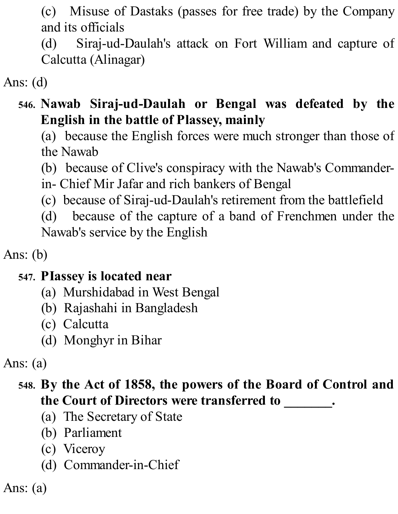(c) Misuse of Dastaks (passes for free trade) by the Company and its officials

(d) Siraj-ud-Daulah's attack on Fort William and capture of Calcutta (Alinagar)

Ans: (d)

### **546. Nawab Siraj-ud-Daulah or Bengal was defeated by the English in the battle of Plassey, mainly**

(a) because the English forces were much stronger than those of the Nawab

(b) because of Clive's conspiracy with the Nawab's Commander-

in- Chief Mir Jafar and rich bankers of Bengal

(c) because of Siraj-ud-Daulah's retirement from the battlefield

(d) because of the capture of a band of Frenchmen under the Nawab's service by the English

Ans: (b)

#### **547. PIassey is located near**

- (a) Murshidabad in West Bengal
- (b) Rajashahi in Bangladesh
- (c) Calcutta
- (d) Monghyr in Bihar

Ans: (a)

## **548. By the Act of 1858, the powers of the Board of Control and the Court of Directors were transferred to \_\_\_\_\_\_\_.**

- (a) The Secretary of State
- (b) Parliament
- (c) Viceroy
- (d) Commander-in-Chief

Ans: (a)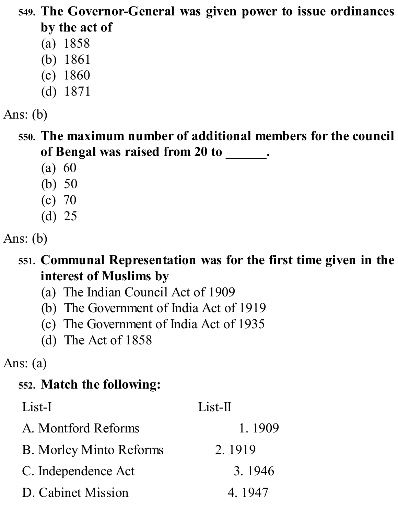### **549. The Governor-General was given power to issue ordinances by the act of**

- (a) 1858
- (b) 1861
- (c) 1860
- (d) 1871
- Ans: (b)

**550. The maximum number of additional members for the council of Bengal was raised from 20 to \_\_\_\_\_\_.**

- (a) 60
- (b) 50
- (c) 70
- (d) 25

Ans: (b)

### **551. Communal Representation was for the first time given in the interest of Muslims by**

- (a) The Indian Council Act of 1909
- (b) The Government of India Act of 1919
- (c) The Government of India Act of 1935
- (d) The Act of 1858

Ans: (a)

# **552. Match the following:**

| List-I                         | $List-II$ |
|--------------------------------|-----------|
| A. Montford Reforms            | 1.1909    |
| <b>B.</b> Morley Minto Reforms | 2.1919    |
| C. Independence Act            | 3.1946    |
| D. Cabinet Mission             | 4.1947    |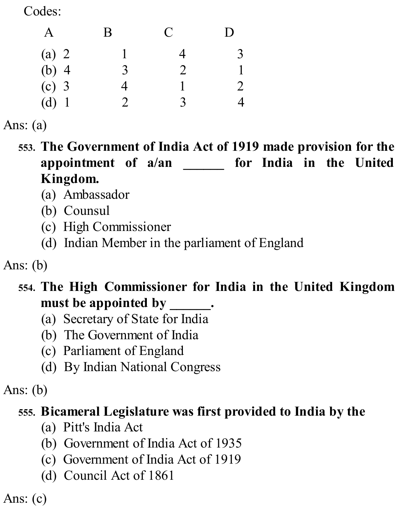Codes:

| A       | B                           | $\mathbf C$    | $\mathsf{D}$   |
|---------|-----------------------------|----------------|----------------|
| (a) $2$ |                             | 4              | 3              |
| $(b)$ 4 | 3                           | $\overline{2}$ |                |
| $(c)$ 3 | $\overline{4}$              |                | $\overline{2}$ |
| $(d)$ 1 | $\mathcal{D}_{\mathcal{C}}$ | 3              | 4              |

Ans: (a)

**553. The Government of India Act of 1919 made provision for the appointment of a/an \_\_\_\_\_\_ for India in the United Kingdom.**

- (a) Ambassador
- (b) Counsul
- (c) High Commissioner
- (d) Indian Member in the parliament of England

Ans: (b)

#### **554. The High Commissioner for India in the United Kingdom must be appointed by \_\_\_\_\_\_.**

- (a) Secretary of State for India
- (b) The Government of India
- (c) Parliament of England
- (d) By Indian National Congress

Ans: (b)

#### **555. Bicameral Legislature was first provided to India by the**

- (a) Pitt's India Act
- (b) Government of India Act of 1935
- (c) Government of India Act of 1919
- (d) Council Act of 1861

Ans: (c)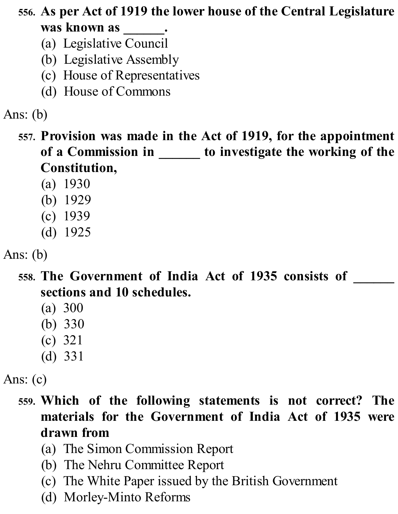**556. As per Act of 1919 the lower house of the Central Legislature was known as \_\_\_\_\_\_.**

- (a) Legislative Council
- (b) Legislative Assembly
- (c) House of Representatives
- (d) House of Commons

Ans: (b)

- **557. Provision was made in the Act of 1919, for the appointment of a Commission in \_\_\_\_\_\_ to investigate the working of the Constitution,**
	- (a) 1930
	- (b) 1929
	- (c) 1939
	- (d) 1925

Ans: (b)

- **558. The Government of India Act of 1935 consists of \_\_\_\_\_\_ sections and 10 schedules.**
	- (a) 300
	- (b) 330
	- (c) 321
	- (d) 331

Ans: (c)

- **559. Which of the following statements is not correct? The materials for the Government of India Act of 1935 were drawn from**
	- (a) The Simon Commission Report
	- (b) The Nehru Committee Report
	- (c) The White Paper issued by the British Government
	- (d) Morley-Minto Reforms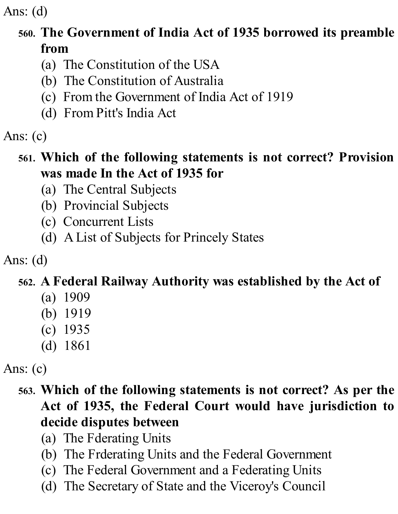Ans: (d)

## **560. The Government of India Act of 1935 borrowed its preamble from**

- (a) The Constitution of the USA
- (b) The Constitution of Australia
- (c) From the Government of India Act of 1919
- (d) From Pitt's India Act

Ans: (c)

#### **561. Which of the following statements is not correct? Provision was made In the Act of 1935 for**

- (a) The Central Subjects
- (b) Provincial Subjects
- (c) Concurrent Lists
- (d) AList of Subjects for Princely States

Ans: (d)

# **562. A Federal Railway Authority was established by the Act of**

- (a) 1909
- (b) 1919
- (c) 1935
- (d) 1861

Ans: (c)

## **563. Which of the following statements is not correct? As per the Act of 1935, the Federal Court would have jurisdiction to decide disputes between**

- (a) The Fderating Units
- (b) The Frderating Units and the Federal Government
- (c) The Federal Government and a Federating Units
- (d) The Secretary of State and the Viceroy's Council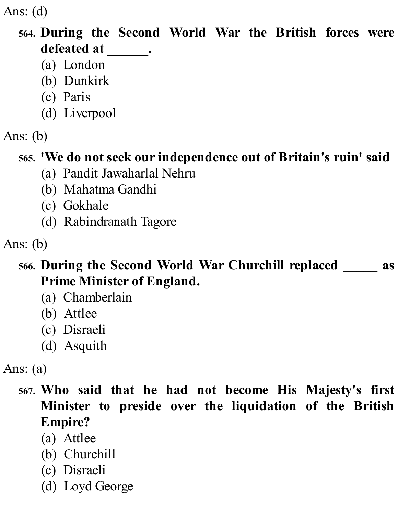Ans: (d)

## **564. During the Second World War the British forces were defeated at \_\_\_\_\_\_.**

- (a) London
- (b) Dunkirk
- (c) Paris
- (d) Liverpool
- Ans: (b)

#### **565. 'We do not seek our independence out of Britain's ruin' said**

- (a) Pandit Jawaharlal Nehru
- (b) Mahatma Gandhi
- (c) Gokhale
- (d) Rabindranath Tagore

Ans: (b)

#### **566. During the Second World War Churchill replaced \_\_\_\_\_ as Prime Minister of England.**

- (a) Chamberlain
- (b) Attlee
- (c) Disraeli
- (d) Asquith

Ans: (a)

- **567. Who said that he had not become His Majesty's first Minister to preside over the liquidation of the British Empire?**
	- (a) Attlee
	- (b) Churchill
	- (c) Disraeli
	- (d) Loyd George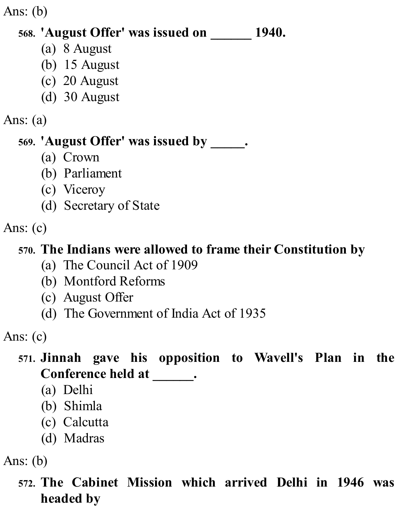Ans: (b)

#### **568. 'August Offer' was issued on \_\_\_\_\_\_ 1940.**

- (a) 8 August
- (b) 15 August
- (c) 20 August
- (d) 30 August

#### Ans: (a)

# **569. 'August Offer' was issued by \_\_\_\_\_.**

- (a) Crown
- (b) Parliament
- (c) Viceroy
- (d) Secretary of State

Ans: (c)

# **570. The Indians were allowed to frame their Constitution by**

- (a) The Council Act of 1909
- (b) Montford Reforms
- (c) August Offer
- (d) The Government of India Act of 1935

Ans: (c)

## **571. Jinnah gave his opposition to Wavell's Plan in the Conference held at \_\_\_\_\_\_.**

- (a) Delhi
- (b) Shimla
- (c) Calcutta
- (d) Madras

Ans: (b)

**572. The Cabinet Mission which arrived Delhi in 1946 was headed by**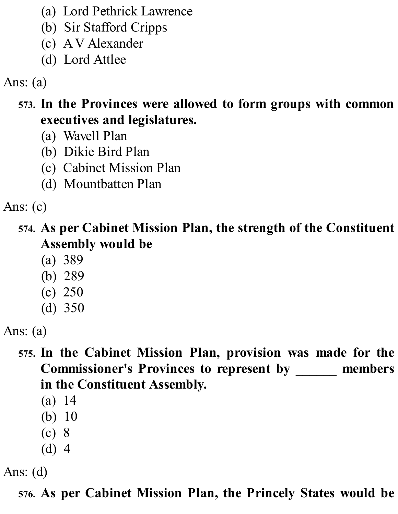- (a) Lord Pethrick Lawrence
- (b) Sir Stafford Cripps
- (c) AV Alexander
- (d) Lord Attlee

Ans: (a)

- **573. In the Provinces were allowed to form groups with common executives and legislatures.**
	- (a) Wavell Plan
	- (b) Dikie Bird Plan
	- (c) Cabinet Mission Plan
	- (d) Mountbatten Plan

Ans: (c)

- **574. As per Cabinet Mission Plan, the strength of the Constituent Assembly would be**
	- (a) 389
	- (b) 289
	- (c) 250
	- (d) 350

Ans: (a)

- **575. In the Cabinet Mission Plan, provision was made for the Commissioner's Provinces to represent by \_\_\_\_\_\_ members in the Constituent Assembly.**
	- (a) 14
	- (b) 10
	- (c) 8
	- (d) 4

Ans: (d)

**576. As per Cabinet Mission Plan, the Princely States would be**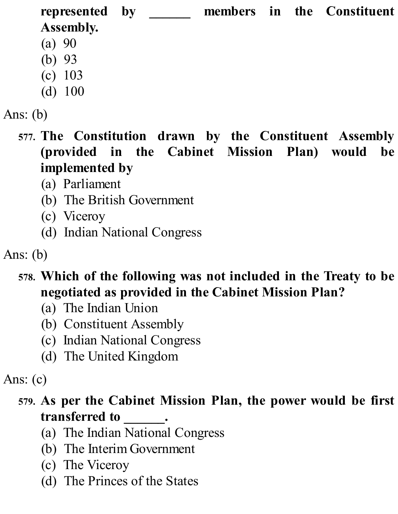**represented by \_\_\_\_\_\_ members in the Constituent Assembly.** (a) 90

- (b) 93
- (c) 103
- (d) 100
- Ans: (b)
	- **577. The Constitution drawn by the Constituent Assembly (provided in the Cabinet Mission Plan) would be implemented by**
		- (a) Parliament
		- (b) The British Government
		- (c) Viceroy
		- (d) Indian National Congress

Ans: (b)

- **578. Which of the following was not included in the Treaty to be negotiated as provided in the Cabinet Mission Plan?**
	- (a) The Indian Union
	- (b) Constituent Assembly
	- (c) Indian National Congress
	- (d) The United Kingdom

Ans: (c)

## **579. As per the Cabinet Mission Plan, the power would be first transferred to \_\_\_\_\_\_.**

- (a) The Indian National Congress
- (b) The Interim Government
- (c) The Viceroy
- (d) The Princes of the States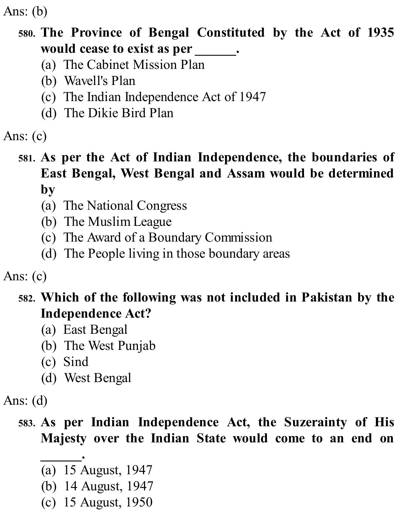Ans: (b)

#### **580. The Province of Bengal Constituted by the Act of 1935 would cease to exist as per \_\_\_\_\_\_.**

- (a) The Cabinet Mission Plan
- (b) Wavell's Plan
- (c) The Indian Independence Act of 1947
- (d) The Dikie Bird Plan

Ans: (c)

#### **581. As per the Act of Indian Independence, the boundaries of East Bengal, West Bengal and Assam would be determined by**

- (a) The National Congress
- (b) The Muslim League
- (c) The Award of a Boundary Commission
- (d) The People living in those boundary areas

Ans: (c)

#### **582. Which of the following was not included in Pakistan by the Independence Act?**

- (a) East Bengal
- (b) The West Punjab
- (c) Sind
- (d) West Bengal

Ans: (d)

## **583. As per Indian Independence Act, the Suzerainty of His Majesty over the Indian State would come to an end on**

- **\_\_\_\_\_\_.** (a) 15 August, 1947
- (b) 14 August, 1947
- (c) 15 August, 1950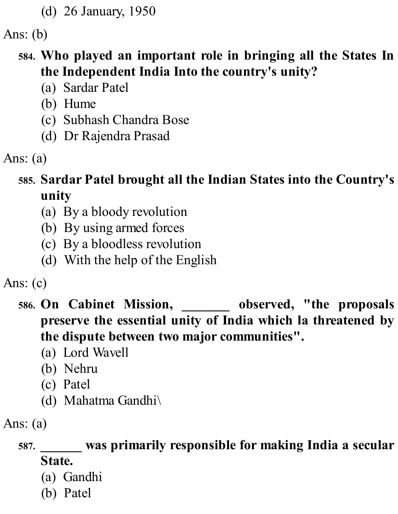(d) 26 January, 1950

Ans: (b)

#### **584. Who played an important role in bringing all the States In the Independent India Into the country's unity?**

- (a) Sardar Patel
- (b) Hume
- (c) Subhash Chandra Bose
- (d) Dr Rajendra Prasad
- Ans: (a)

# **585. Sardar Patel brought all the Indian States into the Country's unity**

- (a) By a bloody revolution
- (b) By using armed forces
- (c) By a bloodless revolution
- (d) With the help of the English
- Ans: (c)
	- **586. On Cabinet Mission, \_\_\_\_\_\_\_ observed, "the proposals preserve the essential unity of India which la threatened by the dispute between two major communities".**
		- (a) Lord Wavell
		- (b) Nehru
		- (c) Patel
		- (d) Mahatma Gandhi\

Ans: (a)

# **587. \_\_\_\_\_\_ was primarily responsible for making India a secular State.**

- (a) Gandhi
- (b) Patel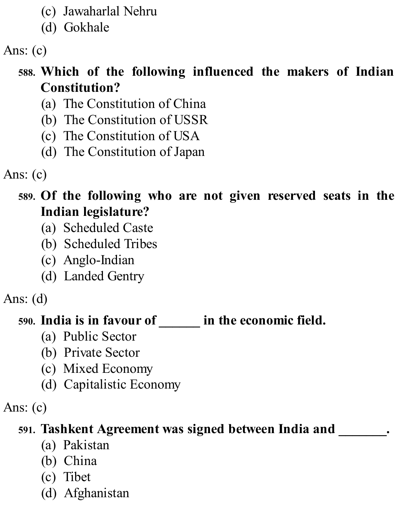- (c) Jawaharlal Nehru
- (d) Gokhale

Ans: (c)

# **588. Which of the following influenced the makers of Indian Constitution?**

- (a) The Constitution of China
- (b) The Constitution of USSR
- (c) The Constitution of USA
- (d) The Constitution of Japan

Ans: (c)

#### **589. Of the following who are not given reserved seats in the Indian legislature?**

- (a) Scheduled Caste
- (b) Scheduled Tribes
- (c) Anglo-Indian
- (d) Landed Gentry

Ans: (d)

# **590. India is in favour of \_\_\_\_\_\_ in the economic field.**

- (a) Public Sector
- (b) Private Sector
- (c) Mixed Economy
- (d) Capitalistic Economy

Ans: (c)

# **591. Tashkent Agreement was signed between India and \_\_\_\_\_\_\_.**

- (a) Pakistan
- (b) China
- (c) Tibet
- (d) Afghanistan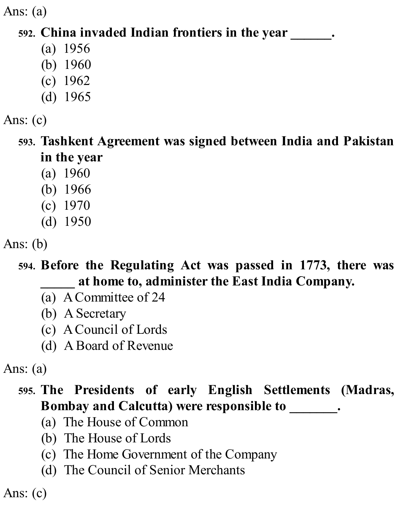Ans: (a)

#### **592. China invaded Indian frontiers in the year \_\_\_\_\_\_.**

- (a) 1956
- (b) 1960
- (c) 1962
- (d) 1965

Ans: (c)

**593. Tashkent Agreement was signed between India and Pakistan in the year**

- (a) 1960
- (b) 1966
- (c) 1970
- (d) 1950

Ans: (b)

**594. Before the Regulating Act was passed in 1773, there was \_\_\_\_\_ at home to, administer the East India Company.**

- (a) ACommittee of 24
- (b) ASecretary
- (c) ACouncil of Lords
- (d) ABoard of Revenue

Ans: (a)

## **595. The Presidents of early English Settlements (Madras, Bombay and Calcutta) were responsible to \_\_\_\_\_\_\_.**

- (a) The House of Common
- (b) The House of Lords
- (c) The Home Government of the Company
- (d) The Council of Senior Merchants

Ans: (c)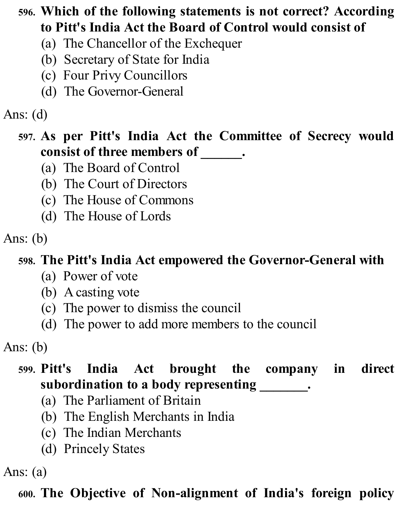## **596. Which of the following statements is not correct? According to Pitt's India Act the Board of Control would consist of**

- (a) The Chancellor of the Exchequer
- (b) Secretary of State for India
- (c) Four Privy Councillors
- (d) The Governor-General

## Ans: (d)

#### **597. As per Pitt's India Act the Committee of Secrecy would consist of three members of \_\_\_\_\_\_.**

- (a) The Board of Control
- (b) The Court of Directors
- (c) The House of Commons
- (d) The House of Lords

## Ans: (b)

## **598. The Pitt's India Act empowered the Governor-General with**

- (a) Power of vote
- (b) Acasting vote
- (c) The power to dismiss the council
- (d) The power to add more members to the council

Ans: (b)

## **599. Pitt's India Act brought the company in direct subordination to a body representing \_\_\_\_\_\_\_.**

- (a) The Parliament of Britain
- (b) The English Merchants in India
- (c) The Indian Merchants
- (d) Princely States

Ans: (a)

## **600. The Objective of Non-alignment of India's foreign policy**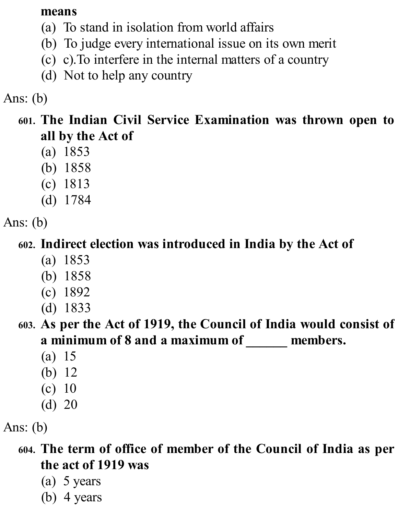#### **means**

- (a) To stand in isolation from world affairs
- (b) To judge every international issue on its own merit
- (c) c).To interfere in the internal matters of a country
- (d) Not to help any country

#### Ans: (b)

#### **601. The Indian Civil Service Examination was thrown open to all by the Act of**

- (a) 1853
- (b) 1858
- (c) 1813
- (d) 1784

Ans: (b)

#### **602. Indirect election was introduced in India by the Act of**

- (a) 1853
- (b) 1858
- (c) 1892
- (d) 1833

#### **603. As per the Act of 1919, the Council of India would consist of a minimum of 8 and a maximum of \_\_\_\_\_\_ members.**

- (a) 15
- (b) 12
- (c) 10
- (d) 20

Ans: (b)

- **604. The term of office of member of the Council of India as per the act of 1919 was**
	- (a) 5 years
	- (b) 4 years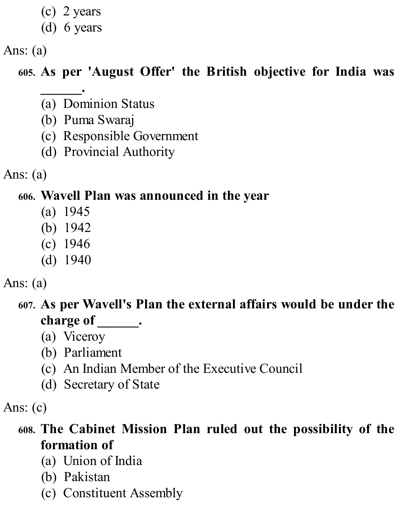- (c) 2 years
- (d) 6 years

Ans: (a)

## **605. As per 'August Offer' the British objective for India was**

- **\_\_\_\_\_\_.** (a) Dominion Status
- (b) Puma Swaraj
- (c) Responsible Government
- (d) Provincial Authority

Ans: (a)

#### **606. Wavell Plan was announced in the year**

- (a) 1945
- (b) 1942
- (c) 1946
- (d) 1940

#### Ans: (a)

## **607. As per Wavell's Plan the external affairs would be under the charge of \_\_\_\_\_\_.**

- (a) Viceroy
- (b) Parliament
- (c) An Indian Member of the Executive Council
- (d) Secretary of State

Ans: (c)

## **608. The Cabinet Mission Plan ruled out the possibility of the formation of**

- (a) Union of India
- (b) Pakistan
- (c) Constituent Assembly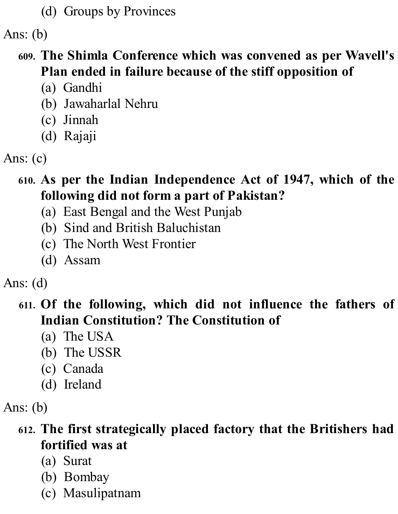(d) Groups by Provinces

Ans: (b)

- **609. The Shimla Conference which was convened as per Wavell's Plan ended in failure because of the stiff opposition of**
	- (a) Gandhi
	- (b) Jawaharlal Nehru
	- (c) Jinnah
	- (d) Rajaji
- Ans: (c)
	- **610. As per the Indian Independence Act of 1947, which of the following did not form a part of Pakistan?**
		- (a) East Bengal and the West Punjab
		- (b) Sind and British Baluchistan
		- (c) The North West Frontier
		- (d) Assam

Ans: (d)

## **611. Of the following, which did not influence the fathers of Indian Constitution? The Constitution of**

- (a) The USA
- (b) The USSR
- (c) Canada
- (d) Ireland

Ans: (b)

**612. The first strategically placed factory that the Britishers had fortified was at**

- (a) Surat
- (b) Bombay
- (c) Masulipatnam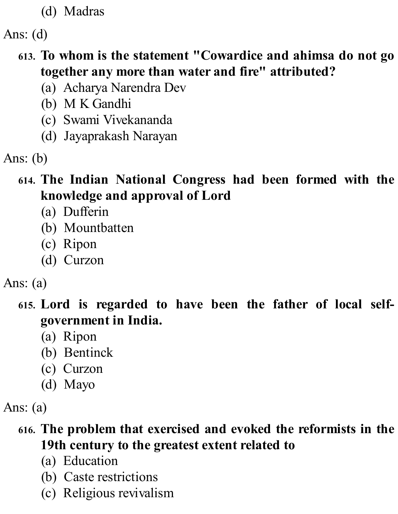(d) Madras

Ans: (d)

- **613. To whom is the statement "Cowardice and ahimsa do not go together any more than water and fire" attributed?**
	- (a) Acharya Narendra Dev
	- (b) M K Gandhi
	- (c) Swami Vivekananda
	- (d) Jayaprakash Narayan

Ans: (b)

## **614. The Indian National Congress had been formed with the knowledge and approval of Lord**

- (a) Dufferin
- (b) Mountbatten
- (c) Ripon
- (d) Curzon

#### Ans: (a)

**615. Lord is regarded to have been the father of local selfgovernment in India.**

- (a) Ripon
- (b) Bentinck
- (c) Curzon
- (d) Mayo

Ans: (a)

#### **616. The problem that exercised and evoked the reformists in the 19th century to the greatest extent related to**

- (a) Education
- (b) Caste restrictions
- (c) Religious revivalism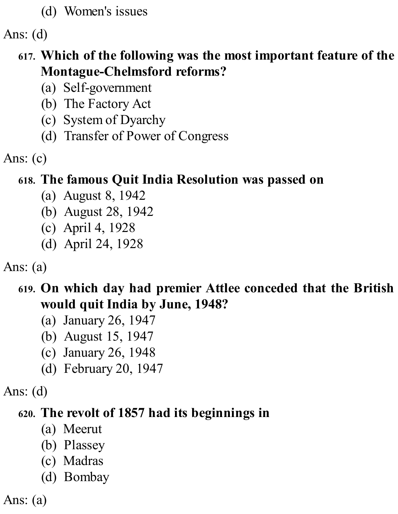(d) Women's issues

Ans: (d)

#### **617. Which of the following was the most important feature of the Montague-Chelmsford reforms?**

- (a) Self-government
- (b) The Factory Act
- (c) System of Dyarchy
- (d) Transfer of Power of Congress

Ans: (c)

# **618. The famous Quit India Resolution was passed on**

- (a) August 8, 1942
- (b) August 28, 1942
- (c) April 4, 1928
- (d) April 24, 1928

Ans: (a)

## **619. On which day had premier Attlee conceded that the British would quit India by June, 1948?**

- (a) January 26, 1947
- (b) August 15, 1947
- (c) January 26, 1948
- (d) February 20, 1947

Ans: (d)

## **620. The revolt of 1857 had its beginnings in**

- (a) Meerut
- (b) Plassey
- (c) Madras
- (d) Bombay

Ans: (a)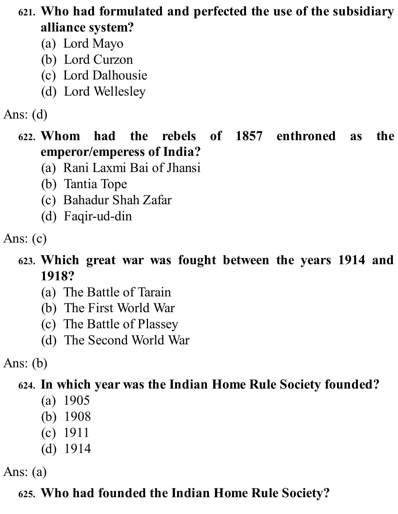**621. Who had formulated and perfected the use of the subsidiary alliance system?**

- (a) Lord Mayo
- (b) Lord Curzon
- (c) Lord Dalhousie
- (d) Lord Wellesley

## Ans: (d)

#### **622. Whom had the rebels of 1857 enthroned as the emperor/emperess of India?**

- (a) Rani Laxmi Bai of Jhansi
- (b) Tantia Tope
- (c) Bahadur Shah Zafar
- (d) Faqir-ud-din

- **623. Which great war was fought between the years 1914 and 1918?**
	- (a) The Battle of Tarain
	- (b) The First World War
	- (c) The Battle of Plassey
	- (d) The Second World War

Ans: (b)

## **624. In which year was the Indian Home Rule Society founded?**

- (a) 1905
- (b) 1908
- (c) 1911
- (d) 1914

Ans: (a)

# **625. Who had founded the Indian Home Rule Society?**

Ans: (c)